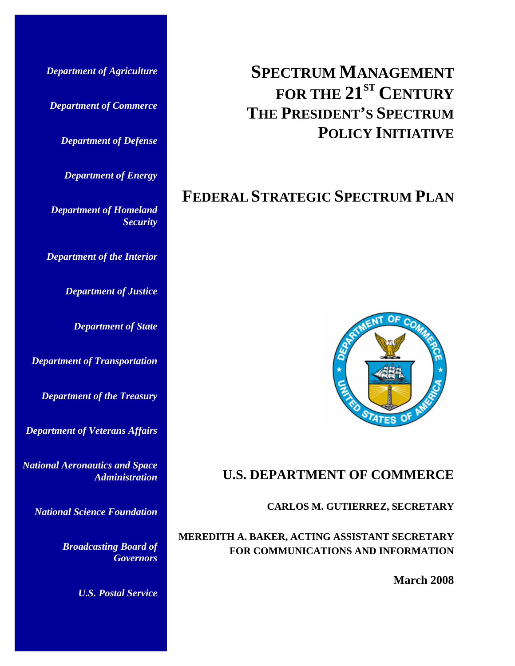*Department of Agriculture* 

*Department of Commerce* 

*Department of Defense* 

*Department of Energy* 

*Department of Homeland Security* 

*Department of the Interior* 

*Department of Justice* 

*Department of State* 

*Department of Transportation* 

*Department of the Treasury* 

*Department of Veterans Affairs* 

*National Aeronautics and Space Administration* 

*National Science Foundation* 

*Broadcasting Board of Governors* 

*U.S. Postal Service* 

# **SPECTRUM MANAGEMENT FOR THE 21ST CENTURY THE PRESIDENT'S SPECTRUM POLICY INITIATIVE**

## **FEDERAL STRATEGIC SPECTRUM PLAN**



## **U.S. DEPARTMENT OF COMMERCE**

**CARLOS M. GUTIERREZ, SECRETARY** 

**MEREDITH A. BAKER, ACTING ASSISTANT SECRETARY FOR COMMUNICATIONS AND INFORMATION** 

 **March 2008**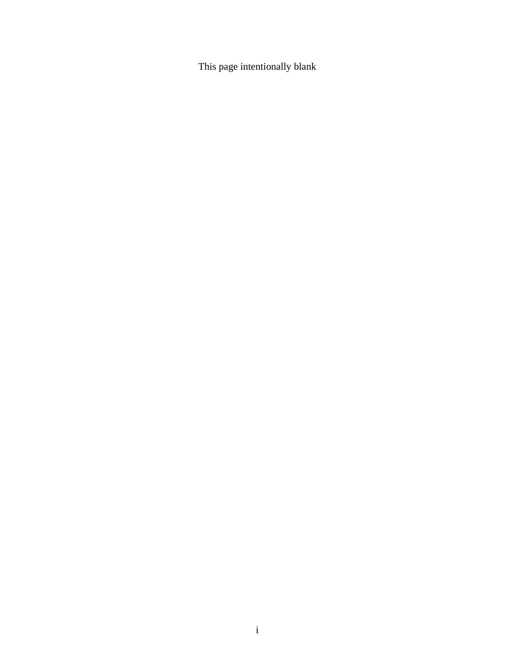This page intentionally blank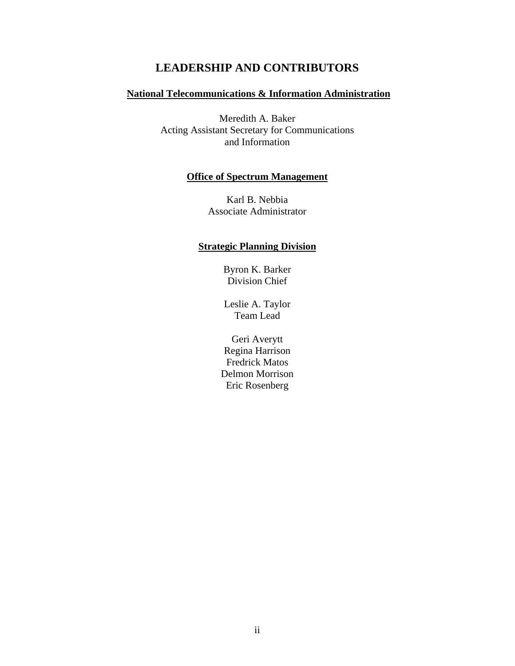## **LEADERSHIP AND CONTRIBUTORS**

#### **National Telecommunications & Information Administration**

Meredith A. Baker Acting Assistant Secretary for Communications and Information

#### **Office of Spectrum Management**

Karl B. Nebbia Associate Administrator

#### **Strategic Planning Division**

Byron K. Barker Division Chief

Leslie A. Taylor Team Lead

Geri Averytt Regina Harrison Fredrick Matos Delmon Morrison Eric Rosenberg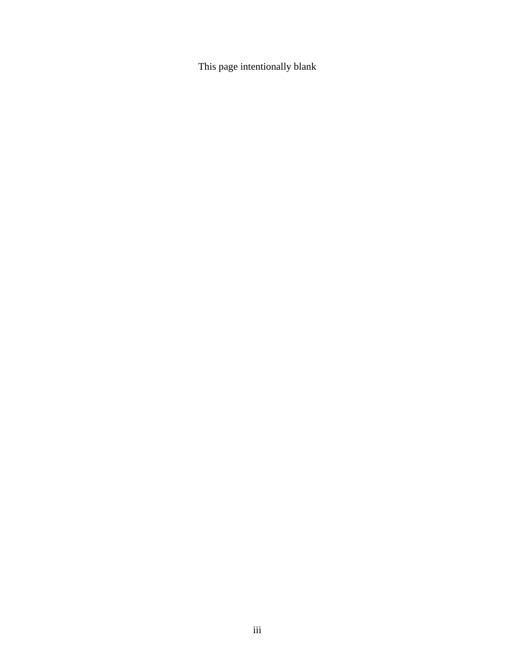This page intentionally blank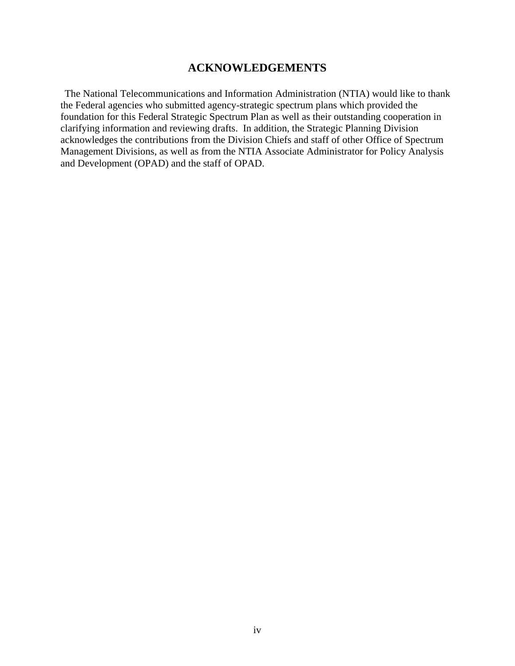#### **ACKNOWLEDGEMENTS**

The National Telecommunications and Information Administration (NTIA) would like to thank the Federal agencies who submitted agency-strategic spectrum plans which provided the foundation for this Federal Strategic Spectrum Plan as well as their outstanding cooperation in clarifying information and reviewing drafts. In addition, the Strategic Planning Division acknowledges the contributions from the Division Chiefs and staff of other Office of Spectrum Management Divisions, as well as from the NTIA Associate Administrator for Policy Analysis and Development (OPAD) and the staff of OPAD.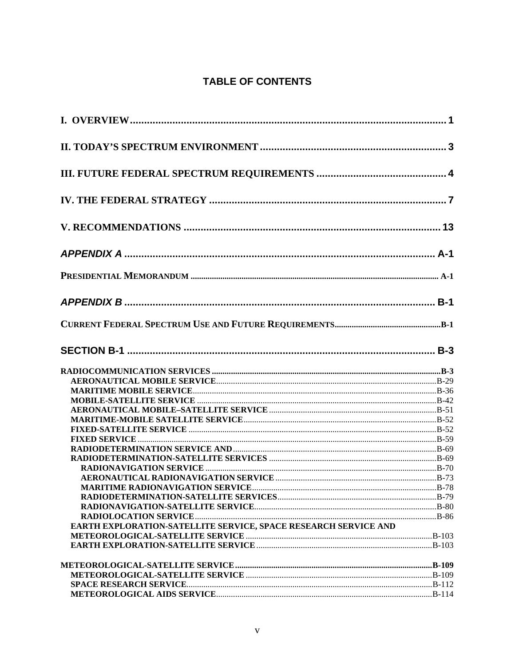## **TABLE OF CONTENTS**

| EARTH EXPLORATION-SATELLITE SERVICE, SPACE RESEARCH SERVICE AND |  |
|-----------------------------------------------------------------|--|
|                                                                 |  |
|                                                                 |  |
|                                                                 |  |
|                                                                 |  |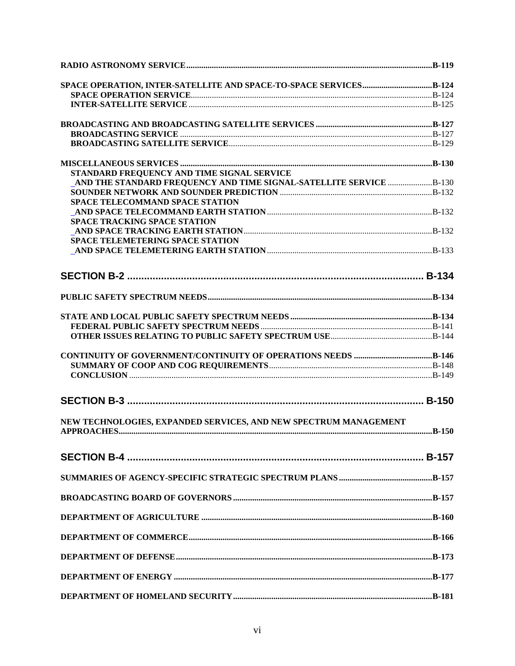| STANDARD FREQUENCY AND TIME SIGNAL SERVICE                         |  |
|--------------------------------------------------------------------|--|
| AND THE STANDARD FREQUENCY AND TIME SIGNAL-SATELLITE SERVICE B-130 |  |
|                                                                    |  |
| <b>SPACE TELECOMMAND SPACE STATION</b>                             |  |
|                                                                    |  |
| <b>SPACE TRACKING SPACE STATION</b>                                |  |
|                                                                    |  |
| <b>SPACE TELEMETERING SPACE STATION</b>                            |  |
|                                                                    |  |
|                                                                    |  |
|                                                                    |  |
|                                                                    |  |
|                                                                    |  |
|                                                                    |  |
|                                                                    |  |
|                                                                    |  |
|                                                                    |  |
|                                                                    |  |
|                                                                    |  |
|                                                                    |  |
|                                                                    |  |
| NEW TECHNOLOGIES, EXPANDED SERVICES, AND NEW SPECTRUM MANAGEMENT   |  |
|                                                                    |  |
|                                                                    |  |
|                                                                    |  |
|                                                                    |  |
|                                                                    |  |
|                                                                    |  |
|                                                                    |  |
|                                                                    |  |
|                                                                    |  |
|                                                                    |  |
|                                                                    |  |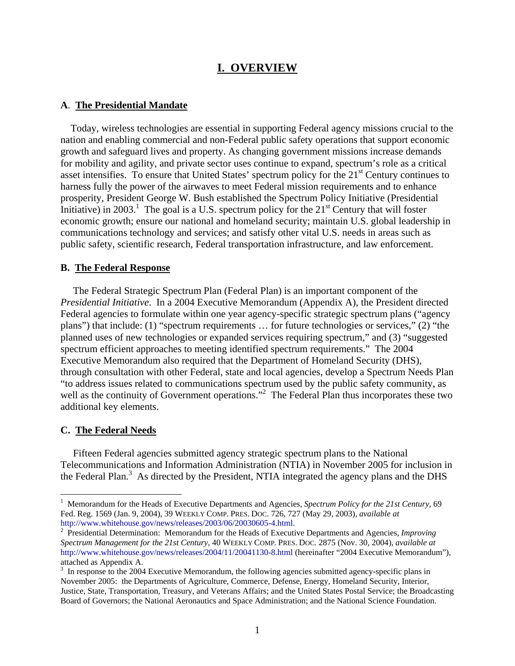### **I. OVERVIEW**

#### **A**. **The Presidential Mandate**

 Today, wireless technologies are essential in supporting Federal agency missions crucial to the nation and enabling commercial and non-Federal public safety operations that support economic growth and safeguard lives and property. As changing government missions increase demands for mobility and agility, and private sector uses continue to expand, spectrum's role as a critical asset intensifies. To ensure that United States' spectrum policy for the 21<sup>st</sup> Century continues to harness fully the power of the airwaves to meet Federal mission requirements and to enhance prosperity, President George W. Bush established the Spectrum Policy Initiative (Presidential Initiative) in 2003.<sup>1</sup> The goal is a U.S. spectrum policy for the 21<sup>st</sup> Century that will foster economic growth; ensure our national and homeland security; maintain U.S. global leadership in communications technology and services; and satisfy other vital U.S. needs in areas such as public safety, scientific research, Federal transportation infrastructure, and law enforcement.

#### **B. The Federal Response**

 The Federal Strategic Spectrum Plan (Federal Plan) is an important component of the *Presidential Initiative*. In a 2004 Executive Memorandum (Appendix A), the President directed Federal agencies to formulate within one year agency-specific strategic spectrum plans ("agency plans") that include: (1) "spectrum requirements … for future technologies or services," (2) "the planned uses of new technologies or expanded services requiring spectrum," and (3) "suggested spectrum efficient approaches to meeting identified spectrum requirements." The 2004 Executive Memorandum also required that the Department of Homeland Security (DHS), through consultation with other Federal, state and local agencies, develop a Spectrum Needs Plan "to address issues related to communications spectrum used by the public safety community, as well as the continuity of Government operations."<sup>2</sup> The Federal Plan thus incorporates these two additional key elements.

#### **C. The Federal Needs**

 $\overline{a}$ 

 Fifteen Federal agencies submitted agency strategic spectrum plans to the National Telecommunications and Information Administration (NTIA) in November 2005 for inclusion in the Federal Plan.<sup>3</sup> As directed by the President, NTIA integrated the agency plans and the DHS

<sup>&</sup>lt;sup>1</sup> Memorandum for the Heads of Executive Departments and Agencies, *Spectrum Policy for the 21st Century*, 69 Fed. Reg. 1569 (Jan. 9, 2004), 39 WEEKLY COMP. PRES. DOC. 726, 727 (May 29, 2003), *available at* http://www.whitehouse.gov/news/releases/2003/06/20030605-4.html. 2

Presidential Determination: Memorandum for the Heads of Executive Departments and Agencies, *Improving Spectrum Management for the 21st Century*, 40 WEEKLY COMP. PRES. DOC. 2875 (Nov. 30, 2004), *available at*  http://www.whitehouse.gov/news/releases/2004/11/20041130-8.html (hereinafter "2004 Executive Memorandum"), attached as Appendix A.

<sup>&</sup>lt;sup>3</sup> In response to the 2004 Executive Memorandum, the following agencies submitted agency-specific plans in November 2005: the Departments of Agriculture, Commerce, Defense, Energy, Homeland Security, Interior, Justice, State, Transportation, Treasury, and Veterans Affairs; and the United States Postal Service; the Broadcasting Board of Governors; the National Aeronautics and Space Administration; and the National Science Foundation.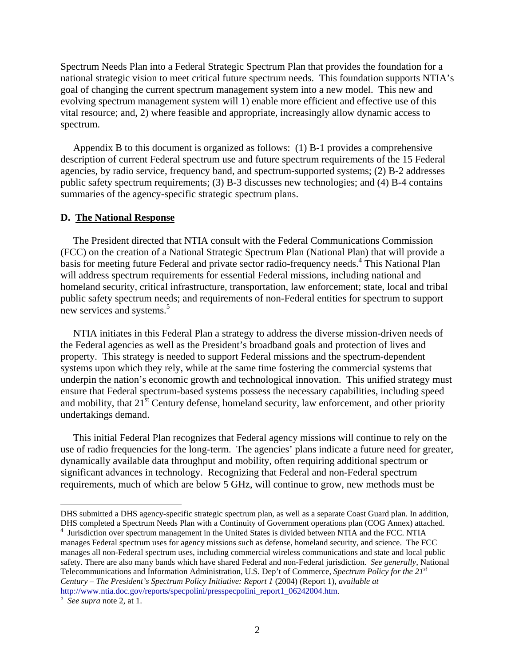Spectrum Needs Plan into a Federal Strategic Spectrum Plan that provides the foundation for a national strategic vision to meet critical future spectrum needs. This foundation supports NTIA's goal of changing the current spectrum management system into a new model. This new and evolving spectrum management system will 1) enable more efficient and effective use of this vital resource; and, 2) where feasible and appropriate, increasingly allow dynamic access to spectrum.

 Appendix B to this document is organized as follows: (1) B-1 provides a comprehensive description of current Federal spectrum use and future spectrum requirements of the 15 Federal agencies, by radio service, frequency band, and spectrum-supported systems; (2) B-2 addresses public safety spectrum requirements; (3) B-3 discusses new technologies; and (4) B-4 contains summaries of the agency-specific strategic spectrum plans.

#### **D. The National Response**

 The President directed that NTIA consult with the Federal Communications Commission (FCC) on the creation of a National Strategic Spectrum Plan (National Plan) that will provide a basis for meeting future Federal and private sector radio-frequency needs.<sup>4</sup> This National Plan will address spectrum requirements for essential Federal missions, including national and homeland security, critical infrastructure, transportation, law enforcement; state, local and tribal public safety spectrum needs; and requirements of non-Federal entities for spectrum to support new services and systems.<sup>5</sup>

 NTIA initiates in this Federal Plan a strategy to address the diverse mission-driven needs of the Federal agencies as well as the President's broadband goals and protection of lives and property. This strategy is needed to support Federal missions and the spectrum-dependent systems upon which they rely, while at the same time fostering the commercial systems that underpin the nation's economic growth and technological innovation. This unified strategy must ensure that Federal spectrum-based systems possess the necessary capabilities, including speed and mobility, that  $21<sup>st</sup>$  Century defense, homeland security, law enforcement, and other priority undertakings demand.

 This initial Federal Plan recognizes that Federal agency missions will continue to rely on the use of radio frequencies for the long-term. The agencies' plans indicate a future need for greater, dynamically available data throughput and mobility, often requiring additional spectrum or significant advances in technology. Recognizing that Federal and non-Federal spectrum requirements, much of which are below 5 GHz, will continue to grow, new methods must be

DHS submitted a DHS agency-specific strategic spectrum plan, as well as a separate Coast Guard plan. In addition, DHS completed a Spectrum Needs Plan with a Continuity of Government operations plan (COG Annex) attached.

<sup>&</sup>lt;sup>4</sup> Jurisdiction over spectrum management in the United States is divided between NTIA and the FCC. NTIA manages Federal spectrum uses for agency missions such as defense, homeland security, and science. The FCC manages all non-Federal spectrum uses, including commercial wireless communications and state and local public safety. There are also many bands which have shared Federal and non-Federal jurisdiction. *See generally*, National Telecommunications and Information Administration, U.S. Dep't of Commerce, *Spectrum Policy for the 21st Century – The President's Spectrum Policy Initiative: Report 1* (2004) (Report 1), *available at*  http://www.ntia.doc.gov/reports/specpolini/presspecpolini\_report1\_06242004.htm. 5

*See supra* note 2, at 1.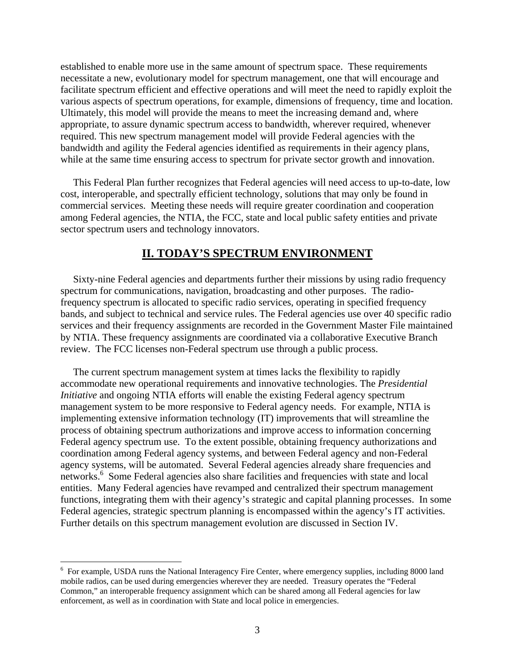established to enable more use in the same amount of spectrum space. These requirements necessitate a new, evolutionary model for spectrum management, one that will encourage and facilitate spectrum efficient and effective operations and will meet the need to rapidly exploit the various aspects of spectrum operations, for example, dimensions of frequency, time and location. Ultimately, this model will provide the means to meet the increasing demand and, where appropriate, to assure dynamic spectrum access to bandwidth, wherever required, whenever required. This new spectrum management model will provide Federal agencies with the bandwidth and agility the Federal agencies identified as requirements in their agency plans, while at the same time ensuring access to spectrum for private sector growth and innovation.

 This Federal Plan further recognizes that Federal agencies will need access to up-to-date, low cost, interoperable, and spectrally efficient technology, solutions that may only be found in commercial services. Meeting these needs will require greater coordination and cooperation among Federal agencies, the NTIA, the FCC, state and local public safety entities and private sector spectrum users and technology innovators.

#### **II. TODAY'S SPECTRUM ENVIRONMENT**

 Sixty-nine Federal agencies and departments further their missions by using radio frequency spectrum for communications, navigation, broadcasting and other purposes. The radiofrequency spectrum is allocated to specific radio services, operating in specified frequency bands, and subject to technical and service rules. The Federal agencies use over 40 specific radio services and their frequency assignments are recorded in the Government Master File maintained by NTIA. These frequency assignments are coordinated via a collaborative Executive Branch review. The FCC licenses non-Federal spectrum use through a public process.

 The current spectrum management system at times lacks the flexibility to rapidly accommodate new operational requirements and innovative technologies. The *Presidential Initiative* and ongoing NTIA efforts will enable the existing Federal agency spectrum management system to be more responsive to Federal agency needs. For example, NTIA is implementing extensive information technology (IT) improvements that will streamline the process of obtaining spectrum authorizations and improve access to information concerning Federal agency spectrum use. To the extent possible, obtaining frequency authorizations and coordination among Federal agency systems, and between Federal agency and non-Federal agency systems, will be automated. Several Federal agencies already share frequencies and networks.<sup>6</sup> Some Federal agencies also share facilities and frequencies with state and local entities. Many Federal agencies have revamped and centralized their spectrum management functions, integrating them with their agency's strategic and capital planning processes. In some Federal agencies, strategic spectrum planning is encompassed within the agency's IT activities. Further details on this spectrum management evolution are discussed in Section IV.

<sup>&</sup>lt;sup>6</sup> For example, USDA runs the National Interagency Fire Center, where emergency supplies, including 8000 land mobile radios, can be used during emergencies wherever they are needed. Treasury operates the "Federal Common," an interoperable frequency assignment which can be shared among all Federal agencies for law enforcement, as well as in coordination with State and local police in emergencies.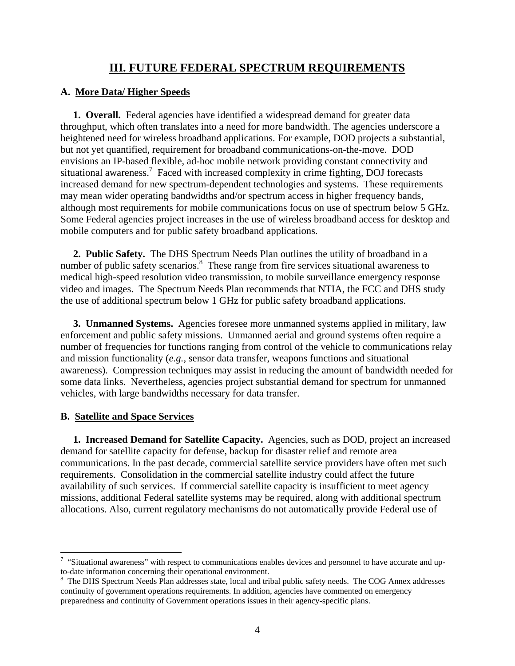### **III. FUTURE FEDERAL SPECTRUM REQUIREMENTS**

#### **A. More Data/ Higher Speeds**

 **1. Overall.** Federal agencies have identified a widespread demand for greater data throughput, which often translates into a need for more bandwidth. The agencies underscore a heightened need for wireless broadband applications. For example, DOD projects a substantial, but not yet quantified, requirement for broadband communications-on-the-move. DOD envisions an IP-based flexible, ad-hoc mobile network providing constant connectivity and situational awareness.<sup>7</sup> Faced with increased complexity in crime fighting, DOJ forecasts increased demand for new spectrum-dependent technologies and systems. These requirements may mean wider operating bandwidths and/or spectrum access in higher frequency bands, although most requirements for mobile communications focus on use of spectrum below 5 GHz. Some Federal agencies project increases in the use of wireless broadband access for desktop and mobile computers and for public safety broadband applications.

 **2. Public Safety.** The DHS Spectrum Needs Plan outlines the utility of broadband in a number of public safety scenarios.<sup>8</sup> These range from fire services situational awareness to medical high-speed resolution video transmission, to mobile surveillance emergency response video and images. The Spectrum Needs Plan recommends that NTIA, the FCC and DHS study the use of additional spectrum below 1 GHz for public safety broadband applications.

**3. Unmanned Systems.** Agencies foresee more unmanned systems applied in military, law enforcement and public safety missions. Unmanned aerial and ground systems often require a number of frequencies for functions ranging from control of the vehicle to communications relay and mission functionality (*e.g.,* sensor data transfer, weapons functions and situational awareness). Compression techniques may assist in reducing the amount of bandwidth needed for some data links. Nevertheless, agencies project substantial demand for spectrum for unmanned vehicles, with large bandwidths necessary for data transfer.

#### **B. Satellite and Space Services**

 $\overline{a}$ 

 **1. Increased Demand for Satellite Capacity.** Agencies, such as DOD, project an increased demand for satellite capacity for defense, backup for disaster relief and remote area communications. In the past decade, commercial satellite service providers have often met such requirements. Consolidation in the commercial satellite industry could affect the future availability of such services. If commercial satellite capacity is insufficient to meet agency missions, additional Federal satellite systems may be required, along with additional spectrum allocations. Also, current regulatory mechanisms do not automatically provide Federal use of

 $<sup>7</sup>$  "Situational awareness" with respect to communications enables devices and personnel to have accurate and up-</sup> to-date information concerning their operational environment.

<sup>&</sup>lt;sup>8</sup> The DHS Spectrum Needs Plan addresses state, local and tribal public safety needs. The COG Annex addresses continuity of government operations requirements. In addition, agencies have commented on emergency preparedness and continuity of Government operations issues in their agency-specific plans.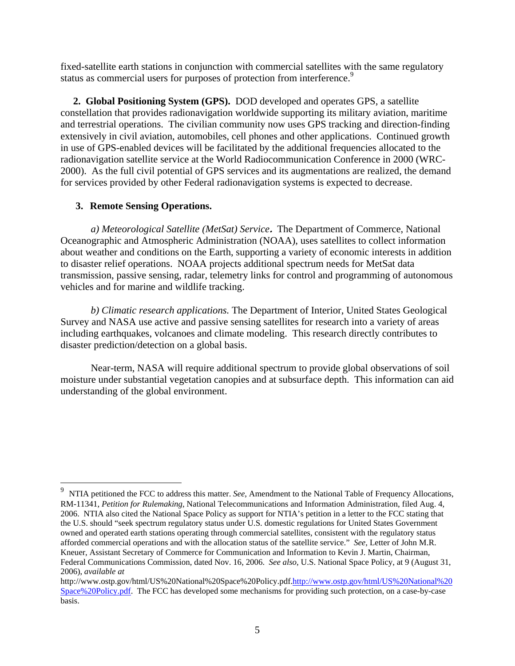fixed-satellite earth stations in conjunction with commercial satellites with the same regulatory status as commercial users for purposes of protection from interference.<sup>9</sup>

 **2. Global Positioning System (GPS).** DOD developed and operates GPS, a satellite constellation that provides radionavigation worldwide supporting its military aviation, maritime and terrestrial operations. The civilian community now uses GPS tracking and direction-finding extensively in civil aviation, automobiles, cell phones and other applications. Continued growth in use of GPS-enabled devices will be facilitated by the additional frequencies allocated to the radionavigation satellite service at the World Radiocommunication Conference in 2000 (WRC-2000). As the full civil potential of GPS services and its augmentations are realized, the demand for services provided by other Federal radionavigation systems is expected to decrease.

#### **3. Remote Sensing Operations.**

 $\overline{a}$ 

*a) Meteorological Satellite (MetSat) Service***.** The Department of Commerce, National Oceanographic and Atmospheric Administration (NOAA), uses satellites to collect information about weather and conditions on the Earth, supporting a variety of economic interests in addition to disaster relief operations. NOAA projects additional spectrum needs for MetSat data transmission, passive sensing, radar, telemetry links for control and programming of autonomous vehicles and for marine and wildlife tracking.

*b) Climatic research applications.* The Department of Interior, United States Geological Survey and NASA use active and passive sensing satellites for research into a variety of areas including earthquakes, volcanoes and climate modeling. This research directly contributes to disaster prediction/detection on a global basis.

Near-term, NASA will require additional spectrum to provide global observations of soil moisture under substantial vegetation canopies and at subsurface depth. This information can aid understanding of the global environment.

<sup>9</sup> NTIA petitioned the FCC to address this matter. *See*, Amendment to the National Table of Frequency Allocations, RM-11341, *Petition for Rulemaking*, National Telecommunications and Information Administration, filed Aug. 4, 2006. NTIA also cited the National Space Policy as support for NTIA's petition in a letter to the FCC stating that the U.S. should "seek spectrum regulatory status under U.S. domestic regulations for United States Government owned and operated earth stations operating through commercial satellites, consistent with the regulatory status afforded commercial operations and with the allocation status of the satellite service." *See*, Letter of John M.R. Kneuer, Assistant Secretary of Commerce for Communication and Information to Kevin J. Martin, Chairman, Federal Communications Commission, dated Nov. 16, 2006. *See also*, U.S. National Space Policy, at 9 (August 31, 2006), *available at*

http://www.ostp.gov/html/US%20National%20Space%20Policy.pdf.http://www.ostp.gov/html/US%20National%20 Space%20Policy.pdf. The FCC has developed some mechanisms for providing such protection, on a case-by-case basis.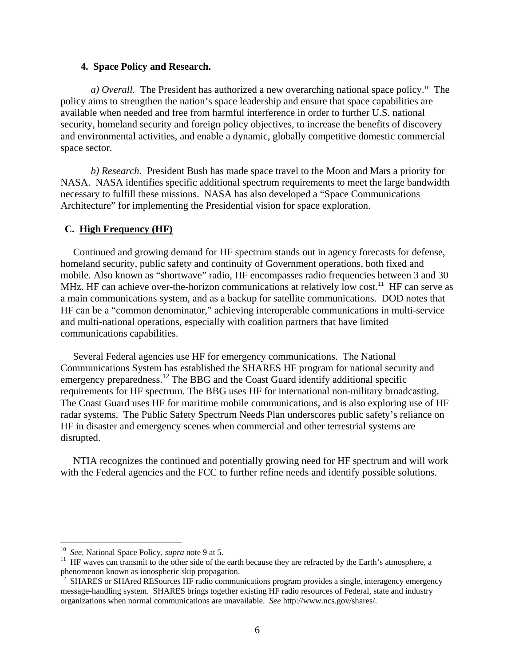#### **4. Space Policy and Research.**

*a) Overall.* The President has authorized a new overarching national space policy.<sup>10</sup> The policy aims to strengthen the nation's space leadership and ensure that space capabilities are available when needed and free from harmful interference in order to further U.S. national security, homeland security and foreign policy objectives, to increase the benefits of discovery and environmental activities, and enable a dynamic, globally competitive domestic commercial space sector.

*b) Research.* President Bush has made space travel to the Moon and Mars a priority for NASA. NASA identifies specific additional spectrum requirements to meet the large bandwidth necessary to fulfill these missions. NASA has also developed a "Space Communications Architecture" for implementing the Presidential vision for space exploration.

#### **C. High Frequency (HF)**

 Continued and growing demand for HF spectrum stands out in agency forecasts for defense, homeland security, public safety and continuity of Government operations, both fixed and mobile. Also known as "shortwave" radio, HF encompasses radio frequencies between 3 and 30 MHz. HF can achieve over-the-horizon communications at relatively low cost.<sup>11</sup> HF can serve as a main communications system, and as a backup for satellite communications. DOD notes that HF can be a "common denominator," achieving interoperable communications in multi-service and multi-national operations, especially with coalition partners that have limited communications capabilities.

 Several Federal agencies use HF for emergency communications. The National Communications System has established the SHARES HF program for national security and emergency preparedness.12 The BBG and the Coast Guard identify additional specific requirements for HF spectrum. The BBG uses HF for international non-military broadcasting. The Coast Guard uses HF for maritime mobile communications, and is also exploring use of HF radar systems. The Public Safety Spectrum Needs Plan underscores public safety's reliance on HF in disaster and emergency scenes when commercial and other terrestrial systems are disrupted.

 NTIA recognizes the continued and potentially growing need for HF spectrum and will work with the Federal agencies and the FCC to further refine needs and identify possible solutions.

<sup>&</sup>lt;sup>10</sup> See, National Space Policy, *supra* note 9 at 5.

<sup>&</sup>lt;sup>11</sup> HF waves can transmit to the other side of the earth because they are refracted by the Earth's atmosphere, a phenomenon known as ionospheric skip propagation.

<sup>&</sup>lt;sup>12</sup> SHARES or SHAred RESources HF radio communications program provides a single, interagency emergency message-handling system. SHARES brings together existing HF radio resources of Federal, state and industry organizations when normal communications are unavailable. *See* http://www.ncs.gov/shares/.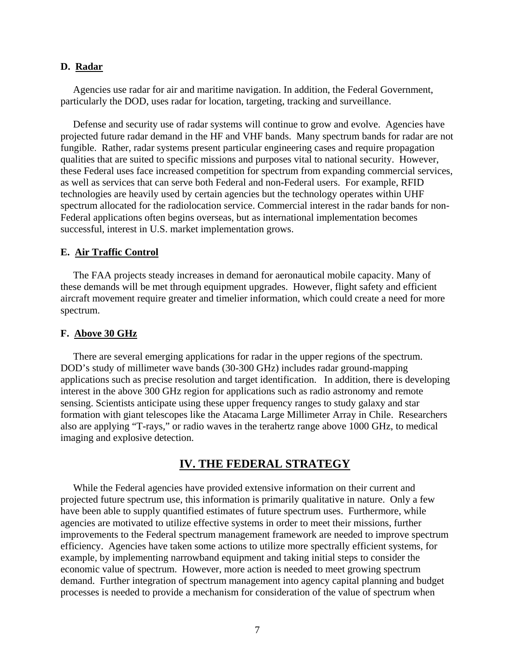#### **D. Radar**

 Agencies use radar for air and maritime navigation. In addition, the Federal Government, particularly the DOD, uses radar for location, targeting, tracking and surveillance.

 Defense and security use of radar systems will continue to grow and evolve. Agencies have projected future radar demand in the HF and VHF bands. Many spectrum bands for radar are not fungible. Rather, radar systems present particular engineering cases and require propagation qualities that are suited to specific missions and purposes vital to national security. However, these Federal uses face increased competition for spectrum from expanding commercial services, as well as services that can serve both Federal and non-Federal users. For example, RFID technologies are heavily used by certain agencies but the technology operates within UHF spectrum allocated for the radiolocation service. Commercial interest in the radar bands for non-Federal applications often begins overseas, but as international implementation becomes successful, interest in U.S. market implementation grows.

#### **E. Air Traffic Control**

 The FAA projects steady increases in demand for aeronautical mobile capacity. Many of these demands will be met through equipment upgrades. However, flight safety and efficient aircraft movement require greater and timelier information, which could create a need for more spectrum.

#### **F. Above 30 GHz**

 There are several emerging applications for radar in the upper regions of the spectrum. DOD's study of millimeter wave bands (30-300 GHz) includes radar ground-mapping applications such as precise resolution and target identification. In addition, there is developing interest in the above 300 GHz region for applications such as radio astronomy and remote sensing. Scientists anticipate using these upper frequency ranges to study galaxy and star formation with giant telescopes like the Atacama Large Millimeter Array in Chile. Researchers also are applying "T-rays," or radio waves in the terahertz range above 1000 GHz, to medical imaging and explosive detection.

#### **IV. THE FEDERAL STRATEGY**

 While the Federal agencies have provided extensive information on their current and projected future spectrum use, this information is primarily qualitative in nature. Only a few have been able to supply quantified estimates of future spectrum uses. Furthermore, while agencies are motivated to utilize effective systems in order to meet their missions, further improvements to the Federal spectrum management framework are needed to improve spectrum efficiency. Agencies have taken some actions to utilize more spectrally efficient systems, for example, by implementing narrowband equipment and taking initial steps to consider the economic value of spectrum. However, more action is needed to meet growing spectrum demand. Further integration of spectrum management into agency capital planning and budget processes is needed to provide a mechanism for consideration of the value of spectrum when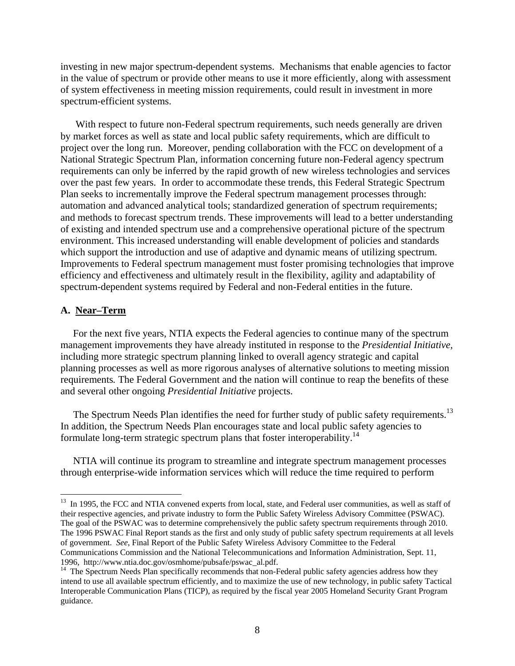investing in new major spectrum-dependent systems. Mechanisms that enable agencies to factor in the value of spectrum or provide other means to use it more efficiently, along with assessment of system effectiveness in meeting mission requirements, could result in investment in more spectrum-efficient systems.

With respect to future non-Federal spectrum requirements, such needs generally are driven by market forces as well as state and local public safety requirements, which are difficult to project over the long run. Moreover, pending collaboration with the FCC on development of a National Strategic Spectrum Plan, information concerning future non-Federal agency spectrum requirements can only be inferred by the rapid growth of new wireless technologies and services over the past few years. In order to accommodate these trends, this Federal Strategic Spectrum Plan seeks to incrementally improve the Federal spectrum management processes through: automation and advanced analytical tools; standardized generation of spectrum requirements; and methods to forecast spectrum trends. These improvements will lead to a better understanding of existing and intended spectrum use and a comprehensive operational picture of the spectrum environment. This increased understanding will enable development of policies and standards which support the introduction and use of adaptive and dynamic means of utilizing spectrum. Improvements to Federal spectrum management must foster promising technologies that improve efficiency and effectiveness and ultimately result in the flexibility, agility and adaptability of spectrum-dependent systems required by Federal and non-Federal entities in the future.

#### **A. Near–Term**

 $\overline{a}$ 

 For the next five years, NTIA expects the Federal agencies to continue many of the spectrum management improvements they have already instituted in response to the *Presidential Initiative,*  including more strategic spectrum planning linked to overall agency strategic and capital planning processes as well as more rigorous analyses of alternative solutions to meeting mission requirements*.* The Federal Government and the nation will continue to reap the benefits of these and several other ongoing *Presidential Initiative* projects.

The Spectrum Needs Plan identifies the need for further study of public safety requirements.<sup>13</sup> In addition, the Spectrum Needs Plan encourages state and local public safety agencies to formulate long-term strategic spectrum plans that foster interoperability.<sup>14</sup>

 NTIA will continue its program to streamline and integrate spectrum management processes through enterprise-wide information services which will reduce the time required to perform

<sup>&</sup>lt;sup>13</sup> In 1995, the FCC and NTIA convened experts from local, state, and Federal user communities, as well as staff of their respective agencies, and private industry to form the Public Safety Wireless Advisory Committee (PSWAC). The goal of the PSWAC was to determine comprehensively the public safety spectrum requirements through 2010. The 1996 PSWAC Final Report stands as the first and only study of public safety spectrum requirements at all levels of government. *See*, Final Report of the Public Safety Wireless Advisory Committee to the Federal Communications Commission and the National Telecommunications and Information Administration, Sept. 11, 1996, http://www.ntia.doc.gov/osmhome/pubsafe/pswac\_al.pdf.<br><sup>14</sup> The Spectrum Needs Plan specifically recommends that non-Federal public safety agencies address how they

intend to use all available spectrum efficiently, and to maximize the use of new technology, in public safety Tactical Interoperable Communication Plans (TICP), as required by the fiscal year 2005 Homeland Security Grant Program guidance.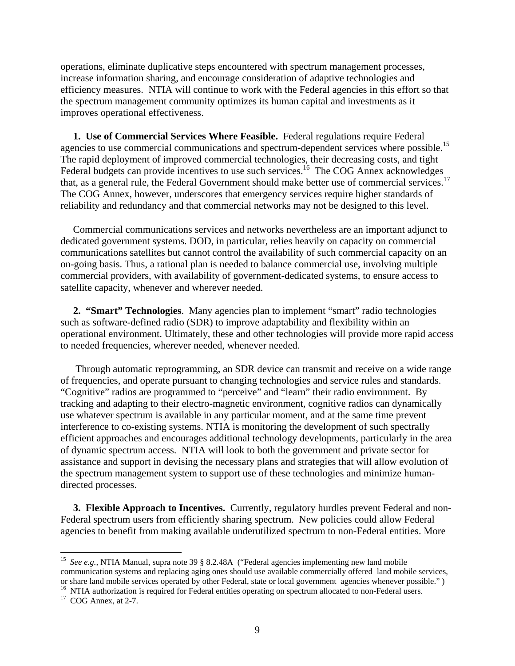operations, eliminate duplicative steps encountered with spectrum management processes, increase information sharing, and encourage consideration of adaptive technologies and efficiency measures. NTIA will continue to work with the Federal agencies in this effort so that the spectrum management community optimizes its human capital and investments as it improves operational effectiveness.

 **1. Use of Commercial Services Where Feasible.** Federal regulations require Federal agencies to use commercial communications and spectrum-dependent services where possible.<sup>15</sup> The rapid deployment of improved commercial technologies, their decreasing costs, and tight Federal budgets can provide incentives to use such services.<sup>16</sup> The COG Annex acknowledges that, as a general rule, the Federal Government should make better use of commercial services.<sup>17</sup> The COG Annex, however, underscores that emergency services require higher standards of reliability and redundancy and that commercial networks may not be designed to this level.

 Commercial communications services and networks nevertheless are an important adjunct to dedicated government systems. DOD, in particular, relies heavily on capacity on commercial communications satellites but cannot control the availability of such commercial capacity on an on-going basis. Thus, a rational plan is needed to balance commercial use, involving multiple commercial providers, with availability of government-dedicated systems, to ensure access to satellite capacity, whenever and wherever needed.

 **2. "Smart" Technologies**.Many agencies plan to implement "smart" radio technologies such as software-defined radio (SDR) to improve adaptability and flexibility within an operational environment. Ultimately, these and other technologies will provide more rapid access to needed frequencies, wherever needed, whenever needed.

 Through automatic reprogramming, an SDR device can transmit and receive on a wide range of frequencies, and operate pursuant to changing technologies and service rules and standards. "Cognitive" radios are programmed to "perceive" and "learn" their radio environment. By tracking and adapting to their electro-magnetic environment, cognitive radios can dynamically use whatever spectrum is available in any particular moment, and at the same time prevent interference to co-existing systems. NTIA is monitoring the development of such spectrally efficient approaches and encourages additional technology developments, particularly in the area of dynamic spectrum access. NTIA will look to both the government and private sector for assistance and support in devising the necessary plans and strategies that will allow evolution of the spectrum management system to support use of these technologies and minimize humandirected processes.

 **3. Flexible Approach to Incentives.** Currently, regulatory hurdles prevent Federal and non-Federal spectrum users from efficiently sharing spectrum. New policies could allow Federal agencies to benefit from making available underutilized spectrum to non-Federal entities. More

1

<sup>&</sup>lt;sup>15</sup> *See e.g.*, NTIA Manual, supra note 39 § 8.2.48A ("Federal agencies implementing new land mobile communication systems and replacing aging ones should use available commercially offered land mobile services, or share land mobile services operated by other Federal, state or local government agencies whenever possible." )

<sup>&</sup>lt;sup>16</sup> NTIA authorization is required for Federal entities operating on spectrum allocated to non-Federal users. <sup>17</sup> COG Annex, at 2-7.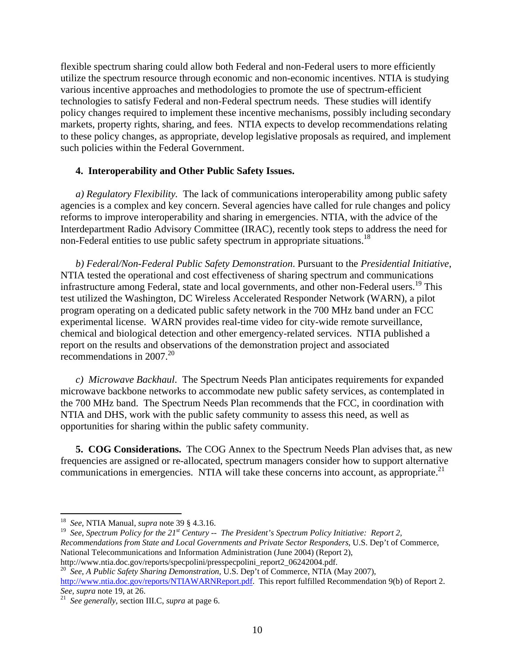flexible spectrum sharing could allow both Federal and non-Federal users to more efficiently utilize the spectrum resource through economic and non-economic incentives. NTIA is studying various incentive approaches and methodologies to promote the use of spectrum-efficient technologies to satisfy Federal and non-Federal spectrum needs. These studies will identify policy changes required to implement these incentive mechanisms, possibly including secondary markets, property rights, sharing, and fees. NTIA expects to develop recommendations relating to these policy changes, as appropriate, develop legislative proposals as required, and implement such policies within the Federal Government.

#### **4. Interoperability and Other Public Safety Issues.**

*a) Regulatory Flexibility.* The lack of communications interoperability among public safety agencies is a complex and key concern. Several agencies have called for rule changes and policy reforms to improve interoperability and sharing in emergencies. NTIA, with the advice of the Interdepartment Radio Advisory Committee (IRAC), recently took steps to address the need for non-Federal entities to use public safety spectrum in appropriate situations.<sup>18</sup>

*b) Federal/Non-Federal Public Safety Demonstration*. Pursuant to the *Presidential Initiative*, NTIA tested the operational and cost effectiveness of sharing spectrum and communications infrastructure among Federal, state and local governments, and other non-Federal users.<sup>19</sup> This test utilized the Washington, DC Wireless Accelerated Responder Network (WARN), a pilot program operating on a dedicated public safety network in the 700 MHz band under an FCC experimental license. WARN provides real-time video for city-wide remote surveillance, chemical and biological detection and other emergency-related services. NTIA published a report on the results and observations of the demonstration project and associated recommendations in 2007.<sup>20</sup>

*c) Microwave Backhaul*. The Spectrum Needs Plan anticipates requirements for expanded microwave backbone networks to accommodate new public safety services, as contemplated in the 700 MHz band. The Spectrum Needs Plan recommends that the FCC, in coordination with NTIA and DHS, work with the public safety community to assess this need, as well as opportunities for sharing within the public safety community.

**5. COG Considerations.** The COG Annex to the Spectrum Needs Plan advises that, as new frequencies are assigned or re-allocated, spectrum managers consider how to support alternative communications in emergencies. NTIA will take these concerns into account, as appropriate.<sup>21</sup>

 $\overline{a}$ 

http://www.ntia.doc.gov/reports/specpolini/presspecpolini\_report2\_06242004.pdf. 20 *See*, *A Public Safety Sharing Demonstration,* U.S. Dep't of Commerce, NTIA (May 2007),

<sup>18</sup> *See*, NTIA Manual, *supra* note 39 § 4.3.16.

<sup>&</sup>lt;sup>19</sup> *See*, *Spectrum Policy for the 21<sup>st</sup> Century -- The President's Spectrum Policy Initiative: Report 2, Recommendations from State and Local Governments and Private Sector Responders*, U.S. Dep't of Commerce, National Telecommunications and Information Administration (June 2004) (Report 2),

http://www.ntia.doc.gov/reports/NTIAWARNReport.pdf. This report fulfilled Recommendation 9(b) of Report 2. *See, supra* note 19, at 26. 21 *See generally,* section III.C, *supra* at page 6.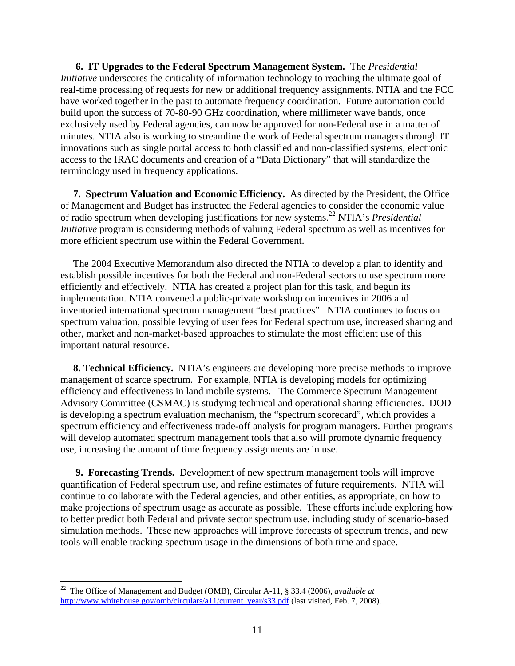**6. IT Upgrades to the Federal Spectrum Management System.** The *Presidential Initiative* underscores the criticality of information technology to reaching the ultimate goal of real-time processing of requests for new or additional frequency assignments. NTIA and the FCC have worked together in the past to automate frequency coordination. Future automation could build upon the success of 70-80-90 GHz coordination, where millimeter wave bands, once exclusively used by Federal agencies, can now be approved for non-Federal use in a matter of minutes. NTIA also is working to streamline the work of Federal spectrum managers through IT innovations such as single portal access to both classified and non-classified systems, electronic access to the IRAC documents and creation of a "Data Dictionary" that will standardize the terminology used in frequency applications.

 **7. Spectrum Valuation and Economic Efficiency.** As directed by the President, the Office of Management and Budget has instructed the Federal agencies to consider the economic value of radio spectrum when developing justifications for new systems.22 NTIA's *Presidential Initiative* program is considering methods of valuing Federal spectrum as well as incentives for more efficient spectrum use within the Federal Government.

 The 2004 Executive Memorandum also directed the NTIA to develop a plan to identify and establish possible incentives for both the Federal and non-Federal sectors to use spectrum more efficiently and effectively. NTIA has created a project plan for this task, and begun its implementation. NTIA convened a public-private workshop on incentives in 2006 and inventoried international spectrum management "best practices". NTIA continues to focus on spectrum valuation, possible levying of user fees for Federal spectrum use, increased sharing and other, market and non-market-based approaches to stimulate the most efficient use of this important natural resource.

 **8. Technical Efficiency.** NTIA's engineers are developing more precise methods to improve management of scarce spectrum. For example, NTIA is developing models for optimizing efficiency and effectiveness in land mobile systems. The Commerce Spectrum Management Advisory Committee (CSMAC) is studying technical and operational sharing efficiencies. DOD is developing a spectrum evaluation mechanism, the "spectrum scorecard", which provides a spectrum efficiency and effectiveness trade-off analysis for program managers. Further programs will develop automated spectrum management tools that also will promote dynamic frequency use, increasing the amount of time frequency assignments are in use.

**9. Forecasting Trends.** Development of new spectrum management tools will improve quantification of Federal spectrum use, and refine estimates of future requirements. NTIA will continue to collaborate with the Federal agencies, and other entities, as appropriate, on how to make projections of spectrum usage as accurate as possible. These efforts include exploring how to better predict both Federal and private sector spectrum use, including study of scenario-based simulation methods. These new approaches will improve forecasts of spectrum trends, and new tools will enable tracking spectrum usage in the dimensions of both time and space.

<sup>22</sup> The Office of Management and Budget (OMB), Circular A-11, § 33.4 (2006), *available at*  http://www.whitehouse.gov/omb/circulars/a11/current\_year/s33.pdf (last visited, Feb. 7, 2008).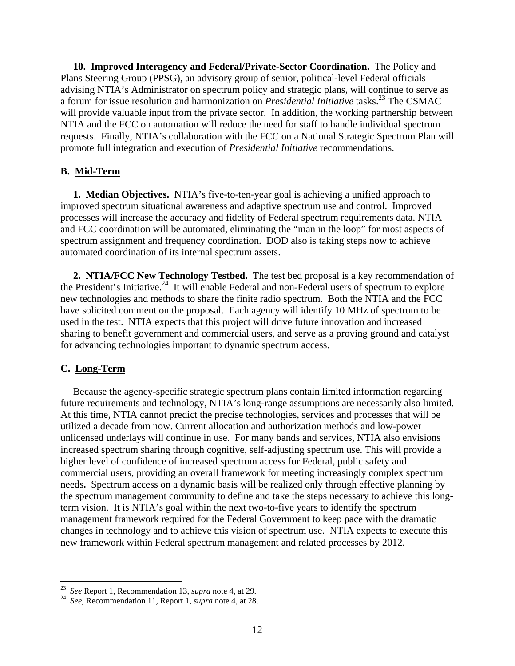**10. Improved Interagency and Federal/Private-Sector Coordination.** The Policy and Plans Steering Group (PPSG), an advisory group of senior, political-level Federal officials advising NTIA's Administrator on spectrum policy and strategic plans, will continue to serve as a forum for issue resolution and harmonization on *Presidential Initiative* tasks.23 The CSMAC will provide valuable input from the private sector. In addition, the working partnership between NTIA and the FCC on automation will reduce the need for staff to handle individual spectrum requests. Finally, NTIA's collaboration with the FCC on a National Strategic Spectrum Plan will promote full integration and execution of *Presidential Initiative* recommendations.

#### **B. Mid-Term**

 **1. Median Objectives.** NTIA's five-to-ten-year goal is achieving a unified approach to improved spectrum situational awareness and adaptive spectrum use and control. Improved processes will increase the accuracy and fidelity of Federal spectrum requirements data. NTIA and FCC coordination will be automated, eliminating the "man in the loop" for most aspects of spectrum assignment and frequency coordination. DOD also is taking steps now to achieve automated coordination of its internal spectrum assets.

 **2. NTIA/FCC New Technology Testbed.** The test bed proposal is a key recommendation of the President's Initiative.<sup>24</sup> It will enable Federal and non-Federal users of spectrum to explore new technologies and methods to share the finite radio spectrum. Both the NTIA and the FCC have solicited comment on the proposal. Each agency will identify 10 MHz of spectrum to be used in the test. NTIA expects that this project will drive future innovation and increased sharing to benefit government and commercial users, and serve as a proving ground and catalyst for advancing technologies important to dynamic spectrum access.

#### **C. Long-Term**

 Because the agency-specific strategic spectrum plans contain limited information regarding future requirements and technology, NTIA's long-range assumptions are necessarily also limited. At this time, NTIA cannot predict the precise technologies, services and processes that will be utilized a decade from now. Current allocation and authorization methods and low-power unlicensed underlays will continue in use. For many bands and services, NTIA also envisions increased spectrum sharing through cognitive, self-adjusting spectrum use. This will provide a higher level of confidence of increased spectrum access for Federal, public safety and commercial users, providing an overall framework for meeting increasingly complex spectrum needs**.** Spectrum access on a dynamic basis will be realized only through effective planning by the spectrum management community to define and take the steps necessary to achieve this longterm vision. It is NTIA's goal within the next two-to-five years to identify the spectrum management framework required for the Federal Government to keep pace with the dramatic changes in technology and to achieve this vision of spectrum use. NTIA expects to execute this new framework within Federal spectrum management and related processes by 2012.

<sup>&</sup>lt;sup>23</sup> See Report 1, Recommendation 13, *supra* note 4, at 29.

<sup>23</sup>*See* Report 1, Recommendation 13, *supra* note 4, at 29. 24 *See*, Recommendation 11, Report 1, *supra* note 4, at 28.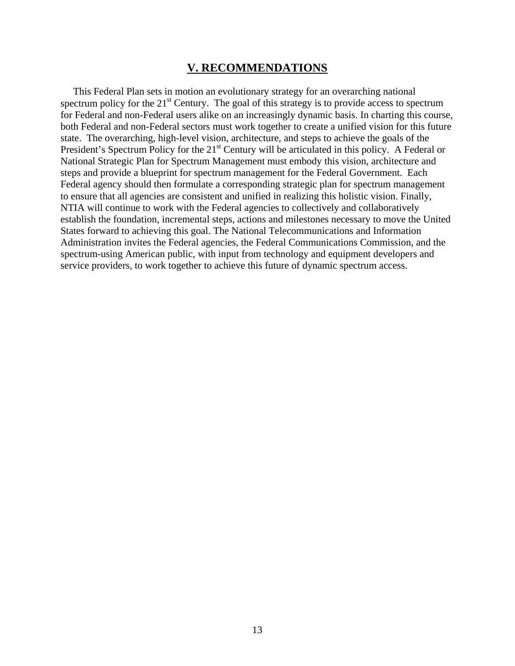#### **V. RECOMMENDATIONS**

 This Federal Plan sets in motion an evolutionary strategy for an overarching national spectrum policy for the  $21<sup>st</sup>$  Century. The goal of this strategy is to provide access to spectrum for Federal and non-Federal users alike on an increasingly dynamic basis. In charting this course, both Federal and non-Federal sectors must work together to create a unified vision for this future state. The overarching, high-level vision, architecture, and steps to achieve the goals of the President's Spectrum Policy for the  $21<sup>st</sup>$  Century will be articulated in this policy. A Federal or National Strategic Plan for Spectrum Management must embody this vision, architecture and steps and provide a blueprint for spectrum management for the Federal Government. Each Federal agency should then formulate a corresponding strategic plan for spectrum management to ensure that all agencies are consistent and unified in realizing this holistic vision. Finally, NTIA will continue to work with the Federal agencies to collectively and collaboratively establish the foundation, incremental steps, actions and milestones necessary to move the United States forward to achieving this goal. The National Telecommunications and Information Administration invites the Federal agencies, the Federal Communications Commission, and the spectrum-using American public, with input from technology and equipment developers and service providers, to work together to achieve this future of dynamic spectrum access.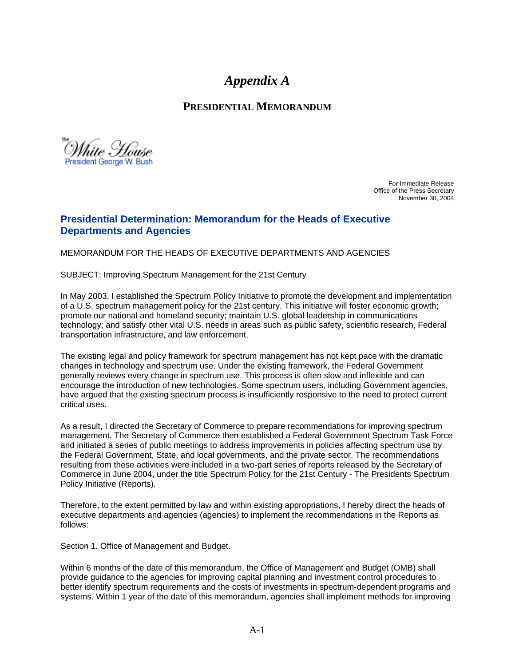## *Appendix A*

### **PRESIDENTIAL MEMORANDUM**

President George W. Bush

For Immediate Release Office of the Press Secretary November 30, 2004

#### **Presidential Determination: Memorandum for the Heads of Executive Departments and Agencies**

MEMORANDUM FOR THE HEADS OF EXECUTIVE DEPARTMENTS AND AGENCIES

SUBJECT: Improving Spectrum Management for the 21st Century

In May 2003, I established the Spectrum Policy Initiative to promote the development and implementation of a U.S. spectrum management policy for the 21st century. This initiative will foster economic growth; promote our national and homeland security; maintain U.S. global leadership in communications technology; and satisfy other vital U.S. needs in areas such as public safety, scientific research, Federal transportation infrastructure, and law enforcement.

The existing legal and policy framework for spectrum management has not kept pace with the dramatic changes in technology and spectrum use. Under the existing framework, the Federal Government generally reviews every change in spectrum use. This process is often slow and inflexible and can encourage the introduction of new technologies. Some spectrum users, including Government agencies, have argued that the existing spectrum process is insufficiently responsive to the need to protect current critical uses.

As a result, I directed the Secretary of Commerce to prepare recommendations for improving spectrum management. The Secretary of Commerce then established a Federal Government Spectrum Task Force and initiated a series of public meetings to address improvements in policies affecting spectrum use by the Federal Government, State, and local governments, and the private sector. The recommendations resulting from these activities were included in a two-part series of reports released by the Secretary of Commerce in June 2004, under the title Spectrum Policy for the 21st Century - The Presidents Spectrum Policy Initiative (Reports).

Therefore, to the extent permitted by law and within existing appropriations, I hereby direct the heads of executive departments and agencies (agencies) to implement the recommendations in the Reports as follows:

Section 1. Office of Management and Budget.

Within 6 months of the date of this memorandum, the Office of Management and Budget (OMB) shall provide guidance to the agencies for improving capital planning and investment control procedures to better identify spectrum requirements and the costs of investments in spectrum-dependent programs and systems. Within 1 year of the date of this memorandum, agencies shall implement methods for improving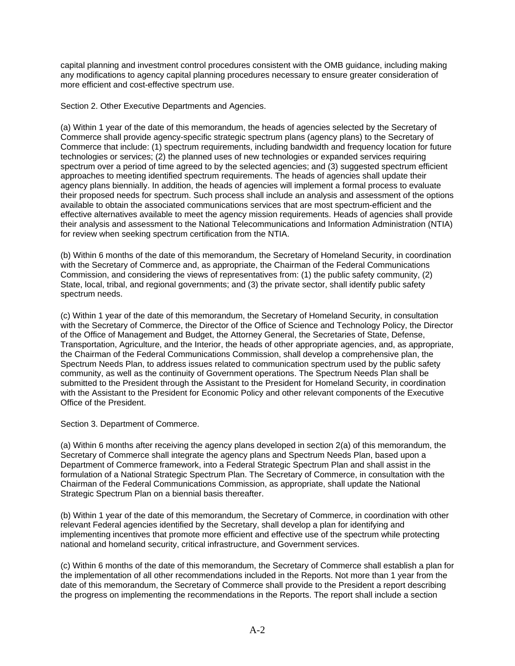capital planning and investment control procedures consistent with the OMB guidance, including making any modifications to agency capital planning procedures necessary to ensure greater consideration of more efficient and cost-effective spectrum use.

Section 2. Other Executive Departments and Agencies.

(a) Within 1 year of the date of this memorandum, the heads of agencies selected by the Secretary of Commerce shall provide agency-specific strategic spectrum plans (agency plans) to the Secretary of Commerce that include: (1) spectrum requirements, including bandwidth and frequency location for future technologies or services; (2) the planned uses of new technologies or expanded services requiring spectrum over a period of time agreed to by the selected agencies; and (3) suggested spectrum efficient approaches to meeting identified spectrum requirements. The heads of agencies shall update their agency plans biennially. In addition, the heads of agencies will implement a formal process to evaluate their proposed needs for spectrum. Such process shall include an analysis and assessment of the options available to obtain the associated communications services that are most spectrum-efficient and the effective alternatives available to meet the agency mission requirements. Heads of agencies shall provide their analysis and assessment to the National Telecommunications and Information Administration (NTIA) for review when seeking spectrum certification from the NTIA.

(b) Within 6 months of the date of this memorandum, the Secretary of Homeland Security, in coordination with the Secretary of Commerce and, as appropriate, the Chairman of the Federal Communications Commission, and considering the views of representatives from: (1) the public safety community, (2) State, local, tribal, and regional governments; and (3) the private sector, shall identify public safety spectrum needs.

(c) Within 1 year of the date of this memorandum, the Secretary of Homeland Security, in consultation with the Secretary of Commerce, the Director of the Office of Science and Technology Policy, the Director of the Office of Management and Budget, the Attorney General, the Secretaries of State, Defense, Transportation, Agriculture, and the Interior, the heads of other appropriate agencies, and, as appropriate, the Chairman of the Federal Communications Commission, shall develop a comprehensive plan, the Spectrum Needs Plan, to address issues related to communication spectrum used by the public safety community, as well as the continuity of Government operations. The Spectrum Needs Plan shall be submitted to the President through the Assistant to the President for Homeland Security, in coordination with the Assistant to the President for Economic Policy and other relevant components of the Executive Office of the President.

Section 3. Department of Commerce.

(a) Within 6 months after receiving the agency plans developed in section 2(a) of this memorandum, the Secretary of Commerce shall integrate the agency plans and Spectrum Needs Plan, based upon a Department of Commerce framework, into a Federal Strategic Spectrum Plan and shall assist in the formulation of a National Strategic Spectrum Plan. The Secretary of Commerce, in consultation with the Chairman of the Federal Communications Commission, as appropriate, shall update the National Strategic Spectrum Plan on a biennial basis thereafter.

(b) Within 1 year of the date of this memorandum, the Secretary of Commerce, in coordination with other relevant Federal agencies identified by the Secretary, shall develop a plan for identifying and implementing incentives that promote more efficient and effective use of the spectrum while protecting national and homeland security, critical infrastructure, and Government services.

(c) Within 6 months of the date of this memorandum, the Secretary of Commerce shall establish a plan for the implementation of all other recommendations included in the Reports. Not more than 1 year from the date of this memorandum, the Secretary of Commerce shall provide to the President a report describing the progress on implementing the recommendations in the Reports. The report shall include a section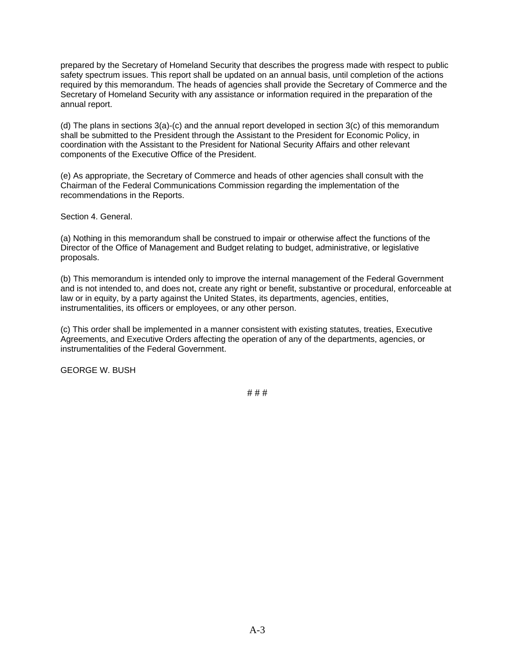prepared by the Secretary of Homeland Security that describes the progress made with respect to public safety spectrum issues. This report shall be updated on an annual basis, until completion of the actions required by this memorandum. The heads of agencies shall provide the Secretary of Commerce and the Secretary of Homeland Security with any assistance or information required in the preparation of the annual report.

(d) The plans in sections 3(a)-(c) and the annual report developed in section 3(c) of this memorandum shall be submitted to the President through the Assistant to the President for Economic Policy, in coordination with the Assistant to the President for National Security Affairs and other relevant components of the Executive Office of the President.

(e) As appropriate, the Secretary of Commerce and heads of other agencies shall consult with the Chairman of the Federal Communications Commission regarding the implementation of the recommendations in the Reports.

Section 4. General.

(a) Nothing in this memorandum shall be construed to impair or otherwise affect the functions of the Director of the Office of Management and Budget relating to budget, administrative, or legislative proposals.

(b) This memorandum is intended only to improve the internal management of the Federal Government and is not intended to, and does not, create any right or benefit, substantive or procedural, enforceable at law or in equity, by a party against the United States, its departments, agencies, entities, instrumentalities, its officers or employees, or any other person.

(c) This order shall be implemented in a manner consistent with existing statutes, treaties, Executive Agreements, and Executive Orders affecting the operation of any of the departments, agencies, or instrumentalities of the Federal Government.

GEORGE W. BUSH

# # #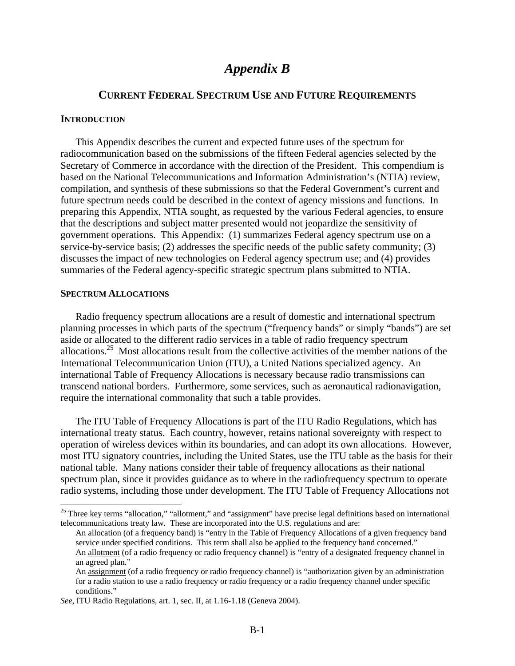## *Appendix B*

#### **CURRENT FEDERAL SPECTRUM USE AND FUTURE REQUIREMENTS**

#### **INTRODUCTION**

This Appendix describes the current and expected future uses of the spectrum for radiocommunication based on the submissions of the fifteen Federal agencies selected by the Secretary of Commerce in accordance with the direction of the President. This compendium is based on the National Telecommunications and Information Administration's (NTIA) review, compilation, and synthesis of these submissions so that the Federal Government's current and future spectrum needs could be described in the context of agency missions and functions. In preparing this Appendix, NTIA sought, as requested by the various Federal agencies, to ensure that the descriptions and subject matter presented would not jeopardize the sensitivity of government operations. This Appendix: (1) summarizes Federal agency spectrum use on a service-by-service basis; (2) addresses the specific needs of the public safety community; (3) discusses the impact of new technologies on Federal agency spectrum use; and (4) provides summaries of the Federal agency-specific strategic spectrum plans submitted to NTIA.

#### **SPECTRUM ALLOCATIONS**

 $\overline{a}$ 

Radio frequency spectrum allocations are a result of domestic and international spectrum planning processes in which parts of the spectrum ("frequency bands" or simply "bands") are set aside or allocated to the different radio services in a table of radio frequency spectrum allocations.25 Most allocations result from the collective activities of the member nations of the International Telecommunication Union (ITU), a United Nations specialized agency. An international Table of Frequency Allocations is necessary because radio transmissions can transcend national borders. Furthermore, some services, such as aeronautical radionavigation, require the international commonality that such a table provides.

The ITU Table of Frequency Allocations is part of the ITU Radio Regulations, which has international treaty status. Each country, however, retains national sovereignty with respect to operation of wireless devices within its boundaries, and can adopt its own allocations. However, most ITU signatory countries, including the United States, use the ITU table as the basis for their national table. Many nations consider their table of frequency allocations as their national spectrum plan, since it provides guidance as to where in the radiofrequency spectrum to operate radio systems, including those under development. The ITU Table of Frequency Allocations not

<sup>&</sup>lt;sup>25</sup> Three key terms "allocation," "allotment," and "assignment" have precise legal definitions based on international telecommunications treaty law. These are incorporated into the U.S. regulations and are:

An allocation (of a frequency band) is "entry in the Table of Frequency Allocations of a given frequency band service under specified conditions. This term shall also be applied to the frequency band concerned." An allotment (of a radio frequency or radio frequency channel) is "entry of a designated frequency channel in an agreed plan."

An assignment (of a radio frequency or radio frequency channel) is "authorization given by an administration for a radio station to use a radio frequency or radio frequency or a radio frequency channel under specific conditions."

*See*, ITU Radio Regulations, art. 1, sec. II, at 1.16-1.18 (Geneva 2004).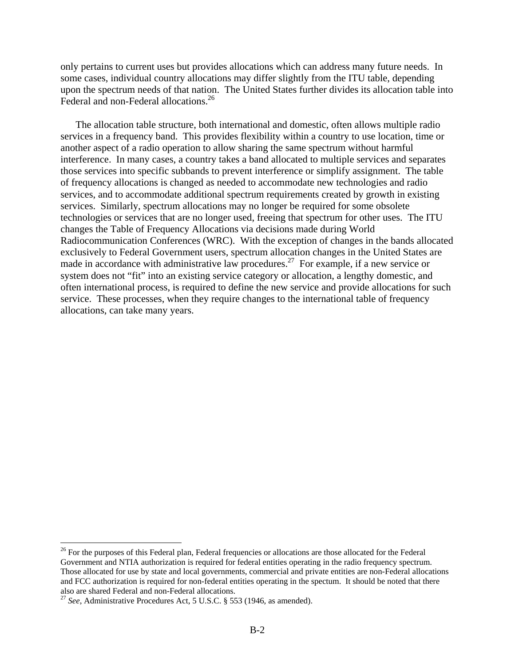only pertains to current uses but provides allocations which can address many future needs. In some cases, individual country allocations may differ slightly from the ITU table, depending upon the spectrum needs of that nation. The United States further divides its allocation table into Federal and non-Federal allocations.<sup>26</sup>

The allocation table structure, both international and domestic, often allows multiple radio services in a frequency band. This provides flexibility within a country to use location, time or another aspect of a radio operation to allow sharing the same spectrum without harmful interference. In many cases, a country takes a band allocated to multiple services and separates those services into specific subbands to prevent interference or simplify assignment. The table of frequency allocations is changed as needed to accommodate new technologies and radio services, and to accommodate additional spectrum requirements created by growth in existing services. Similarly, spectrum allocations may no longer be required for some obsolete technologies or services that are no longer used, freeing that spectrum for other uses. The ITU changes the Table of Frequency Allocations via decisions made during World Radiocommunication Conferences (WRC). With the exception of changes in the bands allocated exclusively to Federal Government users, spectrum allocation changes in the United States are made in accordance with administrative law procedures.<sup>27</sup> For example, if a new service or system does not "fit" into an existing service category or allocation, a lengthy domestic, and often international process, is required to define the new service and provide allocations for such service. These processes, when they require changes to the international table of frequency allocations, can take many years.

<sup>&</sup>lt;sup>26</sup> For the purposes of this Federal plan, Federal frequencies or allocations are those allocated for the Federal Government and NTIA authorization is required for federal entities operating in the radio frequency spectrum. Those allocated for use by state and local governments, commercial and private entities are non-Federal allocations and FCC authorization is required for non-federal entities operating in the spectum. It should be noted that there also are shared Federal and non-Federal allocations.

<sup>27</sup> *See*, Administrative Procedures Act, 5 U.S.C. § 553 (1946, as amended).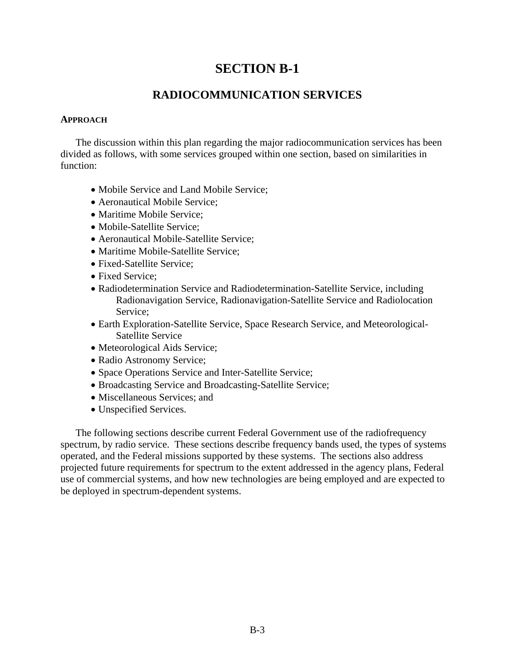## **SECTION B-1**

## **RADIOCOMMUNICATION SERVICES**

#### **APPROACH**

The discussion within this plan regarding the major radiocommunication services has been divided as follows, with some services grouped within one section, based on similarities in function:

- Mobile Service and Land Mobile Service;
- Aeronautical Mobile Service;
- Maritime Mobile Service:
- Mobile-Satellite Service;
- Aeronautical Mobile-Satellite Service;
- Maritime Mobile-Satellite Service;
- Fixed-Satellite Service;
- Fixed Service:
- Radiodetermination Service and Radiodetermination-Satellite Service, including Radionavigation Service, Radionavigation-Satellite Service and Radiolocation Service;
- Earth Exploration-Satellite Service, Space Research Service, and Meteorological-Satellite Service
- Meteorological Aids Service:
- Radio Astronomy Service;
- Space Operations Service and Inter-Satellite Service;
- Broadcasting Service and Broadcasting-Satellite Service;
- Miscellaneous Services; and
- Unspecified Services.

The following sections describe current Federal Government use of the radiofrequency spectrum, by radio service. These sections describe frequency bands used, the types of systems operated, and the Federal missions supported by these systems. The sections also address projected future requirements for spectrum to the extent addressed in the agency plans, Federal use of commercial systems, and how new technologies are being employed and are expected to be deployed in spectrum-dependent systems.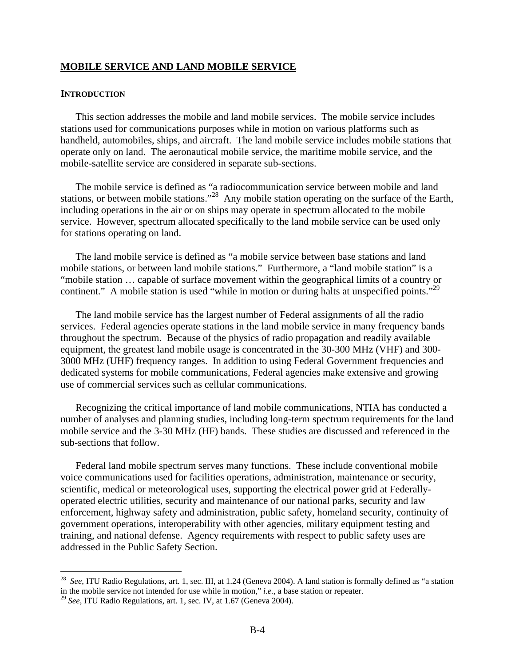#### **MOBILE SERVICE AND LAND MOBILE SERVICE**

#### **INTRODUCTION**

This section addresses the mobile and land mobile services. The mobile service includes stations used for communications purposes while in motion on various platforms such as handheld, automobiles, ships, and aircraft. The land mobile service includes mobile stations that operate only on land. The aeronautical mobile service, the maritime mobile service, and the mobile-satellite service are considered in separate sub-sections.

The mobile service is defined as "a radiocommunication service between mobile and land stations, or between mobile stations."<sup>28</sup> Any mobile station operating on the surface of the Earth, including operations in the air or on ships may operate in spectrum allocated to the mobile service. However, spectrum allocated specifically to the land mobile service can be used only for stations operating on land.

The land mobile service is defined as "a mobile service between base stations and land mobile stations, or between land mobile stations." Furthermore, a "land mobile station" is a "mobile station … capable of surface movement within the geographical limits of a country or continent." A mobile station is used "while in motion or during halts at unspecified points."<sup>29</sup>

The land mobile service has the largest number of Federal assignments of all the radio services. Federal agencies operate stations in the land mobile service in many frequency bands throughout the spectrum. Because of the physics of radio propagation and readily available equipment, the greatest land mobile usage is concentrated in the 30-300 MHz (VHF) and 300- 3000 MHz (UHF) frequency ranges. In addition to using Federal Government frequencies and dedicated systems for mobile communications, Federal agencies make extensive and growing use of commercial services such as cellular communications.

Recognizing the critical importance of land mobile communications, NTIA has conducted a number of analyses and planning studies, including long-term spectrum requirements for the land mobile service and the 3-30 MHz (HF) bands. These studies are discussed and referenced in the sub-sections that follow.

Federal land mobile spectrum serves many functions. These include conventional mobile voice communications used for facilities operations, administration, maintenance or security, scientific, medical or meteorological uses, supporting the electrical power grid at Federallyoperated electric utilities, security and maintenance of our national parks, security and law enforcement, highway safety and administration, public safety, homeland security, continuity of government operations, interoperability with other agencies, military equipment testing and training, and national defense. Agency requirements with respect to public safety uses are addressed in the Public Safety Section.

<sup>28</sup> *See*, ITU Radio Regulations, art. 1, sec. III, at 1.24 (Geneva 2004). A land station is formally defined as "a station in the mobile service not intended for use while in motion," *i.e.*, a base station or repeater.

<sup>29</sup> *See*, ITU Radio Regulations, art. 1, sec. IV, at 1.67 (Geneva 2004).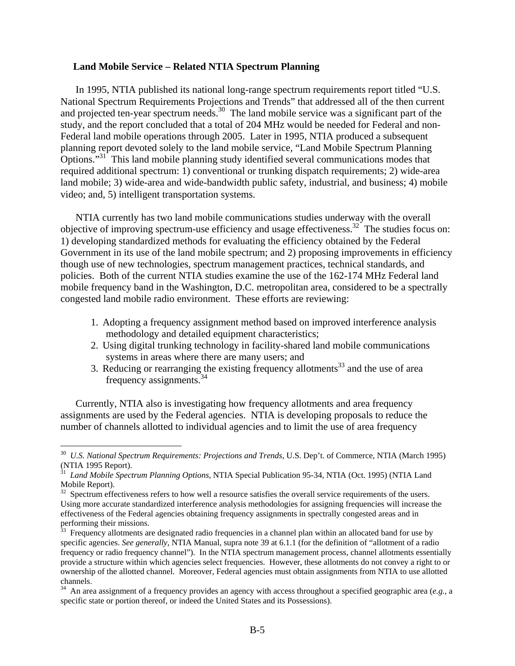#### **Land Mobile Service – Related NTIA Spectrum Planning**

In 1995, NTIA published its national long-range spectrum requirements report titled "U.S. National Spectrum Requirements Projections and Trends" that addressed all of the then current and projected ten-year spectrum needs.<sup>30</sup> The land mobile service was a significant part of the study, and the report concluded that a total of 204 MHz would be needed for Federal and non-Federal land mobile operations through 2005. Later in 1995, NTIA produced a subsequent planning report devoted solely to the land mobile service, "Land Mobile Spectrum Planning Options."31 This land mobile planning study identified several communications modes that required additional spectrum: 1) conventional or trunking dispatch requirements; 2) wide-area land mobile; 3) wide-area and wide-bandwidth public safety, industrial, and business; 4) mobile video; and, 5) intelligent transportation systems.

NTIA currently has two land mobile communications studies underway with the overall objective of improving spectrum-use efficiency and usage effectiveness.<sup>32</sup> The studies focus on: 1) developing standardized methods for evaluating the efficiency obtained by the Federal Government in its use of the land mobile spectrum; and 2) proposing improvements in efficiency though use of new technologies, spectrum management practices, technical standards, and policies. Both of the current NTIA studies examine the use of the 162-174 MHz Federal land mobile frequency band in the Washington, D.C. metropolitan area, considered to be a spectrally congested land mobile radio environment. These efforts are reviewing:

- 1. Adopting a frequency assignment method based on improved interference analysis methodology and detailed equipment characteristics;
- 2. Using digital trunking technology in facility-shared land mobile communications systems in areas where there are many users; and
- 3. Reducing or rearranging the existing frequency allotments<sup>33</sup> and the use of area frequency assignments.34

Currently, NTIA also is investigating how frequency allotments and area frequency assignments are used by the Federal agencies. NTIA is developing proposals to reduce the number of channels allotted to individual agencies and to limit the use of area frequency

<sup>30</sup> *U.S. National Spectrum Requirements: Projections and Trends,* U.S. Dep't. of Commerce, NTIA (March 1995) (NTIA 1995 Report).

<sup>&</sup>lt;sup>31</sup> *Land Mobile Spectrum Planning Options*, NTIA Special Publication 95-34, NTIA (Oct. 1995) (NTIA Land Mobile Report).

<sup>&</sup>lt;sup>32</sup> Spectrum effectiveness refers to how well a resource satisfies the overall service requirements of the users. Using more accurate standardized interference analysis methodologies for assigning frequencies will increase the effectiveness of the Federal agencies obtaining frequency assignments in spectrally congested areas and in performing their missions.

 $33$  Frequency allotments are designated radio frequencies in a channel plan within an allocated band for use by specific agencies. *See generally*, NTIA Manual, supra note 39 at 6.1.1 (for the definition of "allotment of a radio frequency or radio frequency channel"). In the NTIA spectrum management process, channel allotments essentially provide a structure within which agencies select frequencies. However, these allotments do not convey a right to or ownership of the allotted channel. Moreover, Federal agencies must obtain assignments from NTIA to use allotted channels.

<sup>&</sup>lt;sup>34</sup> An area assignment of a frequency provides an agency with access throughout a specified geographic area (*e.g.*, a specific state or portion thereof, or indeed the United States and its Possessions).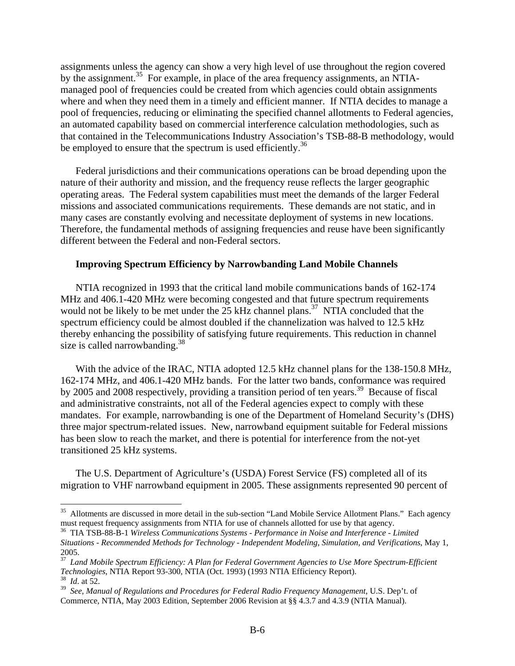assignments unless the agency can show a very high level of use throughout the region covered by the assignment.<sup>35</sup> For example, in place of the area frequency assignments, an NTIAmanaged pool of frequencies could be created from which agencies could obtain assignments where and when they need them in a timely and efficient manner. If NTIA decides to manage a pool of frequencies, reducing or eliminating the specified channel allotments to Federal agencies, an automated capability based on commercial interference calculation methodologies, such as that contained in the Telecommunications Industry Association's TSB-88-B methodology, would be employed to ensure that the spectrum is used efficiently.<sup>36</sup>

Federal jurisdictions and their communications operations can be broad depending upon the nature of their authority and mission, and the frequency reuse reflects the larger geographic operating areas. The Federal system capabilities must meet the demands of the larger Federal missions and associated communications requirements. These demands are not static, and in many cases are constantly evolving and necessitate deployment of systems in new locations. Therefore, the fundamental methods of assigning frequencies and reuse have been significantly different between the Federal and non-Federal sectors.

#### **Improving Spectrum Efficiency by Narrowbanding Land Mobile Channels**

NTIA recognized in 1993 that the critical land mobile communications bands of 162-174 MHz and 406.1-420 MHz were becoming congested and that future spectrum requirements would not be likely to be met under the 25 kHz channel plans.<sup>37</sup> NTIA concluded that the spectrum efficiency could be almost doubled if the channelization was halved to 12.5 kHz thereby enhancing the possibility of satisfying future requirements. This reduction in channel size is called narrowbanding.<sup>38</sup>

With the advice of the IRAC, NTIA adopted 12.5 kHz channel plans for the 138-150.8 MHz, 162-174 MHz, and 406.1-420 MHz bands. For the latter two bands, conformance was required by 2005 and 2008 respectively, providing a transition period of ten years.<sup>39</sup> Because of fiscal and administrative constraints, not all of the Federal agencies expect to comply with these mandates. For example, narrowbanding is one of the Department of Homeland Security's (DHS) three major spectrum-related issues. New, narrowband equipment suitable for Federal missions has been slow to reach the market, and there is potential for interference from the not-yet transitioned 25 kHz systems.

The U.S. Department of Agriculture's (USDA) Forest Service (FS) completed all of its migration to VHF narrowband equipment in 2005. These assignments represented 90 percent of

<sup>&</sup>lt;sup>35</sup> Allotments are discussed in more detail in the sub-section "Land Mobile Service Allotment Plans." Each agency must request frequency assignments from NTIA for use of channels allotted for use by that agency.

<sup>36</sup> TIA TSB-88-B-1 *Wireless Communications Systems - Performance in Noise and Interference - Limited Situations - Recommended Methods for Technology - Independent Modeling, Simulation, and Verifications*, May 1, 2005.

<sup>37</sup> *Land Mobile Spectrum Efficiency: A Plan for Federal Government Agencies to Use More Spectrum-Efficient Technologies*, NTIA Report 93-300, NTIA (Oct. 1993) (1993 NTIA Efficiency Report). 38 *Id*. at 52.

<sup>39</sup> *See, Manual of Regulations and Procedures for Federal Radio Frequency Management*, U.S. Dep't. of Commerce, NTIA, May 2003 Edition, September 2006 Revision at §§ 4.3.7 and 4.3.9 (NTIA Manual).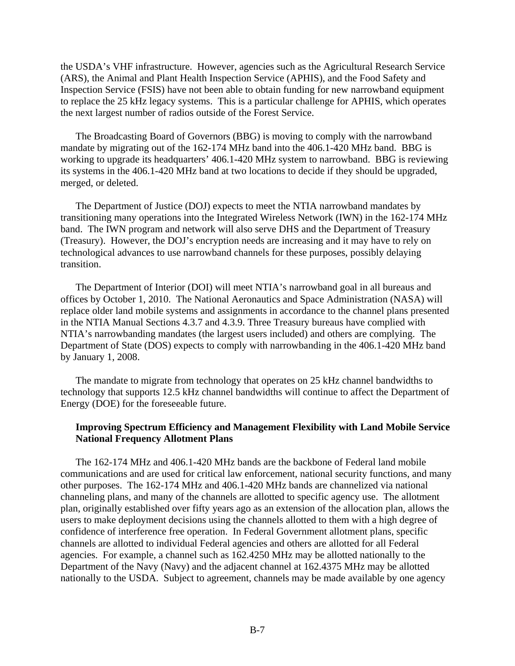the USDA's VHF infrastructure. However, agencies such as the Agricultural Research Service (ARS), the Animal and Plant Health Inspection Service (APHIS), and the Food Safety and Inspection Service (FSIS) have not been able to obtain funding for new narrowband equipment to replace the 25 kHz legacy systems. This is a particular challenge for APHIS, which operates the next largest number of radios outside of the Forest Service.

The Broadcasting Board of Governors (BBG) is moving to comply with the narrowband mandate by migrating out of the 162-174 MHz band into the 406.1-420 MHz band. BBG is working to upgrade its headquarters' 406.1-420 MHz system to narrowband. BBG is reviewing its systems in the 406.1-420 MHz band at two locations to decide if they should be upgraded, merged, or deleted.

The Department of Justice (DOJ) expects to meet the NTIA narrowband mandates by transitioning many operations into the Integrated Wireless Network (IWN) in the 162-174 MHz band. The IWN program and network will also serve DHS and the Department of Treasury (Treasury). However, the DOJ's encryption needs are increasing and it may have to rely on technological advances to use narrowband channels for these purposes, possibly delaying transition.

The Department of Interior (DOI) will meet NTIA's narrowband goal in all bureaus and offices by October 1, 2010. The National Aeronautics and Space Administration (NASA) will replace older land mobile systems and assignments in accordance to the channel plans presented in the NTIA Manual Sections 4.3.7 and 4.3.9. Three Treasury bureaus have complied with NTIA's narrowbanding mandates (the largest users included) and others are complying. The Department of State (DOS) expects to comply with narrowbanding in the 406.1-420 MHz band by January 1, 2008.

The mandate to migrate from technology that operates on 25 kHz channel bandwidths to technology that supports 12.5 kHz channel bandwidths will continue to affect the Department of Energy (DOE) for the foreseeable future.

#### **Improving Spectrum Efficiency and Management Flexibility with Land Mobile Service National Frequency Allotment Plans**

The 162-174 MHz and 406.1-420 MHz bands are the backbone of Federal land mobile communications and are used for critical law enforcement, national security functions, and many other purposes. The 162-174 MHz and 406.1-420 MHz bands are channelized via national channeling plans, and many of the channels are allotted to specific agency use. The allotment plan, originally established over fifty years ago as an extension of the allocation plan, allows the users to make deployment decisions using the channels allotted to them with a high degree of confidence of interference free operation. In Federal Government allotment plans, specific channels are allotted to individual Federal agencies and others are allotted for all Federal agencies. For example, a channel such as 162.4250 MHz may be allotted nationally to the Department of the Navy (Navy) and the adjacent channel at 162.4375 MHz may be allotted nationally to the USDA. Subject to agreement, channels may be made available by one agency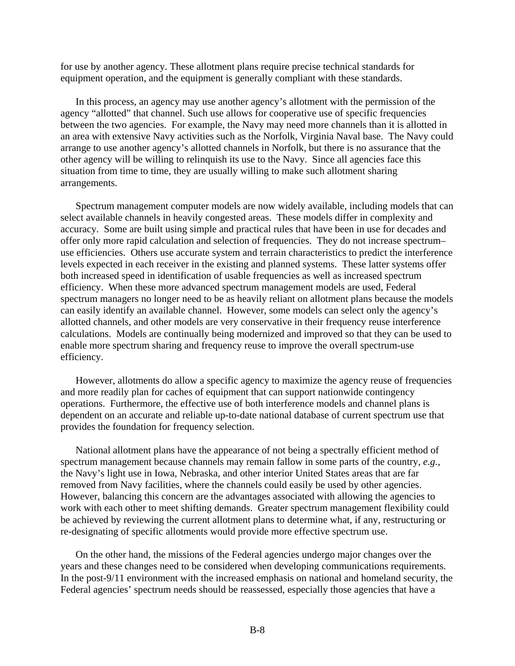for use by another agency. These allotment plans require precise technical standards for equipment operation, and the equipment is generally compliant with these standards.

In this process, an agency may use another agency's allotment with the permission of the agency "allotted" that channel. Such use allows for cooperative use of specific frequencies between the two agencies. For example, the Navy may need more channels than it is allotted in an area with extensive Navy activities such as the Norfolk, Virginia Naval base. The Navy could arrange to use another agency's allotted channels in Norfolk, but there is no assurance that the other agency will be willing to relinquish its use to the Navy. Since all agencies face this situation from time to time, they are usually willing to make such allotment sharing arrangements.

Spectrum management computer models are now widely available, including models that can select available channels in heavily congested areas. These models differ in complexity and accuracy. Some are built using simple and practical rules that have been in use for decades and offer only more rapid calculation and selection of frequencies. They do not increase spectrum– use efficiencies. Others use accurate system and terrain characteristics to predict the interference levels expected in each receiver in the existing and planned systems. These latter systems offer both increased speed in identification of usable frequencies as well as increased spectrum efficiency. When these more advanced spectrum management models are used, Federal spectrum managers no longer need to be as heavily reliant on allotment plans because the models can easily identify an available channel. However, some models can select only the agency's allotted channels, and other models are very conservative in their frequency reuse interference calculations. Models are continually being modernized and improved so that they can be used to enable more spectrum sharing and frequency reuse to improve the overall spectrum-use efficiency.

However, allotments do allow a specific agency to maximize the agency reuse of frequencies and more readily plan for caches of equipment that can support nationwide contingency operations. Furthermore, the effective use of both interference models and channel plans is dependent on an accurate and reliable up-to-date national database of current spectrum use that provides the foundation for frequency selection.

National allotment plans have the appearance of not being a spectrally efficient method of spectrum management because channels may remain fallow in some parts of the country, *e.g.*, the Navy's light use in Iowa, Nebraska, and other interior United States areas that are far removed from Navy facilities, where the channels could easily be used by other agencies. However, balancing this concern are the advantages associated with allowing the agencies to work with each other to meet shifting demands. Greater spectrum management flexibility could be achieved by reviewing the current allotment plans to determine what, if any, restructuring or re-designating of specific allotments would provide more effective spectrum use.

On the other hand, the missions of the Federal agencies undergo major changes over the years and these changes need to be considered when developing communications requirements. In the post-9/11 environment with the increased emphasis on national and homeland security, the Federal agencies' spectrum needs should be reassessed, especially those agencies that have a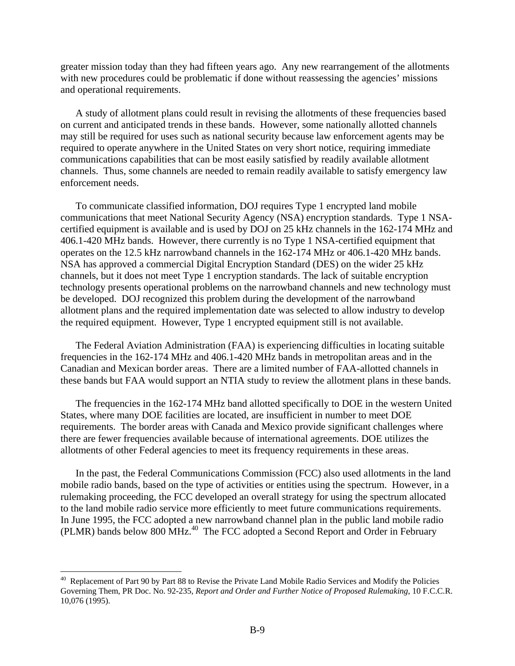greater mission today than they had fifteen years ago. Any new rearrangement of the allotments with new procedures could be problematic if done without reassessing the agencies' missions and operational requirements.

A study of allotment plans could result in revising the allotments of these frequencies based on current and anticipated trends in these bands. However, some nationally allotted channels may still be required for uses such as national security because law enforcement agents may be required to operate anywhere in the United States on very short notice, requiring immediate communications capabilities that can be most easily satisfied by readily available allotment channels. Thus, some channels are needed to remain readily available to satisfy emergency law enforcement needs.

To communicate classified information, DOJ requires Type 1 encrypted land mobile communications that meet National Security Agency (NSA) encryption standards. Type 1 NSAcertified equipment is available and is used by DOJ on 25 kHz channels in the 162-174 MHz and 406.1-420 MHz bands. However, there currently is no Type 1 NSA-certified equipment that operates on the 12.5 kHz narrowband channels in the 162-174 MHz or 406.1-420 MHz bands. NSA has approved a commercial Digital Encryption Standard (DES) on the wider 25 kHz channels, but it does not meet Type 1 encryption standards. The lack of suitable encryption technology presents operational problems on the narrowband channels and new technology must be developed. DOJ recognized this problem during the development of the narrowband allotment plans and the required implementation date was selected to allow industry to develop the required equipment. However, Type 1 encrypted equipment still is not available.

The Federal Aviation Administration (FAA) is experiencing difficulties in locating suitable frequencies in the 162-174 MHz and 406.1-420 MHz bands in metropolitan areas and in the Canadian and Mexican border areas. There are a limited number of FAA-allotted channels in these bands but FAA would support an NTIA study to review the allotment plans in these bands.

The frequencies in the 162-174 MHz band allotted specifically to DOE in the western United States, where many DOE facilities are located, are insufficient in number to meet DOE requirements. The border areas with Canada and Mexico provide significant challenges where there are fewer frequencies available because of international agreements. DOE utilizes the allotments of other Federal agencies to meet its frequency requirements in these areas.

In the past, the Federal Communications Commission (FCC) also used allotments in the land mobile radio bands, based on the type of activities or entities using the spectrum. However, in a rulemaking proceeding, the FCC developed an overall strategy for using the spectrum allocated to the land mobile radio service more efficiently to meet future communications requirements. In June 1995, the FCC adopted a new narrowband channel plan in the public land mobile radio (PLMR) bands below 800 MHz.40 The FCC adopted a Second Report and Order in February

1

<sup>&</sup>lt;sup>40</sup> Replacement of Part 90 by Part 88 to Revise the Private Land Mobile Radio Services and Modify the Policies Governing Them, PR Doc. No. 92-235, *Report and Order and Further Notice of Proposed Rulemaking*, 10 F.C.C.R. 10,076 (1995).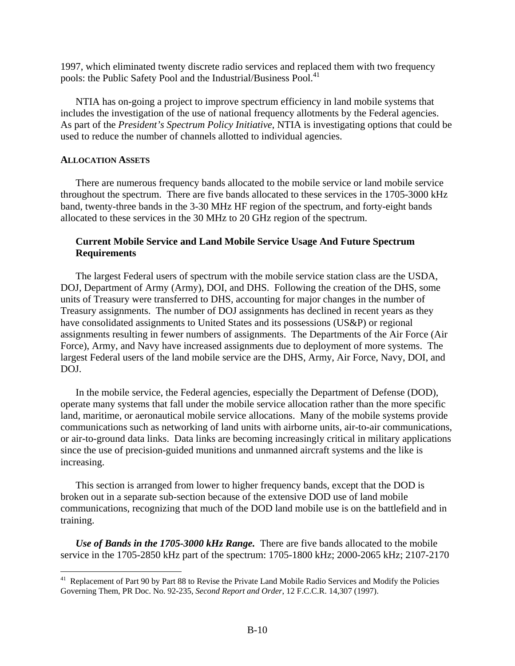1997, which eliminated twenty discrete radio services and replaced them with two frequency pools: the Public Safety Pool and the Industrial/Business Pool.<sup>41</sup>

NTIA has on-going a project to improve spectrum efficiency in land mobile systems that includes the investigation of the use of national frequency allotments by the Federal agencies. As part of the *President's Spectrum Policy Initiative*, NTIA is investigating options that could be used to reduce the number of channels allotted to individual agencies.

#### **ALLOCATION ASSETS**

 $\overline{a}$ 

There are numerous frequency bands allocated to the mobile service or land mobile service throughout the spectrum. There are five bands allocated to these services in the 1705-3000 kHz band, twenty-three bands in the 3-30 MHz HF region of the spectrum, and forty-eight bands allocated to these services in the 30 MHz to 20 GHz region of the spectrum.

#### **Current Mobile Service and Land Mobile Service Usage And Future Spectrum Requirements**

The largest Federal users of spectrum with the mobile service station class are the USDA, DOJ, Department of Army (Army), DOI, and DHS. Following the creation of the DHS, some units of Treasury were transferred to DHS, accounting for major changes in the number of Treasury assignments. The number of DOJ assignments has declined in recent years as they have consolidated assignments to United States and its possessions (US&P) or regional assignments resulting in fewer numbers of assignments. The Departments of the Air Force (Air Force), Army, and Navy have increased assignments due to deployment of more systems. The largest Federal users of the land mobile service are the DHS, Army, Air Force, Navy, DOI, and DOJ.

In the mobile service, the Federal agencies, especially the Department of Defense (DOD), operate many systems that fall under the mobile service allocation rather than the more specific land, maritime, or aeronautical mobile service allocations. Many of the mobile systems provide communications such as networking of land units with airborne units, air-to-air communications, or air-to-ground data links. Data links are becoming increasingly critical in military applications since the use of precision-guided munitions and unmanned aircraft systems and the like is increasing.

This section is arranged from lower to higher frequency bands, except that the DOD is broken out in a separate sub-section because of the extensive DOD use of land mobile communications, recognizing that much of the DOD land mobile use is on the battlefield and in training.

*Use of Bands in the 1705-3000 kHz Range.* There are five bands allocated to the mobile service in the 1705-2850 kHz part of the spectrum: 1705-1800 kHz; 2000-2065 kHz; 2107-2170

<sup>&</sup>lt;sup>41</sup> Replacement of Part 90 by Part 88 to Revise the Private Land Mobile Radio Services and Modify the Policies Governing Them, PR Doc. No. 92-235, *Second Report and Order*, 12 F.C.C.R. 14,307 (1997).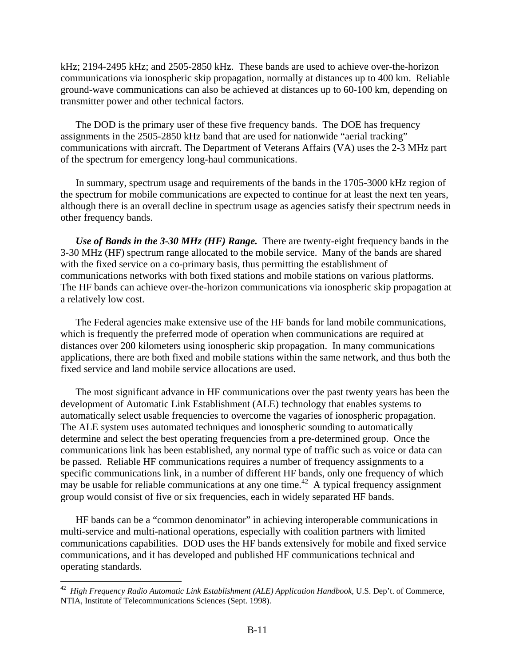kHz; 2194-2495 kHz; and 2505-2850 kHz. These bands are used to achieve over-the-horizon communications via ionospheric skip propagation, normally at distances up to 400 km. Reliable ground-wave communications can also be achieved at distances up to 60-100 km, depending on transmitter power and other technical factors.

The DOD is the primary user of these five frequency bands. The DOE has frequency assignments in the 2505-2850 kHz band that are used for nationwide "aerial tracking" communications with aircraft. The Department of Veterans Affairs (VA) uses the 2-3 MHz part of the spectrum for emergency long-haul communications.

In summary, spectrum usage and requirements of the bands in the 1705-3000 kHz region of the spectrum for mobile communications are expected to continue for at least the next ten years, although there is an overall decline in spectrum usage as agencies satisfy their spectrum needs in other frequency bands.

*Use of Bands in the 3-30 MHz (HF) Range.* There are twenty-eight frequency bands in the 3-30 MHz (HF) spectrum range allocated to the mobile service. Many of the bands are shared with the fixed service on a co-primary basis, thus permitting the establishment of communications networks with both fixed stations and mobile stations on various platforms. The HF bands can achieve over-the-horizon communications via ionospheric skip propagation at a relatively low cost.

The Federal agencies make extensive use of the HF bands for land mobile communications, which is frequently the preferred mode of operation when communications are required at distances over 200 kilometers using ionospheric skip propagation. In many communications applications, there are both fixed and mobile stations within the same network, and thus both the fixed service and land mobile service allocations are used.

The most significant advance in HF communications over the past twenty years has been the development of Automatic Link Establishment (ALE) technology that enables systems to automatically select usable frequencies to overcome the vagaries of ionospheric propagation. The ALE system uses automated techniques and ionospheric sounding to automatically determine and select the best operating frequencies from a pre-determined group. Once the communications link has been established, any normal type of traffic such as voice or data can be passed. Reliable HF communications requires a number of frequency assignments to a specific communications link, in a number of different HF bands, only one frequency of which may be usable for reliable communications at any one time.<sup>42</sup> A typical frequency assignment group would consist of five or six frequencies, each in widely separated HF bands.

HF bands can be a "common denominator" in achieving interoperable communications in multi-service and multi-national operations, especially with coalition partners with limited communications capabilities. DOD uses the HF bands extensively for mobile and fixed service communications, and it has developed and published HF communications technical and operating standards.

<sup>42</sup> *High Frequency Radio Automatic Link Establishment (ALE) Application Handbook*, U.S. Dep't. of Commerce, NTIA, Institute of Telecommunications Sciences (Sept. 1998).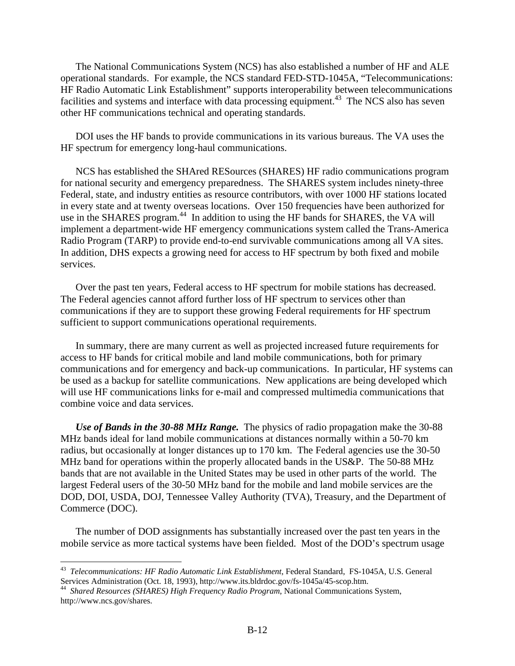The National Communications System (NCS) has also established a number of HF and ALE operational standards. For example, the NCS standard FED-STD-1045A, "Telecommunications: HF Radio Automatic Link Establishment" supports interoperability between telecommunications facilities and systems and interface with data processing equipment.<sup>43</sup> The NCS also has seven other HF communications technical and operating standards.

DOI uses the HF bands to provide communications in its various bureaus. The VA uses the HF spectrum for emergency long-haul communications.

NCS has established the SHAred RESources (SHARES) HF radio communications program for national security and emergency preparedness. The SHARES system includes ninety-three Federal, state, and industry entities as resource contributors, with over 1000 HF stations located in every state and at twenty overseas locations. Over 150 frequencies have been authorized for use in the SHARES program.<sup>44</sup> In addition to using the HF bands for SHARES, the VA will implement a department-wide HF emergency communications system called the Trans-America Radio Program (TARP) to provide end-to-end survivable communications among all VA sites. In addition, DHS expects a growing need for access to HF spectrum by both fixed and mobile services.

Over the past ten years, Federal access to HF spectrum for mobile stations has decreased. The Federal agencies cannot afford further loss of HF spectrum to services other than communications if they are to support these growing Federal requirements for HF spectrum sufficient to support communications operational requirements.

In summary, there are many current as well as projected increased future requirements for access to HF bands for critical mobile and land mobile communications, both for primary communications and for emergency and back-up communications. In particular, HF systems can be used as a backup for satellite communications. New applications are being developed which will use HF communications links for e-mail and compressed multimedia communications that combine voice and data services.

*Use of Bands in the 30-88 MHz Range.* The physics of radio propagation make the 30-88 MHz bands ideal for land mobile communications at distances normally within a 50-70 km radius, but occasionally at longer distances up to 170 km. The Federal agencies use the 30-50 MHz band for operations within the properly allocated bands in the US&P. The 50-88 MHz bands that are not available in the United States may be used in other parts of the world. The largest Federal users of the 30-50 MHz band for the mobile and land mobile services are the DOD, DOI, USDA, DOJ, Tennessee Valley Authority (TVA), Treasury, and the Department of Commerce (DOC).

The number of DOD assignments has substantially increased over the past ten years in the mobile service as more tactical systems have been fielded. Most of the DOD's spectrum usage

<sup>43</sup> *Telecommunications: HF Radio Automatic Link Establishment*, Federal Standard, FS-1045A, U.S. General Services Administration (Oct. 18, 1993), http://www.its.bldrdoc.gov/fs-1045a/45-scop.htm. 44 *Shared Resources (SHARES) High Frequency Radio Program*, National Communications System,

http://www.ncs.gov/shares.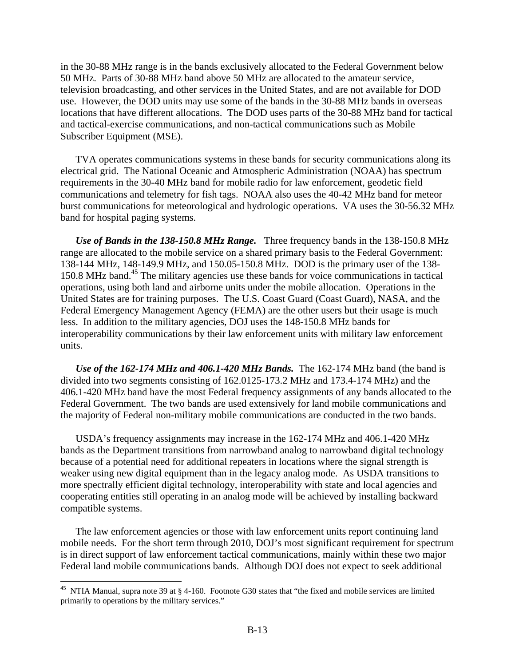in the 30-88 MHz range is in the bands exclusively allocated to the Federal Government below 50 MHz. Parts of 30-88 MHz band above 50 MHz are allocated to the amateur service, television broadcasting, and other services in the United States, and are not available for DOD use. However, the DOD units may use some of the bands in the 30-88 MHz bands in overseas locations that have different allocations. The DOD uses parts of the 30-88 MHz band for tactical and tactical-exercise communications, and non-tactical communications such as Mobile Subscriber Equipment (MSE).

TVA operates communications systems in these bands for security communications along its electrical grid. The National Oceanic and Atmospheric Administration (NOAA) has spectrum requirements in the 30-40 MHz band for mobile radio for law enforcement, geodetic field communications and telemetry for fish tags. NOAA also uses the 40-42 MHz band for meteor burst communications for meteorological and hydrologic operations. VA uses the 30-56.32 MHz band for hospital paging systems.

*Use of Bands in the 138-150.8 MHz Range.* Three frequency bands in the 138-150.8 MHz range are allocated to the mobile service on a shared primary basis to the Federal Government: 138-144 MHz, 148-149.9 MHz, and 150.05-150.8 MHz. DOD is the primary user of the 138- 150.8 MHz band.<sup>45</sup> The military agencies use these bands for voice communications in tactical operations, using both land and airborne units under the mobile allocation. Operations in the United States are for training purposes. The U.S. Coast Guard (Coast Guard), NASA, and the Federal Emergency Management Agency (FEMA) are the other users but their usage is much less. In addition to the military agencies, DOJ uses the 148-150.8 MHz bands for interoperability communications by their law enforcement units with military law enforcement units.

*Use of the 162-174 MHz and 406.1-420 MHz Bands.* The 162-174 MHz band (the band is divided into two segments consisting of 162.0125-173.2 MHz and 173.4-174 MHz) and the 406.1-420 MHz band have the most Federal frequency assignments of any bands allocated to the Federal Government. The two bands are used extensively for land mobile communications and the majority of Federal non-military mobile communications are conducted in the two bands.

USDA's frequency assignments may increase in the 162-174 MHz and 406.1-420 MHz bands as the Department transitions from narrowband analog to narrowband digital technology because of a potential need for additional repeaters in locations where the signal strength is weaker using new digital equipment than in the legacy analog mode. As USDA transitions to more spectrally efficient digital technology, interoperability with state and local agencies and cooperating entities still operating in an analog mode will be achieved by installing backward compatible systems.

The law enforcement agencies or those with law enforcement units report continuing land mobile needs. For the short term through 2010, DOJ's most significant requirement for spectrum is in direct support of law enforcement tactical communications, mainly within these two major Federal land mobile communications bands. Although DOJ does not expect to seek additional

<sup>&</sup>lt;sup>45</sup> NTIA Manual, supra note 39 at § 4-160. Footnote G30 states that "the fixed and mobile services are limited primarily to operations by the military services."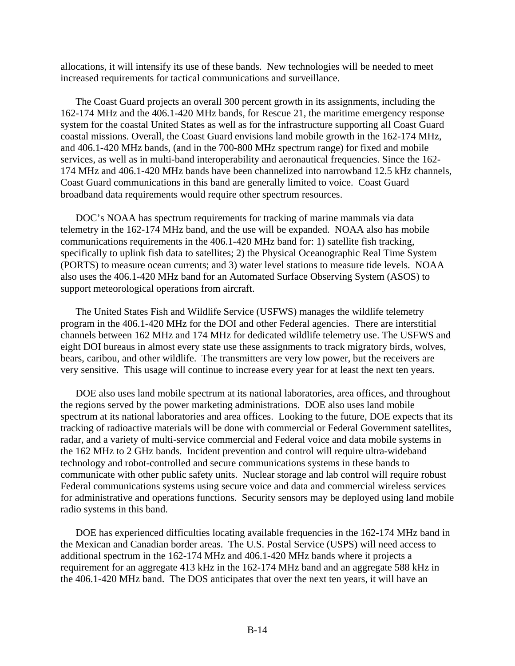allocations, it will intensify its use of these bands. New technologies will be needed to meet increased requirements for tactical communications and surveillance.

The Coast Guard projects an overall 300 percent growth in its assignments, including the 162-174 MHz and the 406.1-420 MHz bands, for Rescue 21, the maritime emergency response system for the coastal United States as well as for the infrastructure supporting all Coast Guard coastal missions. Overall, the Coast Guard envisions land mobile growth in the 162-174 MHz, and 406.1-420 MHz bands, (and in the 700-800 MHz spectrum range) for fixed and mobile services, as well as in multi-band interoperability and aeronautical frequencies. Since the 162- 174 MHz and 406.1-420 MHz bands have been channelized into narrowband 12.5 kHz channels, Coast Guard communications in this band are generally limited to voice. Coast Guard broadband data requirements would require other spectrum resources.

DOC's NOAA has spectrum requirements for tracking of marine mammals via data telemetry in the 162-174 MHz band, and the use will be expanded. NOAA also has mobile communications requirements in the 406.1-420 MHz band for: 1) satellite fish tracking, specifically to uplink fish data to satellites; 2) the Physical Oceanographic Real Time System (PORTS) to measure ocean currents; and 3) water level stations to measure tide levels. NOAA also uses the 406.1-420 MHz band for an Automated Surface Observing System (ASOS) to support meteorological operations from aircraft.

The United States Fish and Wildlife Service (USFWS) manages the wildlife telemetry program in the 406.1-420 MHz for the DOI and other Federal agencies. There are interstitial channels between 162 MHz and 174 MHz for dedicated wildlife telemetry use. The USFWS and eight DOI bureaus in almost every state use these assignments to track migratory birds, wolves, bears, caribou, and other wildlife. The transmitters are very low power, but the receivers are very sensitive. This usage will continue to increase every year for at least the next ten years.

DOE also uses land mobile spectrum at its national laboratories, area offices, and throughout the regions served by the power marketing administrations. DOE also uses land mobile spectrum at its national laboratories and area offices. Looking to the future, DOE expects that its tracking of radioactive materials will be done with commercial or Federal Government satellites, radar, and a variety of multi-service commercial and Federal voice and data mobile systems in the 162 MHz to 2 GHz bands. Incident prevention and control will require ultra-wideband technology and robot-controlled and secure communications systems in these bands to communicate with other public safety units. Nuclear storage and lab control will require robust Federal communications systems using secure voice and data and commercial wireless services for administrative and operations functions. Security sensors may be deployed using land mobile radio systems in this band.

DOE has experienced difficulties locating available frequencies in the 162-174 MHz band in the Mexican and Canadian border areas. The U.S. Postal Service (USPS) will need access to additional spectrum in the 162-174 MHz and 406.1-420 MHz bands where it projects a requirement for an aggregate 413 kHz in the 162-174 MHz band and an aggregate 588 kHz in the 406.1-420 MHz band. The DOS anticipates that over the next ten years, it will have an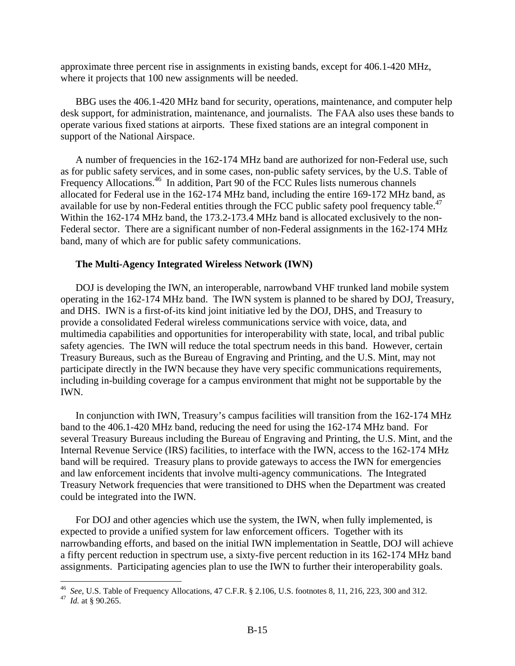approximate three percent rise in assignments in existing bands, except for 406.1-420 MHz, where it projects that 100 new assignments will be needed.

BBG uses the 406.1-420 MHz band for security, operations, maintenance, and computer help desk support, for administration, maintenance, and journalists. The FAA also uses these bands to operate various fixed stations at airports. These fixed stations are an integral component in support of the National Airspace.

A number of frequencies in the 162-174 MHz band are authorized for non-Federal use, such as for public safety services, and in some cases, non-public safety services, by the U.S. Table of Frequency Allocations.<sup>46</sup> In addition, Part 90 of the FCC Rules lists numerous channels allocated for Federal use in the 162-174 MHz band, including the entire 169-172 MHz band, as available for use by non-Federal entities through the FCC public safety pool frequency table.<sup>47</sup> Within the 162-174 MHz band, the 173.2-173.4 MHz band is allocated exclusively to the non-Federal sector. There are a significant number of non-Federal assignments in the 162-174 MHz band, many of which are for public safety communications.

### **The Multi-Agency Integrated Wireless Network (IWN)**

DOJ is developing the IWN, an interoperable, narrowband VHF trunked land mobile system operating in the 162-174 MHz band. The IWN system is planned to be shared by DOJ, Treasury, and DHS. IWN is a first-of-its kind joint initiative led by the DOJ, DHS, and Treasury to provide a consolidated Federal wireless communications service with voice, data, and multimedia capabilities and opportunities for interoperability with state, local, and tribal public safety agencies. The IWN will reduce the total spectrum needs in this band. However, certain Treasury Bureaus, such as the Bureau of Engraving and Printing, and the U.S. Mint, may not participate directly in the IWN because they have very specific communications requirements, including in-building coverage for a campus environment that might not be supportable by the IWN.

In conjunction with IWN, Treasury's campus facilities will transition from the 162-174 MHz band to the 406.1-420 MHz band, reducing the need for using the 162-174 MHz band. For several Treasury Bureaus including the Bureau of Engraving and Printing, the U.S. Mint, and the Internal Revenue Service (IRS) facilities, to interface with the IWN, access to the 162-174 MHz band will be required. Treasury plans to provide gateways to access the IWN for emergencies and law enforcement incidents that involve multi-agency communications. The Integrated Treasury Network frequencies that were transitioned to DHS when the Department was created could be integrated into the IWN.

For DOJ and other agencies which use the system, the IWN, when fully implemented, is expected to provide a unified system for law enforcement officers. Together with its narrowbanding efforts, and based on the initial IWN implementation in Seattle, DOJ will achieve a fifty percent reduction in spectrum use, a sixty-five percent reduction in its 162-174 MHz band assignments. Participating agencies plan to use the IWN to further their interoperability goals.

1

<sup>46</sup>*See*, U.S. Table of Frequency Allocations, 47 C.F.R. § 2.106, U.S. footnotes 8, 11, 216, 223, 300 and 312. 47 *Id.* at § 90.265.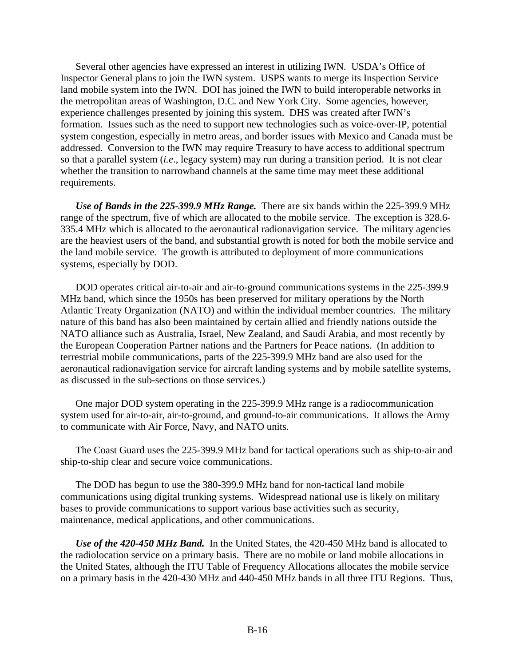Several other agencies have expressed an interest in utilizing IWN. USDA's Office of Inspector General plans to join the IWN system. USPS wants to merge its Inspection Service land mobile system into the IWN. DOI has joined the IWN to build interoperable networks in the metropolitan areas of Washington, D.C. and New York City. Some agencies, however, experience challenges presented by joining this system. DHS was created after IWN's formation. Issues such as the need to support new technologies such as voice-over-IP, potential system congestion, especially in metro areas, and border issues with Mexico and Canada must be addressed. Conversion to the IWN may require Treasury to have access to additional spectrum so that a parallel system (*i.e*., legacy system) may run during a transition period. It is not clear whether the transition to narrowband channels at the same time may meet these additional requirements.

*Use of Bands in the 225-399.9 MHz Range.* There are six bands within the 225-399.9 MHz range of the spectrum, five of which are allocated to the mobile service. The exception is 328.6- 335.4 MHz which is allocated to the aeronautical radionavigation service. The military agencies are the heaviest users of the band, and substantial growth is noted for both the mobile service and the land mobile service. The growth is attributed to deployment of more communications systems, especially by DOD.

DOD operates critical air-to-air and air-to-ground communications systems in the 225-399.9 MHz band, which since the 1950s has been preserved for military operations by the North Atlantic Treaty Organization (NATO) and within the individual member countries. The military nature of this band has also been maintained by certain allied and friendly nations outside the NATO alliance such as Australia, Israel, New Zealand, and Saudi Arabia, and most recently by the European Cooperation Partner nations and the Partners for Peace nations. (In addition to terrestrial mobile communications, parts of the 225-399.9 MHz band are also used for the aeronautical radionavigation service for aircraft landing systems and by mobile satellite systems, as discussed in the sub-sections on those services.)

One major DOD system operating in the 225-399.9 MHz range is a radiocommunication system used for air-to-air, air-to-ground, and ground-to-air communications. It allows the Army to communicate with Air Force, Navy, and NATO units.

The Coast Guard uses the 225-399.9 MHz band for tactical operations such as ship-to-air and ship-to-ship clear and secure voice communications.

The DOD has begun to use the 380-399.9 MHz band for non-tactical land mobile communications using digital trunking systems. Widespread national use is likely on military bases to provide communications to support various base activities such as security, maintenance, medical applications, and other communications.

*Use of the 420-450 MHz Band.* In the United States, the 420-450 MHz band is allocated to the radiolocation service on a primary basis. There are no mobile or land mobile allocations in the United States, although the ITU Table of Frequency Allocations allocates the mobile service on a primary basis in the 420-430 MHz and 440-450 MHz bands in all three ITU Regions. Thus,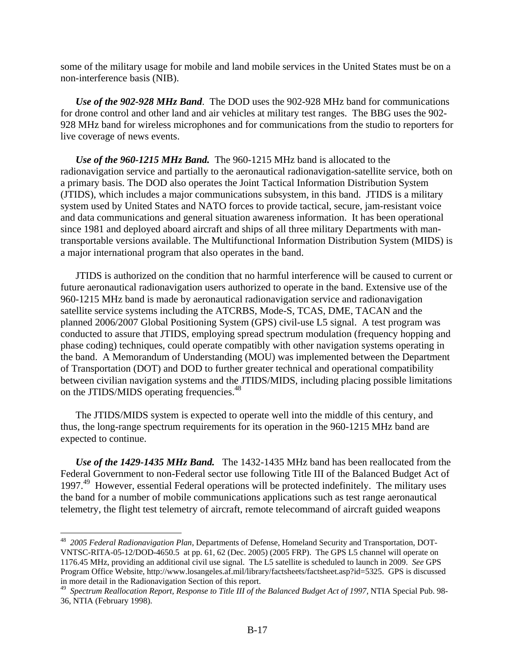some of the military usage for mobile and land mobile services in the United States must be on a non-interference basis (NIB).

*Use of the 902-928 MHz Band*.The DOD uses the 902-928 MHz band for communications for drone control and other land and air vehicles at military test ranges. The BBG uses the 902- 928 MHz band for wireless microphones and for communications from the studio to reporters for live coverage of news events.

*Use of the 960-1215 MHz Band.* The 960-1215 MHz band is allocated to the radionavigation service and partially to the aeronautical radionavigation-satellite service, both on a primary basis. The DOD also operates the Joint Tactical Information Distribution System (JTIDS), which includes a major communications subsystem, in this band. JTIDS is a military system used by United States and NATO forces to provide tactical, secure, jam-resistant voice and data communications and general situation awareness information. It has been operational since 1981 and deployed aboard aircraft and ships of all three military Departments with mantransportable versions available. The Multifunctional Information Distribution System (MIDS) is a major international program that also operates in the band.

JTIDS is authorized on the condition that no harmful interference will be caused to current or future aeronautical radionavigation users authorized to operate in the band. Extensive use of the 960-1215 MHz band is made by aeronautical radionavigation service and radionavigation satellite service systems including the ATCRBS, Mode-S, TCAS, DME, TACAN and the planned 2006/2007 Global Positioning System (GPS) civil-use L5 signal. A test program was conducted to assure that JTIDS, employing spread spectrum modulation (frequency hopping and phase coding) techniques, could operate compatibly with other navigation systems operating in the band. A Memorandum of Understanding (MOU) was implemented between the Department of Transportation (DOT) and DOD to further greater technical and operational compatibility between civilian navigation systems and the JTIDS/MIDS, including placing possible limitations on the JTIDS/MIDS operating frequencies.<sup>48</sup>

The JTIDS/MIDS system is expected to operate well into the middle of this century, and thus, the long-range spectrum requirements for its operation in the 960-1215 MHz band are expected to continue.

*Use of the 1429-1435 MHz Band.* The 1432-1435 MHz band has been reallocated from the Federal Government to non-Federal sector use following Title III of the Balanced Budget Act of 1997.49 However, essential Federal operations will be protected indefinitely. The military uses the band for a number of mobile communications applications such as test range aeronautical telemetry, the flight test telemetry of aircraft, remote telecommand of aircraft guided weapons

<sup>48</sup> *2005 Federal Radionavigation Plan*, Departments of Defense, Homeland Security and Transportation, DOT-VNTSC-RITA-05-12/DOD-4650.5 at pp. 61, 62 (Dec. 2005) (2005 FRP). The GPS L5 channel will operate on 1176.45 MHz, providing an additional civil use signal. The L5 satellite is scheduled to launch in 2009. *See* GPS Program Office Website, http://www.losangeles.af.mil/library/factsheets/factsheet.asp?id=5325. GPS is discussed in more detail in the Radionavigation Section of this report.

<sup>&</sup>lt;sup>49</sup> Spectrum Reallocation Report, Response to Title III of the Balanced Budget Act of 1997, NTIA Special Pub. 98-36, NTIA (February 1998).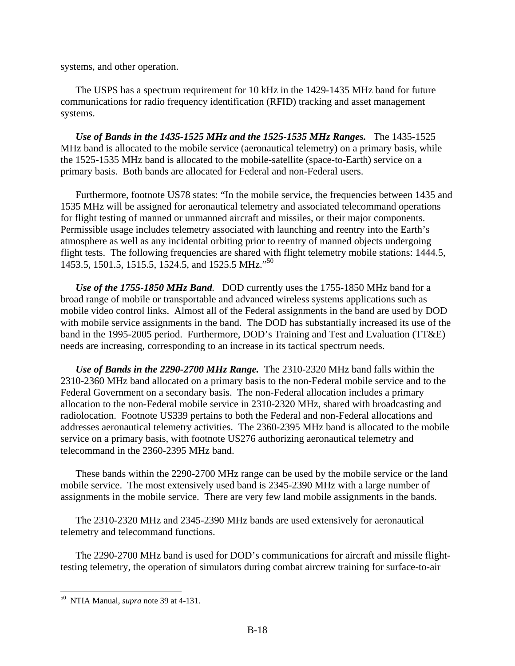systems, and other operation.

The USPS has a spectrum requirement for 10 kHz in the 1429-1435 MHz band for future communications for radio frequency identification (RFID) tracking and asset management systems.

*Use of Bands in the 1435-1525 MHz and the 1525-1535 MHz Ranges.* The 1435-1525 MHz band is allocated to the mobile service (aeronautical telemetry) on a primary basis, while the 1525-1535 MHz band is allocated to the mobile-satellite (space-to-Earth) service on a primary basis. Both bands are allocated for Federal and non-Federal users.

Furthermore, footnote US78 states: "In the mobile service, the frequencies between 1435 and 1535 MHz will be assigned for aeronautical telemetry and associated telecommand operations for flight testing of manned or unmanned aircraft and missiles, or their major components. Permissible usage includes telemetry associated with launching and reentry into the Earth's atmosphere as well as any incidental orbiting prior to reentry of manned objects undergoing flight tests. The following frequencies are shared with flight telemetry mobile stations: 1444.5, 1453.5, 1501.5, 1515.5, 1524.5, and 1525.5 MHz."50

*Use of the 1755-1850 MHz Band.* DOD currently uses the 1755-1850 MHz band for a broad range of mobile or transportable and advanced wireless systems applications such as mobile video control links. Almost all of the Federal assignments in the band are used by DOD with mobile service assignments in the band. The DOD has substantially increased its use of the band in the 1995-2005 period. Furthermore, DOD's Training and Test and Evaluation (TT&E) needs are increasing, corresponding to an increase in its tactical spectrum needs.

*Use of Bands in the 2290-2700 MHz Range.* The 2310-2320 MHz band falls within the 2310-2360 MHz band allocated on a primary basis to the non-Federal mobile service and to the Federal Government on a secondary basis. The non-Federal allocation includes a primary allocation to the non-Federal mobile service in 2310-2320 MHz, shared with broadcasting and radiolocation. Footnote US339 pertains to both the Federal and non-Federal allocations and addresses aeronautical telemetry activities. The 2360-2395 MHz band is allocated to the mobile service on a primary basis, with footnote US276 authorizing aeronautical telemetry and telecommand in the 2360-2395 MHz band.

These bands within the 2290-2700 MHz range can be used by the mobile service or the land mobile service. The most extensively used band is 2345-2390 MHz with a large number of assignments in the mobile service. There are very few land mobile assignments in the bands.

The 2310-2320 MHz and 2345-2390 MHz bands are used extensively for aeronautical telemetry and telecommand functions.

The 2290-2700 MHz band is used for DOD's communications for aircraft and missile flighttesting telemetry, the operation of simulators during combat aircrew training for surface-to-air

<sup>50</sup> NTIA Manual, *supra* note 39 at 4-131.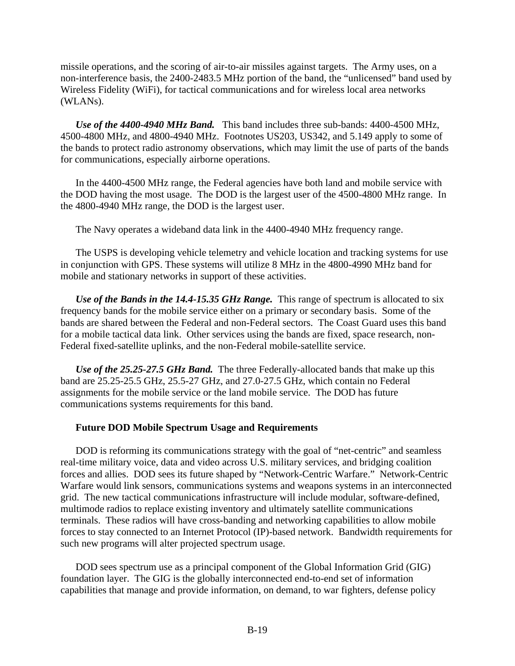missile operations, and the scoring of air-to-air missiles against targets. The Army uses, on a non-interference basis, the 2400-2483.5 MHz portion of the band, the "unlicensed" band used by Wireless Fidelity (WiFi), for tactical communications and for wireless local area networks (WLANs).

*Use of the 4400-4940 MHz Band.* This band includes three sub-bands: 4400-4500 MHz, 4500-4800 MHz, and 4800-4940 MHz. Footnotes US203, US342, and 5.149 apply to some of the bands to protect radio astronomy observations, which may limit the use of parts of the bands for communications, especially airborne operations.

In the 4400-4500 MHz range, the Federal agencies have both land and mobile service with the DOD having the most usage. The DOD is the largest user of the 4500-4800 MHz range. In the 4800-4940 MHz range, the DOD is the largest user.

The Navy operates a wideband data link in the 4400-4940 MHz frequency range.

The USPS is developing vehicle telemetry and vehicle location and tracking systems for use in conjunction with GPS. These systems will utilize 8 MHz in the 4800-4990 MHz band for mobile and stationary networks in support of these activities.

*Use of the Bands in the 14.4-15.35 GHz Range.* This range of spectrum is allocated to six frequency bands for the mobile service either on a primary or secondary basis. Some of the bands are shared between the Federal and non-Federal sectors. The Coast Guard uses this band for a mobile tactical data link. Other services using the bands are fixed, space research, non-Federal fixed-satellite uplinks, and the non-Federal mobile-satellite service.

*Use of the 25.25-27.5 GHz Band.* The three Federally-allocated bands that make up this band are 25.25-25.5 GHz, 25.5-27 GHz, and 27.0-27.5 GHz, which contain no Federal assignments for the mobile service or the land mobile service. The DOD has future communications systems requirements for this band.

### **Future DOD Mobile Spectrum Usage and Requirements**

DOD is reforming its communications strategy with the goal of "net-centric" and seamless real-time military voice, data and video across U.S. military services, and bridging coalition forces and allies. DOD sees its future shaped by "Network-Centric Warfare." Network-Centric Warfare would link sensors, communications systems and weapons systems in an interconnected grid. The new tactical communications infrastructure will include modular, software-defined, multimode radios to replace existing inventory and ultimately satellite communications terminals. These radios will have cross-banding and networking capabilities to allow mobile forces to stay connected to an Internet Protocol (IP)-based network. Bandwidth requirements for such new programs will alter projected spectrum usage.

DOD sees spectrum use as a principal component of the Global Information Grid (GIG) foundation layer. The GIG is the globally interconnected end-to-end set of information capabilities that manage and provide information, on demand, to war fighters, defense policy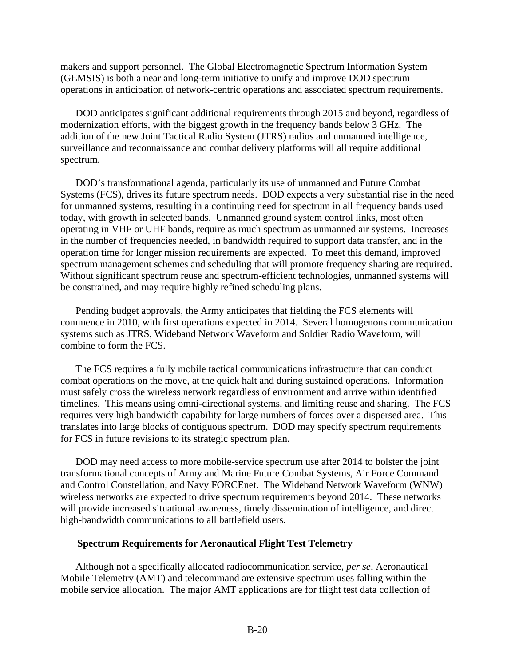makers and support personnel. The Global Electromagnetic Spectrum Information System (GEMSIS) is both a near and long-term initiative to unify and improve DOD spectrum operations in anticipation of network-centric operations and associated spectrum requirements.

DOD anticipates significant additional requirements through 2015 and beyond, regardless of modernization efforts, with the biggest growth in the frequency bands below 3 GHz. The addition of the new Joint Tactical Radio System (JTRS) radios and unmanned intelligence, surveillance and reconnaissance and combat delivery platforms will all require additional spectrum.

DOD's transformational agenda, particularly its use of unmanned and Future Combat Systems (FCS), drives its future spectrum needs. DOD expects a very substantial rise in the need for unmanned systems, resulting in a continuing need for spectrum in all frequency bands used today, with growth in selected bands. Unmanned ground system control links, most often operating in VHF or UHF bands, require as much spectrum as unmanned air systems. Increases in the number of frequencies needed, in bandwidth required to support data transfer, and in the operation time for longer mission requirements are expected. To meet this demand, improved spectrum management schemes and scheduling that will promote frequency sharing are required. Without significant spectrum reuse and spectrum-efficient technologies, unmanned systems will be constrained, and may require highly refined scheduling plans.

Pending budget approvals, the Army anticipates that fielding the FCS elements will commence in 2010, with first operations expected in 2014. Several homogenous communication systems such as JTRS, Wideband Network Waveform and Soldier Radio Waveform, will combine to form the FCS.

The FCS requires a fully mobile tactical communications infrastructure that can conduct combat operations on the move, at the quick halt and during sustained operations. Information must safely cross the wireless network regardless of environment and arrive within identified timelines. This means using omni-directional systems, and limiting reuse and sharing. The FCS requires very high bandwidth capability for large numbers of forces over a dispersed area. This translates into large blocks of contiguous spectrum. DOD may specify spectrum requirements for FCS in future revisions to its strategic spectrum plan.

DOD may need access to more mobile-service spectrum use after 2014 to bolster the joint transformational concepts of Army and Marine Future Combat Systems, Air Force Command and Control Constellation, and Navy FORCEnet. The Wideband Network Waveform (WNW) wireless networks are expected to drive spectrum requirements beyond 2014. These networks will provide increased situational awareness, timely dissemination of intelligence, and direct high-bandwidth communications to all battlefield users.

### **Spectrum Requirements for Aeronautical Flight Test Telemetry**

Although not a specifically allocated radiocommunication service, *per se*, Aeronautical Mobile Telemetry (AMT) and telecommand are extensive spectrum uses falling within the mobile service allocation. The major AMT applications are for flight test data collection of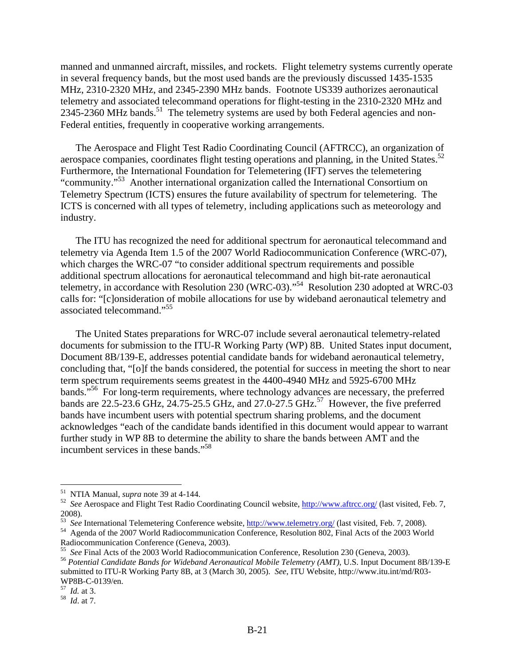manned and unmanned aircraft, missiles, and rockets. Flight telemetry systems currently operate in several frequency bands, but the most used bands are the previously discussed 1435-1535 MHz, 2310-2320 MHz, and 2345-2390 MHz bands. Footnote US339 authorizes aeronautical telemetry and associated telecommand operations for flight-testing in the 2310-2320 MHz and  $2345-2360$  MHz bands.<sup>51</sup> The telemetry systems are used by both Federal agencies and non-Federal entities, frequently in cooperative working arrangements.

The Aerospace and Flight Test Radio Coordinating Council (AFTRCC), an organization of aerospace companies, coordinates flight testing operations and planning, in the United States.<sup>52</sup> Furthermore, the International Foundation for Telemetering (IFT) serves the telemetering "community."53 Another international organization called the International Consortium on Telemetry Spectrum (ICTS) ensures the future availability of spectrum for telemetering. The ICTS is concerned with all types of telemetry, including applications such as meteorology and industry.

The ITU has recognized the need for additional spectrum for aeronautical telecommand and telemetry via Agenda Item 1.5 of the 2007 World Radiocommunication Conference (WRC-07), which charges the WRC-07 "to consider additional spectrum requirements and possible additional spectrum allocations for aeronautical telecommand and high bit-rate aeronautical telemetry, in accordance with Resolution 230 (WRC-03)."<sup>54</sup> Resolution 230 adopted at WRC-03 calls for: "[c]onsideration of mobile allocations for use by wideband aeronautical telemetry and associated telecommand."<sup>55</sup>

The United States preparations for WRC-07 include several aeronautical telemetry-related documents for submission to the ITU-R Working Party (WP) 8B. United States input document, Document 8B/139-E, addresses potential candidate bands for wideband aeronautical telemetry, concluding that, "[o]f the bands considered, the potential for success in meeting the short to near term spectrum requirements seems greatest in the 4400-4940 MHz and 5925-6700 MHz bands."56 For long-term requirements, where technology advances are necessary, the preferred bands are 22.5-23.6 GHz,  $24.75$ -25.5 GHz, and 27.0-27.5 GHz.<sup>57</sup> However, the five preferred bands have incumbent users with potential spectrum sharing problems, and the document acknowledges "each of the candidate bands identified in this document would appear to warrant further study in WP 8B to determine the ability to share the bands between AMT and the incumbent services in these bands."58

<sup>51</sup> NTIA Manual, *supra* note 39 at 4-144. 52 *See* Aerospace and Flight Test Radio Coordinating Council website, http://www.aftrcc.org/ (last visited, Feb. 7, 2008).

<sup>&</sup>lt;sup>53</sup> See International Telemetering Conference website, *http://www.telemetry.org/* (last visited, Feb. 7, 2008).<br><sup>54</sup> Agenda of the 2007 World Radiocommunication Conference, Resolution 802, Final Acts of the 2003 World

Radiocommunication Conference (Geneva, 2003).<br><sup>55</sup> See Final Acts of the 2003 World Radiocommunication Conference, Resolution 230 (Geneva, 2003).

<sup>&</sup>lt;sup>56</sup> Potential Candidate Bands for Wideband Aeronautical Mobile Telemetry (AMT), U.S. Input Document 8B/139-E submitted to ITU-R Working Party 8B, at 3 (March 30, 2005). *See*, ITU Website, http://www.itu.int/md/R03- WP8B-C-0139/en.

<sup>57</sup>*Id.* at 3. 58 *Id*. at 7.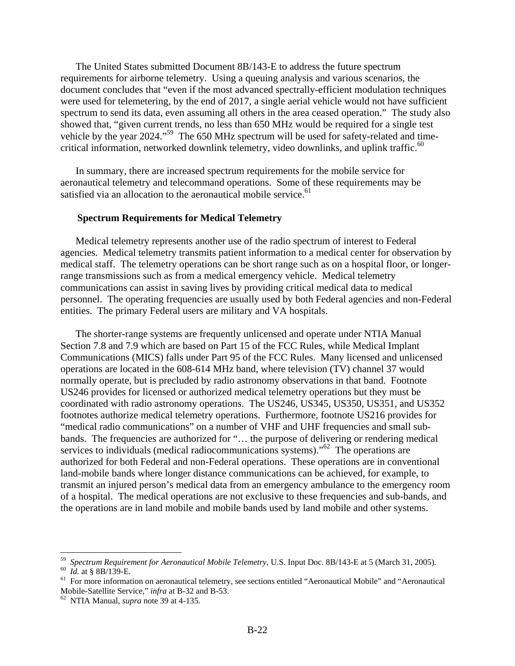The United States submitted Document 8B/143-E to address the future spectrum requirements for airborne telemetry. Using a queuing analysis and various scenarios, the document concludes that "even if the most advanced spectrally-efficient modulation techniques were used for telemetering, by the end of 2017, a single aerial vehicle would not have sufficient spectrum to send its data, even assuming all others in the area ceased operation." The study also showed that, "given current trends, no less than 650 MHz would be required for a single test vehicle by the year 2024."59 The 650 MHz spectrum will be used for safety-related and timecritical information, networked downlink telemetry, video downlinks, and uplink traffic.<sup>60</sup>

In summary, there are increased spectrum requirements for the mobile service for aeronautical telemetry and telecommand operations. Some of these requirements may be satisfied via an allocation to the aeronautical mobile service.<sup>61</sup>

### **Spectrum Requirements for Medical Telemetry**

Medical telemetry represents another use of the radio spectrum of interest to Federal agencies. Medical telemetry transmits patient information to a medical center for observation by medical staff. The telemetry operations can be short range such as on a hospital floor, or longerrange transmissions such as from a medical emergency vehicle. Medical telemetry communications can assist in saving lives by providing critical medical data to medical personnel. The operating frequencies are usually used by both Federal agencies and non-Federal entities. The primary Federal users are military and VA hospitals.

The shorter-range systems are frequently unlicensed and operate under NTIA Manual Section 7.8 and 7.9 which are based on Part 15 of the FCC Rules, while Medical Implant Communications (MICS) falls under Part 95 of the FCC Rules. Many licensed and unlicensed operations are located in the 608-614 MHz band, where television (TV) channel 37 would normally operate, but is precluded by radio astronomy observations in that band. Footnote US246 provides for licensed or authorized medical telemetry operations but they must be coordinated with radio astronomy operations. The US246, US345, US350, US351, and US352 footnotes authorize medical telemetry operations. Furthermore, footnote US216 provides for "medical radio communications" on a number of VHF and UHF frequencies and small subbands. The frequencies are authorized for "... the purpose of delivering or rendering medical services to individuals (medical radiocommunications systems)."<sup>62</sup> The operations are authorized for both Federal and non-Federal operations. These operations are in conventional land-mobile bands where longer distance communications can be achieved, for example, to transmit an injured person's medical data from an emergency ambulance to the emergency room of a hospital. The medical operations are not exclusive to these frequencies and sub-bands, and the operations are in land mobile and mobile bands used by land mobile and other systems.

<sup>&</sup>lt;sup>59</sup> Spectrum Requirement for Aeronautical Mobile Telemetry, U.S. Input Doc. 8B/143-E at 5 (March 31, 2005).<br><sup>60</sup> Id. at § 8B/139-E.<br><sup>61</sup> For more information on aeronautical telemetry, see sections entitled "Aeronautical Mobile-Satellite Service," *infra* at B-32 and B-53. 62 NTIA Manual, *supra* note 39 at 4-135.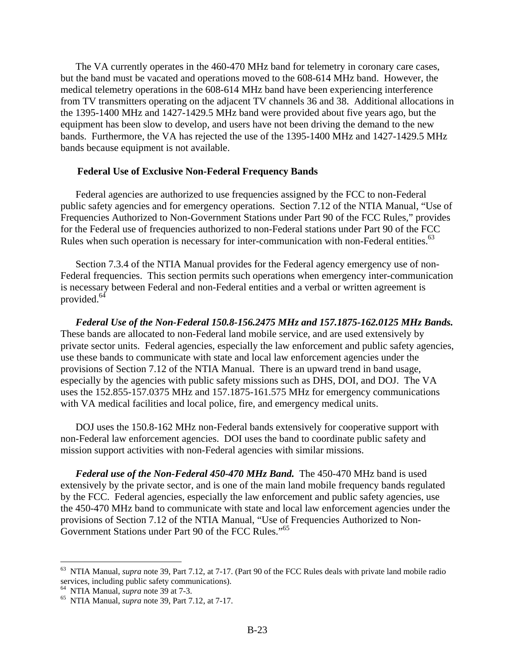The VA currently operates in the 460-470 MHz band for telemetry in coronary care cases, but the band must be vacated and operations moved to the 608-614 MHz band. However, the medical telemetry operations in the 608-614 MHz band have been experiencing interference from TV transmitters operating on the adjacent TV channels 36 and 38. Additional allocations in the 1395-1400 MHz and 1427-1429.5 MHz band were provided about five years ago, but the equipment has been slow to develop, and users have not been driving the demand to the new bands. Furthermore, the VA has rejected the use of the 1395-1400 MHz and 1427-1429.5 MHz bands because equipment is not available.

#### **Federal Use of Exclusive Non-Federal Frequency Bands**

Federal agencies are authorized to use frequencies assigned by the FCC to non-Federal public safety agencies and for emergency operations. Section 7.12 of the NTIA Manual, "Use of Frequencies Authorized to Non-Government Stations under Part 90 of the FCC Rules," provides for the Federal use of frequencies authorized to non-Federal stations under Part 90 of the FCC Rules when such operation is necessary for inter-communication with non-Federal entities.<sup>63</sup>

Section 7.3.4 of the NTIA Manual provides for the Federal agency emergency use of non-Federal frequencies. This section permits such operations when emergency inter-communication is necessary between Federal and non-Federal entities and a verbal or written agreement is provided.<sup>64</sup>

*Federal Use of the Non-Federal 150.8-156.2475 MHz and 157.1875-162.0125 MHz Bands.* These bands are allocated to non-Federal land mobile service, and are used extensively by private sector units. Federal agencies, especially the law enforcement and public safety agencies, use these bands to communicate with state and local law enforcement agencies under the provisions of Section 7.12 of the NTIA Manual. There is an upward trend in band usage, especially by the agencies with public safety missions such as DHS, DOI, and DOJ. The VA uses the 152.855-157.0375 MHz and 157.1875-161.575 MHz for emergency communications with VA medical facilities and local police, fire, and emergency medical units.

DOJ uses the 150.8-162 MHz non-Federal bands extensively for cooperative support with non-Federal law enforcement agencies. DOI uses the band to coordinate public safety and mission support activities with non-Federal agencies with similar missions.

*Federal use of the Non-Federal 450-470 MHz Band.* The 450-470 MHz band is used extensively by the private sector, and is one of the main land mobile frequency bands regulated by the FCC. Federal agencies, especially the law enforcement and public safety agencies, use the 450-470 MHz band to communicate with state and local law enforcement agencies under the provisions of Section 7.12 of the NTIA Manual, "Use of Frequencies Authorized to Non-Government Stations under Part 90 of the FCC Rules."<sup>65</sup>

<sup>63</sup> NTIA Manual, *supra* note 39, Part 7.12, at 7-17. (Part 90 of the FCC Rules deals with private land mobile radio services, including public safety communications).<br><sup>64</sup> NTIA Manual, *supra* note 39 at 7-3.

<sup>&</sup>lt;sup>65</sup> NTIA Manual, *supra* note 39, Part 7.12, at 7-17.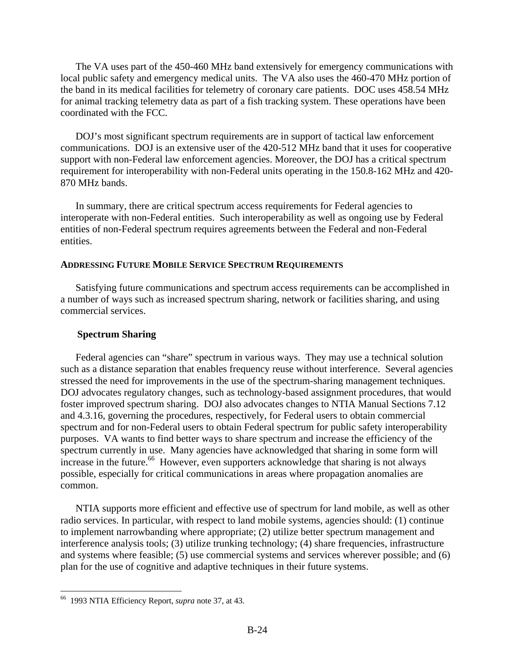The VA uses part of the 450-460 MHz band extensively for emergency communications with local public safety and emergency medical units. The VA also uses the 460-470 MHz portion of the band in its medical facilities for telemetry of coronary care patients. DOC uses 458.54 MHz for animal tracking telemetry data as part of a fish tracking system. These operations have been coordinated with the FCC.

DOJ's most significant spectrum requirements are in support of tactical law enforcement communications. DOJ is an extensive user of the 420-512 MHz band that it uses for cooperative support with non-Federal law enforcement agencies. Moreover, the DOJ has a critical spectrum requirement for interoperability with non-Federal units operating in the 150.8-162 MHz and 420- 870 MHz bands.

In summary, there are critical spectrum access requirements for Federal agencies to interoperate with non-Federal entities. Such interoperability as well as ongoing use by Federal entities of non-Federal spectrum requires agreements between the Federal and non-Federal entities.

### **ADDRESSING FUTURE MOBILE SERVICE SPECTRUM REQUIREMENTS**

Satisfying future communications and spectrum access requirements can be accomplished in a number of ways such as increased spectrum sharing, network or facilities sharing, and using commercial services.

### **Spectrum Sharing**

Federal agencies can "share" spectrum in various ways. They may use a technical solution such as a distance separation that enables frequency reuse without interference. Several agencies stressed the need for improvements in the use of the spectrum-sharing management techniques. DOJ advocates regulatory changes, such as technology-based assignment procedures, that would foster improved spectrum sharing. DOJ also advocates changes to NTIA Manual Sections 7.12 and 4.3.16, governing the procedures, respectively, for Federal users to obtain commercial spectrum and for non-Federal users to obtain Federal spectrum for public safety interoperability purposes. VA wants to find better ways to share spectrum and increase the efficiency of the spectrum currently in use. Many agencies have acknowledged that sharing in some form will increase in the future.<sup>66</sup> However, even supporters acknowledge that sharing is not always possible, especially for critical communications in areas where propagation anomalies are common.

NTIA supports more efficient and effective use of spectrum for land mobile, as well as other radio services. In particular, with respect to land mobile systems, agencies should: (1) continue to implement narrowbanding where appropriate; (2) utilize better spectrum management and interference analysis tools; (3) utilize trunking technology; (4) share frequencies, infrastructure and systems where feasible; (5) use commercial systems and services wherever possible; and (6) plan for the use of cognitive and adaptive techniques in their future systems.

<sup>66 1993</sup> NTIA Efficiency Report, *supra* note 37, at 43.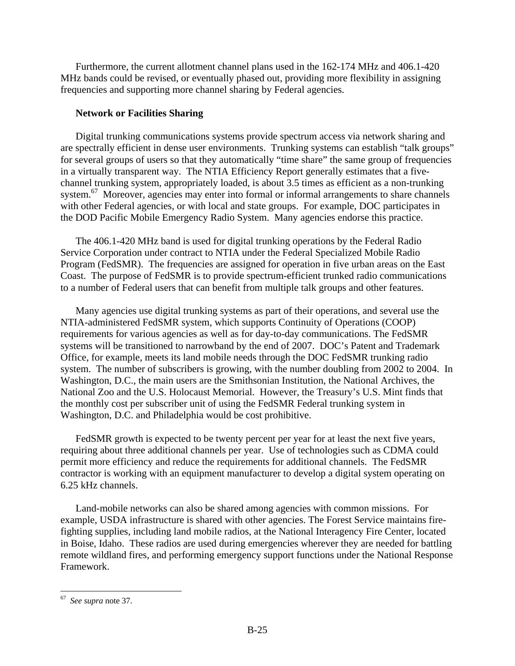Furthermore, the current allotment channel plans used in the 162-174 MHz and 406.1-420 MHz bands could be revised, or eventually phased out, providing more flexibility in assigning frequencies and supporting more channel sharing by Federal agencies.

## **Network or Facilities Sharing**

Digital trunking communications systems provide spectrum access via network sharing and are spectrally efficient in dense user environments. Trunking systems can establish "talk groups" for several groups of users so that they automatically "time share" the same group of frequencies in a virtually transparent way. The NTIA Efficiency Report generally estimates that a fivechannel trunking system, appropriately loaded, is about 3.5 times as efficient as a non-trunking system.<sup>67</sup> Moreover, agencies may enter into formal or informal arrangements to share channels with other Federal agencies, or with local and state groups. For example, DOC participates in the DOD Pacific Mobile Emergency Radio System. Many agencies endorse this practice.

The 406.1-420 MHz band is used for digital trunking operations by the Federal Radio Service Corporation under contract to NTIA under the Federal Specialized Mobile Radio Program (FedSMR). The frequencies are assigned for operation in five urban areas on the East Coast. The purpose of FedSMR is to provide spectrum-efficient trunked radio communications to a number of Federal users that can benefit from multiple talk groups and other features.

Many agencies use digital trunking systems as part of their operations, and several use the NTIA-administered FedSMR system, which supports Continuity of Operations (COOP) requirements for various agencies as well as for day-to-day communications. The FedSMR systems will be transitioned to narrowband by the end of 2007. DOC's Patent and Trademark Office, for example, meets its land mobile needs through the DOC FedSMR trunking radio system. The number of subscribers is growing, with the number doubling from 2002 to 2004. In Washington, D.C., the main users are the Smithsonian Institution, the National Archives, the National Zoo and the U.S. Holocaust Memorial. However, the Treasury's U.S. Mint finds that the monthly cost per subscriber unit of using the FedSMR Federal trunking system in Washington, D.C. and Philadelphia would be cost prohibitive.

FedSMR growth is expected to be twenty percent per year for at least the next five years, requiring about three additional channels per year. Use of technologies such as CDMA could permit more efficiency and reduce the requirements for additional channels. The FedSMR contractor is working with an equipment manufacturer to develop a digital system operating on 6.25 kHz channels.

Land-mobile networks can also be shared among agencies with common missions. For example, USDA infrastructure is shared with other agencies. The Forest Service maintains firefighting supplies, including land mobile radios, at the National Interagency Fire Center, located in Boise, Idaho. These radios are used during emergencies wherever they are needed for battling remote wildland fires, and performing emergency support functions under the National Response Framework.

 $\overline{a}$ 67 *See supra* note 37.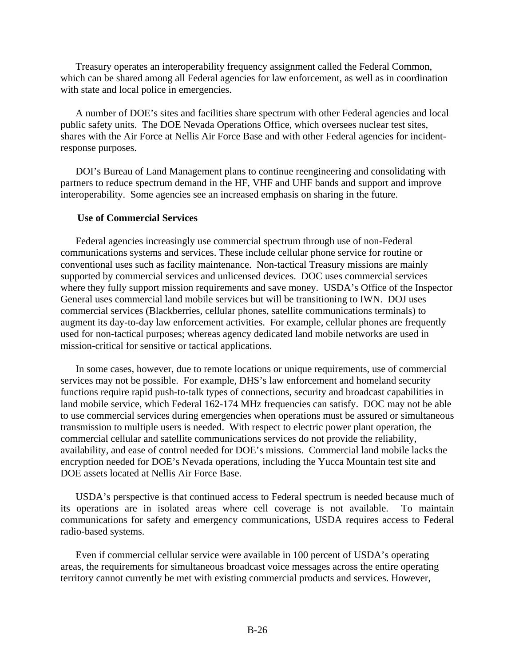Treasury operates an interoperability frequency assignment called the Federal Common, which can be shared among all Federal agencies for law enforcement, as well as in coordination with state and local police in emergencies.

A number of DOE's sites and facilities share spectrum with other Federal agencies and local public safety units. The DOE Nevada Operations Office, which oversees nuclear test sites, shares with the Air Force at Nellis Air Force Base and with other Federal agencies for incidentresponse purposes.

DOI's Bureau of Land Management plans to continue reengineering and consolidating with partners to reduce spectrum demand in the HF, VHF and UHF bands and support and improve interoperability. Some agencies see an increased emphasis on sharing in the future.

### **Use of Commercial Services**

Federal agencies increasingly use commercial spectrum through use of non-Federal communications systems and services. These include cellular phone service for routine or conventional uses such as facility maintenance. Non-tactical Treasury missions are mainly supported by commercial services and unlicensed devices. DOC uses commercial services where they fully support mission requirements and save money. USDA's Office of the Inspector General uses commercial land mobile services but will be transitioning to IWN. DOJ uses commercial services (Blackberries, cellular phones, satellite communications terminals) to augment its day-to-day law enforcement activities. For example, cellular phones are frequently used for non-tactical purposes; whereas agency dedicated land mobile networks are used in mission-critical for sensitive or tactical applications.

In some cases, however, due to remote locations or unique requirements, use of commercial services may not be possible. For example, DHS's law enforcement and homeland security functions require rapid push-to-talk types of connections, security and broadcast capabilities in land mobile service, which Federal 162-174 MHz frequencies can satisfy. DOC may not be able to use commercial services during emergencies when operations must be assured or simultaneous transmission to multiple users is needed. With respect to electric power plant operation, the commercial cellular and satellite communications services do not provide the reliability, availability, and ease of control needed for DOE's missions. Commercial land mobile lacks the encryption needed for DOE's Nevada operations, including the Yucca Mountain test site and DOE assets located at Nellis Air Force Base.

USDA's perspective is that continued access to Federal spectrum is needed because much of its operations are in isolated areas where cell coverage is not available. To maintain communications for safety and emergency communications, USDA requires access to Federal radio-based systems.

Even if commercial cellular service were available in 100 percent of USDA's operating areas, the requirements for simultaneous broadcast voice messages across the entire operating territory cannot currently be met with existing commercial products and services. However,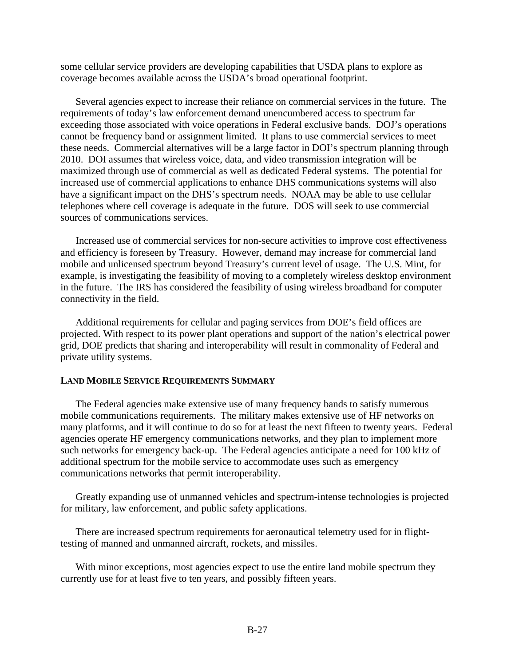some cellular service providers are developing capabilities that USDA plans to explore as coverage becomes available across the USDA's broad operational footprint.

Several agencies expect to increase their reliance on commercial services in the future. The requirements of today's law enforcement demand unencumbered access to spectrum far exceeding those associated with voice operations in Federal exclusive bands. DOJ's operations cannot be frequency band or assignment limited. It plans to use commercial services to meet these needs. Commercial alternatives will be a large factor in DOI's spectrum planning through 2010. DOI assumes that wireless voice, data, and video transmission integration will be maximized through use of commercial as well as dedicated Federal systems. The potential for increased use of commercial applications to enhance DHS communications systems will also have a significant impact on the DHS's spectrum needs. NOAA may be able to use cellular telephones where cell coverage is adequate in the future. DOS will seek to use commercial sources of communications services.

Increased use of commercial services for non-secure activities to improve cost effectiveness and efficiency is foreseen by Treasury. However, demand may increase for commercial land mobile and unlicensed spectrum beyond Treasury's current level of usage. The U.S. Mint, for example, is investigating the feasibility of moving to a completely wireless desktop environment in the future. The IRS has considered the feasibility of using wireless broadband for computer connectivity in the field.

Additional requirements for cellular and paging services from DOE's field offices are projected. With respect to its power plant operations and support of the nation's electrical power grid, DOE predicts that sharing and interoperability will result in commonality of Federal and private utility systems.

### **LAND MOBILE SERVICE REQUIREMENTS SUMMARY**

The Federal agencies make extensive use of many frequency bands to satisfy numerous mobile communications requirements. The military makes extensive use of HF networks on many platforms, and it will continue to do so for at least the next fifteen to twenty years. Federal agencies operate HF emergency communications networks, and they plan to implement more such networks for emergency back-up. The Federal agencies anticipate a need for 100 kHz of additional spectrum for the mobile service to accommodate uses such as emergency communications networks that permit interoperability.

Greatly expanding use of unmanned vehicles and spectrum-intense technologies is projected for military, law enforcement, and public safety applications.

There are increased spectrum requirements for aeronautical telemetry used for in flighttesting of manned and unmanned aircraft, rockets, and missiles.

With minor exceptions, most agencies expect to use the entire land mobile spectrum they currently use for at least five to ten years, and possibly fifteen years.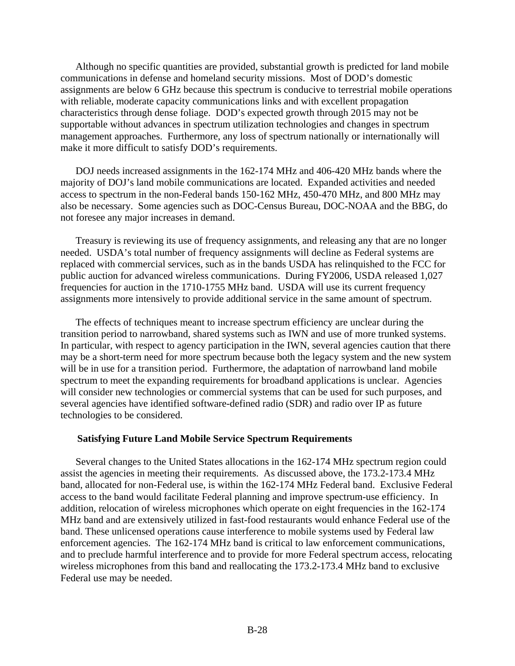Although no specific quantities are provided, substantial growth is predicted for land mobile communications in defense and homeland security missions. Most of DOD's domestic assignments are below 6 GHz because this spectrum is conducive to terrestrial mobile operations with reliable, moderate capacity communications links and with excellent propagation characteristics through dense foliage. DOD's expected growth through 2015 may not be supportable without advances in spectrum utilization technologies and changes in spectrum management approaches. Furthermore, any loss of spectrum nationally or internationally will make it more difficult to satisfy DOD's requirements.

DOJ needs increased assignments in the 162-174 MHz and 406-420 MHz bands where the majority of DOJ's land mobile communications are located. Expanded activities and needed access to spectrum in the non-Federal bands 150-162 MHz, 450-470 MHz, and 800 MHz may also be necessary. Some agencies such as DOC-Census Bureau, DOC-NOAA and the BBG, do not foresee any major increases in demand.

Treasury is reviewing its use of frequency assignments, and releasing any that are no longer needed. USDA's total number of frequency assignments will decline as Federal systems are replaced with commercial services, such as in the bands USDA has relinquished to the FCC for public auction for advanced wireless communications. During FY2006, USDA released 1,027 frequencies for auction in the 1710-1755 MHz band. USDA will use its current frequency assignments more intensively to provide additional service in the same amount of spectrum.

The effects of techniques meant to increase spectrum efficiency are unclear during the transition period to narrowband, shared systems such as IWN and use of more trunked systems. In particular, with respect to agency participation in the IWN, several agencies caution that there may be a short-term need for more spectrum because both the legacy system and the new system will be in use for a transition period. Furthermore, the adaptation of narrowband land mobile spectrum to meet the expanding requirements for broadband applications is unclear. Agencies will consider new technologies or commercial systems that can be used for such purposes, and several agencies have identified software-defined radio (SDR) and radio over IP as future technologies to be considered.

### **Satisfying Future Land Mobile Service Spectrum Requirements**

Several changes to the United States allocations in the 162-174 MHz spectrum region could assist the agencies in meeting their requirements. As discussed above, the 173.2-173.4 MHz band, allocated for non-Federal use, is within the 162-174 MHz Federal band. Exclusive Federal access to the band would facilitate Federal planning and improve spectrum-use efficiency. In addition, relocation of wireless microphones which operate on eight frequencies in the 162-174 MHz band and are extensively utilized in fast-food restaurants would enhance Federal use of the band. These unlicensed operations cause interference to mobile systems used by Federal law enforcement agencies. The 162-174 MHz band is critical to law enforcement communications, and to preclude harmful interference and to provide for more Federal spectrum access, relocating wireless microphones from this band and reallocating the 173.2-173.4 MHz band to exclusive Federal use may be needed.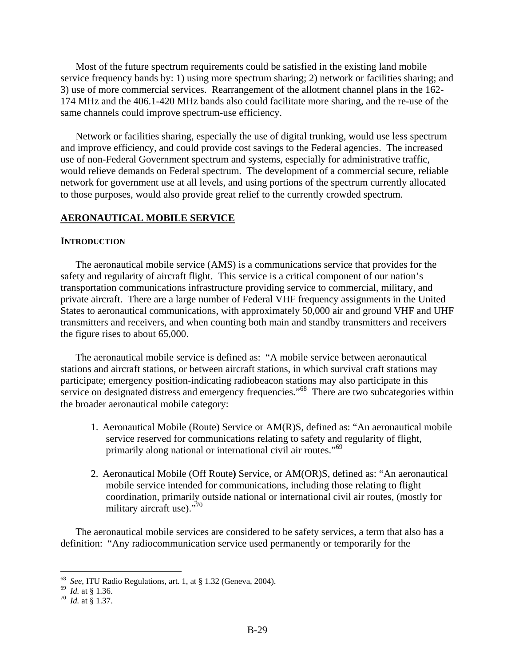Most of the future spectrum requirements could be satisfied in the existing land mobile service frequency bands by: 1) using more spectrum sharing; 2) network or facilities sharing; and 3) use of more commercial services. Rearrangement of the allotment channel plans in the 162- 174 MHz and the 406.1-420 MHz bands also could facilitate more sharing, and the re-use of the same channels could improve spectrum-use efficiency.

Network or facilities sharing, especially the use of digital trunking, would use less spectrum and improve efficiency, and could provide cost savings to the Federal agencies. The increased use of non-Federal Government spectrum and systems, especially for administrative traffic, would relieve demands on Federal spectrum. The development of a commercial secure, reliable network for government use at all levels, and using portions of the spectrum currently allocated to those purposes, would also provide great relief to the currently crowded spectrum.

### **AERONAUTICAL MOBILE SERVICE**

### **INTRODUCTION**

The aeronautical mobile service (AMS) is a communications service that provides for the safety and regularity of aircraft flight. This service is a critical component of our nation's transportation communications infrastructure providing service to commercial, military, and private aircraft. There are a large number of Federal VHF frequency assignments in the United States to aeronautical communications, with approximately 50,000 air and ground VHF and UHF transmitters and receivers, and when counting both main and standby transmitters and receivers the figure rises to about 65,000.

The aeronautical mobile service is defined as: "A mobile service between aeronautical stations and aircraft stations, or between aircraft stations, in which survival craft stations may participate; emergency position-indicating radiobeacon stations may also participate in this service on designated distress and emergency frequencies."<sup>68</sup> There are two subcategories within the broader aeronautical mobile category:

- 1. Aeronautical Mobile (Route) Service or AM(R)S, defined as: "An aeronautical mobile service reserved for communications relating to safety and regularity of flight, primarily along national or international civil air routes."<sup>69</sup>
- 2. Aeronautical Mobile (Off Route**)** Service, or AM(OR)S, defined as: "An aeronautical mobile service intended for communications, including those relating to flight coordination, primarily outside national or international civil air routes, (mostly for military aircraft use). $\cdot$ <sup>70</sup>

The aeronautical mobile services are considered to be safety services, a term that also has a definition: "Any radiocommunication service used permanently or temporarily for the

<sup>68</sup>*See*, ITU Radio Regulations, art. 1, at § 1.32 (Geneva, 2004). 69 *Id.* at § 1.36. 70 *Id.* at § 1.37.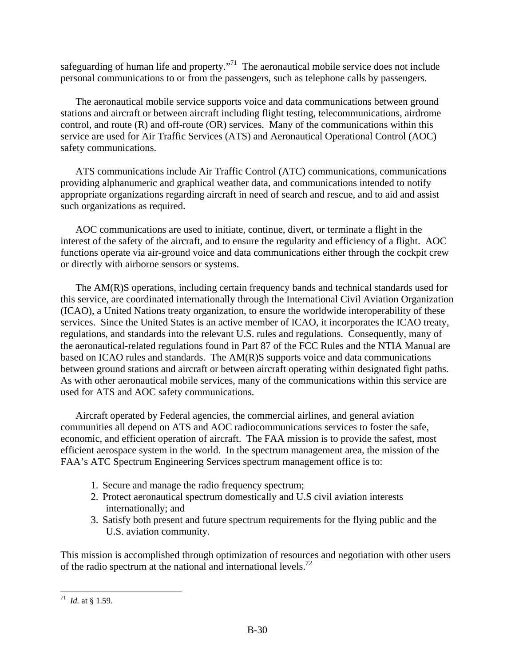safeguarding of human life and property. $171$  The aeronautical mobile service does not include personal communications to or from the passengers, such as telephone calls by passengers.

The aeronautical mobile service supports voice and data communications between ground stations and aircraft or between aircraft including flight testing, telecommunications, airdrome control, and route (R) and off-route (OR) services. Many of the communications within this service are used for Air Traffic Services (ATS) and Aeronautical Operational Control (AOC) safety communications.

ATS communications include Air Traffic Control (ATC) communications, communications providing alphanumeric and graphical weather data, and communications intended to notify appropriate organizations regarding aircraft in need of search and rescue, and to aid and assist such organizations as required.

AOC communications are used to initiate, continue, divert, or terminate a flight in the interest of the safety of the aircraft, and to ensure the regularity and efficiency of a flight. AOC functions operate via air-ground voice and data communications either through the cockpit crew or directly with airborne sensors or systems.

The AM(R)S operations, including certain frequency bands and technical standards used for this service, are coordinated internationally through the International Civil Aviation Organization (ICAO), a United Nations treaty organization, to ensure the worldwide interoperability of these services. Since the United States is an active member of ICAO, it incorporates the ICAO treaty, regulations, and standards into the relevant U.S. rules and regulations. Consequently, many of the aeronautical-related regulations found in Part 87 of the FCC Rules and the NTIA Manual are based on ICAO rules and standards. The AM(R)S supports voice and data communications between ground stations and aircraft or between aircraft operating within designated fight paths. As with other aeronautical mobile services, many of the communications within this service are used for ATS and AOC safety communications.

Aircraft operated by Federal agencies, the commercial airlines, and general aviation communities all depend on ATS and AOC radiocommunications services to foster the safe, economic, and efficient operation of aircraft. The FAA mission is to provide the safest, most efficient aerospace system in the world. In the spectrum management area, the mission of the FAA's ATC Spectrum Engineering Services spectrum management office is to:

- 1. Secure and manage the radio frequency spectrum;
- 2. Protect aeronautical spectrum domestically and U.S civil aviation interests internationally; and
- 3. Satisfy both present and future spectrum requirements for the flying public and the U.S. aviation community.

This mission is accomplished through optimization of resources and negotiation with other users of the radio spectrum at the national and international levels.<sup>72</sup>

 $\overline{a}$ <sup>71</sup> *Id.* at § 1.59.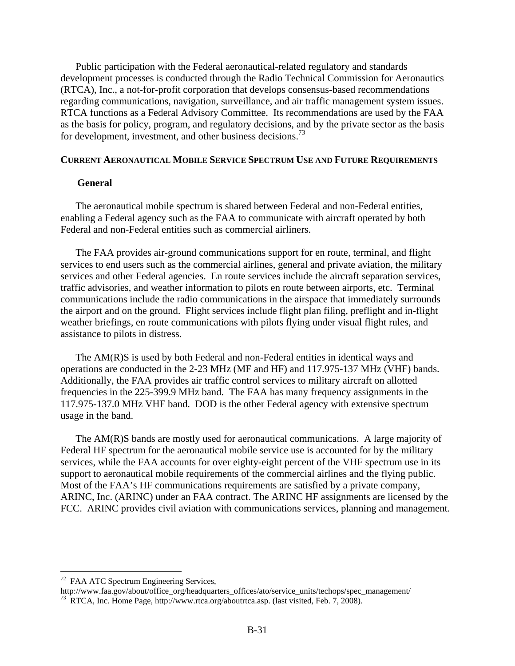Public participation with the Federal aeronautical-related regulatory and standards development processes is conducted through the Radio Technical Commission for Aeronautics (RTCA), Inc., a not-for-profit corporation that develops consensus-based recommendations regarding communications, navigation, surveillance, and air traffic management system issues. RTCA functions as a Federal Advisory Committee. Its recommendations are used by the FAA as the basis for policy, program, and regulatory decisions, and by the private sector as the basis for development, investment, and other business decisions.<sup>73</sup>

### **CURRENT AERONAUTICAL MOBILE SERVICE SPECTRUM USE AND FUTURE REQUIREMENTS**

### **General**

The aeronautical mobile spectrum is shared between Federal and non-Federal entities, enabling a Federal agency such as the FAA to communicate with aircraft operated by both Federal and non-Federal entities such as commercial airliners.

The FAA provides air-ground communications support for en route, terminal, and flight services to end users such as the commercial airlines, general and private aviation, the military services and other Federal agencies. En route services include the aircraft separation services, traffic advisories, and weather information to pilots en route between airports, etc. Terminal communications include the radio communications in the airspace that immediately surrounds the airport and on the ground. Flight services include flight plan filing, preflight and in-flight weather briefings, en route communications with pilots flying under visual flight rules, and assistance to pilots in distress.

The AM(R)S is used by both Federal and non-Federal entities in identical ways and operations are conducted in the 2-23 MHz (MF and HF) and 117.975-137 MHz (VHF) bands. Additionally, the FAA provides air traffic control services to military aircraft on allotted frequencies in the 225-399.9 MHz band. The FAA has many frequency assignments in the 117.975-137.0 MHz VHF band. DOD is the other Federal agency with extensive spectrum usage in the band.

The AM(R)S bands are mostly used for aeronautical communications. A large majority of Federal HF spectrum for the aeronautical mobile service use is accounted for by the military services, while the FAA accounts for over eighty-eight percent of the VHF spectrum use in its support to aeronautical mobile requirements of the commercial airlines and the flying public. Most of the FAA's HF communications requirements are satisfied by a private company, ARINC, Inc. (ARINC) under an FAA contract. The ARINC HF assignments are licensed by the FCC. ARINC provides civil aviation with communications services, planning and management.

1

<sup>&</sup>lt;sup>72</sup> FAA ATC Spectrum Engineering Services,<br>http://www.faa.gov/about/office\_org/headquarters\_offices/ato/service\_units/techops/spec\_management/

<sup>&</sup>lt;sup>73</sup> RTCA, Inc. Home Page, http://www.rtca.org/aboutrtca.asp. (last visited, Feb. 7, 2008).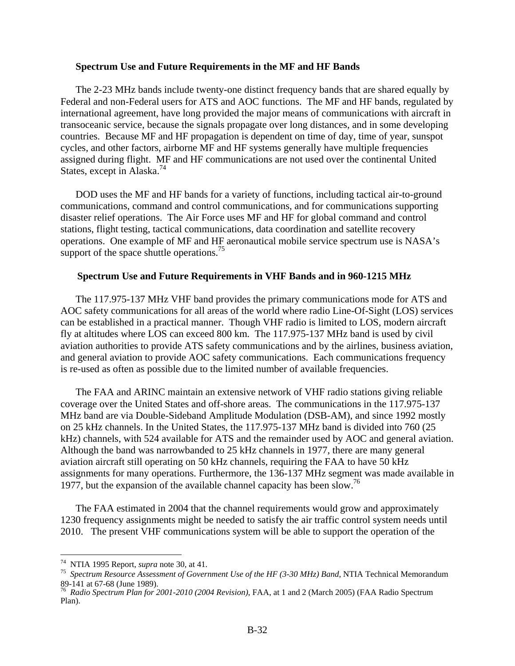### **Spectrum Use and Future Requirements in the MF and HF Bands**

The 2-23 MHz bands include twenty-one distinct frequency bands that are shared equally by Federal and non-Federal users for ATS and AOC functions. The MF and HF bands, regulated by international agreement, have long provided the major means of communications with aircraft in transoceanic service, because the signals propagate over long distances, and in some developing countries. Because MF and HF propagation is dependent on time of day, time of year, sunspot cycles, and other factors, airborne MF and HF systems generally have multiple frequencies assigned during flight. MF and HF communications are not used over the continental United States, except in Alaska.<sup>74</sup>

DOD uses the MF and HF bands for a variety of functions, including tactical air-to-ground communications, command and control communications, and for communications supporting disaster relief operations. The Air Force uses MF and HF for global command and control stations, flight testing, tactical communications, data coordination and satellite recovery operations. One example of MF and HF aeronautical mobile service spectrum use is NASA's support of the space shuttle operations.<sup>75</sup>

### **Spectrum Use and Future Requirements in VHF Bands and in 960-1215 MHz**

The 117.975-137 MHz VHF band provides the primary communications mode for ATS and AOC safety communications for all areas of the world where radio Line-Of-Sight (LOS) services can be established in a practical manner. Though VHF radio is limited to LOS, modern aircraft fly at altitudes where LOS can exceed 800 km. The 117.975-137 MHz band is used by civil aviation authorities to provide ATS safety communications and by the airlines, business aviation, and general aviation to provide AOC safety communications. Each communications frequency is re-used as often as possible due to the limited number of available frequencies.

The FAA and ARINC maintain an extensive network of VHF radio stations giving reliable coverage over the United States and off-shore areas. The communications in the 117.975-137 MHz band are via Double-Sideband Amplitude Modulation (DSB-AM), and since 1992 mostly on 25 kHz channels. In the United States, the 117.975-137 MHz band is divided into 760 (25 kHz) channels, with 524 available for ATS and the remainder used by AOC and general aviation. Although the band was narrowbanded to 25 kHz channels in 1977, there are many general aviation aircraft still operating on 50 kHz channels, requiring the FAA to have 50 kHz assignments for many operations. Furthermore, the 136-137 MHz segment was made available in 1977, but the expansion of the available channel capacity has been slow.<sup>76</sup>

The FAA estimated in 2004 that the channel requirements would grow and approximately 1230 frequency assignments might be needed to satisfy the air traffic control system needs until 2010. The present VHF communications system will be able to support the operation of the

 $74$  NTIA 1995 Report, *supra* note 30, at 41.

<sup>&</sup>lt;sup>75</sup> Spectrum Resource Assessment of Government Use of the HF (3-30 MHz) Band, NTIA Technical Memorandum 89-141 at 67-68 (June 1989).

<sup>76</sup> *Radio Spectrum Plan for 2001-2010 (2004 Revision)*, FAA, at 1 and 2 (March 2005) (FAA Radio Spectrum Plan).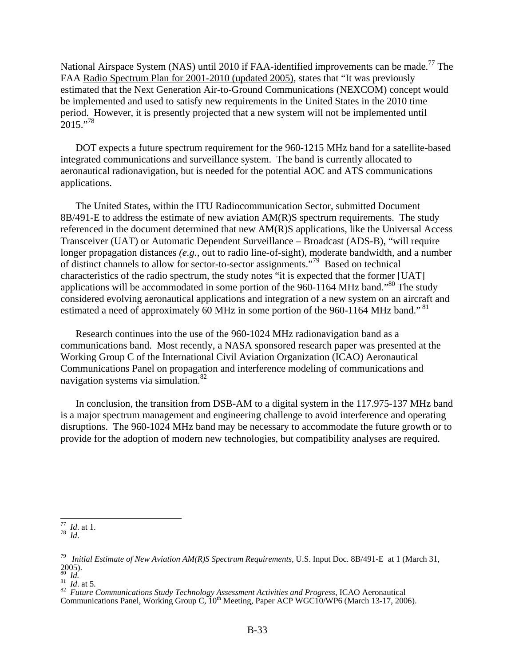National Airspace System (NAS) until 2010 if FAA-identified improvements can be made.<sup>77</sup> The FAA Radio Spectrum Plan for 2001-2010 (updated 2005), states that "It was previously estimated that the Next Generation Air-to-Ground Communications (NEXCOM) concept would be implemented and used to satisfy new requirements in the United States in the 2010 time period. However, it is presently projected that a new system will not be implemented until  $2015.^{978}$ 

DOT expects a future spectrum requirement for the 960-1215 MHz band for a satellite-based integrated communications and surveillance system. The band is currently allocated to aeronautical radionavigation, but is needed for the potential AOC and ATS communications applications.

The United States, within the ITU Radiocommunication Sector, submitted Document 8B/491-E to address the estimate of new aviation AM(R)S spectrum requirements. The study referenced in the document determined that new AM(R)S applications, like the Universal Access Transceiver (UAT) or Automatic Dependent Surveillance – Broadcast (ADS-B), "will require longer propagation distances *(e.g.,* out to radio line-of-sight), moderate bandwidth, and a number of distinct channels to allow for sector-to-sector assignments."79 Based on technical characteristics of the radio spectrum, the study notes "it is expected that the former [UAT] applications will be accommodated in some portion of the 960-1164 MHz band." $80$ <sup>60</sup> The study considered evolving aeronautical applications and integration of a new system on an aircraft and estimated a need of approximately 60 MHz in some portion of the 960-1164 MHz band."<sup>81</sup>

Research continues into the use of the 960-1024 MHz radionavigation band as a communications band. Most recently, a NASA sponsored research paper was presented at the Working Group C of the International Civil Aviation Organization (ICAO) Aeronautical Communications Panel on propagation and interference modeling of communications and navigation systems via simulation.<sup>82</sup>

In conclusion, the transition from DSB-AM to a digital system in the 117.975-137 MHz band is a major spectrum management and engineering challenge to avoid interference and operating disruptions. The 960-1024 MHz band may be necessary to accommodate the future growth or to provide for the adoption of modern new technologies, but compatibility analyses are required.

Communications Panel, Working Group C,  $10<sup>th</sup>$  Meeting, Paper ACP WGC10/WP6 (March 13-17, 2006).

 $\overline{a}$ <sup>77</sup>*Id*. at 1. 78 *Id*.

<sup>79</sup>*Initial Estimate of New Aviation AM(R)S Spectrum Requirements*, U.S. Input Doc. 8B/491-E at 1 (March 31, **2005).**<br> **2005).**<br> **80** *Id.*<br>
<sup>81</sup> *Id.* at 5.<br>
<sup>82</sup> *Future Communications Study Technology Assessment Activities and Progress*, ICAO Aeronautical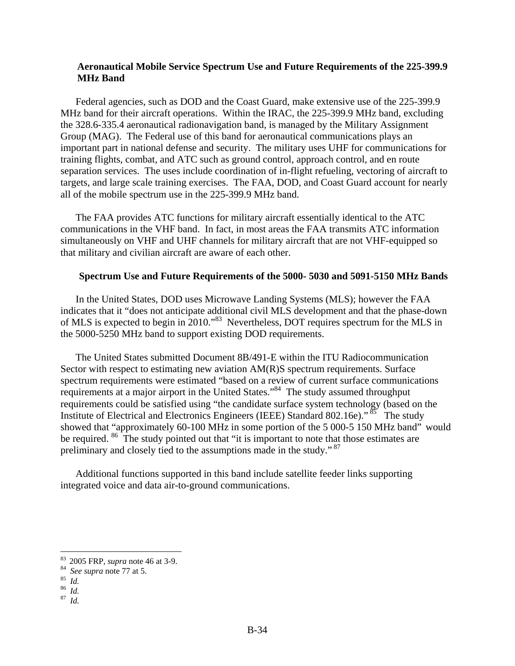### **Aeronautical Mobile Service Spectrum Use and Future Requirements of the 225-399.9 MHz Band**

Federal agencies, such as DOD and the Coast Guard, make extensive use of the 225-399.9 MHz band for their aircraft operations. Within the IRAC, the 225-399.9 MHz band, excluding the 328.6-335.4 aeronautical radionavigation band, is managed by the Military Assignment Group (MAG). The Federal use of this band for aeronautical communications plays an important part in national defense and security. The military uses UHF for communications for training flights, combat, and ATC such as ground control, approach control, and en route separation services. The uses include coordination of in-flight refueling, vectoring of aircraft to targets, and large scale training exercises. The FAA, DOD, and Coast Guard account for nearly all of the mobile spectrum use in the 225-399.9 MHz band.

The FAA provides ATC functions for military aircraft essentially identical to the ATC communications in the VHF band. In fact, in most areas the FAA transmits ATC information simultaneously on VHF and UHF channels for military aircraft that are not VHF-equipped so that military and civilian aircraft are aware of each other.

### **Spectrum Use and Future Requirements of the 5000- 5030 and 5091-5150 MHz Bands**

In the United States, DOD uses Microwave Landing Systems (MLS); however the FAA indicates that it "does not anticipate additional civil MLS development and that the phase-down of MLS is expected to begin in 2010."83 Nevertheless, DOT requires spectrum for the MLS in the 5000-5250 MHz band to support existing DOD requirements.

The United States submitted Document 8B/491-E within the ITU Radiocommunication Sector with respect to estimating new aviation AM(R)S spectrum requirements. Surface spectrum requirements were estimated "based on a review of current surface communications requirements at a major airport in the United States."84 The study assumed throughput requirements could be satisfied using "the candidate surface system technology (based on the Institute of Electrical and Electronics Engineers (IEEE) Standard 802.16e)."<sup>85</sup> The study showed that "approximately 60-100 MHz in some portion of the 5 000-5 150 MHz band" would be required. <sup>86</sup> The study pointed out that "it is important to note that those estimates are preliminary and closely tied to the assumptions made in the study."<sup>87</sup>

Additional functions supported in this band include satellite feeder links supporting integrated voice and data air-to-ground communications.

 $83$  2005 FRP, *supra* note 46 at 3-9.

<sup>83 2005</sup> FRP, *supra* note 46 at 3-9. <sup>84</sup>*See supra* note 77 at 5.<sup>85</sup>*Id.* 86 *Id.* 87 *Id.*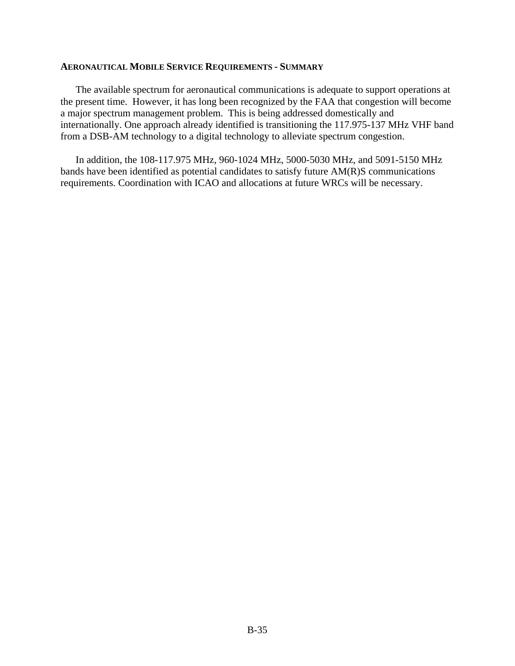### **AERONAUTICAL MOBILE SERVICE REQUIREMENTS - SUMMARY**

The available spectrum for aeronautical communications is adequate to support operations at the present time. However, it has long been recognized by the FAA that congestion will become a major spectrum management problem. This is being addressed domestically and internationally. One approach already identified is transitioning the 117.975-137 MHz VHF band from a DSB-AM technology to a digital technology to alleviate spectrum congestion.

In addition, the 108-117.975 MHz, 960-1024 MHz, 5000-5030 MHz, and 5091-5150 MHz bands have been identified as potential candidates to satisfy future AM(R)S communications requirements. Coordination with ICAO and allocations at future WRCs will be necessary.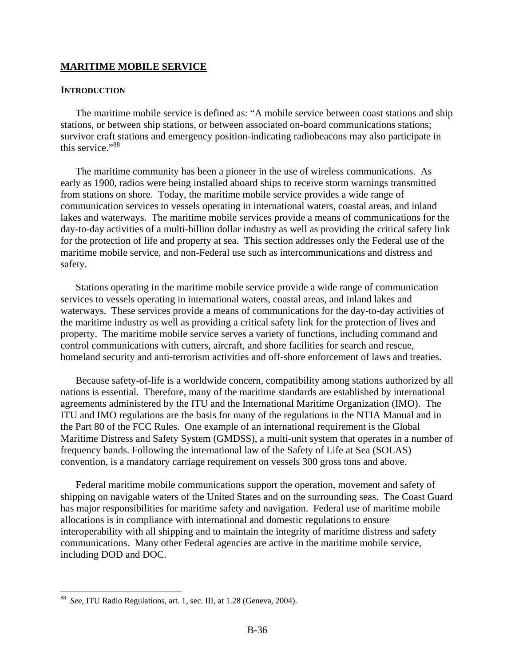### **MARITIME MOBILE SERVICE**

### **INTRODUCTION**

 The maritime mobile service is defined as: "A mobile service between coast stations and ship stations, or between ship stations, or between associated on-board communications stations; survivor craft stations and emergency position-indicating radiobeacons may also participate in this service."<sup>88</sup>

The maritime community has been a pioneer in the use of wireless communications. As early as 1900, radios were being installed aboard ships to receive storm warnings transmitted from stations on shore. Today, the maritime mobile service provides a wide range of communication services to vessels operating in international waters, coastal areas, and inland lakes and waterways. The maritime mobile services provide a means of communications for the day-to-day activities of a multi-billion dollar industry as well as providing the critical safety link for the protection of life and property at sea. This section addresses only the Federal use of the maritime mobile service, and non-Federal use such as intercommunications and distress and safety.

Stations operating in the maritime mobile service provide a wide range of communication services to vessels operating in international waters, coastal areas, and inland lakes and waterways. These services provide a means of communications for the day-to-day activities of the maritime industry as well as providing a critical safety link for the protection of lives and property. The maritime mobile service serves a variety of functions, including command and control communications with cutters, aircraft, and shore facilities for search and rescue, homeland security and anti-terrorism activities and off-shore enforcement of laws and treaties.

Because safety-of-life is a worldwide concern, compatibility among stations authorized by all nations is essential. Therefore, many of the maritime standards are established by international agreements administered by the ITU and the International Maritime Organization (IMO). The ITU and IMO regulations are the basis for many of the regulations in the NTIA Manual and in the Part 80 of the FCC Rules. One example of an international requirement is the Global Maritime Distress and Safety System (GMDSS), a multi-unit system that operates in a number of frequency bands. Following the international law of the Safety of Life at Sea (SOLAS) convention, is a mandatory carriage requirement on vessels 300 gross tons and above.

Federal maritime mobile communications support the operation, movement and safety of shipping on navigable waters of the United States and on the surrounding seas. The Coast Guard has major responsibilities for maritime safety and navigation. Federal use of maritime mobile allocations is in compliance with international and domestic regulations to ensure interoperability with all shipping and to maintain the integrity of maritime distress and safety communications. Many other Federal agencies are active in the maritime mobile service, including DOD and DOC.

<sup>88</sup> *See*, ITU Radio Regulations, art. 1, sec. III, at 1.28 (Geneva, 2004).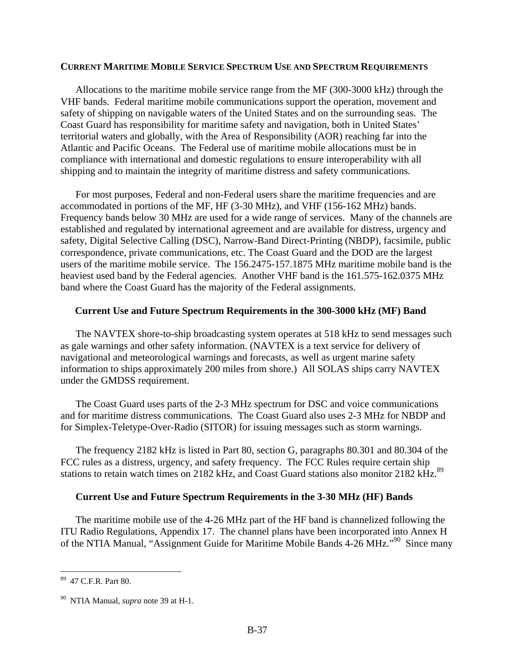### **CURRENT MARITIME MOBILE SERVICE SPECTRUM USE AND SPECTRUM REQUIREMENTS**

Allocations to the maritime mobile service range from the MF (300-3000 kHz) through the VHF bands. Federal maritime mobile communications support the operation, movement and safety of shipping on navigable waters of the United States and on the surrounding seas. The Coast Guard has responsibility for maritime safety and navigation, both in United States' territorial waters and globally, with the Area of Responsibility (AOR) reaching far into the Atlantic and Pacific Oceans. The Federal use of maritime mobile allocations must be in compliance with international and domestic regulations to ensure interoperability with all shipping and to maintain the integrity of maritime distress and safety communications.

For most purposes, Federal and non-Federal users share the maritime frequencies and are accommodated in portions of the MF, HF (3-30 MHz), and VHF (156-162 MHz) bands. Frequency bands below 30 MHz are used for a wide range of services. Many of the channels are established and regulated by international agreement and are available for distress, urgency and safety, Digital Selective Calling (DSC), Narrow-Band Direct-Printing (NBDP), facsimile, public correspondence, private communications, etc. The Coast Guard and the DOD are the largest users of the maritime mobile service. The 156.2475-157.1875 MHz maritime mobile band is the heaviest used band by the Federal agencies. Another VHF band is the 161.575-162.0375 MHz band where the Coast Guard has the majority of the Federal assignments.

### **Current Use and Future Spectrum Requirements in the 300-3000 kHz (MF) Band**

The NAVTEX shore-to-ship broadcasting system operates at 518 kHz to send messages such as gale warnings and other safety information. (NAVTEX is a text service for delivery of navigational and meteorological warnings and forecasts, as well as urgent marine safety information to ships approximately 200 miles from shore.) All SOLAS ships carry NAVTEX under the GMDSS requirement.

The Coast Guard uses parts of the 2-3 MHz spectrum for DSC and voice communications and for maritime distress communications. The Coast Guard also uses 2-3 MHz for NBDP and for Simplex-Teletype-Over-Radio (SITOR) for issuing messages such as storm warnings.

The frequency 2182 kHz is listed in Part 80, section G, paragraphs 80.301 and 80.304 of the FCC rules as a distress, urgency, and safety frequency. The FCC Rules require certain ship stations to retain watch times on 2182 kHz, and Coast Guard stations also monitor 2182 kHz.<sup>89</sup>

### **Current Use and Future Spectrum Requirements in the 3-30 MHz (HF) Bands**

The maritime mobile use of the 4-26 MHz part of the HF band is channelized following the ITU Radio Regulations, Appendix 17. The channel plans have been incorporated into Annex H of the NTIA Manual, "Assignment Guide for Maritime Mobile Bands 4-26 MHz."90 Since many

<sup>89 47</sup> C.F.R. Part 80.

<sup>90</sup> NTIA Manual, *supra* note 39 at H-1.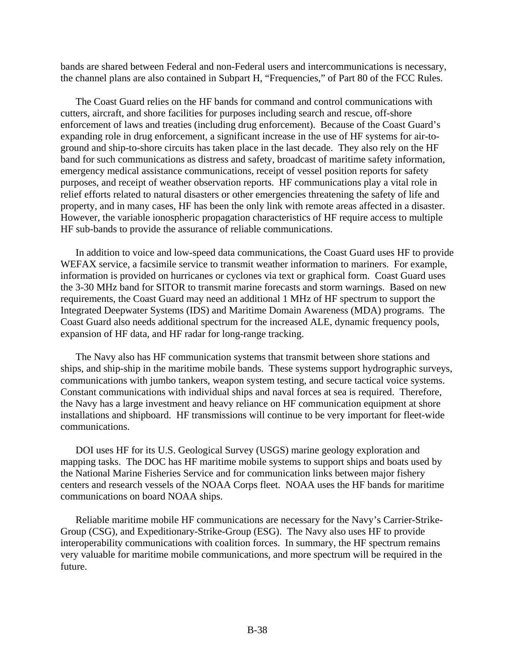bands are shared between Federal and non-Federal users and intercommunications is necessary, the channel plans are also contained in Subpart H, "Frequencies," of Part 80 of the FCC Rules.

The Coast Guard relies on the HF bands for command and control communications with cutters, aircraft, and shore facilities for purposes including search and rescue, off-shore enforcement of laws and treaties (including drug enforcement). Because of the Coast Guard's expanding role in drug enforcement, a significant increase in the use of HF systems for air-toground and ship-to-shore circuits has taken place in the last decade. They also rely on the HF band for such communications as distress and safety, broadcast of maritime safety information, emergency medical assistance communications, receipt of vessel position reports for safety purposes, and receipt of weather observation reports. HF communications play a vital role in relief efforts related to natural disasters or other emergencies threatening the safety of life and property, and in many cases, HF has been the only link with remote areas affected in a disaster. However, the variable ionospheric propagation characteristics of HF require access to multiple HF sub-bands to provide the assurance of reliable communications.

In addition to voice and low-speed data communications, the Coast Guard uses HF to provide WEFAX service, a facsimile service to transmit weather information to mariners. For example, information is provided on hurricanes or cyclones via text or graphical form. Coast Guard uses the 3-30 MHz band for SITOR to transmit marine forecasts and storm warnings. Based on new requirements, the Coast Guard may need an additional 1 MHz of HF spectrum to support the Integrated Deepwater Systems (IDS) and Maritime Domain Awareness (MDA) programs. The Coast Guard also needs additional spectrum for the increased ALE, dynamic frequency pools, expansion of HF data, and HF radar for long-range tracking.

The Navy also has HF communication systems that transmit between shore stations and ships, and ship-ship in the maritime mobile bands. These systems support hydrographic surveys, communications with jumbo tankers, weapon system testing, and secure tactical voice systems. Constant communications with individual ships and naval forces at sea is required. Therefore, the Navy has a large investment and heavy reliance on HF communication equipment at shore installations and shipboard. HF transmissions will continue to be very important for fleet-wide communications.

DOI uses HF for its U.S. Geological Survey (USGS) marine geology exploration and mapping tasks. The DOC has HF maritime mobile systems to support ships and boats used by the National Marine Fisheries Service and for communication links between major fishery centers and research vessels of the NOAA Corps fleet. NOAA uses the HF bands for maritime communications on board NOAA ships.

Reliable maritime mobile HF communications are necessary for the Navy's Carrier-Strike-Group (CSG), and Expeditionary-Strike-Group (ESG). The Navy also uses HF to provide interoperability communications with coalition forces. In summary, the HF spectrum remains very valuable for maritime mobile communications, and more spectrum will be required in the future.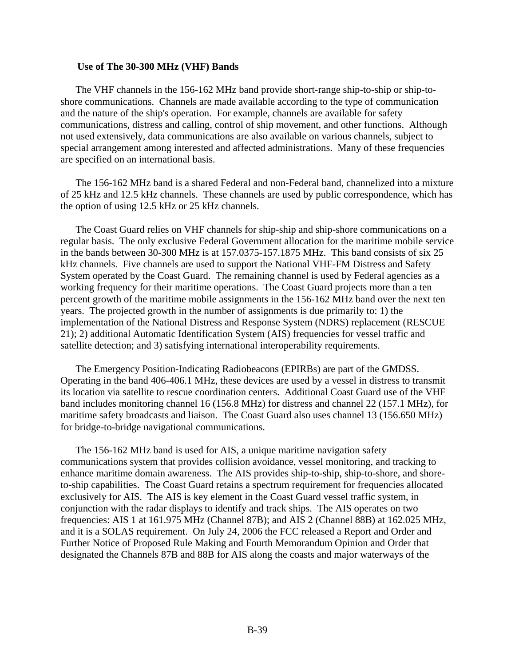### **Use of The 30-300 MHz (VHF) Bands**

The VHF channels in the 156-162 MHz band provide short-range ship-to-ship or ship-toshore communications. Channels are made available according to the type of communication and the nature of the ship's operation. For example, channels are available for safety communications, distress and calling, control of ship movement, and other functions. Although not used extensively, data communications are also available on various channels, subject to special arrangement among interested and affected administrations. Many of these frequencies are specified on an international basis.

The 156-162 MHz band is a shared Federal and non-Federal band, channelized into a mixture of 25 kHz and 12.5 kHz channels. These channels are used by public correspondence, which has the option of using 12.5 kHz or 25 kHz channels.

The Coast Guard relies on VHF channels for ship-ship and ship-shore communications on a regular basis. The only exclusive Federal Government allocation for the maritime mobile service in the bands between 30-300 MHz is at 157.0375-157.1875 MHz. This band consists of six 25 kHz channels. Five channels are used to support the National VHF-FM Distress and Safety System operated by the Coast Guard. The remaining channel is used by Federal agencies as a working frequency for their maritime operations. The Coast Guard projects more than a ten percent growth of the maritime mobile assignments in the 156-162 MHz band over the next ten years. The projected growth in the number of assignments is due primarily to: 1) the implementation of the National Distress and Response System (NDRS) replacement (RESCUE 21); 2) additional Automatic Identification System (AIS) frequencies for vessel traffic and satellite detection; and 3) satisfying international interoperability requirements.

The Emergency Position-Indicating Radiobeacons (EPIRBs) are part of the GMDSS. Operating in the band 406-406.1 MHz, these devices are used by a vessel in distress to transmit its location via satellite to rescue coordination centers. Additional Coast Guard use of the VHF band includes monitoring channel 16 (156.8 MHz) for distress and channel 22 (157.1 MHz), for maritime safety broadcasts and liaison. The Coast Guard also uses channel 13 (156.650 MHz) for bridge-to-bridge navigational communications.

The 156-162 MHz band is used for AIS, a unique maritime navigation safety communications system that provides collision avoidance, vessel monitoring, and tracking to enhance maritime domain awareness. The AIS provides ship-to-ship, ship-to-shore, and shoreto-ship capabilities. The Coast Guard retains a spectrum requirement for frequencies allocated exclusively for AIS. The AIS is key element in the Coast Guard vessel traffic system, in conjunction with the radar displays to identify and track ships. The AIS operates on two frequencies: AIS 1 at 161.975 MHz (Channel 87B); and AIS 2 (Channel 88B) at 162.025 MHz, and it is a SOLAS requirement. On July 24, 2006 the FCC released a Report and Order and Further Notice of Proposed Rule Making and Fourth Memorandum Opinion and Order that designated the Channels 87B and 88B for AIS along the coasts and major waterways of the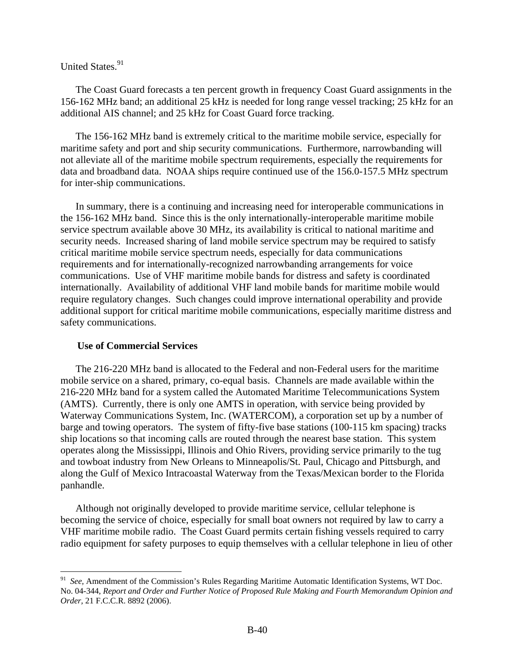# United States.<sup>91</sup>

The Coast Guard forecasts a ten percent growth in frequency Coast Guard assignments in the 156-162 MHz band; an additional 25 kHz is needed for long range vessel tracking; 25 kHz for an additional AIS channel; and 25 kHz for Coast Guard force tracking.

The 156-162 MHz band is extremely critical to the maritime mobile service, especially for maritime safety and port and ship security communications. Furthermore, narrowbanding will not alleviate all of the maritime mobile spectrum requirements, especially the requirements for data and broadband data. NOAA ships require continued use of the 156.0-157.5 MHz spectrum for inter-ship communications.

In summary, there is a continuing and increasing need for interoperable communications in the 156-162 MHz band. Since this is the only internationally-interoperable maritime mobile service spectrum available above 30 MHz, its availability is critical to national maritime and security needs. Increased sharing of land mobile service spectrum may be required to satisfy critical maritime mobile service spectrum needs, especially for data communications requirements and for internationally-recognized narrowbanding arrangements for voice communications. Use of VHF maritime mobile bands for distress and safety is coordinated internationally. Availability of additional VHF land mobile bands for maritime mobile would require regulatory changes. Such changes could improve international operability and provide additional support for critical maritime mobile communications, especially maritime distress and safety communications.

### **Use of Commercial Services**

 $\overline{a}$ 

The 216-220 MHz band is allocated to the Federal and non-Federal users for the maritime mobile service on a shared, primary, co-equal basis. Channels are made available within the 216-220 MHz band for a system called the Automated Maritime Telecommunications System (AMTS). Currently, there is only one AMTS in operation, with service being provided by Waterway Communications System, Inc. (WATERCOM), a corporation set up by a number of barge and towing operators. The system of fifty-five base stations (100-115 km spacing) tracks ship locations so that incoming calls are routed through the nearest base station. This system operates along the Mississippi, Illinois and Ohio Rivers, providing service primarily to the tug and towboat industry from New Orleans to Minneapolis/St. Paul, Chicago and Pittsburgh, and along the Gulf of Mexico Intracoastal Waterway from the Texas/Mexican border to the Florida panhandle.

Although not originally developed to provide maritime service, cellular telephone is becoming the service of choice, especially for small boat owners not required by law to carry a VHF maritime mobile radio. The Coast Guard permits certain fishing vessels required to carry radio equipment for safety purposes to equip themselves with a cellular telephone in lieu of other

<sup>&</sup>lt;sup>91</sup> See, Amendment of the Commission's Rules Regarding Maritime Automatic Identification Systems, WT Doc. No. 04-344, *Report and Order and Further Notice of Proposed Rule Making and Fourth Memorandum Opinion and Order,* 21 F.C.C.R. 8892 (2006).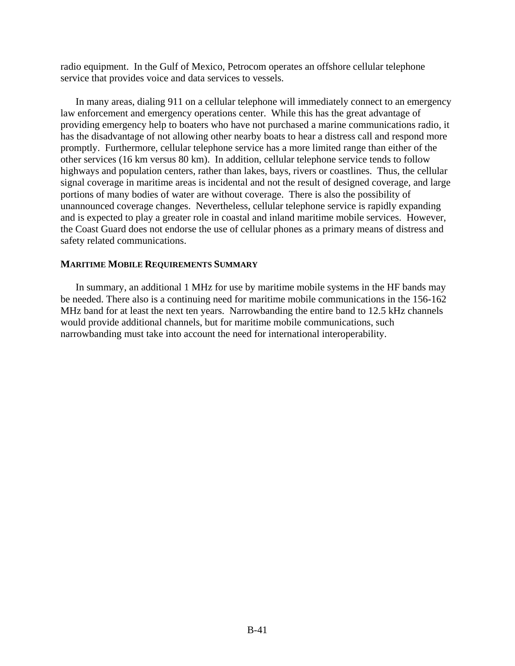radio equipment. In the Gulf of Mexico, Petrocom operates an offshore cellular telephone service that provides voice and data services to vessels.

In many areas, dialing 911 on a cellular telephone will immediately connect to an emergency law enforcement and emergency operations center. While this has the great advantage of providing emergency help to boaters who have not purchased a marine communications radio, it has the disadvantage of not allowing other nearby boats to hear a distress call and respond more promptly. Furthermore, cellular telephone service has a more limited range than either of the other services (16 km versus 80 km). In addition, cellular telephone service tends to follow highways and population centers, rather than lakes, bays, rivers or coastlines. Thus, the cellular signal coverage in maritime areas is incidental and not the result of designed coverage, and large portions of many bodies of water are without coverage. There is also the possibility of unannounced coverage changes. Nevertheless, cellular telephone service is rapidly expanding and is expected to play a greater role in coastal and inland maritime mobile services. However, the Coast Guard does not endorse the use of cellular phones as a primary means of distress and safety related communications.

### **MARITIME MOBILE REQUIREMENTS SUMMARY**

In summary, an additional 1 MHz for use by maritime mobile systems in the HF bands may be needed. There also is a continuing need for maritime mobile communications in the 156-162 MHz band for at least the next ten years. Narrowbanding the entire band to 12.5 kHz channels would provide additional channels, but for maritime mobile communications, such narrowbanding must take into account the need for international interoperability.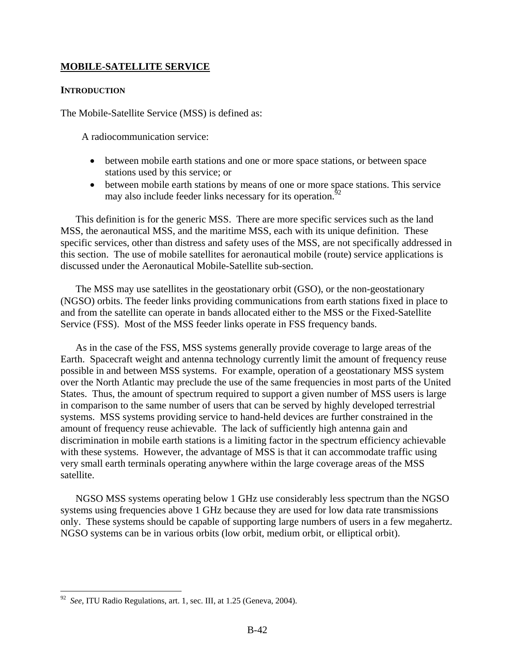# **MOBILE-SATELLITE SERVICE**

### **INTRODUCTION**

The Mobile-Satellite Service (MSS) is defined as:

A radiocommunication service:

- between mobile earth stations and one or more space stations, or between space stations used by this service; or
- between mobile earth stations by means of one or more space stations. This service may also include feeder links necessary for its operation.<sup>92</sup>

This definition is for the generic MSS. There are more specific services such as the land MSS, the aeronautical MSS, and the maritime MSS, each with its unique definition. These specific services, other than distress and safety uses of the MSS, are not specifically addressed in this section. The use of mobile satellites for aeronautical mobile (route) service applications is discussed under the Aeronautical Mobile-Satellite sub-section.

The MSS may use satellites in the geostationary orbit (GSO), or the non-geostationary (NGSO) orbits. The feeder links providing communications from earth stations fixed in place to and from the satellite can operate in bands allocated either to the MSS or the Fixed-Satellite Service (FSS). Most of the MSS feeder links operate in FSS frequency bands.

As in the case of the FSS, MSS systems generally provide coverage to large areas of the Earth. Spacecraft weight and antenna technology currently limit the amount of frequency reuse possible in and between MSS systems. For example, operation of a geostationary MSS system over the North Atlantic may preclude the use of the same frequencies in most parts of the United States. Thus, the amount of spectrum required to support a given number of MSS users is large in comparison to the same number of users that can be served by highly developed terrestrial systems. MSS systems providing service to hand-held devices are further constrained in the amount of frequency reuse achievable. The lack of sufficiently high antenna gain and discrimination in mobile earth stations is a limiting factor in the spectrum efficiency achievable with these systems. However, the advantage of MSS is that it can accommodate traffic using very small earth terminals operating anywhere within the large coverage areas of the MSS satellite.

NGSO MSS systems operating below 1 GHz use considerably less spectrum than the NGSO systems using frequencies above 1 GHz because they are used for low data rate transmissions only. These systems should be capable of supporting large numbers of users in a few megahertz. NGSO systems can be in various orbits (low orbit, medium orbit, or elliptical orbit).

<u>.</u>

<sup>92</sup> *See*, ITU Radio Regulations, art. 1, sec. III, at 1.25 (Geneva, 2004).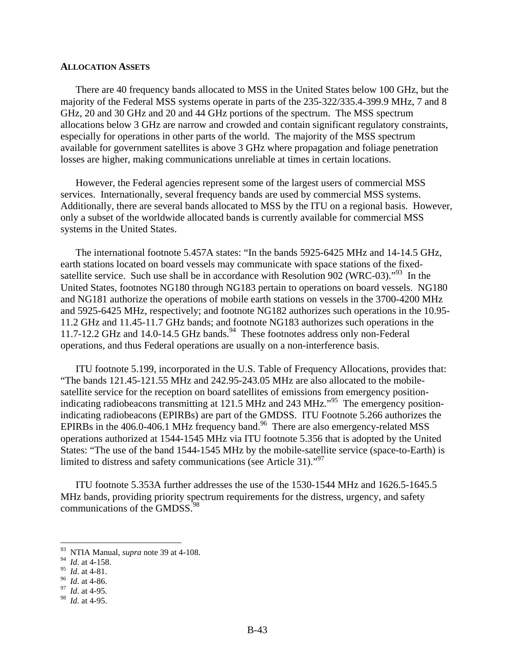#### **ALLOCATION ASSETS**

There are 40 frequency bands allocated to MSS in the United States below 100 GHz, but the majority of the Federal MSS systems operate in parts of the 235-322/335.4-399.9 MHz, 7 and 8 GHz, 20 and 30 GHz and 20 and 44 GHz portions of the spectrum. The MSS spectrum allocations below 3 GHz are narrow and crowded and contain significant regulatory constraints, especially for operations in other parts of the world. The majority of the MSS spectrum available for government satellites is above 3 GHz where propagation and foliage penetration losses are higher, making communications unreliable at times in certain locations.

However, the Federal agencies represent some of the largest users of commercial MSS services. Internationally, several frequency bands are used by commercial MSS systems. Additionally, there are several bands allocated to MSS by the ITU on a regional basis. However, only a subset of the worldwide allocated bands is currently available for commercial MSS systems in the United States.

The international footnote 5.457A states: "In the bands 5925-6425 MHz and 14-14.5 GHz, earth stations located on board vessels may communicate with space stations of the fixedsatellite service. Such use shall be in accordance with Resolution 902 (WRC-03).<sup>"93</sup> In the United States, footnotes NG180 through NG183 pertain to operations on board vessels. NG180 and NG181 authorize the operations of mobile earth stations on vessels in the 3700-4200 MHz and 5925-6425 MHz, respectively; and footnote NG182 authorizes such operations in the 10.95- 11.2 GHz and 11.45-11.7 GHz bands; and footnote NG183 authorizes such operations in the 11.7-12.2 GHz and 14.0-14.5 GHz bands.<sup>94</sup> These footnotes address only non-Federal operations, and thus Federal operations are usually on a non-interference basis.

ITU footnote 5.199, incorporated in the U.S. Table of Frequency Allocations, provides that: "The bands 121.45-121.55 MHz and 242.95-243.05 MHz are also allocated to the mobilesatellite service for the reception on board satellites of emissions from emergency positionindicating radiobeacons transmitting at 121.5 MHz and 243 MHz."95 The emergency positionindicating radiobeacons (EPIRBs) are part of the GMDSS. ITU Footnote 5.266 authorizes the EPIRBs in the  $406.0-406.1$  MHz frequency band.<sup>96</sup> There are also emergency-related MSS operations authorized at 1544-1545 MHz via ITU footnote 5.356 that is adopted by the United States: "The use of the band 1544-1545 MHz by the mobile-satellite service (space-to-Earth) is limited to distress and safety communications (see Article 31)."<sup>97</sup>

ITU footnote 5.353A further addresses the use of the 1530-1544 MHz and 1626.5-1645.5 MHz bands, providing priority spectrum requirements for the distress, urgency, and safety communications of the GMDSS.<sup>98</sup>

<sup>93</sup> NTIA Manual, *supra* note 39 at 4-108.

<sup>&</sup>lt;sup>94</sup> *Id.* at 4-158.<br><sup>95</sup> *Id.* at 4-81.

<sup>95</sup>*Id*. at 4-81. 96 *Id*. at 4-86. 97 *Id*. at 4-95.

<sup>98</sup> *Id*. at 4-95.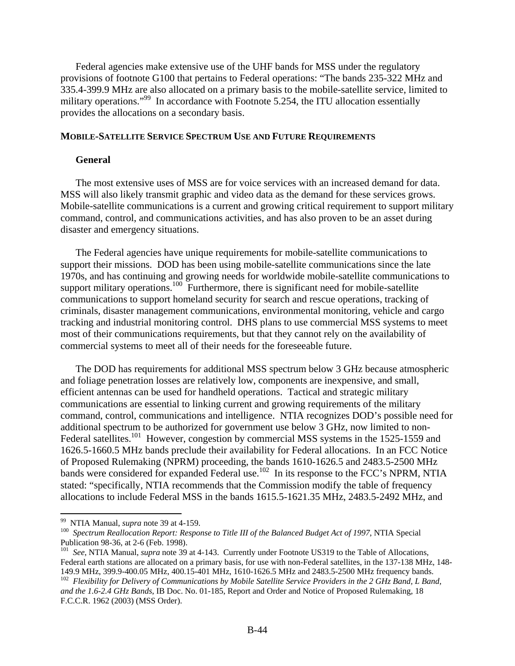Federal agencies make extensive use of the UHF bands for MSS under the regulatory provisions of footnote G100 that pertains to Federal operations: "The bands 235-322 MHz and 335.4-399.9 MHz are also allocated on a primary basis to the mobile-satellite service, limited to military operations."<sup>99</sup> In accordance with Footnote 5.254, the ITU allocation essentially provides the allocations on a secondary basis.

### **MOBILE-SATELLITE SERVICE SPECTRUM USE AND FUTURE REQUIREMENTS**

### **General**

The most extensive uses of MSS are for voice services with an increased demand for data. MSS will also likely transmit graphic and video data as the demand for these services grows. Mobile-satellite communications is a current and growing critical requirement to support military command, control, and communications activities, and has also proven to be an asset during disaster and emergency situations.

The Federal agencies have unique requirements for mobile-satellite communications to support their missions. DOD has been using mobile-satellite communications since the late 1970s, and has continuing and growing needs for worldwide mobile-satellite communications to support military operations.<sup>100</sup> Furthermore, there is significant need for mobile-satellite communications to support homeland security for search and rescue operations, tracking of criminals, disaster management communications, environmental monitoring, vehicle and cargo tracking and industrial monitoring control. DHS plans to use commercial MSS systems to meet most of their communications requirements, but that they cannot rely on the availability of commercial systems to meet all of their needs for the foreseeable future.

The DOD has requirements for additional MSS spectrum below 3 GHz because atmospheric and foliage penetration losses are relatively low, components are inexpensive, and small, efficient antennas can be used for handheld operations. Tactical and strategic military communications are essential to linking current and growing requirements of the military command, control, communications and intelligence. NTIA recognizes DOD's possible need for additional spectrum to be authorized for government use below 3 GHz, now limited to non-Federal satellites.<sup>101</sup> However, congestion by commercial MSS systems in the 1525-1559 and 1626.5-1660.5 MHz bands preclude their availability for Federal allocations. In an FCC Notice of Proposed Rulemaking (NPRM) proceeding, the bands 1610-1626.5 and 2483.5-2500 MHz bands were considered for expanded Federal use.<sup>102</sup> In its response to the FCC's NPRM, NTIA stated: "specifically, NTIA recommends that the Commission modify the table of frequency allocations to include Federal MSS in the bands 1615.5-1621.35 MHz, 2483.5-2492 MHz, and

<sup>&</sup>lt;sup>99</sup> NTIA Manual, *supra* note 39 at 4-159.<br><sup>100</sup> *Spectrum Reallocation Report: Response to Title III of the Balanced Budget Act of 1997*, NTIA Special Publication 98-36, at 2-6 (Feb. 1998).

<sup>&</sup>lt;sup>101</sup> *See*, NTIA Manual, *supra* note 39 at 4-143. Currently under Footnote US319 to the Table of Allocations, Federal earth stations are allocated on a primary basis, for use with non-Federal satellites, in the 137-138 MHz, 148- 149.9 MHz, 399.9-400.05 MHz, 400.15-401 MHz, 1610-1626.5 MHz and 2483.5-2500 MHz frequency bands.

<sup>102</sup> *Flexibility for Delivery of Communications by Mobile Satellite Service Providers in the 2 GHz Band, L Band, and the 1.6-2.4 GHz Bands*, IB Doc. No. 01-185, Report and Order and Notice of Proposed Rulemaking, 18 F.C.C.R. 1962 (2003) (MSS Order).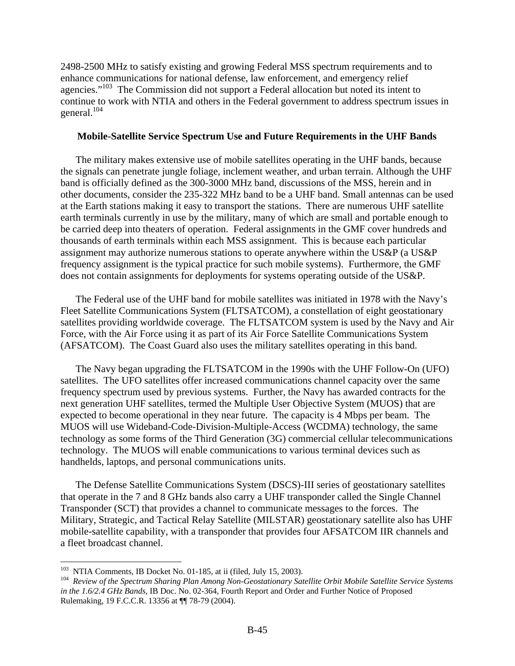2498-2500 MHz to satisfy existing and growing Federal MSS spectrum requirements and to enhance communications for national defense, law enforcement, and emergency relief agencies."<sup>103</sup> The Commission did not support a Federal allocation but noted its intent to continue to work with NTIA and others in the Federal government to address spectrum issues in general.<sup>104</sup>

### **Mobile-Satellite Service Spectrum Use and Future Requirements in the UHF Bands**

The military makes extensive use of mobile satellites operating in the UHF bands, because the signals can penetrate jungle foliage, inclement weather, and urban terrain. Although the UHF band is officially defined as the 300-3000 MHz band, discussions of the MSS, herein and in other documents, consider the 235-322 MHz band to be a UHF band. Small antennas can be used at the Earth stations making it easy to transport the stations. There are numerous UHF satellite earth terminals currently in use by the military, many of which are small and portable enough to be carried deep into theaters of operation. Federal assignments in the GMF cover hundreds and thousands of earth terminals within each MSS assignment. This is because each particular assignment may authorize numerous stations to operate anywhere within the US&P (a US&P frequency assignment is the typical practice for such mobile systems). Furthermore, the GMF does not contain assignments for deployments for systems operating outside of the US&P.

The Federal use of the UHF band for mobile satellites was initiated in 1978 with the Navy's Fleet Satellite Communications System (FLTSATCOM), a constellation of eight geostationary satellites providing worldwide coverage. The FLTSATCOM system is used by the Navy and Air Force, with the Air Force using it as part of its Air Force Satellite Communications System (AFSATCOM). The Coast Guard also uses the military satellites operating in this band.

The Navy began upgrading the FLTSATCOM in the 1990s with the UHF Follow-On (UFO) satellites. The UFO satellites offer increased communications channel capacity over the same frequency spectrum used by previous systems. Further, the Navy has awarded contracts for the next generation UHF satellites, termed the Multiple User Objective System (MUOS) that are expected to become operational in they near future. The capacity is 4 Mbps per beam. The MUOS will use Wideband-Code-Division-Multiple-Access (WCDMA) technology, the same technology as some forms of the Third Generation (3G) commercial cellular telecommunications technology. The MUOS will enable communications to various terminal devices such as handhelds, laptops, and personal communications units.

The Defense Satellite Communications System (DSCS)-III series of geostationary satellites that operate in the 7 and 8 GHz bands also carry a UHF transponder called the Single Channel Transponder (SCT) that provides a channel to communicate messages to the forces. The Military, Strategic, and Tactical Relay Satellite (MILSTAR) geostationary satellite also has UHF mobile-satellite capability, with a transponder that provides four AFSATCOM IIR channels and a fleet broadcast channel.

 $103$  NTIA Comments, IB Docket No. 01-185, at ii (filed, July 15, 2003).

<sup>&</sup>lt;sup>104</sup> Review of the Spectrum Sharing Plan Among Non-Geostationary Satellite Orbit Mobile Satellite Service Systems *in the 1.6/2.4 GHz Bands,* IB Doc. No. 02-364, Fourth Report and Order and Further Notice of Proposed Rulemaking, 19 F.C.C.R. 13356 at ¶¶ 78-79 (2004).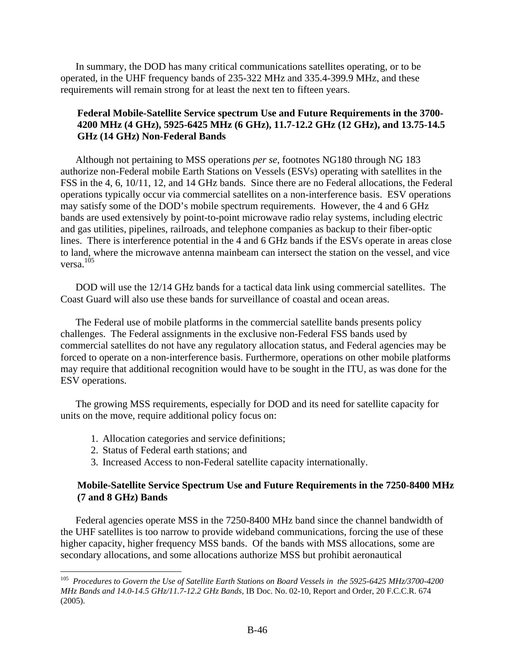In summary, the DOD has many critical communications satellites operating, or to be operated, in the UHF frequency bands of 235-322 MHz and 335.4-399.9 MHz, and these requirements will remain strong for at least the next ten to fifteen years.

# **Federal Mobile-Satellite Service spectrum Use and Future Requirements in the 3700- 4200 MHz (4 GHz), 5925-6425 MHz (6 GHz), 11.7-12.2 GHz (12 GHz), and 13.75-14.5 GHz (14 GHz) Non-Federal Bands**

Although not pertaining to MSS operations *per se*, footnotes NG180 through NG 183 authorize non-Federal mobile Earth Stations on Vessels (ESVs) operating with satellites in the FSS in the 4, 6, 10/11, 12, and 14 GHz bands. Since there are no Federal allocations, the Federal operations typically occur via commercial satellites on a non-interference basis. ESV operations may satisfy some of the DOD's mobile spectrum requirements. However, the 4 and 6 GHz bands are used extensively by point-to-point microwave radio relay systems, including electric and gas utilities, pipelines, railroads, and telephone companies as backup to their fiber-optic lines. There is interference potential in the 4 and 6 GHz bands if the ESVs operate in areas close to land, where the microwave antenna mainbeam can intersect the station on the vessel, and vice versa. $^{105}$ 

DOD will use the 12/14 GHz bands for a tactical data link using commercial satellites. The Coast Guard will also use these bands for surveillance of coastal and ocean areas.

The Federal use of mobile platforms in the commercial satellite bands presents policy challenges. The Federal assignments in the exclusive non-Federal FSS bands used by commercial satellites do not have any regulatory allocation status, and Federal agencies may be forced to operate on a non-interference basis. Furthermore, operations on other mobile platforms may require that additional recognition would have to be sought in the ITU, as was done for the ESV operations.

The growing MSS requirements, especially for DOD and its need for satellite capacity for units on the move, require additional policy focus on:

- 1. Allocation categories and service definitions;
- 2. Status of Federal earth stations; and

 $\overline{a}$ 

3. Increased Access to non-Federal satellite capacity internationally.

### **Mobile-Satellite Service Spectrum Use and Future Requirements in the 7250-8400 MHz (7 and 8 GHz) Bands**

Federal agencies operate MSS in the 7250-8400 MHz band since the channel bandwidth of the UHF satellites is too narrow to provide wideband communications, forcing the use of these higher capacity, higher frequency MSS bands. Of the bands with MSS allocations, some are secondary allocations, and some allocations authorize MSS but prohibit aeronautical

<sup>105</sup> *Procedures to Govern the Use of Satellite Earth Stations on Board Vessels in the 5925-6425 MHz/3700-4200 MHz Bands and 14.0-14.5 GHz/11.7-12.2 GHz Bands*, IB Doc. No. 02-10, Report and Order, 20 F.C.C.R. 674 (2005).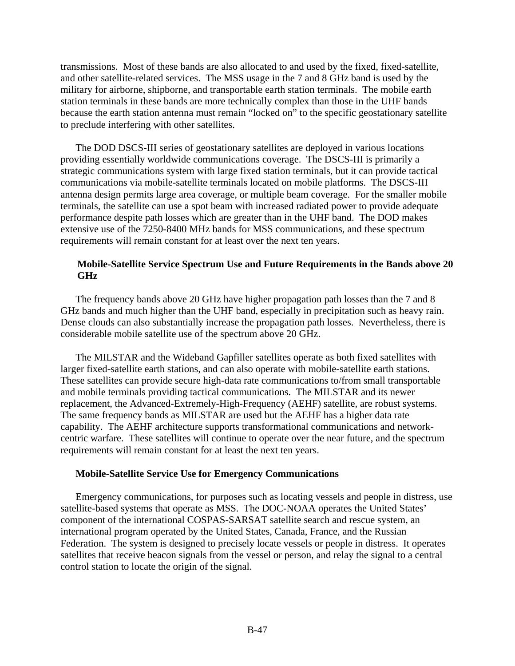transmissions. Most of these bands are also allocated to and used by the fixed, fixed-satellite, and other satellite-related services. The MSS usage in the 7 and 8 GHz band is used by the military for airborne, shipborne, and transportable earth station terminals. The mobile earth station terminals in these bands are more technically complex than those in the UHF bands because the earth station antenna must remain "locked on" to the specific geostationary satellite to preclude interfering with other satellites.

The DOD DSCS-III series of geostationary satellites are deployed in various locations providing essentially worldwide communications coverage. The DSCS-III is primarily a strategic communications system with large fixed station terminals, but it can provide tactical communications via mobile-satellite terminals located on mobile platforms. The DSCS-III antenna design permits large area coverage, or multiple beam coverage. For the smaller mobile terminals, the satellite can use a spot beam with increased radiated power to provide adequate performance despite path losses which are greater than in the UHF band. The DOD makes extensive use of the 7250-8400 MHz bands for MSS communications, and these spectrum requirements will remain constant for at least over the next ten years.

# **Mobile-Satellite Service Spectrum Use and Future Requirements in the Bands above 20 GHz**

 The frequency bands above 20 GHz have higher propagation path losses than the 7 and 8 GHz bands and much higher than the UHF band, especially in precipitation such as heavy rain. Dense clouds can also substantially increase the propagation path losses. Nevertheless, there is considerable mobile satellite use of the spectrum above 20 GHz.

 The MILSTAR and the Wideband Gapfiller satellites operate as both fixed satellites with larger fixed-satellite earth stations, and can also operate with mobile-satellite earth stations. These satellites can provide secure high-data rate communications to/from small transportable and mobile terminals providing tactical communications. The MILSTAR and its newer replacement, the Advanced-Extremely-High-Frequency (AEHF) satellite, are robust systems. The same frequency bands as MILSTAR are used but the AEHF has a higher data rate capability. The AEHF architecture supports transformational communications and networkcentric warfare. These satellites will continue to operate over the near future, and the spectrum requirements will remain constant for at least the next ten years.

### **Mobile-Satellite Service Use for Emergency Communications**

 Emergency communications, for purposes such as locating vessels and people in distress, use satellite-based systems that operate as MSS. The DOC-NOAA operates the United States' component of the international COSPAS-SARSAT satellite search and rescue system, an international program operated by the United States, Canada, France, and the Russian Federation. The system is designed to precisely locate vessels or people in distress. It operates satellites that receive beacon signals from the vessel or person, and relay the signal to a central control station to locate the origin of the signal.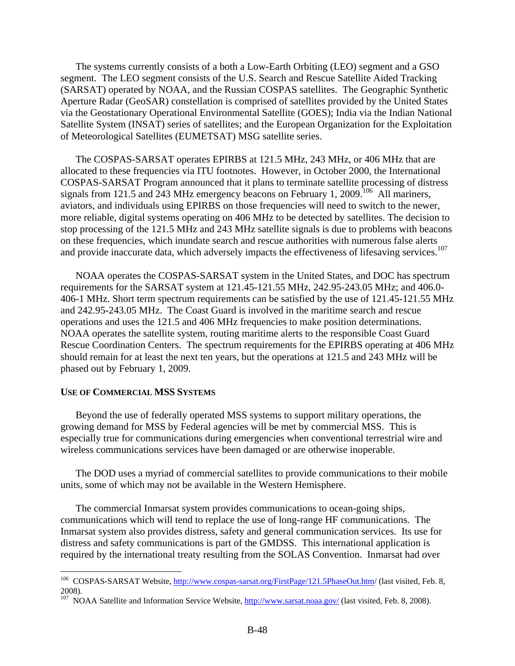The systems currently consists of a both a Low-Earth Orbiting (LEO) segment and a GSO segment. The LEO segment consists of the U.S. Search and Rescue Satellite Aided Tracking (SARSAT) operated by NOAA, and the Russian COSPAS satellites. The Geographic Synthetic Aperture Radar (GeoSAR) constellation is comprised of satellites provided by the United States via the Geostationary Operational Environmental Satellite (GOES); India via the Indian National Satellite System (INSAT) series of satellites; and the European Organization for the Exploitation of Meteorological Satellites (EUMETSAT) MSG satellite series.

 The COSPAS-SARSAT operates EPIRBS at 121.5 MHz, 243 MHz, or 406 MHz that are allocated to these frequencies via ITU footnotes. However, in October 2000, the International COSPAS-SARSAT Program announced that it plans to terminate satellite processing of distress signals from 121.5 and 243 MHz emergency beacons on February 1, 2009.<sup>106</sup> All mariners, aviators, and individuals using EPIRBS on those frequencies will need to switch to the newer, more reliable, digital systems operating on 406 MHz to be detected by satellites. The decision to stop processing of the 121.5 MHz and 243 MHz satellite signals is due to problems with beacons on these frequencies, which inundate search and rescue authorities with numerous false alerts and provide inaccurate data, which adversely impacts the effectiveness of lifesaving services.<sup>107</sup>

 NOAA operates the COSPAS-SARSAT system in the United States, and DOC has spectrum requirements for the SARSAT system at 121.45-121.55 MHz, 242.95-243.05 MHz; and 406.0- 406-1 MHz. Short term spectrum requirements can be satisfied by the use of 121.45-121.55 MHz and 242.95-243.05 MHz. The Coast Guard is involved in the maritime search and rescue operations and uses the 121.5 and 406 MHz frequencies to make position determinations. NOAA operates the satellite system, routing maritime alerts to the responsible Coast Guard Rescue Coordination Centers. The spectrum requirements for the EPIRBS operating at 406 MHz should remain for at least the next ten years, but the operations at 121.5 and 243 MHz will be phased out by February 1, 2009.

### **USE OF COMMERCIAL MSS SYSTEMS**

1

 Beyond the use of federally operated MSS systems to support military operations, the growing demand for MSS by Federal agencies will be met by commercial MSS. This is especially true for communications during emergencies when conventional terrestrial wire and wireless communications services have been damaged or are otherwise inoperable.

 The DOD uses a myriad of commercial satellites to provide communications to their mobile units, some of which may not be available in the Western Hemisphere.

 The commercial Inmarsat system provides communications to ocean-going ships, communications which will tend to replace the use of long-range HF communications. The Inmarsat system also provides distress, safety and general communication services. Its use for distress and safety communications is part of the GMDSS. This international application is required by the international treaty resulting from the SOLAS Convention. Inmarsat had over

<sup>&</sup>lt;sup>106</sup> COSPAS-SARSAT Website, http://www.cospas-sarsat.org/FirstPage/121.5PhaseOut.htm/ (last visited, Feb. 8, 2008).

<sup>&</sup>lt;sup>107</sup> NOAA Satellite and Information Service Website,  $\frac{http://www.sarsat.noaa.gov/}{http://www.sarsat.noaa.gov/}$  (last visited, Feb. 8, 2008).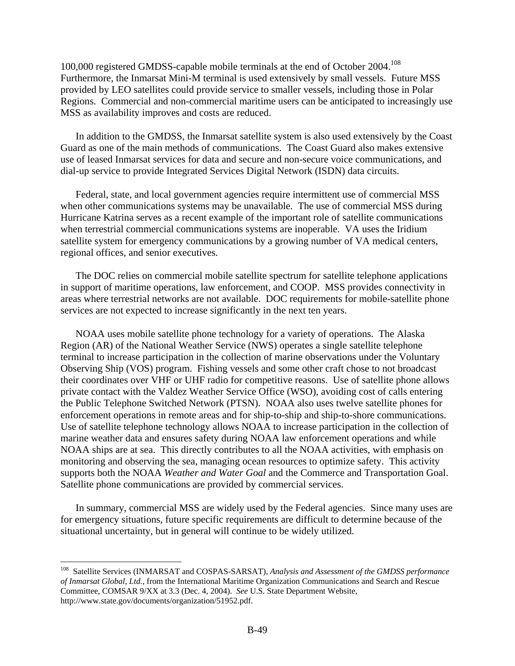100,000 registered GMDSS-capable mobile terminals at the end of October 2004.108 Furthermore, the Inmarsat Mini-M terminal is used extensively by small vessels. Future MSS provided by LEO satellites could provide service to smaller vessels, including those in Polar Regions. Commercial and non-commercial maritime users can be anticipated to increasingly use MSS as availability improves and costs are reduced.

 In addition to the GMDSS, the Inmarsat satellite system is also used extensively by the Coast Guard as one of the main methods of communications. The Coast Guard also makes extensive use of leased Inmarsat services for data and secure and non-secure voice communications, and dial-up service to provide Integrated Services Digital Network (ISDN) data circuits.

 Federal, state, and local government agencies require intermittent use of commercial MSS when other communications systems may be unavailable. The use of commercial MSS during Hurricane Katrina serves as a recent example of the important role of satellite communications when terrestrial commercial communications systems are inoperable. VA uses the Iridium satellite system for emergency communications by a growing number of VA medical centers, regional offices, and senior executives.

The DOC relies on commercial mobile satellite spectrum for satellite telephone applications in support of maritime operations, law enforcement, and COOP. MSS provides connectivity in areas where terrestrial networks are not available. DOC requirements for mobile-satellite phone services are not expected to increase significantly in the next ten years.

NOAA uses mobile satellite phone technology for a variety of operations. The Alaska Region (AR) of the National Weather Service (NWS) operates a single satellite telephone terminal to increase participation in the collection of marine observations under the Voluntary Observing Ship (VOS) program. Fishing vessels and some other craft chose to not broadcast their coordinates over VHF or UHF radio for competitive reasons. Use of satellite phone allows private contact with the Valdez Weather Service Office (WSO), avoiding cost of calls entering the Public Telephone Switched Network (PTSN). NOAA also uses twelve satellite phones for enforcement operations in remote areas and for ship-to-ship and ship-to-shore communications. Use of satellite telephone technology allows NOAA to increase participation in the collection of marine weather data and ensures safety during NOAA law enforcement operations and while NOAA ships are at sea. This directly contributes to all the NOAA activities, with emphasis on monitoring and observing the sea, managing ocean resources to optimize safety. This activity supports both the NOAA *Weather and Water Goal* and the Commerce and Transportation Goal. Satellite phone communications are provided by commercial services.

 In summary, commercial MSS are widely used by the Federal agencies. Since many uses are for emergency situations, future specific requirements are difficult to determine because of the situational uncertainty, but in general will continue to be widely utilized.

<sup>108</sup> Satellite Services (INMARSAT and COSPAS-SARSAT), *Analysis and Assessment of the GMDSS performance of Inmarsat Global, Ltd.*, from the International Maritime Organization Communications and Search and Rescue Committee, COMSAR 9/XX at 3.3 (Dec. 4, 2004). *See* U.S. State Department Website, http://www.state.gov/documents/organization/51952.pdf.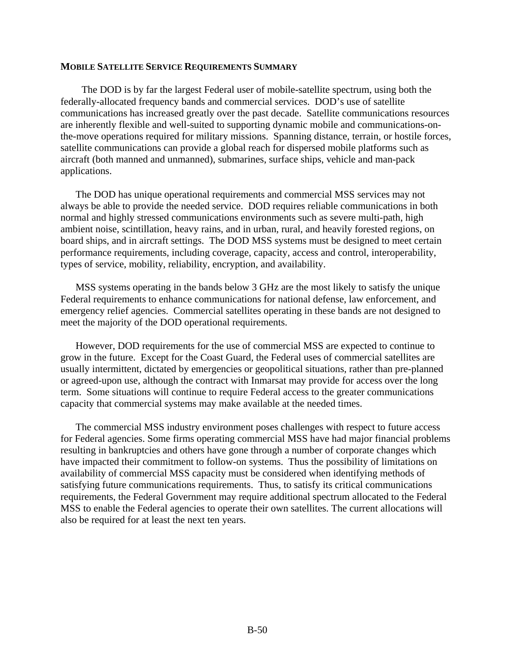#### **MOBILE SATELLITE SERVICE REQUIREMENTS SUMMARY**

 The DOD is by far the largest Federal user of mobile-satellite spectrum, using both the federally-allocated frequency bands and commercial services. DOD's use of satellite communications has increased greatly over the past decade. Satellite communications resources are inherently flexible and well-suited to supporting dynamic mobile and communications-onthe-move operations required for military missions. Spanning distance, terrain, or hostile forces, satellite communications can provide a global reach for dispersed mobile platforms such as aircraft (both manned and unmanned), submarines, surface ships, vehicle and man-pack applications.

 The DOD has unique operational requirements and commercial MSS services may not always be able to provide the needed service. DOD requires reliable communications in both normal and highly stressed communications environments such as severe multi-path, high ambient noise, scintillation, heavy rains, and in urban, rural, and heavily forested regions, on board ships, and in aircraft settings. The DOD MSS systems must be designed to meet certain performance requirements, including coverage, capacity, access and control, interoperability, types of service, mobility, reliability, encryption, and availability.

 MSS systems operating in the bands below 3 GHz are the most likely to satisfy the unique Federal requirements to enhance communications for national defense, law enforcement, and emergency relief agencies. Commercial satellites operating in these bands are not designed to meet the majority of the DOD operational requirements.

 However, DOD requirements for the use of commercial MSS are expected to continue to grow in the future. Except for the Coast Guard, the Federal uses of commercial satellites are usually intermittent, dictated by emergencies or geopolitical situations, rather than pre-planned or agreed-upon use, although the contract with Inmarsat may provide for access over the long term. Some situations will continue to require Federal access to the greater communications capacity that commercial systems may make available at the needed times.

 The commercial MSS industry environment poses challenges with respect to future access for Federal agencies. Some firms operating commercial MSS have had major financial problems resulting in bankruptcies and others have gone through a number of corporate changes which have impacted their commitment to follow-on systems. Thus the possibility of limitations on availability of commercial MSS capacity must be considered when identifying methods of satisfying future communications requirements. Thus, to satisfy its critical communications requirements, the Federal Government may require additional spectrum allocated to the Federal MSS to enable the Federal agencies to operate their own satellites. The current allocations will also be required for at least the next ten years.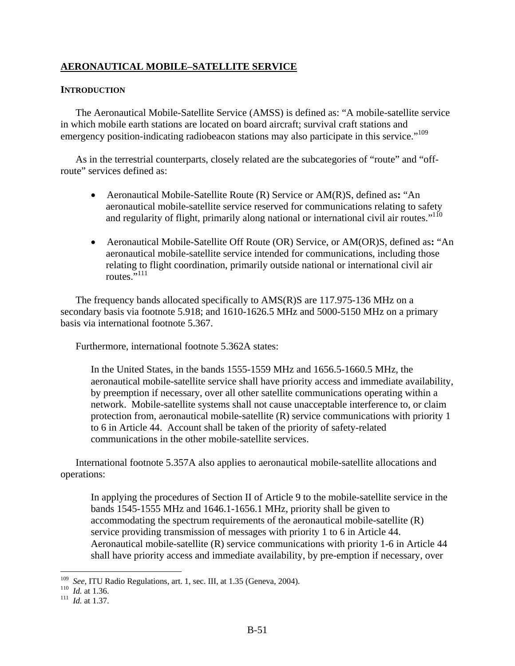# **AERONAUTICAL MOBILE–SATELLITE SERVICE**

### **INTRODUCTION**

The Aeronautical Mobile-Satellite Service (AMSS) is defined as: "A mobile-satellite service in which mobile earth stations are located on board aircraft; survival craft stations and emergency position-indicating radiobeacon stations may also participate in this service."<sup>109</sup>

As in the terrestrial counterparts, closely related are the subcategories of "route" and "offroute" services defined as:

- Aeronautical Mobile-Satellite Route (R) Service or AM(R)S, defined as**:** "An aeronautical mobile-satellite service reserved for communications relating to safety and regularity of flight, primarily along national or international civil air routes."<sup>110</sup>
- Aeronautical Mobile-Satellite Off Route (OR) Service, or AM(OR)S, defined as**:** "An aeronautical mobile-satellite service intended for communications, including those relating to flight coordination, primarily outside national or international civil air routes."111

The frequency bands allocated specifically to AMS(R)S are 117.975-136 MHz on a secondary basis via footnote 5.918; and 1610-1626.5 MHz and 5000-5150 MHz on a primary basis via international footnote 5.367.

Furthermore, international footnote 5.362A states:

In the United States, in the bands 1555-1559 MHz and 1656.5-1660.5 MHz, the aeronautical mobile-satellite service shall have priority access and immediate availability, by preemption if necessary, over all other satellite communications operating within a network. Mobile-satellite systems shall not cause unacceptable interference to, or claim protection from, aeronautical mobile-satellite (R) service communications with priority 1 to 6 in Article 44. Account shall be taken of the priority of safety-related communications in the other mobile-satellite services.

International footnote 5.357A also applies to aeronautical mobile-satellite allocations and operations:

In applying the procedures of Section II of Article 9 to the mobile-satellite service in the bands 1545-1555 MHz and 1646.1-1656.1 MHz, priority shall be given to accommodating the spectrum requirements of the aeronautical mobile-satellite (R) service providing transmission of messages with priority 1 to 6 in Article 44. Aeronautical mobile-satellite (R) service communications with priority 1-6 in Article 44 shall have priority access and immediate availability, by pre-emption if necessary, over

 $\overline{a}$ <sup>109</sup>*See*, ITU Radio Regulations, art. 1, sec. III, at 1.35 (Geneva, 2004). 110 *Id.* at 1.36. 111 *Id.* at 1.37.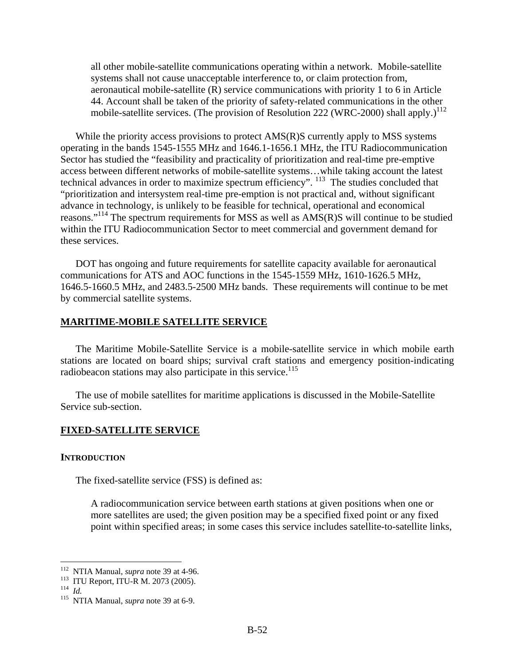all other mobile-satellite communications operating within a network. Mobile-satellite systems shall not cause unacceptable interference to, or claim protection from, aeronautical mobile-satellite (R) service communications with priority 1 to 6 in Article 44. Account shall be taken of the priority of safety-related communications in the other mobile-satellite services. (The provision of Resolution 222 (WRC-2000) shall apply.)<sup>112</sup>

While the priority access provisions to protect AMS(R)S currently apply to MSS systems operating in the bands 1545-1555 MHz and 1646.1-1656.1 MHz, the ITU Radiocommunication Sector has studied the "feasibility and practicality of prioritization and real-time pre-emptive access between different networks of mobile-satellite systems…while taking account the latest technical advances in order to maximize spectrum efficiency". <sup>113</sup> The studies concluded that "prioritization and intersystem real-time pre-emption is not practical and, without significant advance in technology, is unlikely to be feasible for technical, operational and economical reasons."<sup>114</sup> The spectrum requirements for MSS as well as AMS(R)S will continue to be studied within the ITU Radiocommunication Sector to meet commercial and government demand for these services.

DOT has ongoing and future requirements for satellite capacity available for aeronautical communications for ATS and AOC functions in the 1545-1559 MHz, 1610-1626.5 MHz, 1646.5-1660.5 MHz, and 2483.5-2500 MHz bands. These requirements will continue to be met by commercial satellite systems.

### **MARITIME-MOBILE SATELLITE SERVICE**

The Maritime Mobile-Satellite Service is a mobile-satellite service in which mobile earth stations are located on board ships; survival craft stations and emergency position-indicating radiobeacon stations may also participate in this service.<sup>115</sup>

 The use of mobile satellites for maritime applications is discussed in the Mobile-Satellite Service sub-section.

## **FIXED-SATELLITE SERVICE**

#### **INTRODUCTION**

The fixed-satellite service (FSS) is defined as:

A radiocommunication service between earth stations at given positions when one or more satellites are used; the given position may be a specified fixed point or any fixed point within specified areas; in some cases this service includes satellite-to-satellite links,

<sup>112</sup> NTIA Manual, *supra* note 39 at 4-96. 113 ITU Report, ITU-R M. 2073 (2005). 114 *Id.* 115 NTIA Manual, *supra* note 39 at 6-9.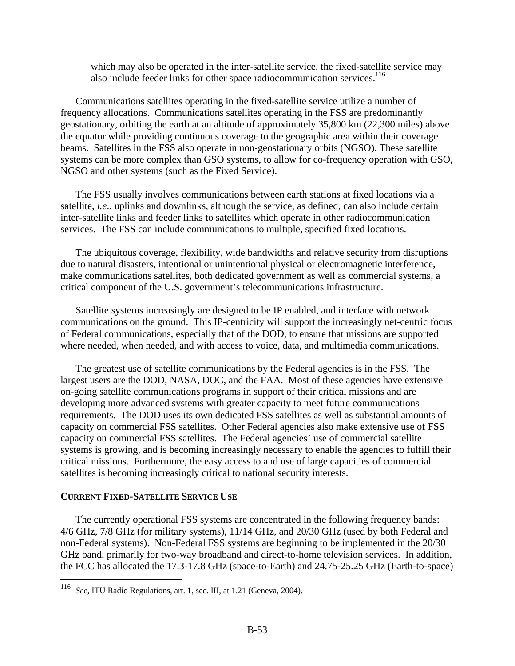which may also be operated in the inter-satellite service, the fixed-satellite service may also include feeder links for other space radiocommunication services.<sup>116</sup>

Communications satellites operating in the fixed-satellite service utilize a number of frequency allocations. Communications satellites operating in the FSS are predominantly geostationary, orbiting the earth at an altitude of approximately 35,800 km (22,300 miles) above the equator while providing continuous coverage to the geographic area within their coverage beams. Satellites in the FSS also operate in non-geostationary orbits (NGSO). These satellite systems can be more complex than GSO systems, to allow for co-frequency operation with GSO, NGSO and other systems (such as the Fixed Service).

The FSS usually involves communications between earth stations at fixed locations via a satellite, *i.e*., uplinks and downlinks, although the service, as defined, can also include certain inter-satellite links and feeder links to satellites which operate in other radiocommunication services. The FSS can include communications to multiple, specified fixed locations.

The ubiquitous coverage, flexibility, wide bandwidths and relative security from disruptions due to natural disasters, intentional or unintentional physical or electromagnetic interference, make communications satellites, both dedicated government as well as commercial systems, a critical component of the U.S. government's telecommunications infrastructure.

Satellite systems increasingly are designed to be IP enabled, and interface with network communications on the ground. This IP-centricity will support the increasingly net-centric focus of Federal communications, especially that of the DOD, to ensure that missions are supported where needed, when needed, and with access to voice, data, and multimedia communications.

The greatest use of satellite communications by the Federal agencies is in the FSS. The largest users are the DOD, NASA, DOC, and the FAA. Most of these agencies have extensive on-going satellite communications programs in support of their critical missions and are developing more advanced systems with greater capacity to meet future communications requirements. The DOD uses its own dedicated FSS satellites as well as substantial amounts of capacity on commercial FSS satellites. Other Federal agencies also make extensive use of FSS capacity on commercial FSS satellites. The Federal agencies' use of commercial satellite systems is growing, and is becoming increasingly necessary to enable the agencies to fulfill their critical missions. Furthermore, the easy access to and use of large capacities of commercial satellites is becoming increasingly critical to national security interests.

### **CURRENT FIXED-SATELLITE SERVICE USE**

The currently operational FSS systems are concentrated in the following frequency bands: 4/6 GHz, 7/8 GHz (for military systems), 11/14 GHz, and 20/30 GHz (used by both Federal and non-Federal systems). Non-Federal FSS systems are beginning to be implemented in the 20/30 GHz band, primarily for two-way broadband and direct-to-home television services. In addition, the FCC has allocated the 17.3-17.8 GHz (space-to-Earth) and 24.75-25.25 GHz (Earth-to-space)

<sup>116</sup> See, ITU Radio Regulations, art. 1, sec. III, at 1.21 (Geneva, 2004).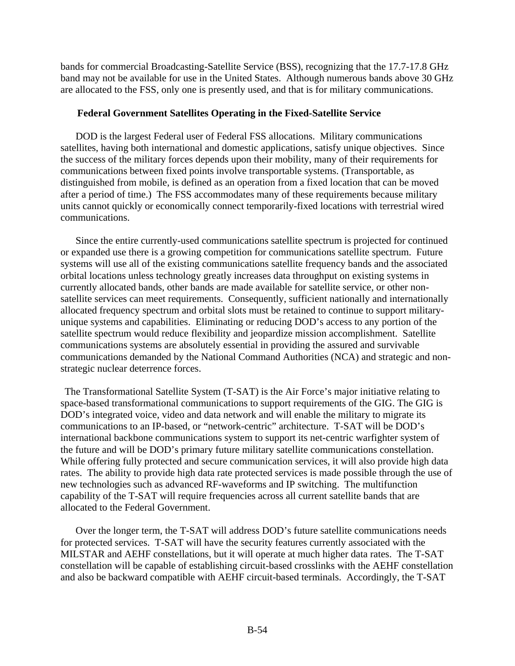bands for commercial Broadcasting-Satellite Service (BSS), recognizing that the 17.7-17.8 GHz band may not be available for use in the United States. Although numerous bands above 30 GHz are allocated to the FSS, only one is presently used, and that is for military communications.

## **Federal Government Satellites Operating in the Fixed-Satellite Service**

DOD is the largest Federal user of Federal FSS allocations. Military communications satellites, having both international and domestic applications, satisfy unique objectives. Since the success of the military forces depends upon their mobility, many of their requirements for communications between fixed points involve transportable systems. (Transportable, as distinguished from mobile, is defined as an operation from a fixed location that can be moved after a period of time.) The FSS accommodates many of these requirements because military units cannot quickly or economically connect temporarily-fixed locations with terrestrial wired communications.

Since the entire currently-used communications satellite spectrum is projected for continued or expanded use there is a growing competition for communications satellite spectrum. Future systems will use all of the existing communications satellite frequency bands and the associated orbital locations unless technology greatly increases data throughput on existing systems in currently allocated bands, other bands are made available for satellite service, or other nonsatellite services can meet requirements. Consequently, sufficient nationally and internationally allocated frequency spectrum and orbital slots must be retained to continue to support militaryunique systems and capabilities. Eliminating or reducing DOD's access to any portion of the satellite spectrum would reduce flexibility and jeopardize mission accomplishment. Satellite communications systems are absolutely essential in providing the assured and survivable communications demanded by the National Command Authorities (NCA) and strategic and nonstrategic nuclear deterrence forces.

 The Transformational Satellite System (T-SAT) is the Air Force's major initiative relating to space-based transformational communications to support requirements of the GIG. The GIG is DOD's integrated voice, video and data network and will enable the military to migrate its communications to an IP-based, or "network-centric" architecture. T-SAT will be DOD's international backbone communications system to support its net-centric warfighter system of the future and will be DOD's primary future military satellite communications constellation. While offering fully protected and secure communication services, it will also provide high data rates. The ability to provide high data rate protected services is made possible through the use of new technologies such as advanced RF-waveforms and IP switching. The multifunction capability of the T-SAT will require frequencies across all current satellite bands that are allocated to the Federal Government.

Over the longer term, the T-SAT will address DOD's future satellite communications needs for protected services. T-SAT will have the security features currently associated with the MILSTAR and AEHF constellations, but it will operate at much higher data rates. The T-SAT constellation will be capable of establishing circuit-based crosslinks with the AEHF constellation and also be backward compatible with AEHF circuit-based terminals. Accordingly, the T-SAT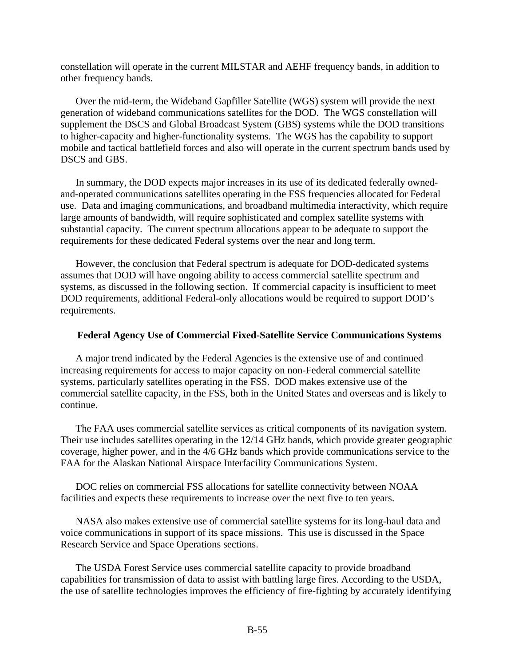constellation will operate in the current MILSTAR and AEHF frequency bands, in addition to other frequency bands.

Over the mid-term, the Wideband Gapfiller Satellite (WGS) system will provide the next generation of wideband communications satellites for the DOD. The WGS constellation will supplement the DSCS and Global Broadcast System (GBS) systems while the DOD transitions to higher-capacity and higher-functionality systems. The WGS has the capability to support mobile and tactical battlefield forces and also will operate in the current spectrum bands used by DSCS and GBS.

In summary, the DOD expects major increases in its use of its dedicated federally ownedand-operated communications satellites operating in the FSS frequencies allocated for Federal use. Data and imaging communications, and broadband multimedia interactivity, which require large amounts of bandwidth, will require sophisticated and complex satellite systems with substantial capacity. The current spectrum allocations appear to be adequate to support the requirements for these dedicated Federal systems over the near and long term.

However, the conclusion that Federal spectrum is adequate for DOD-dedicated systems assumes that DOD will have ongoing ability to access commercial satellite spectrum and systems, as discussed in the following section. If commercial capacity is insufficient to meet DOD requirements, additional Federal-only allocations would be required to support DOD's requirements.

#### **Federal Agency Use of Commercial Fixed-Satellite Service Communications Systems**

A major trend indicated by the Federal Agencies is the extensive use of and continued increasing requirements for access to major capacity on non-Federal commercial satellite systems, particularly satellites operating in the FSS. DOD makes extensive use of the commercial satellite capacity, in the FSS, both in the United States and overseas and is likely to continue.

The FAA uses commercial satellite services as critical components of its navigation system. Their use includes satellites operating in the 12/14 GHz bands, which provide greater geographic coverage, higher power, and in the 4/6 GHz bands which provide communications service to the FAA for the Alaskan National Airspace Interfacility Communications System.

DOC relies on commercial FSS allocations for satellite connectivity between NOAA facilities and expects these requirements to increase over the next five to ten years.

NASA also makes extensive use of commercial satellite systems for its long-haul data and voice communications in support of its space missions. This use is discussed in the Space Research Service and Space Operations sections.

The USDA Forest Service uses commercial satellite capacity to provide broadband capabilities for transmission of data to assist with battling large fires. According to the USDA, the use of satellite technologies improves the efficiency of fire-fighting by accurately identifying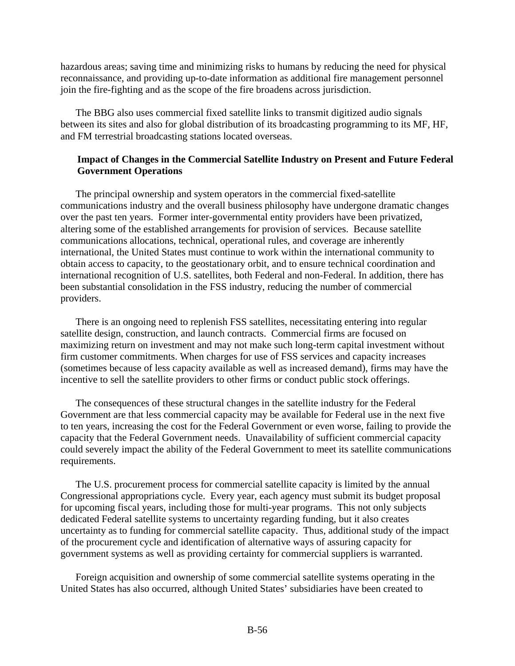hazardous areas; saving time and minimizing risks to humans by reducing the need for physical reconnaissance, and providing up-to-date information as additional fire management personnel join the fire-fighting and as the scope of the fire broadens across jurisdiction.

The BBG also uses commercial fixed satellite links to transmit digitized audio signals between its sites and also for global distribution of its broadcasting programming to its MF, HF, and FM terrestrial broadcasting stations located overseas.

# **Impact of Changes in the Commercial Satellite Industry on Present and Future Federal Government Operations**

The principal ownership and system operators in the commercial fixed-satellite communications industry and the overall business philosophy have undergone dramatic changes over the past ten years. Former inter-governmental entity providers have been privatized, altering some of the established arrangements for provision of services. Because satellite communications allocations, technical, operational rules, and coverage are inherently international, the United States must continue to work within the international community to obtain access to capacity, to the geostationary orbit, and to ensure technical coordination and international recognition of U.S. satellites, both Federal and non-Federal. In addition, there has been substantial consolidation in the FSS industry, reducing the number of commercial providers.

There is an ongoing need to replenish FSS satellites, necessitating entering into regular satellite design, construction, and launch contracts. Commercial firms are focused on maximizing return on investment and may not make such long-term capital investment without firm customer commitments. When charges for use of FSS services and capacity increases (sometimes because of less capacity available as well as increased demand), firms may have the incentive to sell the satellite providers to other firms or conduct public stock offerings.

The consequences of these structural changes in the satellite industry for the Federal Government are that less commercial capacity may be available for Federal use in the next five to ten years, increasing the cost for the Federal Government or even worse, failing to provide the capacity that the Federal Government needs. Unavailability of sufficient commercial capacity could severely impact the ability of the Federal Government to meet its satellite communications requirements.

The U.S. procurement process for commercial satellite capacity is limited by the annual Congressional appropriations cycle. Every year, each agency must submit its budget proposal for upcoming fiscal years, including those for multi-year programs. This not only subjects dedicated Federal satellite systems to uncertainty regarding funding, but it also creates uncertainty as to funding for commercial satellite capacity. Thus, additional study of the impact of the procurement cycle and identification of alternative ways of assuring capacity for government systems as well as providing certainty for commercial suppliers is warranted.

Foreign acquisition and ownership of some commercial satellite systems operating in the United States has also occurred, although United States' subsidiaries have been created to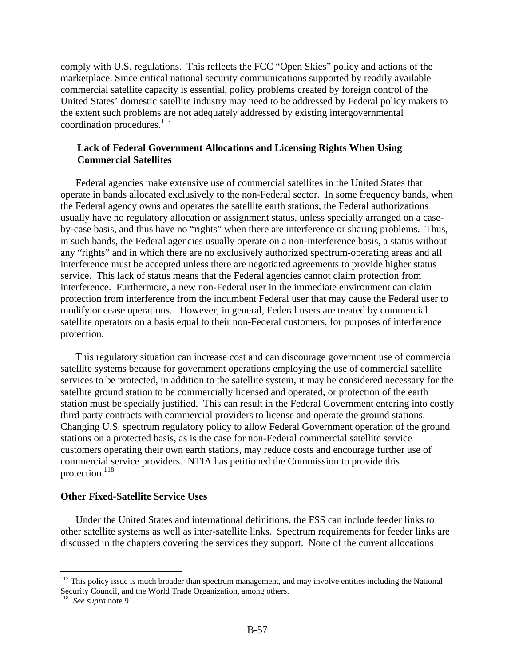comply with U.S. regulations. This reflects the FCC "Open Skies" policy and actions of the marketplace. Since critical national security communications supported by readily available commercial satellite capacity is essential, policy problems created by foreign control of the United States' domestic satellite industry may need to be addressed by Federal policy makers to the extent such problems are not adequately addressed by existing intergovernmental coordination procedures.<sup>117</sup>

# **Lack of Federal Government Allocations and Licensing Rights When Using Commercial Satellites**

Federal agencies make extensive use of commercial satellites in the United States that operate in bands allocated exclusively to the non-Federal sector. In some frequency bands, when the Federal agency owns and operates the satellite earth stations, the Federal authorizations usually have no regulatory allocation or assignment status, unless specially arranged on a caseby-case basis, and thus have no "rights" when there are interference or sharing problems. Thus, in such bands, the Federal agencies usually operate on a non-interference basis, a status without any "rights" and in which there are no exclusively authorized spectrum-operating areas and all interference must be accepted unless there are negotiated agreements to provide higher status service. This lack of status means that the Federal agencies cannot claim protection from interference. Furthermore, a new non-Federal user in the immediate environment can claim protection from interference from the incumbent Federal user that may cause the Federal user to modify or cease operations. However, in general, Federal users are treated by commercial satellite operators on a basis equal to their non-Federal customers, for purposes of interference protection.

This regulatory situation can increase cost and can discourage government use of commercial satellite systems because for government operations employing the use of commercial satellite services to be protected, in addition to the satellite system, it may be considered necessary for the satellite ground station to be commercially licensed and operated, or protection of the earth station must be specially justified. This can result in the Federal Government entering into costly third party contracts with commercial providers to license and operate the ground stations. Changing U.S. spectrum regulatory policy to allow Federal Government operation of the ground stations on a protected basis, as is the case for non-Federal commercial satellite service customers operating their own earth stations, may reduce costs and encourage further use of commercial service providers. NTIA has petitioned the Commission to provide this protection.118

# **Other Fixed-Satellite Service Uses**

Under the United States and international definitions, the FSS can include feeder links to other satellite systems as well as inter-satellite links. Spectrum requirements for feeder links are discussed in the chapters covering the services they support. None of the current allocations

 $117$  This policy issue is much broader than spectrum management, and may involve entities including the National Security Council, and the World Trade Organization, among others.

<sup>118</sup> *See supra* note 9.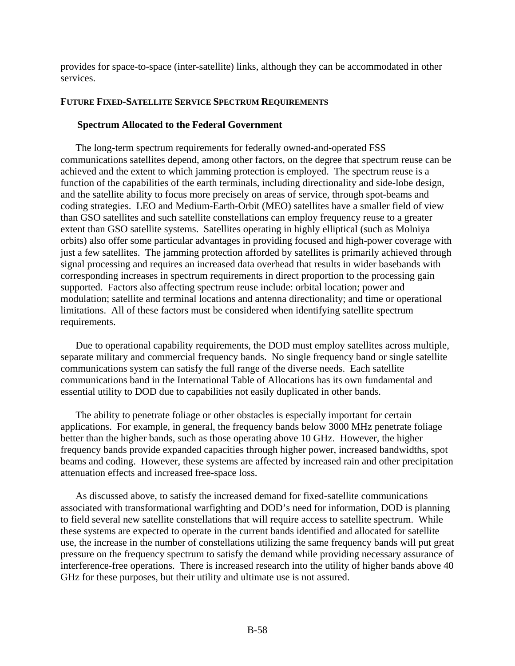provides for space-to-space (inter-satellite) links, although they can be accommodated in other services.

## **FUTURE FIXED-SATELLITE SERVICE SPECTRUM REQUIREMENTS**

# **Spectrum Allocated to the Federal Government**

The long-term spectrum requirements for federally owned-and-operated FSS communications satellites depend, among other factors, on the degree that spectrum reuse can be achieved and the extent to which jamming protection is employed. The spectrum reuse is a function of the capabilities of the earth terminals, including directionality and side-lobe design, and the satellite ability to focus more precisely on areas of service, through spot-beams and coding strategies. LEO and Medium-Earth-Orbit (MEO) satellites have a smaller field of view than GSO satellites and such satellite constellations can employ frequency reuse to a greater extent than GSO satellite systems. Satellites operating in highly elliptical (such as Molniya orbits) also offer some particular advantages in providing focused and high-power coverage with just a few satellites. The jamming protection afforded by satellites is primarily achieved through signal processing and requires an increased data overhead that results in wider basebands with corresponding increases in spectrum requirements in direct proportion to the processing gain supported. Factors also affecting spectrum reuse include: orbital location; power and modulation; satellite and terminal locations and antenna directionality; and time or operational limitations. All of these factors must be considered when identifying satellite spectrum requirements.

Due to operational capability requirements, the DOD must employ satellites across multiple, separate military and commercial frequency bands. No single frequency band or single satellite communications system can satisfy the full range of the diverse needs. Each satellite communications band in the International Table of Allocations has its own fundamental and essential utility to DOD due to capabilities not easily duplicated in other bands.

The ability to penetrate foliage or other obstacles is especially important for certain applications. For example, in general, the frequency bands below 3000 MHz penetrate foliage better than the higher bands, such as those operating above 10 GHz. However, the higher frequency bands provide expanded capacities through higher power, increased bandwidths, spot beams and coding. However, these systems are affected by increased rain and other precipitation attenuation effects and increased free-space loss.

As discussed above, to satisfy the increased demand for fixed-satellite communications associated with transformational warfighting and DOD's need for information, DOD is planning to field several new satellite constellations that will require access to satellite spectrum. While these systems are expected to operate in the current bands identified and allocated for satellite use, the increase in the number of constellations utilizing the same frequency bands will put great pressure on the frequency spectrum to satisfy the demand while providing necessary assurance of interference-free operations. There is increased research into the utility of higher bands above 40 GHz for these purposes, but their utility and ultimate use is not assured.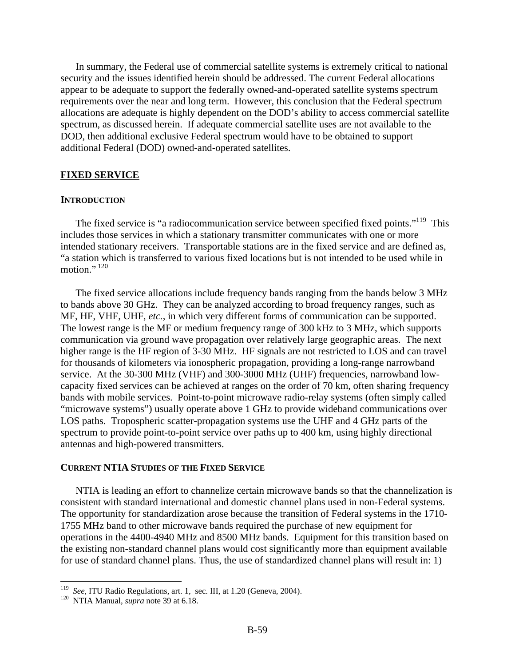In summary, the Federal use of commercial satellite systems is extremely critical to national security and the issues identified herein should be addressed. The current Federal allocations appear to be adequate to support the federally owned-and-operated satellite systems spectrum requirements over the near and long term. However, this conclusion that the Federal spectrum allocations are adequate is highly dependent on the DOD's ability to access commercial satellite spectrum, as discussed herein. If adequate commercial satellite uses are not available to the DOD, then additional exclusive Federal spectrum would have to be obtained to support additional Federal (DOD) owned-and-operated satellites.

### **FIXED SERVICE**

#### **INTRODUCTION**

The fixed service is "a radiocommunication service between specified fixed points."<sup>119</sup> This includes those services in which a stationary transmitter communicates with one or more intended stationary receivers. Transportable stations are in the fixed service and are defined as, "a station which is transferred to various fixed locations but is not intended to be used while in motion." $^{120}$ 

The fixed service allocations include frequency bands ranging from the bands below 3 MHz to bands above 30 GHz. They can be analyzed according to broad frequency ranges, such as MF, HF, VHF, UHF, *etc.*, in which very different forms of communication can be supported. The lowest range is the MF or medium frequency range of 300 kHz to 3 MHz, which supports communication via ground wave propagation over relatively large geographic areas. The next higher range is the HF region of 3-30 MHz. HF signals are not restricted to LOS and can travel for thousands of kilometers via ionospheric propagation, providing a long-range narrowband service. At the 30-300 MHz (VHF) and 300-3000 MHz (UHF) frequencies, narrowband lowcapacity fixed services can be achieved at ranges on the order of 70 km, often sharing frequency bands with mobile services. Point-to-point microwave radio-relay systems (often simply called "microwave systems") usually operate above 1 GHz to provide wideband communications over LOS paths. Tropospheric scatter-propagation systems use the UHF and 4 GHz parts of the spectrum to provide point-to-point service over paths up to 400 km, using highly directional antennas and high-powered transmitters.

#### **CURRENT NTIA STUDIES OF THE FIXED SERVICE**

NTIA is leading an effort to channelize certain microwave bands so that the channelization is consistent with standard international and domestic channel plans used in non-Federal systems. The opportunity for standardization arose because the transition of Federal systems in the 1710- 1755 MHz band to other microwave bands required the purchase of new equipment for operations in the 4400-4940 MHz and 8500 MHz bands. Equipment for this transition based on the existing non-standard channel plans would cost significantly more than equipment available for use of standard channel plans. Thus, the use of standardized channel plans will result in: 1)

<sup>&</sup>lt;sup>119</sup> *See*, ITU Radio Regulations, art. 1, sec. III, at 1.20 (Geneva, 2004).<br><sup>120</sup> NTIA Manual, *supra* note 39 at 6.18.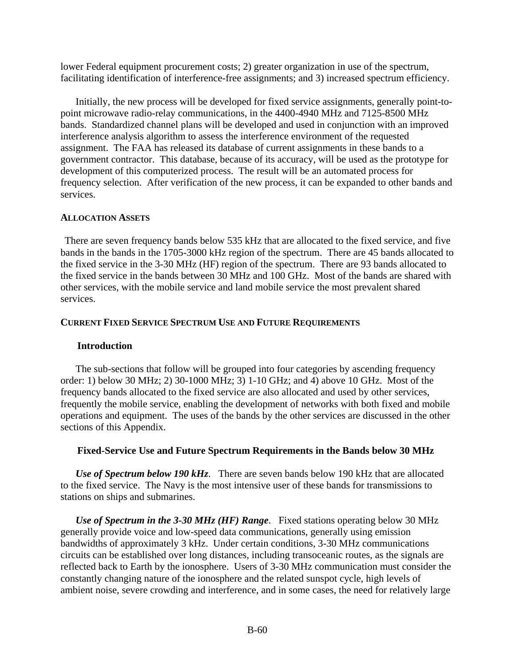lower Federal equipment procurement costs; 2) greater organization in use of the spectrum, facilitating identification of interference-free assignments; and 3) increased spectrum efficiency.

Initially, the new process will be developed for fixed service assignments, generally point-topoint microwave radio-relay communications, in the 4400-4940 MHz and 7125-8500 MHz bands. Standardized channel plans will be developed and used in conjunction with an improved interference analysis algorithm to assess the interference environment of the requested assignment. The FAA has released its database of current assignments in these bands to a government contractor. This database, because of its accuracy, will be used as the prototype for development of this computerized process. The result will be an automated process for frequency selection. After verification of the new process, it can be expanded to other bands and services.

## **ALLOCATION ASSETS**

 There are seven frequency bands below 535 kHz that are allocated to the fixed service, and five bands in the bands in the 1705-3000 kHz region of the spectrum. There are 45 bands allocated to the fixed service in the 3-30 MHz (HF) region of the spectrum. There are 93 bands allocated to the fixed service in the bands between 30 MHz and 100 GHz. Most of the bands are shared with other services, with the mobile service and land mobile service the most prevalent shared services.

## **CURRENT FIXED SERVICE SPECTRUM USE AND FUTURE REQUIREMENTS**

## **Introduction**

The sub-sections that follow will be grouped into four categories by ascending frequency order: 1) below 30 MHz; 2) 30-1000 MHz; 3) 1-10 GHz; and 4) above 10 GHz.Most of the frequency bands allocated to the fixed service are also allocated and used by other services, frequently the mobile service, enabling the development of networks with both fixed and mobile operations and equipment. The uses of the bands by the other services are discussed in the other sections of this Appendix.

# **Fixed-Service Use and Future Spectrum Requirements in the Bands below 30 MHz**

*Use of Spectrum below 190 kHz*. There are seven bands below 190 kHz that are allocated to the fixed service. The Navy is the most intensive user of these bands for transmissions to stations on ships and submarines.

*Use of Spectrum in the 3-30 MHz (HF) Range*. Fixed stations operating below 30 MHz generally provide voice and low-speed data communications, generally using emission bandwidths of approximately 3 kHz. Under certain conditions, 3-30 MHz communications circuits can be established over long distances, including transoceanic routes, as the signals are reflected back to Earth by the ionosphere. Users of 3-30 MHz communication must consider the constantly changing nature of the ionosphere and the related sunspot cycle, high levels of ambient noise, severe crowding and interference, and in some cases, the need for relatively large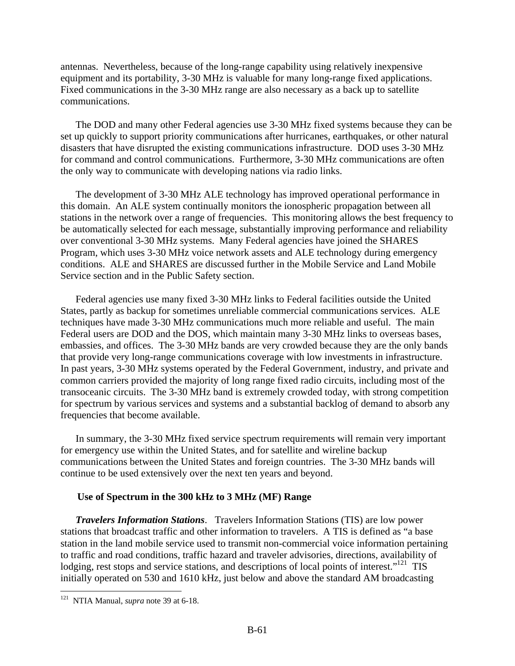antennas. Nevertheless, because of the long-range capability using relatively inexpensive equipment and its portability, 3-30 MHz is valuable for many long-range fixed applications. Fixed communications in the 3-30 MHz range are also necessary as a back up to satellite communications.

The DOD and many other Federal agencies use 3-30 MHz fixed systems because they can be set up quickly to support priority communications after hurricanes, earthquakes, or other natural disasters that have disrupted the existing communications infrastructure. DOD uses 3-30 MHz for command and control communications. Furthermore, 3-30 MHz communications are often the only way to communicate with developing nations via radio links.

The development of 3-30 MHz ALE technology has improved operational performance in this domain. An ALE system continually monitors the ionospheric propagation between all stations in the network over a range of frequencies. This monitoring allows the best frequency to be automatically selected for each message, substantially improving performance and reliability over conventional 3-30 MHz systems. Many Federal agencies have joined the SHARES Program, which uses 3-30 MHz voice network assets and ALE technology during emergency conditions. ALE and SHARES are discussed further in the Mobile Service and Land Mobile Service section and in the Public Safety section.

Federal agencies use many fixed 3-30 MHz links to Federal facilities outside the United States, partly as backup for sometimes unreliable commercial communications services. ALE techniques have made 3-30 MHz communications much more reliable and useful. The main Federal users are DOD and the DOS, which maintain many 3-30 MHz links to overseas bases, embassies, and offices. The 3-30 MHz bands are very crowded because they are the only bands that provide very long-range communications coverage with low investments in infrastructure. In past years, 3-30 MHz systems operated by the Federal Government, industry, and private and common carriers provided the majority of long range fixed radio circuits, including most of the transoceanic circuits. The 3-30 MHz band is extremely crowded today, with strong competition for spectrum by various services and systems and a substantial backlog of demand to absorb any frequencies that become available.

In summary, the 3-30 MHz fixed service spectrum requirements will remain very important for emergency use within the United States, and for satellite and wireline backup communications between the United States and foreign countries. The 3-30 MHz bands will continue to be used extensively over the next ten years and beyond.

## **Use of Spectrum in the 300 kHz to 3 MHz (MF) Range**

*Travelers Information Stations*. Travelers Information Stations (TIS) are low power stations that broadcast traffic and other information to travelers. A TIS is defined as "a base station in the land mobile service used to transmit non-commercial voice information pertaining to traffic and road conditions, traffic hazard and traveler advisories, directions, availability of lodging, rest stops and service stations, and descriptions of local points of interest."<sup>121</sup> TIS initially operated on 530 and 1610 kHz, just below and above the standard AM broadcasting

<u>.</u>

<sup>121</sup> NTIA Manual, *supra* note 39 at 6-18.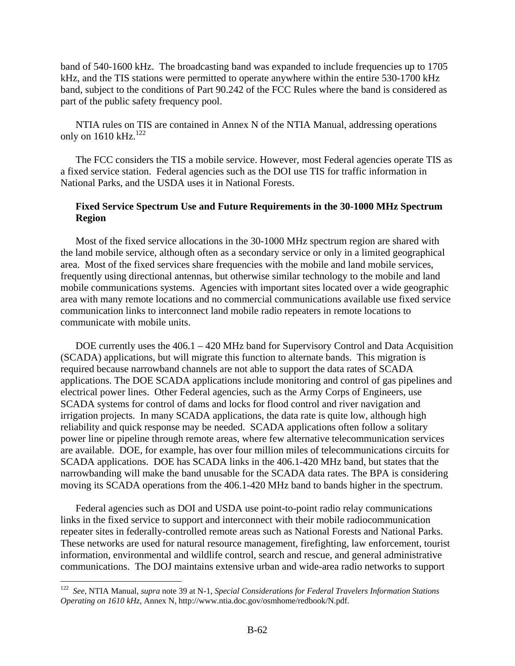band of 540-1600 kHz. The broadcasting band was expanded to include frequencies up to 1705 kHz, and the TIS stations were permitted to operate anywhere within the entire 530-1700 kHz band, subject to the conditions of Part 90.242 of the FCC Rules where the band is considered as part of the public safety frequency pool.

NTIA rules on TIS are contained in Annex N of the NTIA Manual, addressing operations only on  $1610 \text{ kHz}$ .<sup>122</sup>

The FCC considers the TIS a mobile service. However, most Federal agencies operate TIS as a fixed service station. Federal agencies such as the DOI use TIS for traffic information in National Parks, and the USDA uses it in National Forests.

# **Fixed Service Spectrum Use and Future Requirements in the 30-1000 MHz Spectrum Region**

Most of the fixed service allocations in the 30-1000 MHz spectrum region are shared with the land mobile service, although often as a secondary service or only in a limited geographical area. Most of the fixed services share frequencies with the mobile and land mobile services, frequently using directional antennas, but otherwise similar technology to the mobile and land mobile communications systems. Agencies with important sites located over a wide geographic area with many remote locations and no commercial communications available use fixed service communication links to interconnect land mobile radio repeaters in remote locations to communicate with mobile units.

DOE currently uses the 406.1 – 420 MHz band for Supervisory Control and Data Acquisition (SCADA) applications, but will migrate this function to alternate bands. This migration is required because narrowband channels are not able to support the data rates of SCADA applications. The DOE SCADA applications include monitoring and control of gas pipelines and electrical power lines. Other Federal agencies, such as the Army Corps of Engineers, use SCADA systems for control of dams and locks for flood control and river navigation and irrigation projects. In many SCADA applications, the data rate is quite low, although high reliability and quick response may be needed. SCADA applications often follow a solitary power line or pipeline through remote areas, where few alternative telecommunication services are available. DOE, for example, has over four million miles of telecommunications circuits for SCADA applications. DOE has SCADA links in the 406.1-420 MHz band, but states that the narrowbanding will make the band unusable for the SCADA data rates. The BPA is considering moving its SCADA operations from the 406.1-420 MHz band to bands higher in the spectrum.

Federal agencies such as DOI and USDA use point-to-point radio relay communications links in the fixed service to support and interconnect with their mobile radiocommunication repeater sites in federally-controlled remote areas such as National Forests and National Parks. These networks are used for natural resource management, firefighting, law enforcement, tourist information, environmental and wildlife control, search and rescue, and general administrative communications. The DOJ maintains extensive urban and wide-area radio networks to support

<sup>122</sup> *See,* NTIA Manual, *supra* note 39 at N-1, *Special Considerations for Federal Travelers Information Stations Operating on 1610 kHz*, Annex N, http://www.ntia.doc.gov/osmhome/redbook/N.pdf.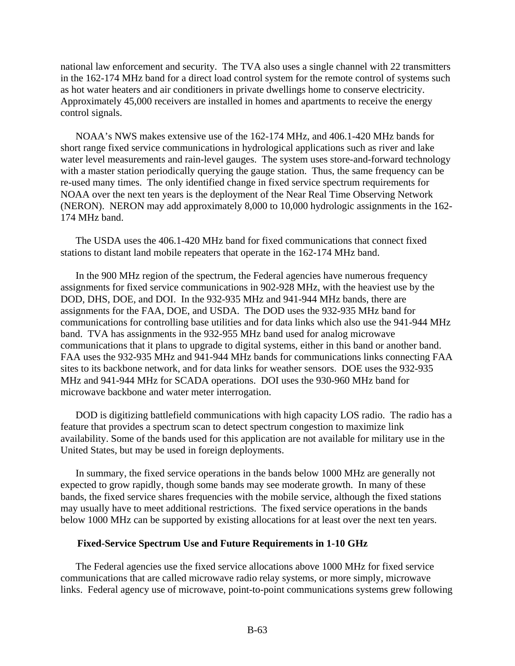national law enforcement and security. The TVA also uses a single channel with 22 transmitters in the 162-174 MHz band for a direct load control system for the remote control of systems such as hot water heaters and air conditioners in private dwellings home to conserve electricity. Approximately 45,000 receivers are installed in homes and apartments to receive the energy control signals.

NOAA's NWS makes extensive use of the 162-174 MHz, and 406.1-420 MHz bands for short range fixed service communications in hydrological applications such as river and lake water level measurements and rain-level gauges. The system uses store-and-forward technology with a master station periodically querying the gauge station. Thus, the same frequency can be re-used many times. The only identified change in fixed service spectrum requirements for NOAA over the next ten years is the deployment of the Near Real Time Observing Network (NERON). NERON may add approximately 8,000 to 10,000 hydrologic assignments in the 162- 174 MHz band.

The USDA uses the 406.1-420 MHz band for fixed communications that connect fixed stations to distant land mobile repeaters that operate in the 162-174 MHz band.

In the 900 MHz region of the spectrum, the Federal agencies have numerous frequency assignments for fixed service communications in 902-928 MHz, with the heaviest use by the DOD, DHS, DOE, and DOI. In the 932-935 MHz and 941-944 MHz bands, there are assignments for the FAA, DOE, and USDA. The DOD uses the 932-935 MHz band for communications for controlling base utilities and for data links which also use the 941-944 MHz band. TVA has assignments in the 932-955 MHz band used for analog microwave communications that it plans to upgrade to digital systems, either in this band or another band. FAA uses the 932-935 MHz and 941-944 MHz bands for communications links connecting FAA sites to its backbone network, and for data links for weather sensors. DOE uses the 932-935 MHz and 941-944 MHz for SCADA operations. DOI uses the 930-960 MHz band for microwave backbone and water meter interrogation.

DOD is digitizing battlefield communications with high capacity LOS radio. The radio has a feature that provides a spectrum scan to detect spectrum congestion to maximize link availability. Some of the bands used for this application are not available for military use in the United States, but may be used in foreign deployments.

In summary, the fixed service operations in the bands below 1000 MHz are generally not expected to grow rapidly, though some bands may see moderate growth. In many of these bands, the fixed service shares frequencies with the mobile service, although the fixed stations may usually have to meet additional restrictions. The fixed service operations in the bands below 1000 MHz can be supported by existing allocations for at least over the next ten years.

### **Fixed-Service Spectrum Use and Future Requirements in 1-10 GHz**

The Federal agencies use the fixed service allocations above 1000 MHz for fixed service communications that are called microwave radio relay systems, or more simply, microwave links. Federal agency use of microwave, point-to-point communications systems grew following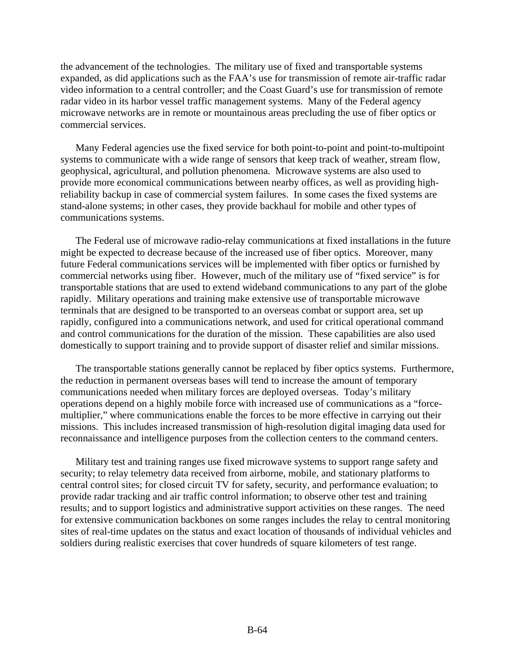the advancement of the technologies. The military use of fixed and transportable systems expanded, as did applications such as the FAA's use for transmission of remote air-traffic radar video information to a central controller; and the Coast Guard's use for transmission of remote radar video in its harbor vessel traffic management systems. Many of the Federal agency microwave networks are in remote or mountainous areas precluding the use of fiber optics or commercial services.

Many Federal agencies use the fixed service for both point-to-point and point-to-multipoint systems to communicate with a wide range of sensors that keep track of weather, stream flow, geophysical, agricultural, and pollution phenomena. Microwave systems are also used to provide more economical communications between nearby offices, as well as providing highreliability backup in case of commercial system failures. In some cases the fixed systems are stand-alone systems; in other cases, they provide backhaul for mobile and other types of communications systems.

The Federal use of microwave radio-relay communications at fixed installations in the future might be expected to decrease because of the increased use of fiber optics. Moreover, many future Federal communications services will be implemented with fiber optics or furnished by commercial networks using fiber. However, much of the military use of "fixed service" is for transportable stations that are used to extend wideband communications to any part of the globe rapidly. Military operations and training make extensive use of transportable microwave terminals that are designed to be transported to an overseas combat or support area, set up rapidly, configured into a communications network, and used for critical operational command and control communications for the duration of the mission. These capabilities are also used domestically to support training and to provide support of disaster relief and similar missions.

The transportable stations generally cannot be replaced by fiber optics systems. Furthermore, the reduction in permanent overseas bases will tend to increase the amount of temporary communications needed when military forces are deployed overseas. Today's military operations depend on a highly mobile force with increased use of communications as a "forcemultiplier," where communications enable the forces to be more effective in carrying out their missions. This includes increased transmission of high-resolution digital imaging data used for reconnaissance and intelligence purposes from the collection centers to the command centers.

Military test and training ranges use fixed microwave systems to support range safety and security; to relay telemetry data received from airborne, mobile, and stationary platforms to central control sites; for closed circuit TV for safety, security, and performance evaluation; to provide radar tracking and air traffic control information; to observe other test and training results; and to support logistics and administrative support activities on these ranges. The need for extensive communication backbones on some ranges includes the relay to central monitoring sites of real-time updates on the status and exact location of thousands of individual vehicles and soldiers during realistic exercises that cover hundreds of square kilometers of test range.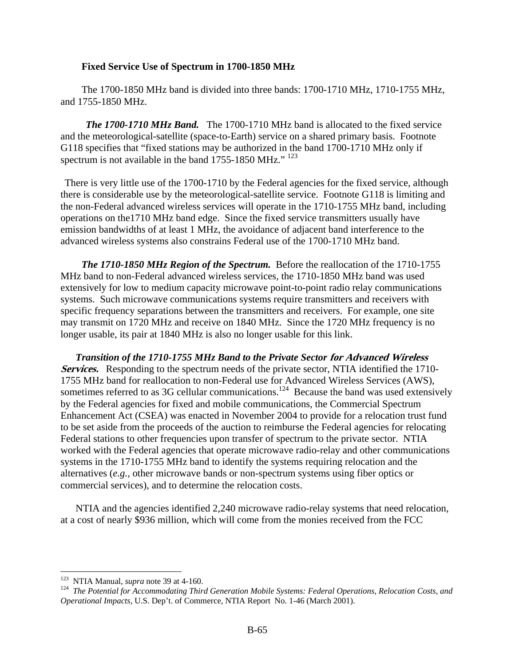### **Fixed Service Use of Spectrum in 1700-1850 MHz**

The 1700-1850 MHz band is divided into three bands: 1700-1710 MHz, 1710-1755 MHz, and 1755-1850 MHz.

 *The 1700-1710 MHz Band.* The 1700-1710 MHz band is allocated to the fixed service and the meteorological-satellite (space-to-Earth) service on a shared primary basis. Footnote G118 specifies that "fixed stations may be authorized in the band 1700-1710 MHz only if spectrum is not available in the band 1755-1850 MHz." <sup>123</sup>

 There is very little use of the 1700-1710 by the Federal agencies for the fixed service, although there is considerable use by the meteorological-satellite service. Footnote G118 is limiting and the non-Federal advanced wireless services will operate in the 1710-1755 MHz band, including operations on the1710 MHz band edge. Since the fixed service transmitters usually have emission bandwidths of at least 1 MHz, the avoidance of adjacent band interference to the advanced wireless systems also constrains Federal use of the 1700-1710 MHz band.

 *The 1710-1850 MHz Region of the Spectrum.* Before the reallocation of the 1710-1755 MHz band to non-Federal advanced wireless services, the 1710-1850 MHz band was used extensively for low to medium capacity microwave point-to-point radio relay communications systems. Such microwave communications systems require transmitters and receivers with specific frequency separations between the transmitters and receivers. For example, one site may transmit on 1720 MHz and receive on 1840 MHz. Since the 1720 MHz frequency is no longer usable, its pair at 1840 MHz is also no longer usable for this link.

 *Transition of the 1710-1755 MHz Band to the Private Sector* **for Advanced Wireless Services.** Responding to the spectrum needs of the private sector, NTIA identified the 1710- 1755 MHz band for reallocation to non-Federal use for Advanced Wireless Services (AWS), sometimes referred to as 3G cellular communications.<sup>124</sup> Because the band was used extensively by the Federal agencies for fixed and mobile communications, the Commercial Spectrum Enhancement Act (CSEA) was enacted in November 2004 to provide for a relocation trust fund to be set aside from the proceeds of the auction to reimburse the Federal agencies for relocating Federal stations to other frequencies upon transfer of spectrum to the private sector. NTIA worked with the Federal agencies that operate microwave radio-relay and other communications systems in the 1710-1755 MHz band to identify the systems requiring relocation and the alternatives (*e.g.,* other microwave bands or non-spectrum systems using fiber optics or commercial services), and to determine the relocation costs.

NTIA and the agencies identified 2,240 microwave radio-relay systems that need relocation, at a cost of nearly \$936 million, which will come from the monies received from the FCC

<sup>&</sup>lt;sup>123</sup> NTIA Manual, *supra* note 39 at 4-160.<br><sup>124</sup> *The Potential for Accommodating Third Generation Mobile Systems: Federal Operations, Relocation Costs, and Operational Impacts,* U.S. Dep't. of Commerce, NTIA Report No. 1-46 (March 2001).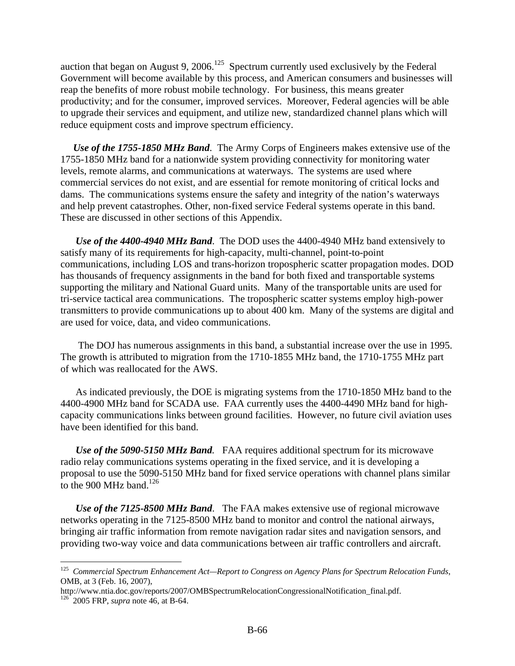auction that began on August 9,  $2006$ .<sup>125</sup> Spectrum currently used exclusively by the Federal Government will become available by this process, and American consumers and businesses will reap the benefits of more robust mobile technology. For business, this means greater productivity; and for the consumer, improved services. Moreover, Federal agencies will be able to upgrade their services and equipment, and utilize new, standardized channel plans which will reduce equipment costs and improve spectrum efficiency.

 *Use of the 1755-1850 MHz Band*. The Army Corps of Engineers makes extensive use of the 1755-1850 MHz band for a nationwide system providing connectivity for monitoring water levels, remote alarms, and communications at waterways. The systems are used where commercial services do not exist, and are essential for remote monitoring of critical locks and dams. The communications systems ensure the safety and integrity of the nation's waterways and help prevent catastrophes. Other, non-fixed service Federal systems operate in this band. These are discussed in other sections of this Appendix.

*Use of the 4400-4940 MHz Band*. The DOD uses the 4400-4940 MHz band extensively to satisfy many of its requirements for high-capacity, multi-channel, point-to-point communications, including LOS and trans-horizon tropospheric scatter propagation modes. DOD has thousands of frequency assignments in the band for both fixed and transportable systems supporting the military and National Guard units. Many of the transportable units are used for tri-service tactical area communications. The tropospheric scatter systems employ high-power transmitters to provide communications up to about 400 km. Many of the systems are digital and are used for voice, data, and video communications.

 The DOJ has numerous assignments in this band, a substantial increase over the use in 1995. The growth is attributed to migration from the 1710-1855 MHz band, the 1710-1755 MHz part of which was reallocated for the AWS.

As indicated previously, the DOE is migrating systems from the 1710-1850 MHz band to the 4400-4900 MHz band for SCADA use. FAA currently uses the 4400-4490 MHz band for highcapacity communications links between ground facilities. However, no future civil aviation uses have been identified for this band.

*Use of the 5090-5150 MHz Band.* FAA requires additional spectrum for its microwave radio relay communications systems operating in the fixed service, and it is developing a proposal to use the 5090-5150 MHz band for fixed service operations with channel plans similar to the 900 MHz band.<sup>126</sup>

*Use of the 7125-8500 MHz Band*. The FAA makes extensive use of regional microwave networks operating in the 7125-8500 MHz band to monitor and control the national airways, bringing air traffic information from remote navigation radar sites and navigation sensors, and providing two-way voice and data communications between air traffic controllers and aircraft.

<sup>125</sup> *Commercial Spectrum Enhancement Act—Report to Congress on Agency Plans for Spectrum Relocation Funds*, OMB, at 3 (Feb. 16, 2007),

http://www.ntia.doc.gov/reports/2007/OMBSpectrumRelocationCongressionalNotification\_final.pdf. 126 2005 FRP, *supra* note 46, at B-64.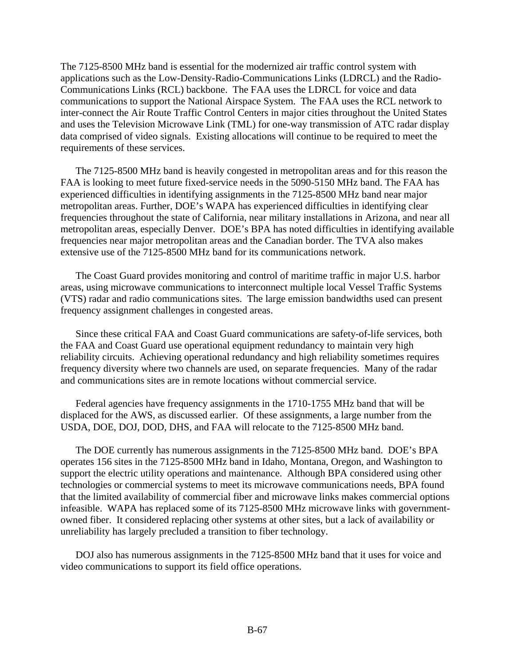The 7125-8500 MHz band is essential for the modernized air traffic control system with applications such as the Low-Density-Radio-Communications Links (LDRCL) and the Radio-Communications Links (RCL) backbone. The FAA uses the LDRCL for voice and data communications to support the National Airspace System. The FAA uses the RCL network to inter-connect the Air Route Traffic Control Centers in major cities throughout the United States and uses the Television Microwave Link (TML) for one-way transmission of ATC radar display data comprised of video signals. Existing allocations will continue to be required to meet the requirements of these services.

The 7125-8500 MHz band is heavily congested in metropolitan areas and for this reason the FAA is looking to meet future fixed-service needs in the 5090-5150 MHz band. The FAA has experienced difficulties in identifying assignments in the 7125-8500 MHz band near major metropolitan areas. Further, DOE's WAPA has experienced difficulties in identifying clear frequencies throughout the state of California, near military installations in Arizona, and near all metropolitan areas, especially Denver. DOE's BPA has noted difficulties in identifying available frequencies near major metropolitan areas and the Canadian border. The TVA also makes extensive use of the 7125-8500 MHz band for its communications network.

The Coast Guard provides monitoring and control of maritime traffic in major U.S. harbor areas, using microwave communications to interconnect multiple local Vessel Traffic Systems (VTS) radar and radio communications sites. The large emission bandwidths used can present frequency assignment challenges in congested areas.

Since these critical FAA and Coast Guard communications are safety-of-life services, both the FAA and Coast Guard use operational equipment redundancy to maintain very high reliability circuits. Achieving operational redundancy and high reliability sometimes requires frequency diversity where two channels are used, on separate frequencies. Many of the radar and communications sites are in remote locations without commercial service.

Federal agencies have frequency assignments in the 1710-1755 MHz band that will be displaced for the AWS, as discussed earlier. Of these assignments, a large number from the USDA, DOE, DOJ, DOD, DHS, and FAA will relocate to the 7125-8500 MHz band.

The DOE currently has numerous assignments in the 7125-8500 MHz band. DOE's BPA operates 156 sites in the 7125-8500 MHz band in Idaho, Montana, Oregon, and Washington to support the electric utility operations and maintenance. Although BPA considered using other technologies or commercial systems to meet its microwave communications needs, BPA found that the limited availability of commercial fiber and microwave links makes commercial options infeasible. WAPA has replaced some of its 7125-8500 MHz microwave links with governmentowned fiber. It considered replacing other systems at other sites, but a lack of availability or unreliability has largely precluded a transition to fiber technology.

DOJ also has numerous assignments in the 7125-8500 MHz band that it uses for voice and video communications to support its field office operations.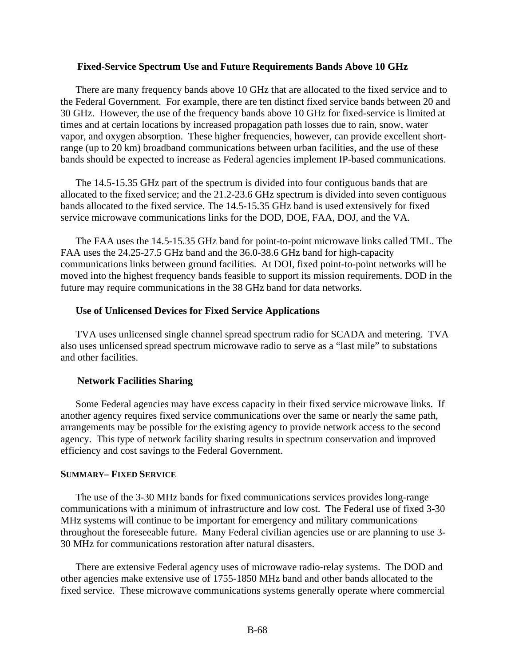#### **Fixed-Service Spectrum Use and Future Requirements Bands Above 10 GHz**

There are many frequency bands above 10 GHz that are allocated to the fixed service and to the Federal Government. For example, there are ten distinct fixed service bands between 20 and 30 GHz. However, the use of the frequency bands above 10 GHz for fixed-service is limited at times and at certain locations by increased propagation path losses due to rain, snow, water vapor, and oxygen absorption. These higher frequencies, however, can provide excellent shortrange (up to 20 km) broadband communications between urban facilities, and the use of these bands should be expected to increase as Federal agencies implement IP-based communications.

The 14.5-15.35 GHz part of the spectrum is divided into four contiguous bands that are allocated to the fixed service; and the 21.2-23.6 GHz spectrum is divided into seven contiguous bands allocated to the fixed service. The 14.5-15.35 GHz band is used extensively for fixed service microwave communications links for the DOD, DOE, FAA, DOJ, and the VA.

The FAA uses the 14.5-15.35 GHz band for point-to-point microwave links called TML. The FAA uses the 24.25-27.5 GHz band and the 36.0-38.6 GHz band for high-capacity communications links between ground facilities. At DOI, fixed point-to-point networks will be moved into the highest frequency bands feasible to support its mission requirements. DOD in the future may require communications in the 38 GHz band for data networks.

#### **Use of Unlicensed Devices for Fixed Service Applications**

 TVA uses unlicensed single channel spread spectrum radio for SCADA and metering. TVA also uses unlicensed spread spectrum microwave radio to serve as a "last mile" to substations and other facilities.

### **Network Facilities Sharing**

Some Federal agencies may have excess capacity in their fixed service microwave links. If another agency requires fixed service communications over the same or nearly the same path, arrangements may be possible for the existing agency to provide network access to the second agency. This type of network facility sharing results in spectrum conservation and improved efficiency and cost savings to the Federal Government.

#### **SUMMARY– FIXED SERVICE**

The use of the 3-30 MHz bands for fixed communications services provides long-range communications with a minimum of infrastructure and low cost. The Federal use of fixed 3-30 MHz systems will continue to be important for emergency and military communications throughout the foreseeable future. Many Federal civilian agencies use or are planning to use 3- 30 MHz for communications restoration after natural disasters.

There are extensive Federal agency uses of microwave radio-relay systems. The DOD and other agencies make extensive use of 1755-1850 MHz band and other bands allocated to the fixed service. These microwave communications systems generally operate where commercial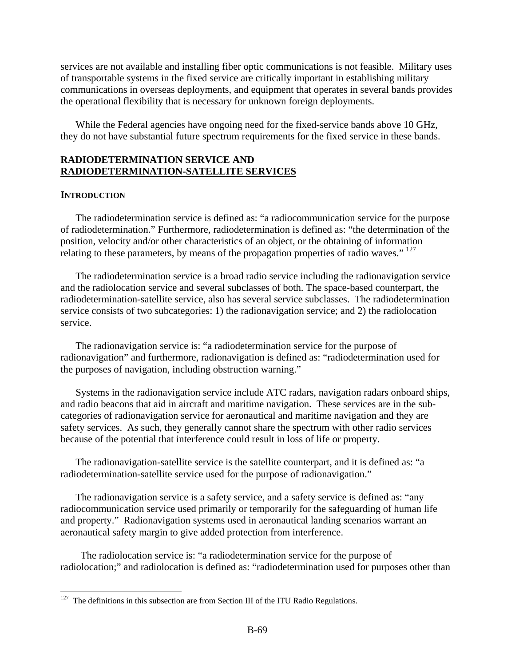services are not available and installing fiber optic communications is not feasible. Military uses of transportable systems in the fixed service are critically important in establishing military communications in overseas deployments, and equipment that operates in several bands provides the operational flexibility that is necessary for unknown foreign deployments.

While the Federal agencies have ongoing need for the fixed-service bands above 10 GHz, they do not have substantial future spectrum requirements for the fixed service in these bands.

## **RADIODETERMINATION SERVICE AND RADIODETERMINATION-SATELLITE SERVICES**

### **INTRODUCTION**

 $\overline{a}$ 

The radiodetermination service is defined as: "a radiocommunication service for the purpose of radiodetermination." Furthermore, radiodetermination is defined as: "the determination of the position, velocity and/or other characteristics of an object, or the obtaining of information relating to these parameters, by means of the propagation properties of radio waves."<sup>127</sup>

The radiodetermination service is a broad radio service including the radionavigation service and the radiolocation service and several subclasses of both. The space-based counterpart, the radiodetermination-satellite service, also has several service subclasses. The radiodetermination service consists of two subcategories: 1) the radionavigation service; and 2) the radiolocation service.

The radionavigation service is: "a radiodetermination service for the purpose of radionavigation" and furthermore, radionavigation is defined as: "radiodetermination used for the purposes of navigation, including obstruction warning."

Systems in the radionavigation service include ATC radars, navigation radars onboard ships, and radio beacons that aid in aircraft and maritime navigation. These services are in the subcategories of radionavigation service for aeronautical and maritime navigation and they are safety services. As such, they generally cannot share the spectrum with other radio services because of the potential that interference could result in loss of life or property.

The radionavigation-satellite service is the satellite counterpart, and it is defined as: "a radiodetermination-satellite service used for the purpose of radionavigation."

The radionavigation service is a safety service, and a safety service is defined as: "any radiocommunication service used primarily or temporarily for the safeguarding of human life and property." Radionavigation systems used in aeronautical landing scenarios warrant an aeronautical safety margin to give added protection from interference.

The radiolocation service is: "a radiodetermination service for the purpose of radiolocation;" and radiolocation is defined as: "radiodetermination used for purposes other than

 $127$  The definitions in this subsection are from Section III of the ITU Radio Regulations.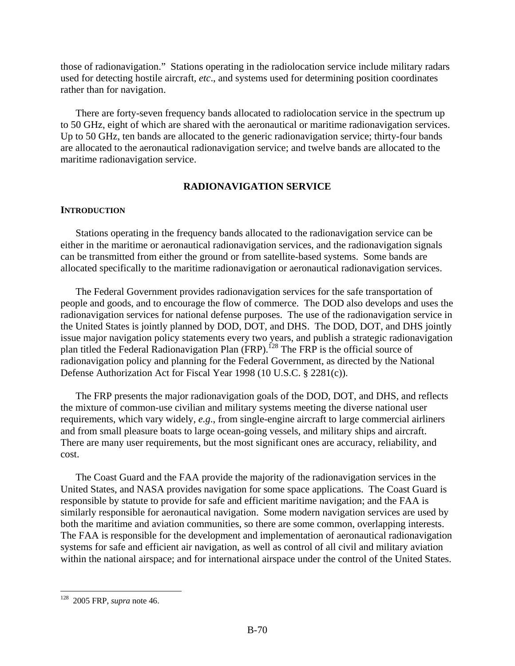those of radionavigation." Stations operating in the radiolocation service include military radars used for detecting hostile aircraft, *etc*., and systems used for determining position coordinates rather than for navigation.

 There are forty-seven frequency bands allocated to radiolocation service in the spectrum up to 50 GHz, eight of which are shared with the aeronautical or maritime radionavigation services. Up to 50 GHz, ten bands are allocated to the generic radionavigation service; thirty-four bands are allocated to the aeronautical radionavigation service; and twelve bands are allocated to the maritime radionavigation service.

### **RADIONAVIGATION SERVICE**

### **INTRODUCTION**

Stations operating in the frequency bands allocated to the radionavigation service can be either in the maritime or aeronautical radionavigation services, and the radionavigation signals can be transmitted from either the ground or from satellite-based systems. Some bands are allocated specifically to the maritime radionavigation or aeronautical radionavigation services.

The Federal Government provides radionavigation services for the safe transportation of people and goods, and to encourage the flow of commerce. The DOD also develops and uses the radionavigation services for national defense purposes. The use of the radionavigation service in the United States is jointly planned by DOD, DOT, and DHS. The DOD, DOT, and DHS jointly issue major navigation policy statements every two years, and publish a strategic radionavigation plan titled the Federal Radionavigation Plan (FRP).<sup>128</sup> The FRP is the official source of radionavigation policy and planning for the Federal Government, as directed by the National Defense Authorization Act for Fiscal Year 1998 (10 U.S.C. § 2281(c)).

The FRP presents the major radionavigation goals of the DOD, DOT, and DHS, and reflects the mixture of common-use civilian and military systems meeting the diverse national user requirements, which vary widely, *e.g*., from single-engine aircraft to large commercial airliners and from small pleasure boats to large ocean-going vessels, and military ships and aircraft. There are many user requirements, but the most significant ones are accuracy, reliability, and cost.

The Coast Guard and the FAA provide the majority of the radionavigation services in the United States, and NASA provides navigation for some space applications. The Coast Guard is responsible by statute to provide for safe and efficient maritime navigation; and the FAA is similarly responsible for aeronautical navigation. Some modern navigation services are used by both the maritime and aviation communities, so there are some common, overlapping interests. The FAA is responsible for the development and implementation of aeronautical radionavigation systems for safe and efficient air navigation, as well as control of all civil and military aviation within the national airspace; and for international airspace under the control of the United States.

<sup>128 2005</sup> FRP, *supra* note 46.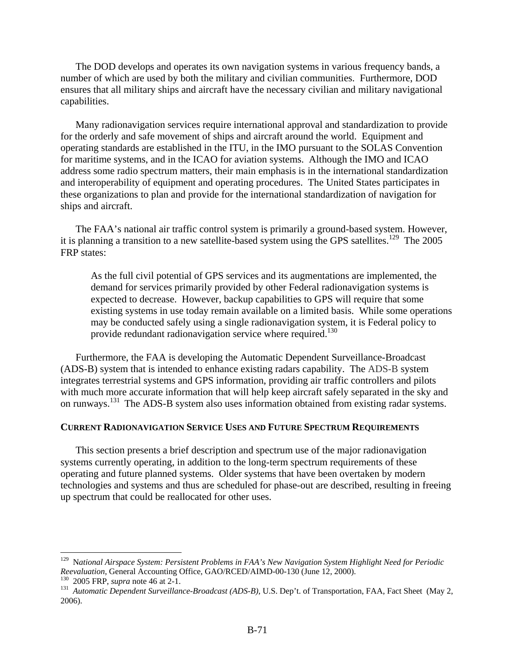The DOD develops and operates its own navigation systems in various frequency bands, a number of which are used by both the military and civilian communities. Furthermore, DOD ensures that all military ships and aircraft have the necessary civilian and military navigational capabilities.

Many radionavigation services require international approval and standardization to provide for the orderly and safe movement of ships and aircraft around the world. Equipment and operating standards are established in the ITU, in the IMO pursuant to the SOLAS Convention for maritime systems, and in the ICAO for aviation systems. Although the IMO and ICAO address some radio spectrum matters, their main emphasis is in the international standardization and interoperability of equipment and operating procedures. The United States participates in these organizations to plan and provide for the international standardization of navigation for ships and aircraft.

The FAA's national air traffic control system is primarily a ground-based system. However, it is planning a transition to a new satellite-based system using the GPS satellites.<sup>129</sup> The 2005 FRP states:

As the full civil potential of GPS services and its augmentations are implemented, the demand for services primarily provided by other Federal radionavigation systems is expected to decrease. However, backup capabilities to GPS will require that some existing systems in use today remain available on a limited basis. While some operations may be conducted safely using a single radionavigation system, it is Federal policy to provide redundant radionavigation service where required.<sup>130</sup>

Furthermore, the FAA is developing the Automatic Dependent Surveillance-Broadcast (ADS-B) system that is intended to enhance existing radars capability. The ADS-B system integrates terrestrial systems and GPS information, providing air traffic controllers and pilots with much more accurate information that will help keep aircraft safely separated in the sky and on runways.<sup>131</sup> The ADS-B system also uses information obtained from existing radar systems.

### **CURRENT RADIONAVIGATION SERVICE USES AND FUTURE SPECTRUM REQUIREMENTS**

This section presents a brief description and spectrum use of the major radionavigation systems currently operating, in addition to the long-term spectrum requirements of these operating and future planned systems. Older systems that have been overtaken by modern technologies and systems and thus are scheduled for phase-out are described, resulting in freeing up spectrum that could be reallocated for other uses.

1

<sup>129</sup> N*ational Airspace System: Persistent Problems in FAA's New Navigation System Highlight Need for Periodic*  Reevaluation, General Accounting Office, GAO/RCED/AIMD-00-130 (June 12, 2000).<br><sup>130</sup> 2005 FRP, *supra* note 46 at 2-1.<br><sup>131</sup> Automatic Dependent Surveillance-Broadcast (ADS-B), U.S. Dep't. of Transportation, FAA, Fact Shee

<sup>2006).</sup>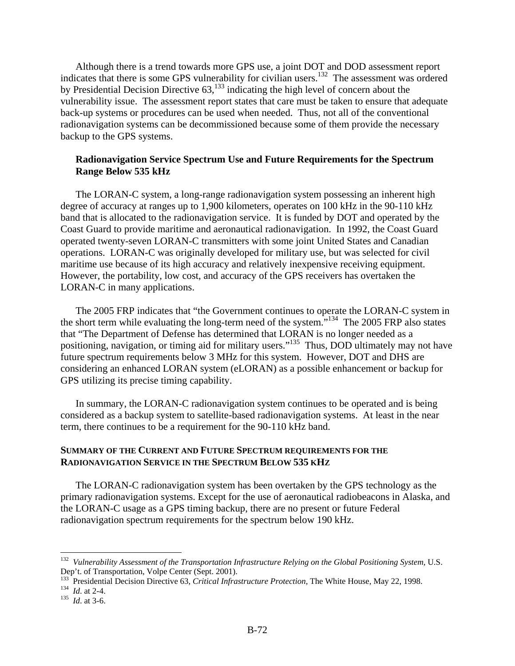Although there is a trend towards more GPS use, a joint DOT and DOD assessment report indicates that there is some GPS vulnerability for civilian users.<sup>132</sup> The assessment was ordered by Presidential Decision Directive  $63$ ,<sup>133</sup> indicating the high level of concern about the vulnerability issue. The assessment report states that care must be taken to ensure that adequate back-up systems or procedures can be used when needed. Thus, not all of the conventional radionavigation systems can be decommissioned because some of them provide the necessary backup to the GPS systems.

### **Radionavigation Service Spectrum Use and Future Requirements for the Spectrum Range Below 535 kHz**

The LORAN-C system, a long-range radionavigation system possessing an inherent high degree of accuracy at ranges up to 1,900 kilometers, operates on 100 kHz in the 90-110 kHz band that is allocated to the radionavigation service. It is funded by DOT and operated by the Coast Guard to provide maritime and aeronautical radionavigation. In 1992, the Coast Guard operated twenty-seven LORAN-C transmitters with some joint United States and Canadian operations. LORAN-C was originally developed for military use, but was selected for civil maritime use because of its high accuracy and relatively inexpensive receiving equipment. However, the portability, low cost, and accuracy of the GPS receivers has overtaken the LORAN-C in many applications.

The 2005 FRP indicates that "the Government continues to operate the LORAN-C system in the short term while evaluating the long-term need of the system."<sup>134</sup> The 2005 FRP also states that "The Department of Defense has determined that LORAN is no longer needed as a positioning, navigation, or timing aid for military users."135 Thus, DOD ultimately may not have future spectrum requirements below 3 MHz for this system. However, DOT and DHS are considering an enhanced LORAN system (eLORAN) as a possible enhancement or backup for GPS utilizing its precise timing capability.

In summary, the LORAN-C radionavigation system continues to be operated and is being considered as a backup system to satellite-based radionavigation systems. At least in the near term, there continues to be a requirement for the 90-110 kHz band.

# **SUMMARY OF THE CURRENT AND FUTURE SPECTRUM REQUIREMENTS FOR THE RADIONAVIGATION SERVICE IN THE SPECTRUM BELOW 535 KHZ**

The LORAN-C radionavigation system has been overtaken by the GPS technology as the primary radionavigation systems. Except for the use of aeronautical radiobeacons in Alaska, and the LORAN-C usage as a GPS timing backup, there are no present or future Federal radionavigation spectrum requirements for the spectrum below 190 kHz.

<sup>132</sup> *Vulnerability Assessment of the Transportation Infrastructure Relying on the Global Positioning System*, U.S. Dep't. of Transportation, Volpe Center (Sept. 2001).

<sup>133</sup> Presidential Decision Directive 63, *Critical Infrastructure Protection*, The White House, May 22, 1998. 134 *Id*. at 2-4. 135 *Id*. at 3-6.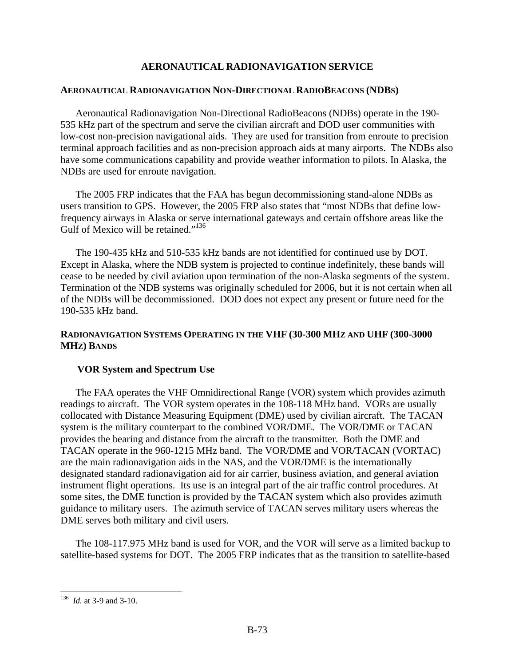# **AERONAUTICAL RADIONAVIGATION SERVICE**

### **AERONAUTICAL RADIONAVIGATION NON-DIRECTIONAL RADIOBEACONS (NDBS)**

Aeronautical Radionavigation Non-Directional RadioBeacons (NDBs) operate in the 190- 535 kHz part of the spectrum and serve the civilian aircraft and DOD user communities with low-cost non-precision navigational aids. They are used for transition from enroute to precision terminal approach facilities and as non-precision approach aids at many airports. The NDBs also have some communications capability and provide weather information to pilots. In Alaska, the NDBs are used for enroute navigation.

The 2005 FRP indicates that the FAA has begun decommissioning stand-alone NDBs as users transition to GPS. However, the 2005 FRP also states that "most NDBs that define lowfrequency airways in Alaska or serve international gateways and certain offshore areas like the Gulf of Mexico will be retained."<sup>136</sup>

The 190-435 kHz and 510-535 kHz bands are not identified for continued use by DOT. Except in Alaska, where the NDB system is projected to continue indefinitely, these bands will cease to be needed by civil aviation upon termination of the non-Alaska segments of the system. Termination of the NDB systems was originally scheduled for 2006, but it is not certain when all of the NDBs will be decommissioned. DOD does not expect any present or future need for the 190-535 kHz band.

# **RADIONAVIGATION SYSTEMS OPERATING IN THE VHF (30-300 MHZ AND UHF (300-3000 MHZ) BANDS**

## **VOR System and Spectrum Use**

The FAA operates the VHF Omnidirectional Range (VOR) system which provides azimuth readings to aircraft. The VOR system operates in the 108-118 MHz band. VORs are usually collocated with Distance Measuring Equipment (DME) used by civilian aircraft. The TACAN system is the military counterpart to the combined VOR/DME. The VOR/DME or TACAN provides the bearing and distance from the aircraft to the transmitter. Both the DME and TACAN operate in the 960-1215 MHz band. The VOR/DME and VOR/TACAN (VORTAC) are the main radionavigation aids in the NAS, and the VOR/DME is the internationally designated standard radionavigation aid for air carrier, business aviation, and general aviation instrument flight operations. Its use is an integral part of the air traffic control procedures. At some sites, the DME function is provided by the TACAN system which also provides azimuth guidance to military users. The azimuth service of TACAN serves military users whereas the DME serves both military and civil users.

The 108-117.975 MHz band is used for VOR, and the VOR will serve as a limited backup to satellite-based systems for DOT. The 2005 FRP indicates that as the transition to satellite-based

<sup>136</sup> *Id.* at 3-9 and 3-10.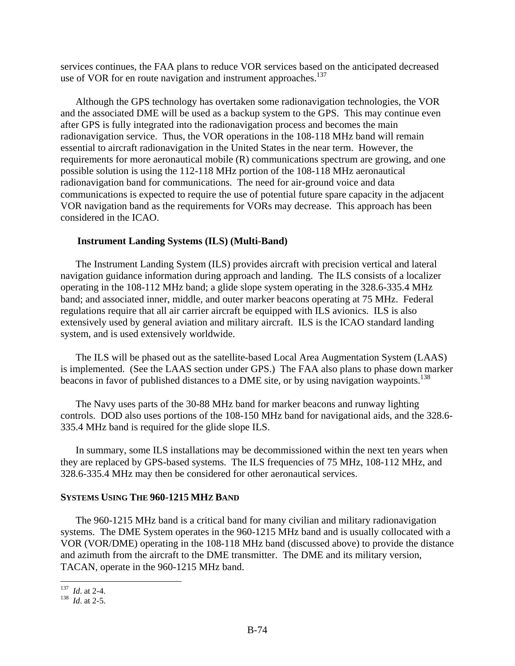services continues, the FAA plans to reduce VOR services based on the anticipated decreased use of VOR for en route navigation and instrument approaches.<sup>137</sup>

Although the GPS technology has overtaken some radionavigation technologies, the VOR and the associated DME will be used as a backup system to the GPS. This may continue even after GPS is fully integrated into the radionavigation process and becomes the main radionavigation service. Thus, the VOR operations in the 108-118 MHz band will remain essential to aircraft radionavigation in the United States in the near term. However, the requirements for more aeronautical mobile (R) communications spectrum are growing, and one possible solution is using the 112-118 MHz portion of the 108-118 MHz aeronautical radionavigation band for communications. The need for air-ground voice and data communications is expected to require the use of potential future spare capacity in the adjacent VOR navigation band as the requirements for VORs may decrease. This approach has been considered in the ICAO.

### **Instrument Landing Systems (ILS) (Multi-Band)**

The Instrument Landing System (ILS) provides aircraft with precision vertical and lateral navigation guidance information during approach and landing. The ILS consists of a localizer operating in the 108-112 MHz band; a glide slope system operating in the 328.6-335.4 MHz band; and associated inner, middle, and outer marker beacons operating at 75 MHz. Federal regulations require that all air carrier aircraft be equipped with ILS avionics. ILS is also extensively used by general aviation and military aircraft. ILS is the ICAO standard landing system, and is used extensively worldwide.

The ILS will be phased out as the satellite-based Local Area Augmentation System (LAAS) is implemented. (See the LAAS section under GPS.) The FAA also plans to phase down marker beacons in favor of published distances to a DME site, or by using navigation waypoints.<sup>138</sup>

The Navy uses parts of the 30-88 MHz band for marker beacons and runway lighting controls. DOD also uses portions of the 108-150 MHz band for navigational aids, and the 328.6- 335.4 MHz band is required for the glide slope ILS.

In summary, some ILS installations may be decommissioned within the next ten years when they are replaced by GPS-based systems. The ILS frequencies of 75 MHz, 108-112 MHz, and 328.6-335.4 MHz may then be considered for other aeronautical services.

#### **SYSTEMS USING THE 960-1215 MHZ BAND**

The 960-1215 MHz band is a critical band for many civilian and military radionavigation systems. The DME System operates in the 960-1215 MHz band and is usually collocated with a VOR (VOR/DME) operating in the 108-118 MHz band (discussed above) to provide the distance and azimuth from the aircraft to the DME transmitter. The DME and its military version, TACAN, operate in the 960-1215 MHz band.

 $137$  *Id.* at 2-4.

<sup>&</sup>lt;sup>138</sup> *Id.* at 2-5.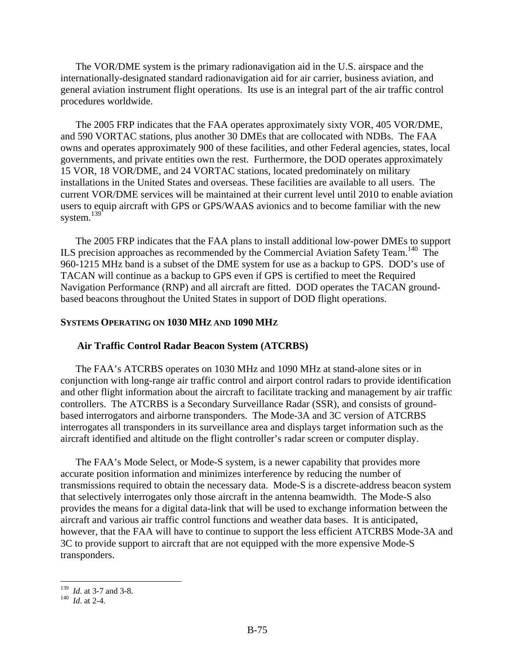The VOR/DME system is the primary radionavigation aid in the U.S. airspace and the internationally-designated standard radionavigation aid for air carrier, business aviation, and general aviation instrument flight operations. Its use is an integral part of the air traffic control procedures worldwide.

The 2005 FRP indicates that the FAA operates approximately sixty VOR, 405 VOR/DME, and 590 VORTAC stations, plus another 30 DMEs that are collocated with NDBs. The FAA owns and operates approximately 900 of these facilities, and other Federal agencies, states, local governments, and private entities own the rest. Furthermore, the DOD operates approximately 15 VOR, 18 VOR/DME, and 24 VORTAC stations, located predominately on military installations in the United States and overseas. These facilities are available to all users. The current VOR/DME services will be maintained at their current level until 2010 to enable aviation users to equip aircraft with GPS or GPS/WAAS avionics and to become familiar with the new system.<sup>139</sup>

The 2005 FRP indicates that the FAA plans to install additional low-power DMEs to support ILS precision approaches as recommended by the Commercial Aviation Safety Team.<sup>140</sup> The 960-1215 MHz band is a subset of the DME system for use as a backup to GPS. DOD's use of TACAN will continue as a backup to GPS even if GPS is certified to meet the Required Navigation Performance (RNP) and all aircraft are fitted. DOD operates the TACAN groundbased beacons throughout the United States in support of DOD flight operations.

#### **SYSTEMS OPERATING ON 1030 MHZ AND 1090 MHZ**

### **Air Traffic Control Radar Beacon System (ATCRBS)**

The FAA's ATCRBS operates on 1030 MHz and 1090 MHz at stand-alone sites or in conjunction with long-range air traffic control and airport control radars to provide identification and other flight information about the aircraft to facilitate tracking and management by air traffic controllers. The ATCRBS is a Secondary Surveillance Radar (SSR), and consists of groundbased interrogators and airborne transponders. The Mode-3A and 3C version of ATCRBS interrogates all transponders in its surveillance area and displays target information such as the aircraft identified and altitude on the flight controller's radar screen or computer display.

The FAA's Mode Select, or Mode-S system, is a newer capability that provides more accurate position information and minimizes interference by reducing the number of transmissions required to obtain the necessary data. Mode-S is a discrete-address beacon system that selectively interrogates only those aircraft in the antenna beamwidth. The Mode-S also provides the means for a digital data-link that will be used to exchange information between the aircraft and various air traffic control functions and weather data bases. It is anticipated, however, that the FAA will have to continue to support the less efficient ATCRBS Mode-3A and 3C to provide support to aircraft that are not equipped with the more expensive Mode-S transponders.

<sup>&</sup>lt;sup>139</sup> *Id.* at 3-7 and 3-8.<br><sup>140</sup> *Id.* at 2-4.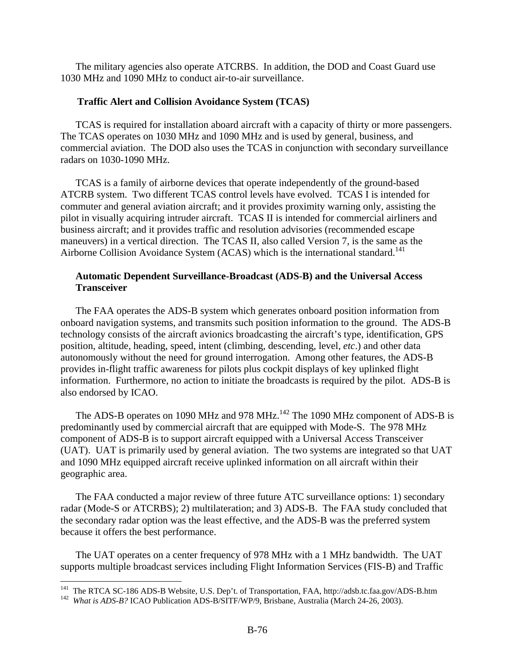The military agencies also operate ATCRBS. In addition, the DOD and Coast Guard use 1030 MHz and 1090 MHz to conduct air-to-air surveillance.

### **Traffic Alert and Collision Avoidance System (TCAS)**

TCAS is required for installation aboard aircraft with a capacity of thirty or more passengers. The TCAS operates on 1030 MHz and 1090 MHz and is used by general, business, and commercial aviation. The DOD also uses the TCAS in conjunction with secondary surveillance radars on 1030-1090 MHz.

TCAS is a family of airborne devices that operate independently of the ground-based ATCRB system. Two different TCAS control levels have evolved. TCAS I is intended for commuter and general aviation aircraft; and it provides proximity warning only, assisting the pilot in visually acquiring intruder aircraft. TCAS II is intended for commercial airliners and business aircraft; and it provides traffic and resolution advisories (recommended escape maneuvers) in a vertical direction. The TCAS II, also called Version 7, is the same as the Airborne Collision Avoidance System (ACAS) which is the international standard.<sup>141</sup>

## **Automatic Dependent Surveillance-Broadcast (ADS-B) and the Universal Access Transceiver**

The FAA operates the ADS-B system which generates onboard position information from onboard navigation systems, and transmits such position information to the ground. The ADS-B technology consists of the aircraft avionics broadcasting the aircraft's type, identification, GPS position, altitude, heading, speed, intent (climbing, descending, level, *etc*.) and other data autonomously without the need for ground interrogation. Among other features, the ADS-B provides in-flight traffic awareness for pilots plus cockpit displays of key uplinked flight information. Furthermore, no action to initiate the broadcasts is required by the pilot. ADS-B is also endorsed by ICAO.

The ADS-B operates on 1090 MHz and 978 MHz.<sup>142</sup> The 1090 MHz component of ADS-B is predominantly used by commercial aircraft that are equipped with Mode-S. The 978 MHz component of ADS-B is to support aircraft equipped with a Universal Access Transceiver (UAT). UAT is primarily used by general aviation. The two systems are integrated so that UAT and 1090 MHz equipped aircraft receive uplinked information on all aircraft within their geographic area.

The FAA conducted a major review of three future ATC surveillance options: 1) secondary radar (Mode-S or ATCRBS); 2) multilateration; and 3) ADS-B. The FAA study concluded that the secondary radar option was the least effective, and the ADS-B was the preferred system because it offers the best performance.

The UAT operates on a center frequency of 978 MHz with a 1 MHz bandwidth. The UAT supports multiple broadcast services including Flight Information Services (FIS-B) and Traffic

<sup>&</sup>lt;sup>141</sup> The RTCA SC-186 ADS-B Website, U.S. Dep't. of Transportation, FAA, http://adsb.tc.faa.gov/ADS-B.htm <sup>142</sup> *What is ADS-B?* ICAO Publication ADS-B/SITF/WP/9, Brisbane, Australia (March 24-26, 2003).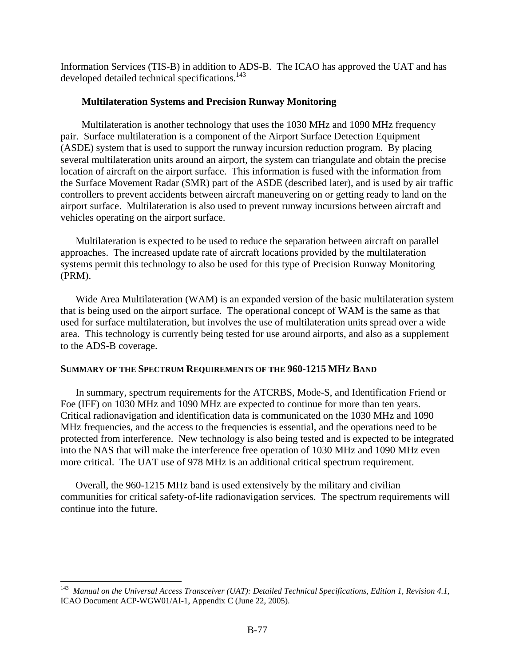Information Services (TIS-B) in addition to ADS-B. The ICAO has approved the UAT and has developed detailed technical specifications.<sup>143</sup>

## **Multilateration Systems and Precision Runway Monitoring**

 Multilateration is another technology that uses the 1030 MHz and 1090 MHz frequency pair. Surface multilateration is a component of the Airport Surface Detection Equipment (ASDE) system that is used to support the runway incursion reduction program. By placing several multilateration units around an airport, the system can triangulate and obtain the precise location of aircraft on the airport surface. This information is fused with the information from the Surface Movement Radar (SMR) part of the ASDE (described later), and is used by air traffic controllers to prevent accidents between aircraft maneuvering on or getting ready to land on the airport surface. Multilateration is also used to prevent runway incursions between aircraft and vehicles operating on the airport surface.

Multilateration is expected to be used to reduce the separation between aircraft on parallel approaches. The increased update rate of aircraft locations provided by the multilateration systems permit this technology to also be used for this type of Precision Runway Monitoring (PRM).

Wide Area Multilateration (WAM) is an expanded version of the basic multilateration system that is being used on the airport surface. The operational concept of WAM is the same as that used for surface multilateration, but involves the use of multilateration units spread over a wide area. This technology is currently being tested for use around airports, and also as a supplement to the ADS-B coverage.

## **SUMMARY OF THE SPECTRUM REQUIREMENTS OF THE 960-1215 MHZ BAND**

In summary, spectrum requirements for the ATCRBS, Mode-S, and Identification Friend or Foe (IFF) on 1030 MHz and 1090 MHz are expected to continue for more than ten years. Critical radionavigation and identification data is communicated on the 1030 MHz and 1090 MHz frequencies, and the access to the frequencies is essential, and the operations need to be protected from interference. New technology is also being tested and is expected to be integrated into the NAS that will make the interference free operation of 1030 MHz and 1090 MHz even more critical. The UAT use of 978 MHz is an additional critical spectrum requirement.

Overall, the 960-1215 MHz band is used extensively by the military and civilian communities for critical safety-of-life radionavigation services. The spectrum requirements will continue into the future.

<sup>143</sup> *Manual on the Universal Access Transceiver (UAT): Detailed Technical Specifications, Edition 1, Revision 4.1*, ICAO Document ACP-WGW01/AI-1, Appendix C (June 22, 2005).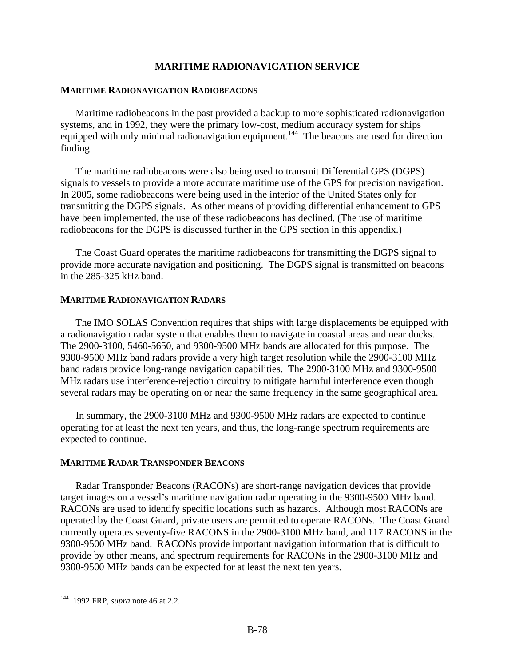### **MARITIME RADIONAVIGATION SERVICE**

### **MARITIME RADIONAVIGATION RADIOBEACONS**

Maritime radiobeacons in the past provided a backup to more sophisticated radionavigation systems, and in 1992, they were the primary low-cost, medium accuracy system for ships equipped with only minimal radionavigation equipment.<sup>144</sup> The beacons are used for direction finding.

The maritime radiobeacons were also being used to transmit Differential GPS (DGPS) signals to vessels to provide a more accurate maritime use of the GPS for precision navigation. In 2005, some radiobeacons were being used in the interior of the United States only for transmitting the DGPS signals. As other means of providing differential enhancement to GPS have been implemented, the use of these radiobeacons has declined. (The use of maritime radiobeacons for the DGPS is discussed further in the GPS section in this appendix.)

The Coast Guard operates the maritime radiobeacons for transmitting the DGPS signal to provide more accurate navigation and positioning. The DGPS signal is transmitted on beacons in the 285-325 kHz band.

#### **MARITIME RADIONAVIGATION RADARS**

The IMO SOLAS Convention requires that ships with large displacements be equipped with a radionavigation radar system that enables them to navigate in coastal areas and near docks. The 2900-3100, 5460-5650, and 9300-9500 MHz bands are allocated for this purpose. The 9300-9500 MHz band radars provide a very high target resolution while the 2900-3100 MHz band radars provide long-range navigation capabilities. The 2900-3100 MHz and 9300-9500 MHz radars use interference-rejection circuitry to mitigate harmful interference even though several radars may be operating on or near the same frequency in the same geographical area.

In summary, the 2900-3100 MHz and 9300-9500 MHz radars are expected to continue operating for at least the next ten years, and thus, the long-range spectrum requirements are expected to continue.

### **MARITIME RADAR TRANSPONDER BEACONS**

Radar Transponder Beacons (RACONs) are short-range navigation devices that provide target images on a vessel's maritime navigation radar operating in the 9300-9500 MHz band. RACONs are used to identify specific locations such as hazards. Although most RACONs are operated by the Coast Guard, private users are permitted to operate RACONs. The Coast Guard currently operates seventy-five RACONS in the 2900-3100 MHz band, and 117 RACONS in the 9300-9500 MHz band. RACONs provide important navigation information that is difficult to provide by other means, and spectrum requirements for RACONs in the 2900-3100 MHz and 9300-9500 MHz bands can be expected for at least the next ten years.

<sup>144 1992</sup> FRP, *supra* note 46 at 2.2.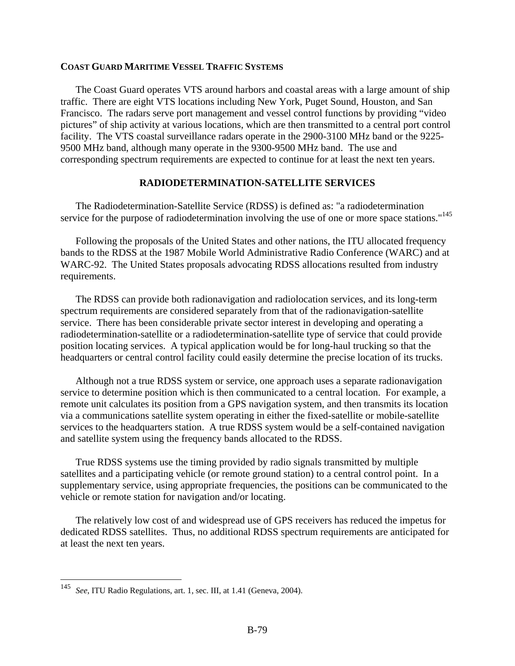### **COAST GUARD MARITIME VESSEL TRAFFIC SYSTEMS**

The Coast Guard operates VTS around harbors and coastal areas with a large amount of ship traffic. There are eight VTS locations including New York, Puget Sound, Houston, and San Francisco. The radars serve port management and vessel control functions by providing "video pictures" of ship activity at various locations, which are then transmitted to a central port control facility. The VTS coastal surveillance radars operate in the 2900-3100 MHz band or the 9225- 9500 MHz band, although many operate in the 9300-9500 MHz band. The use and corresponding spectrum requirements are expected to continue for at least the next ten years.

### **RADIODETERMINATION-SATELLITE SERVICES**

The Radiodetermination-Satellite Service (RDSS) is defined as: "a radiodetermination service for the purpose of radiodetermination involving the use of one or more space stations."<sup>145</sup>

Following the proposals of the United States and other nations, the ITU allocated frequency bands to the RDSS at the 1987 Mobile World Administrative Radio Conference (WARC) and at WARC-92. The United States proposals advocating RDSS allocations resulted from industry requirements.

The RDSS can provide both radionavigation and radiolocation services, and its long-term spectrum requirements are considered separately from that of the radionavigation-satellite service. There has been considerable private sector interest in developing and operating a radiodetermination-satellite or a radiodetermination-satellite type of service that could provide position locating services. A typical application would be for long-haul trucking so that the headquarters or central control facility could easily determine the precise location of its trucks.

Although not a true RDSS system or service, one approach uses a separate radionavigation service to determine position which is then communicated to a central location. For example, a remote unit calculates its position from a GPS navigation system, and then transmits its location via a communications satellite system operating in either the fixed-satellite or mobile-satellite services to the headquarters station. A true RDSS system would be a self-contained navigation and satellite system using the frequency bands allocated to the RDSS.

True RDSS systems use the timing provided by radio signals transmitted by multiple satellites and a participating vehicle (or remote ground station) to a central control point. In a supplementary service, using appropriate frequencies, the positions can be communicated to the vehicle or remote station for navigation and/or locating.

The relatively low cost of and widespread use of GPS receivers has reduced the impetus for dedicated RDSS satellites. Thus, no additional RDSS spectrum requirements are anticipated for at least the next ten years.

<sup>145</sup> *See*, ITU Radio Regulations, art. 1, sec. III, at 1.41 (Geneva, 2004).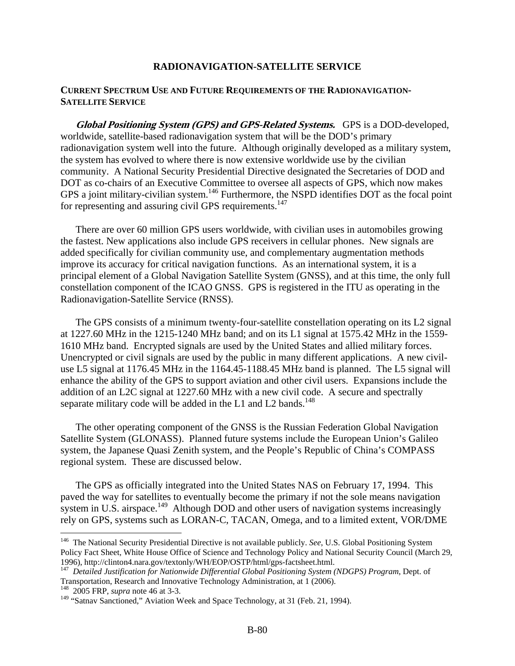### **RADIONAVIGATION-SATELLITE SERVICE**

### **CURRENT SPECTRUM USE AND FUTURE REQUIREMENTS OF THE RADIONAVIGATION-SATELLITE SERVICE**

**Global Positioning System (GPS) and GPS-Related Systems.** GPS is a DOD-developed, worldwide, satellite-based radionavigation system that will be the DOD's primary radionavigation system well into the future. Although originally developed as a military system, the system has evolved to where there is now extensive worldwide use by the civilian community. A National Security Presidential Directive designated the Secretaries of DOD and DOT as co-chairs of an Executive Committee to oversee all aspects of GPS, which now makes GPS a joint military-civilian system.<sup>146</sup> Furthermore, the NSPD identifies DOT as the focal point for representing and assuring civil GPS requirements.<sup>147</sup>

There are over 60 million GPS users worldwide, with civilian uses in automobiles growing the fastest. New applications also include GPS receivers in cellular phones. New signals are added specifically for civilian community use, and complementary augmentation methods improve its accuracy for critical navigation functions. As an international system, it is a principal element of a Global Navigation Satellite System (GNSS), and at this time, the only full constellation component of the ICAO GNSS. GPS is registered in the ITU as operating in the Radionavigation-Satellite Service (RNSS).

The GPS consists of a minimum twenty-four-satellite constellation operating on its L2 signal at 1227.60 MHz in the 1215-1240 MHz band; and on its L1 signal at 1575.42 MHz in the 1559- 1610 MHz band. Encrypted signals are used by the United States and allied military forces. Unencrypted or civil signals are used by the public in many different applications. A new civiluse L5 signal at 1176.45 MHz in the 1164.45-1188.45 MHz band is planned. The L5 signal will enhance the ability of the GPS to support aviation and other civil users. Expansions include the addition of an L2C signal at 1227.60 MHz with a new civil code. A secure and spectrally separate military code will be added in the L1 and L2 bands.<sup>148</sup>

The other operating component of the GNSS is the Russian Federation Global Navigation Satellite System (GLONASS). Planned future systems include the European Union's Galileo system, the Japanese Quasi Zenith system, and the People's Republic of China's COMPASS regional system. These are discussed below.

The GPS as officially integrated into the United States NAS on February 17, 1994. This paved the way for satellites to eventually become the primary if not the sole means navigation system in U.S. airspace.<sup>149</sup> Although DOD and other users of navigation systems increasingly rely on GPS, systems such as LORAN-C, TACAN, Omega, and to a limited extent, VOR/DME

<sup>&</sup>lt;sup>146</sup> The National Security Presidential Directive is not available publicly. *See*, U.S. Global Positioning System Policy Fact Sheet, White House Office of Science and Technology Policy and National Security Council (March 29,

<sup>1996),</sup> http://clinton4.nara.gov/textonly/WH/EOP/OSTP/html/gps-factsheet.html. 147 *Detailed Justification for Nationwide Differential Global Positioning System (NDGPS) Program*, Dept. of Transportation, Research and Innovative Technology Administration, at 1 (2006). 148 2005 FRP, *supra* note 46 at 3-3.

<sup>&</sup>lt;sup>149</sup> "Satnav Sanctioned," Aviation Week and Space Technology, at 31 (Feb. 21, 1994).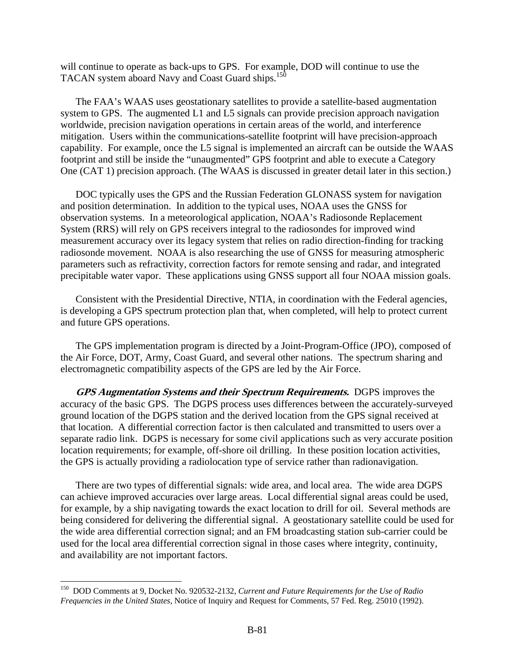will continue to operate as back-ups to GPS. For example, DOD will continue to use the TACAN system aboard Navy and Coast Guard ships.<sup>150</sup>

The FAA's WAAS uses geostationary satellites to provide a satellite-based augmentation system to GPS. The augmented L1 and L5 signals can provide precision approach navigation worldwide, precision navigation operations in certain areas of the world, and interference mitigation. Users within the communications-satellite footprint will have precision-approach capability. For example, once the L5 signal is implemented an aircraft can be outside the WAAS footprint and still be inside the "unaugmented" GPS footprint and able to execute a Category One (CAT 1) precision approach. (The WAAS is discussed in greater detail later in this section.)

DOC typically uses the GPS and the Russian Federation GLONASS system for navigation and position determination. In addition to the typical uses, NOAA uses the GNSS for observation systems. In a meteorological application, NOAA's Radiosonde Replacement System (RRS) will rely on GPS receivers integral to the radiosondes for improved wind measurement accuracy over its legacy system that relies on radio direction-finding for tracking radiosonde movement. NOAA is also researching the use of GNSS for measuring atmospheric parameters such as refractivity, correction factors for remote sensing and radar, and integrated precipitable water vapor. These applications using GNSS support all four NOAA mission goals.

Consistent with the Presidential Directive, NTIA, in coordination with the Federal agencies, is developing a GPS spectrum protection plan that, when completed, will help to protect current and future GPS operations.

The GPS implementation program is directed by a Joint-Program-Office (JPO), composed of the Air Force, DOT, Army, Coast Guard, and several other nations. The spectrum sharing and electromagnetic compatibility aspects of the GPS are led by the Air Force.

**GPS Augmentation Systems and their Spectrum Requirements.** DGPS improves the accuracy of the basic GPS. The DGPS process uses differences between the accurately-surveyed ground location of the DGPS station and the derived location from the GPS signal received at that location. A differential correction factor is then calculated and transmitted to users over a separate radio link. DGPS is necessary for some civil applications such as very accurate position location requirements; for example, off-shore oil drilling. In these position location activities, the GPS is actually providing a radiolocation type of service rather than radionavigation.

There are two types of differential signals: wide area, and local area. The wide area DGPS can achieve improved accuracies over large areas. Local differential signal areas could be used, for example, by a ship navigating towards the exact location to drill for oil. Several methods are being considered for delivering the differential signal. A geostationary satellite could be used for the wide area differential correction signal; and an FM broadcasting station sub-carrier could be used for the local area differential correction signal in those cases where integrity, continuity, and availability are not important factors.

<sup>150</sup> DOD Comments at 9, Docket No. 920532-2132, *Current and Future Requirements for the Use of Radio Frequencies in the United States*, Notice of Inquiry and Request for Comments, 57 Fed. Reg. 25010 (1992).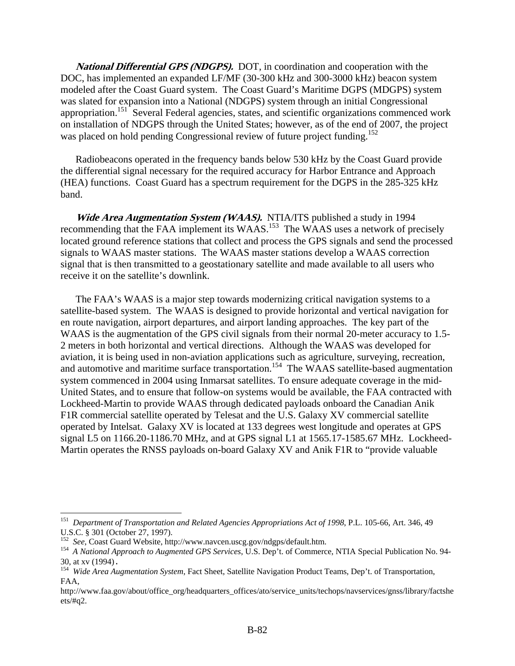**National Differential GPS (NDGPS).** DOT, in coordination and cooperation with the DOC, has implemented an expanded LF/MF (30-300 kHz and 300-3000 kHz) beacon system modeled after the Coast Guard system. The Coast Guard's Maritime DGPS (MDGPS) system was slated for expansion into a National (NDGPS) system through an initial Congressional appropriation.<sup>151</sup> Several Federal agencies, states, and scientific organizations commenced work on installation of NDGPS through the United States; however, as of the end of 2007, the project was placed on hold pending Congressional review of future project funding.<sup>152</sup>

Radiobeacons operated in the frequency bands below 530 kHz by the Coast Guard provide the differential signal necessary for the required accuracy for Harbor Entrance and Approach (HEA) functions. Coast Guard has a spectrum requirement for the DGPS in the 285-325 kHz band.

**Wide Area Augmentation System (WAAS).** NTIA/ITS published a study in 1994 recommending that the FAA implement its WAAS.153 The WAAS uses a network of precisely located ground reference stations that collect and process the GPS signals and send the processed signals to WAAS master stations. The WAAS master stations develop a WAAS correction signal that is then transmitted to a geostationary satellite and made available to all users who receive it on the satellite's downlink.

The FAA's WAAS is a major step towards modernizing critical navigation systems to a satellite-based system. The WAAS is designed to provide horizontal and vertical navigation for en route navigation, airport departures, and airport landing approaches. The key part of the WAAS is the augmentation of the GPS civil signals from their normal 20-meter accuracy to 1.5-2 meters in both horizontal and vertical directions. Although the WAAS was developed for aviation, it is being used in non-aviation applications such as agriculture, surveying, recreation, and automotive and maritime surface transportation.<sup>154</sup> The WAAS satellite-based augmentation system commenced in 2004 using Inmarsat satellites. To ensure adequate coverage in the mid-United States, and to ensure that follow-on systems would be available, the FAA contracted with Lockheed-Martin to provide WAAS through dedicated payloads onboard the Canadian Anik F1R commercial satellite operated by Telesat and the U.S. Galaxy XV commercial satellite operated by Intelsat. Galaxy XV is located at 133 degrees west longitude and operates at GPS signal L5 on 1166.20-1186.70 MHz, and at GPS signal L1 at 1565.17-1585.67 MHz. Lockheed-Martin operates the RNSS payloads on-board Galaxy XV and Anik F1R to "provide valuable

<sup>151</sup> *Department of Transportation and Related Agencies Appropriations Act of 1998*, P.L. 105-66, Art. 346, 49 U.S.C. § 301 (October 27, 1997).<br><sup>152</sup> See, Coast Guard Website, http://www.navcen.uscg.gov/ndgps/default.htm.

<sup>154</sup> *A National Approach to Augmented GPS Services*, U.S. Dep't. of Commerce, NTIA Special Publication No. 94-

<sup>30,</sup> at xv (1994). 154 *Wide Area Augmentation System*, Fact Sheet, Satellite Navigation Product Teams, Dep't. of Transportation, FAA,

http://www.faa.gov/about/office\_org/headquarters\_offices/ato/service\_units/techops/navservices/gnss/library/factshe ets/#q2.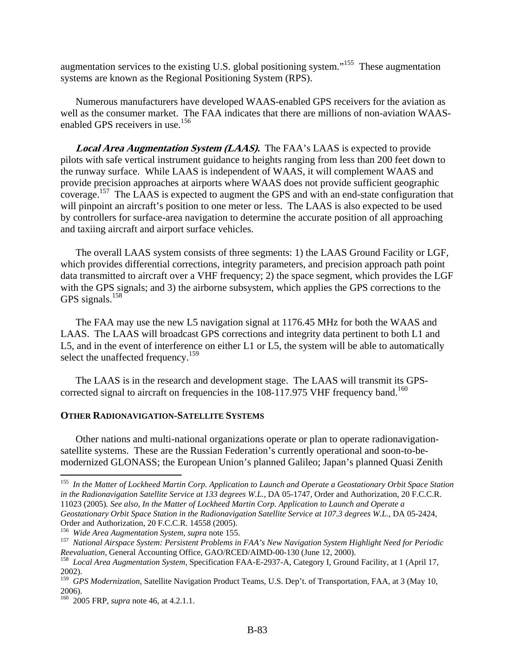augmentation services to the existing U.S. global positioning system."155 These augmentation systems are known as the Regional Positioning System (RPS).

Numerous manufacturers have developed WAAS-enabled GPS receivers for the aviation as well as the consumer market. The FAA indicates that there are millions of non-aviation WAASenabled GPS receivers in use.<sup>156</sup>

**Local Area Augmentation System (LAAS).** The FAA's LAAS is expected to provide pilots with safe vertical instrument guidance to heights ranging from less than 200 feet down to the runway surface. While LAAS is independent of WAAS, it will complement WAAS and provide precision approaches at airports where WAAS does not provide sufficient geographic coverage.<sup>157</sup> The LAAS is expected to augment the GPS and with an end-state configuration that will pinpoint an aircraft's position to one meter or less. The LAAS is also expected to be used by controllers for surface-area navigation to determine the accurate position of all approaching and taxiing aircraft and airport surface vehicles.

The overall LAAS system consists of three segments: 1) the LAAS Ground Facility or LGF, which provides differential corrections, integrity parameters, and precision approach path point data transmitted to aircraft over a VHF frequency; 2) the space segment, which provides the LGF with the GPS signals; and 3) the airborne subsystem, which applies the GPS corrections to the GPS signals. $158$ 

The FAA may use the new L5 navigation signal at 1176.45 MHz for both the WAAS and LAAS. The LAAS will broadcast GPS corrections and integrity data pertinent to both L1 and L5, and in the event of interference on either L1 or L5, the system will be able to automatically select the unaffected frequency.<sup>159</sup>

The LAAS is in the research and development stage. The LAAS will transmit its GPScorrected signal to aircraft on frequencies in the  $108-117.975$  VHF frequency band.<sup>160</sup>

### **OTHER RADIONAVIGATION-SATELLITE SYSTEMS**

Other nations and multi-national organizations operate or plan to operate radionavigationsatellite systems. These are the Russian Federation's currently operational and soon-to-bemodernized GLONASS; the European Union's planned Galileo; Japan's planned Quasi Zenith

<sup>155</sup> *In the Matter of Lockheed Martin Corp. Application to Launch and Operate a Geostationary Orbit Space Station in the Radionavigation Satellite Service at 133 degrees W.L.,* DA 05-1747, Order and Authorization, 20 F.C.C.R. 11023 (2005)*. See also*, *In the Matter of Lockheed Martin Corp. Application to Launch and Operate a Geostationary Orbit Space Station in the Radionavigation Satellite Service at 107.3 degrees W.L.*, DA 05-2424, Order and Authorization, 20 F.C.C.R. 14558 (2005).<br><sup>156</sup> Wide Area Augmentation System, supra note 155.

<sup>&</sup>lt;sup>157</sup> National Airspace System: *Persistent Problems in FAA's New Navigation System Highlight Need for Periodic Reevaluation, General Accounting Office, GAO/RCED/AIMD-00-130 (June 12, 2000).* 

<sup>&</sup>lt;sup>158</sup> Local Area Augmentation System, Specification FAA-E-2937-A, Category I, Ground Facility, at 1 (April 17, 2002).

<sup>&</sup>lt;sup>159</sup> *GPS Modernization*, Satellite Navigation Product Teams, U.S. Dep't. of Transportation, FAA, at 3 (May 10, 2006).

<sup>160 2005</sup> FRP, *supra* note 46, at 4.2.1.1.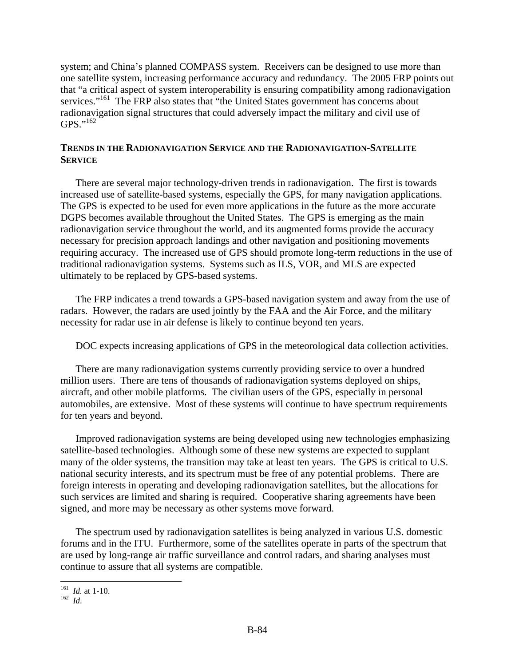system; and China's planned COMPASS system. Receivers can be designed to use more than one satellite system, increasing performance accuracy and redundancy. The 2005 FRP points out that "a critical aspect of system interoperability is ensuring compatibility among radionavigation services."<sup>161</sup> The FRP also states that "the United States government has concerns about radionavigation signal structures that could adversely impact the military and civil use of  $GPS.$ <sup> $,162$ </sup>

# **TRENDS IN THE RADIONAVIGATION SERVICE AND THE RADIONAVIGATION-SATELLITE SERVICE**

There are several major technology-driven trends in radionavigation. The first is towards increased use of satellite-based systems, especially the GPS, for many navigation applications. The GPS is expected to be used for even more applications in the future as the more accurate DGPS becomes available throughout the United States. The GPS is emerging as the main radionavigation service throughout the world, and its augmented forms provide the accuracy necessary for precision approach landings and other navigation and positioning movements requiring accuracy. The increased use of GPS should promote long-term reductions in the use of traditional radionavigation systems. Systems such as ILS, VOR, and MLS are expected ultimately to be replaced by GPS-based systems.

The FRP indicates a trend towards a GPS-based navigation system and away from the use of radars. However, the radars are used jointly by the FAA and the Air Force, and the military necessity for radar use in air defense is likely to continue beyond ten years.

DOC expects increasing applications of GPS in the meteorological data collection activities.

There are many radionavigation systems currently providing service to over a hundred million users. There are tens of thousands of radionavigation systems deployed on ships, aircraft, and other mobile platforms. The civilian users of the GPS, especially in personal automobiles, are extensive. Most of these systems will continue to have spectrum requirements for ten years and beyond.

Improved radionavigation systems are being developed using new technologies emphasizing satellite-based technologies. Although some of these new systems are expected to supplant many of the older systems, the transition may take at least ten years. The GPS is critical to U.S. national security interests, and its spectrum must be free of any potential problems. There are foreign interests in operating and developing radionavigation satellites, but the allocations for such services are limited and sharing is required. Cooperative sharing agreements have been signed, and more may be necessary as other systems move forward.

The spectrum used by radionavigation satellites is being analyzed in various U.S. domestic forums and in the ITU. Furthermore, some of the satellites operate in parts of the spectrum that are used by long-range air traffic surveillance and control radars, and sharing analyses must continue to assure that all systems are compatible.

<sup>161</sup>*Id.* at 1-10. 162 *Id*.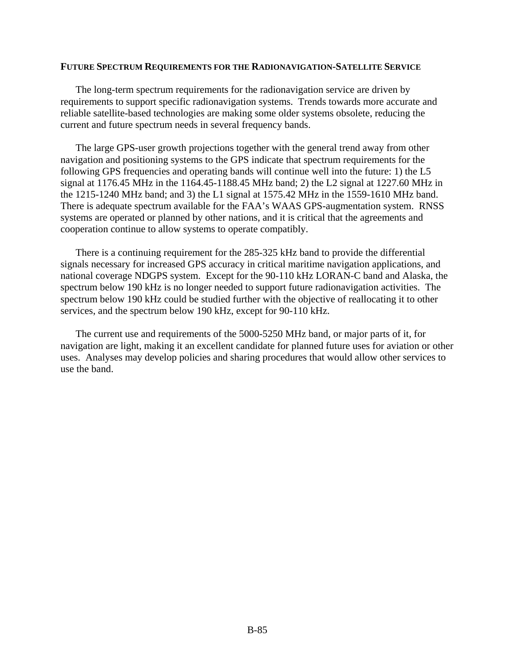#### **FUTURE SPECTRUM REQUIREMENTS FOR THE RADIONAVIGATION-SATELLITE SERVICE**

The long-term spectrum requirements for the radionavigation service are driven by requirements to support specific radionavigation systems. Trends towards more accurate and reliable satellite-based technologies are making some older systems obsolete, reducing the current and future spectrum needs in several frequency bands.

The large GPS-user growth projections together with the general trend away from other navigation and positioning systems to the GPS indicate that spectrum requirements for the following GPS frequencies and operating bands will continue well into the future: 1) the L5 signal at 1176.45 MHz in the 1164.45-1188.45 MHz band; 2) the L2 signal at 1227.60 MHz in the 1215-1240 MHz band; and 3) the L1 signal at 1575.42 MHz in the 1559-1610 MHz band. There is adequate spectrum available for the FAA's WAAS GPS-augmentation system. RNSS systems are operated or planned by other nations, and it is critical that the agreements and cooperation continue to allow systems to operate compatibly.

There is a continuing requirement for the 285-325 kHz band to provide the differential signals necessary for increased GPS accuracy in critical maritime navigation applications, and national coverage NDGPS system. Except for the 90-110 kHz LORAN-C band and Alaska, the spectrum below 190 kHz is no longer needed to support future radionavigation activities. The spectrum below 190 kHz could be studied further with the objective of reallocating it to other services, and the spectrum below 190 kHz, except for 90-110 kHz.

The current use and requirements of the 5000-5250 MHz band, or major parts of it, for navigation are light, making it an excellent candidate for planned future uses for aviation or other uses. Analyses may develop policies and sharing procedures that would allow other services to use the band.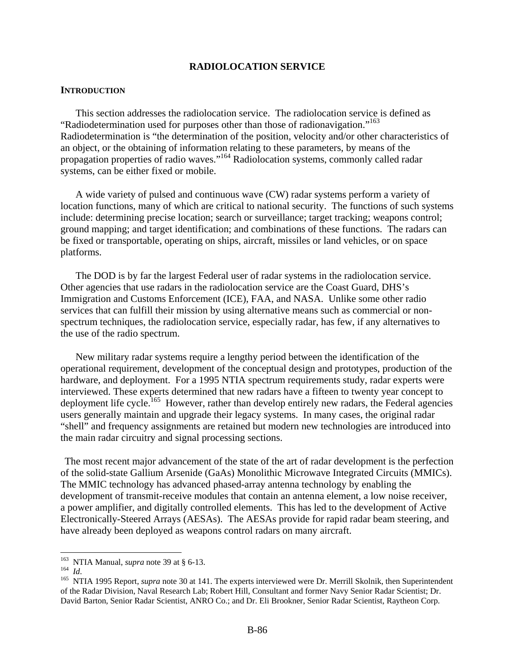## **RADIOLOCATION SERVICE**

#### **INTRODUCTION**

 This section addresses the radiolocation service. The radiolocation service is defined as "Radiodetermination used for purposes other than those of radionavigation."<sup>163</sup> Radiodetermination is "the determination of the position, velocity and/or other characteristics of an object, or the obtaining of information relating to these parameters, by means of the propagation properties of radio waves."164 Radiolocation systems, commonly called radar systems, can be either fixed or mobile.

 A wide variety of pulsed and continuous wave (CW) radar systems perform a variety of location functions, many of which are critical to national security. The functions of such systems include: determining precise location; search or surveillance; target tracking; weapons control; ground mapping; and target identification; and combinations of these functions. The radars can be fixed or transportable, operating on ships, aircraft, missiles or land vehicles, or on space platforms.

The DOD is by far the largest Federal user of radar systems in the radiolocation service. Other agencies that use radars in the radiolocation service are the Coast Guard, DHS's Immigration and Customs Enforcement (ICE), FAA, and NASA. Unlike some other radio services that can fulfill their mission by using alternative means such as commercial or nonspectrum techniques, the radiolocation service, especially radar, has few, if any alternatives to the use of the radio spectrum.

New military radar systems require a lengthy period between the identification of the operational requirement, development of the conceptual design and prototypes, production of the hardware, and deployment. For a 1995 NTIA spectrum requirements study, radar experts were interviewed. These experts determined that new radars have a fifteen to twenty year concept to deployment life cycle.<sup>165</sup> However, rather than develop entirely new radars, the Federal agencies users generally maintain and upgrade their legacy systems. In many cases, the original radar "shell" and frequency assignments are retained but modern new technologies are introduced into the main radar circuitry and signal processing sections.

 The most recent major advancement of the state of the art of radar development is the perfection of the solid-state Gallium Arsenide (GaAs) Monolithic Microwave Integrated Circuits (MMICs). The MMIC technology has advanced phased-array antenna technology by enabling the development of transmit-receive modules that contain an antenna element, a low noise receiver, a power amplifier, and digitally controlled elements. This has led to the development of Active Electronically-Steered Arrays (AESAs). The AESAs provide for rapid radar beam steering, and have already been deployed as weapons control radars on many aircraft.

<sup>&</sup>lt;sup>163</sup> NTIA Manual, *supra* note 39 at  $\S$  6-13.

<sup>164</sup> *Id.*<br><sup>164</sup> *Id.* 165 NTIA 1995 Report, *supra* note 30 at 141. The experts interviewed were Dr. Merrill Skolnik, then Superintendent of the Radar Division, Naval Research Lab; Robert Hill, Consultant and former Navy Senior Radar Scientist; Dr. David Barton, Senior Radar Scientist, ANRO Co.; and Dr. Eli Brookner, Senior Radar Scientist, Raytheon Corp.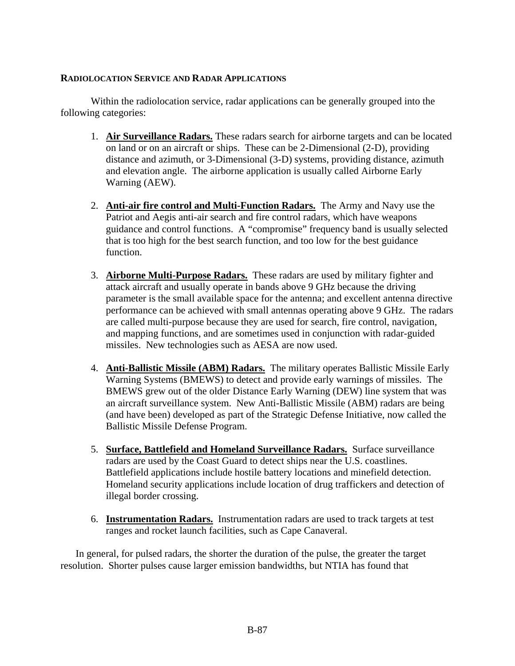# **RADIOLOCATION SERVICE AND RADAR APPLICATIONS**

Within the radiolocation service, radar applications can be generally grouped into the following categories:

- 1. **Air Surveillance Radars.** These radars search for airborne targets and can be located on land or on an aircraft or ships. These can be 2-Dimensional (2-D), providing distance and azimuth, or 3-Dimensional (3-D) systems, providing distance, azimuth and elevation angle. The airborne application is usually called Airborne Early Warning (AEW).
- 2. **Anti-air fire control and Multi-Function Radars.** The Army and Navy use the Patriot and Aegis anti-air search and fire control radars, which have weapons guidance and control functions. A "compromise" frequency band is usually selected that is too high for the best search function, and too low for the best guidance function.
- 3. **Airborne Multi-Purpose Radars.** These radars are used by military fighter and attack aircraft and usually operate in bands above 9 GHz because the driving parameter is the small available space for the antenna; and excellent antenna directive performance can be achieved with small antennas operating above 9 GHz. The radars are called multi-purpose because they are used for search, fire control, navigation, and mapping functions, and are sometimes used in conjunction with radar-guided missiles. New technologies such as AESA are now used.
- 4. **Anti-Ballistic Missile (ABM) Radars.** The military operates Ballistic Missile Early Warning Systems (BMEWS) to detect and provide early warnings of missiles. The BMEWS grew out of the older Distance Early Warning (DEW) line system that was an aircraft surveillance system. New Anti-Ballistic Missile (ABM) radars are being (and have been) developed as part of the Strategic Defense Initiative, now called the Ballistic Missile Defense Program.
- 5. **Surface, Battlefield and Homeland Surveillance Radars.** Surface surveillance radars are used by the Coast Guard to detect ships near the U.S. coastlines. Battlefield applications include hostile battery locations and minefield detection. Homeland security applications include location of drug traffickers and detection of illegal border crossing.
- 6. **Instrumentation Radars.** Instrumentation radars are used to track targets at test ranges and rocket launch facilities, such as Cape Canaveral.

In general, for pulsed radars, the shorter the duration of the pulse, the greater the target resolution. Shorter pulses cause larger emission bandwidths, but NTIA has found that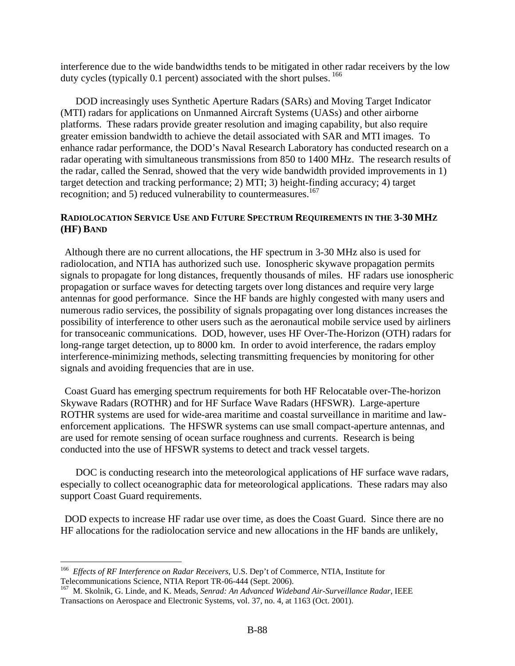interference due to the wide bandwidths tends to be mitigated in other radar receivers by the low duty cycles (typically  $0.1$  percent) associated with the short pulses.  $166$ 

DOD increasingly uses Synthetic Aperture Radars (SARs) and Moving Target Indicator (MTI) radars for applications on Unmanned Aircraft Systems (UASs) and other airborne platforms. These radars provide greater resolution and imaging capability, but also require greater emission bandwidth to achieve the detail associated with SAR and MTI images. To enhance radar performance, the DOD's Naval Research Laboratory has conducted research on a radar operating with simultaneous transmissions from 850 to 1400 MHz. The research results of the radar, called the Senrad, showed that the very wide bandwidth provided improvements in 1) target detection and tracking performance; 2) MTI; 3) height-finding accuracy; 4) target recognition; and 5) reduced vulnerability to countermeasures.<sup>167</sup>

# **RADIOLOCATION SERVICE USE AND FUTURE SPECTRUM REQUIREMENTS IN THE 3-30 MHZ (HF) BAND**

 Although there are no current allocations, the HF spectrum in 3-30 MHz also is used for radiolocation, and NTIA has authorized such use. Ionospheric skywave propagation permits signals to propagate for long distances, frequently thousands of miles. HF radars use ionospheric propagation or surface waves for detecting targets over long distances and require very large antennas for good performance. Since the HF bands are highly congested with many users and numerous radio services, the possibility of signals propagating over long distances increases the possibility of interference to other users such as the aeronautical mobile service used by airliners for transoceanic communications. DOD, however, uses HF Over-The-Horizon (OTH) radars for long-range target detection, up to 8000 km. In order to avoid interference, the radars employ interference-minimizing methods, selecting transmitting frequencies by monitoring for other signals and avoiding frequencies that are in use.

 Coast Guard has emerging spectrum requirements for both HF Relocatable over-The-horizon Skywave Radars (ROTHR) and for HF Surface Wave Radars (HFSWR). Large-aperture ROTHR systems are used for wide-area maritime and coastal surveillance in maritime and lawenforcement applications. The HFSWR systems can use small compact-aperture antennas, and are used for remote sensing of ocean surface roughness and currents. Research is being conducted into the use of HFSWR systems to detect and track vessel targets.

DOC is conducting research into the meteorological applications of HF surface wave radars, especially to collect oceanographic data for meteorological applications. These radars may also support Coast Guard requirements.

 DOD expects to increase HF radar use over time, as does the Coast Guard. Since there are no HF allocations for the radiolocation service and new allocations in the HF bands are unlikely,

<sup>166</sup> *Effects of RF Interference on Radar Receivers*, U.S. Dep't of Commerce, NTIA, Institute for Telecommunications Science, NTIA Report TR-06-444 (Sept. 2006).

<sup>167</sup> M. Skolnik, G. Linde, and K. Meads, *Senrad: An Advanced Wideband Air-Surveillance Radar*, IEEE Transactions on Aerospace and Electronic Systems, vol. 37, no. 4, at 1163 (Oct. 2001).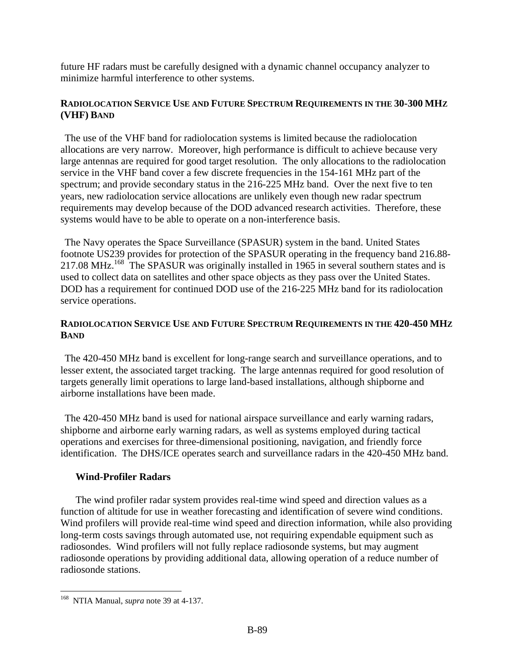future HF radars must be carefully designed with a dynamic channel occupancy analyzer to minimize harmful interference to other systems.

# **RADIOLOCATION SERVICE USE AND FUTURE SPECTRUM REQUIREMENTS IN THE 30-300 MHZ (VHF) BAND**

 The use of the VHF band for radiolocation systems is limited because the radiolocation allocations are very narrow. Moreover, high performance is difficult to achieve because very large antennas are required for good target resolution. The only allocations to the radiolocation service in the VHF band cover a few discrete frequencies in the 154-161 MHz part of the spectrum; and provide secondary status in the 216-225 MHz band. Over the next five to ten years, new radiolocation service allocations are unlikely even though new radar spectrum requirements may develop because of the DOD advanced research activities. Therefore, these systems would have to be able to operate on a non-interference basis.

 The Navy operates the Space Surveillance (SPASUR) system in the band. United States footnote US239 provides for protection of the SPASUR operating in the frequency band 216.88- 217.08 MHz.<sup>168</sup> The SPASUR was originally installed in 1965 in several southern states and is used to collect data on satellites and other space objects as they pass over the United States. DOD has a requirement for continued DOD use of the 216-225 MHz band for its radiolocation service operations.

# **RADIOLOCATION SERVICE USE AND FUTURE SPECTRUM REQUIREMENTS IN THE 420-450 MHZ BAND**

 The 420-450 MHz band is excellent for long-range search and surveillance operations, and to lesser extent, the associated target tracking. The large antennas required for good resolution of targets generally limit operations to large land-based installations, although shipborne and airborne installations have been made.

The 420-450 MHz band is used for national airspace surveillance and early warning radars, shipborne and airborne early warning radars, as well as systems employed during tactical operations and exercises for three-dimensional positioning, navigation, and friendly force identification. The DHS/ICE operates search and surveillance radars in the 420-450 MHz band.

# **Wind-Profiler Radars**

The wind profiler radar system provides real-time wind speed and direction values as a function of altitude for use in weather forecasting and identification of severe wind conditions. Wind profilers will provide real-time wind speed and direction information, while also providing long-term costs savings through automated use, not requiring expendable equipment such as radiosondes. Wind profilers will not fully replace radiosonde systems, but may augment radiosonde operations by providing additional data, allowing operation of a reduce number of radiosonde stations.

<sup>168</sup> NTIA Manual, *supra* note 39 at 4-137.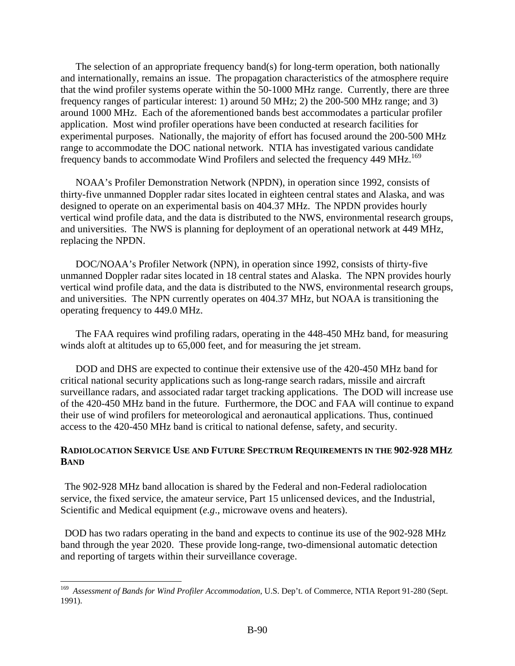The selection of an appropriate frequency band(s) for long-term operation, both nationally and internationally, remains an issue. The propagation characteristics of the atmosphere require that the wind profiler systems operate within the 50-1000 MHz range. Currently, there are three frequency ranges of particular interest: 1) around 50 MHz; 2) the 200-500 MHz range; and 3) around 1000 MHz. Each of the aforementioned bands best accommodates a particular profiler application. Most wind profiler operations have been conducted at research facilities for experimental purposes. Nationally, the majority of effort has focused around the 200-500 MHz range to accommodate the DOC national network. NTIA has investigated various candidate frequency bands to accommodate Wind Profilers and selected the frequency 449 MHz.<sup>169</sup>

NOAA's Profiler Demonstration Network (NPDN), in operation since 1992, consists of thirty-five unmanned Doppler radar sites located in eighteen central states and Alaska, and was designed to operate on an experimental basis on 404.37 MHz. The NPDN provides hourly vertical wind profile data, and the data is distributed to the NWS, environmental research groups, and universities. The NWS is planning for deployment of an operational network at 449 MHz, replacing the NPDN.

DOC/NOAA's Profiler Network (NPN), in operation since 1992, consists of thirty-five unmanned Doppler radar sites located in 18 central states and Alaska. The NPN provides hourly vertical wind profile data, and the data is distributed to the NWS, environmental research groups, and universities. The NPN currently operates on 404.37 MHz, but NOAA is transitioning the operating frequency to 449.0 MHz.

The FAA requires wind profiling radars, operating in the 448-450 MHz band, for measuring winds aloft at altitudes up to 65,000 feet, and for measuring the jet stream.

DOD and DHS are expected to continue their extensive use of the 420-450 MHz band for critical national security applications such as long-range search radars, missile and aircraft surveillance radars, and associated radar target tracking applications. The DOD will increase use of the 420-450 MHz band in the future. Furthermore, the DOC and FAA will continue to expand their use of wind profilers for meteorological and aeronautical applications. Thus, continued access to the 420-450 MHz band is critical to national defense, safety, and security.

# **RADIOLOCATION SERVICE USE AND FUTURE SPECTRUM REQUIREMENTS IN THE 902-928 MHZ BAND**

The 902-928 MHz band allocation is shared by the Federal and non-Federal radiolocation service, the fixed service, the amateur service, Part 15 unlicensed devices, and the Industrial, Scientific and Medical equipment (*e.g*., microwave ovens and heaters).

 DOD has two radars operating in the band and expects to continue its use of the 902-928 MHz band through the year 2020. These provide long-range, two-dimensional automatic detection and reporting of targets within their surveillance coverage.

<sup>169</sup> *Assessment of Bands for Wind Profiler Accommodation*, U.S. Dep't. of Commerce, NTIA Report 91-280 (Sept. 1991).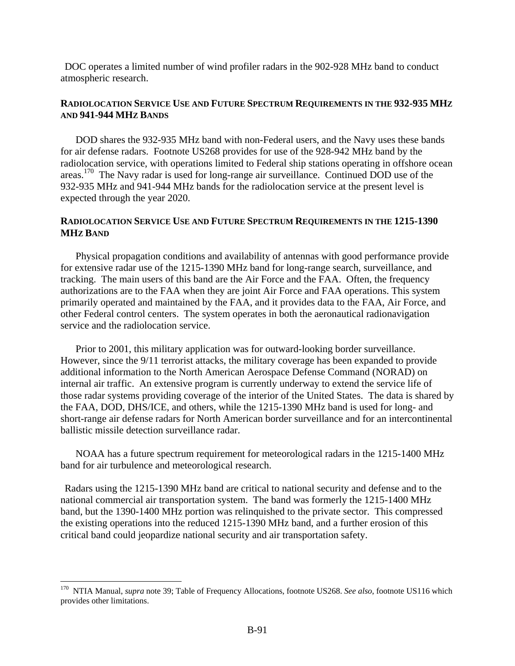DOC operates a limited number of wind profiler radars in the 902-928 MHz band to conduct atmospheric research.

# **RADIOLOCATION SERVICE USE AND FUTURE SPECTRUM REQUIREMENTS IN THE 932-935 MHZ AND 941-944 MHZ BANDS**

DOD shares the 932-935 MHz band with non-Federal users, and the Navy uses these bands for air defense radars. Footnote US268 provides for use of the 928-942 MHz band by the radiolocation service, with operations limited to Federal ship stations operating in offshore ocean areas.170 The Navy radar is used for long-range air surveillance. Continued DOD use of the 932-935 MHz and 941-944 MHz bands for the radiolocation service at the present level is expected through the year 2020.

# **RADIOLOCATION SERVICE USE AND FUTURE SPECTRUM REQUIREMENTS IN THE 1215-1390 MHZ BAND**

Physical propagation conditions and availability of antennas with good performance provide for extensive radar use of the 1215-1390 MHz band for long-range search, surveillance, and tracking. The main users of this band are the Air Force and the FAA. Often, the frequency authorizations are to the FAA when they are joint Air Force and FAA operations. This system primarily operated and maintained by the FAA, and it provides data to the FAA, Air Force, and other Federal control centers. The system operates in both the aeronautical radionavigation service and the radiolocation service.

Prior to 2001, this military application was for outward-looking border surveillance. However, since the 9/11 terrorist attacks, the military coverage has been expanded to provide additional information to the North American Aerospace Defense Command (NORAD) on internal air traffic. An extensive program is currently underway to extend the service life of those radar systems providing coverage of the interior of the United States. The data is shared by the FAA, DOD, DHS/ICE, and others, while the 1215-1390 MHz band is used for long- and short-range air defense radars for North American border surveillance and for an intercontinental ballistic missile detection surveillance radar.

NOAA has a future spectrum requirement for meteorological radars in the 1215-1400 MHz band for air turbulence and meteorological research.

 Radars using the 1215-1390 MHz band are critical to national security and defense and to the national commercial air transportation system. The band was formerly the 1215-1400 MHz band, but the 1390-1400 MHz portion was relinquished to the private sector. This compressed the existing operations into the reduced 1215-1390 MHz band, and a further erosion of this critical band could jeopardize national security and air transportation safety.

1

<sup>170</sup> NTIA Manual, *supra* note 39; Table of Frequency Allocations, footnote US268. *See also*, footnote US116 which provides other limitations.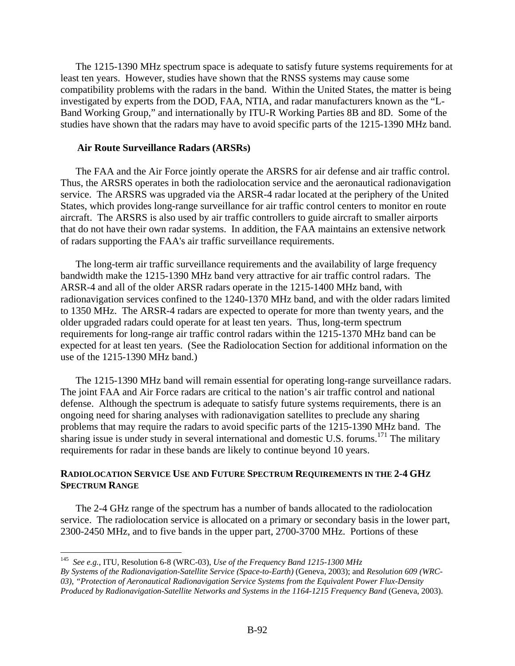The 1215-1390 MHz spectrum space is adequate to satisfy future systems requirements for at least ten years. However, studies have shown that the RNSS systems may cause some compatibility problems with the radars in the band. Within the United States, the matter is being investigated by experts from the DOD, FAA, NTIA, and radar manufacturers known as the "L-Band Working Group," and internationally by ITU-R Working Parties 8B and 8D. Some of the studies have shown that the radars may have to avoid specific parts of the 1215-1390 MHz band.

#### **Air Route Surveillance Radars (ARSRs)**

The FAA and the Air Force jointly operate the ARSRS for air defense and air traffic control. Thus, the ARSRS operates in both the radiolocation service and the aeronautical radionavigation service. The ARSRS was upgraded via the ARSR-4 radar located at the periphery of the United States, which provides long-range surveillance for air traffic control centers to monitor en route aircraft. The ARSRS is also used by air traffic controllers to guide aircraft to smaller airports that do not have their own radar systems. In addition, the FAA maintains an extensive network of radars supporting the FAA's air traffic surveillance requirements.

The long-term air traffic surveillance requirements and the availability of large frequency bandwidth make the 1215-1390 MHz band very attractive for air traffic control radars. The ARSR-4 and all of the older ARSR radars operate in the 1215-1400 MHz band, with radionavigation services confined to the 1240-1370 MHz band, and with the older radars limited to 1350 MHz. The ARSR-4 radars are expected to operate for more than twenty years, and the older upgraded radars could operate for at least ten years. Thus, long-term spectrum requirements for long-range air traffic control radars within the 1215-1370 MHz band can be expected for at least ten years. (See the Radiolocation Section for additional information on the use of the 1215-1390 MHz band.)

The 1215-1390 MHz band will remain essential for operating long-range surveillance radars. The joint FAA and Air Force radars are critical to the nation's air traffic control and national defense. Although the spectrum is adequate to satisfy future systems requirements, there is an ongoing need for sharing analyses with radionavigation satellites to preclude any sharing problems that may require the radars to avoid specific parts of the 1215-1390 MHz band. The sharing issue is under study in several international and domestic U.S. forums.<sup>171</sup> The military requirements for radar in these bands are likely to continue beyond 10 years.

# **RADIOLOCATION SERVICE USE AND FUTURE SPECTRUM REQUIREMENTS IN THE 2-4 GHZ SPECTRUM RANGE**

The 2-4 GHz range of the spectrum has a number of bands allocated to the radiolocation service. The radiolocation service is allocated on a primary or secondary basis in the lower part, 2300-2450 MHz, and to five bands in the upper part, 2700-3700 MHz. Portions of these

<sup>145</sup> *See e.g.*, ITU, Resolution 6-8 (WRC-03), *Use of the Frequency Band 1215-1300 MHz* 

*By Systems of the Radionavigation-Satellite Service (Space-to-Earth)* (Geneva, 2003); and *Resolution 609 (WRC-03), "Protection of Aeronautical Radionavigation Service Systems from the Equivalent Power Flux-Density* 

*Produced by Radionavigation-Satellite Networks and Systems in the 1164-1215 Frequency Band* (Geneva, 2003).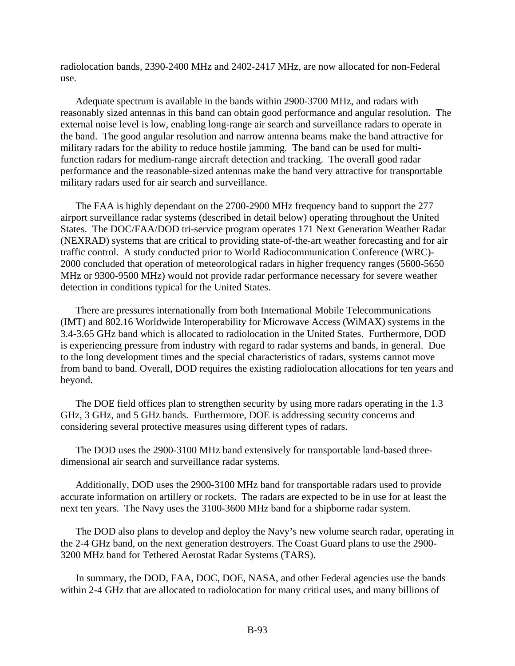radiolocation bands, 2390-2400 MHz and 2402-2417 MHz, are now allocated for non-Federal use.

Adequate spectrum is available in the bands within 2900-3700 MHz, and radars with reasonably sized antennas in this band can obtain good performance and angular resolution. The external noise level is low, enabling long-range air search and surveillance radars to operate in the band. The good angular resolution and narrow antenna beams make the band attractive for military radars for the ability to reduce hostile jamming. The band can be used for multifunction radars for medium-range aircraft detection and tracking. The overall good radar performance and the reasonable-sized antennas make the band very attractive for transportable military radars used for air search and surveillance.

The FAA is highly dependant on the 2700-2900 MHz frequency band to support the 277 airport surveillance radar systems (described in detail below) operating throughout the United States. The DOC/FAA/DOD tri-service program operates 171 Next Generation Weather Radar (NEXRAD) systems that are critical to providing state-of-the-art weather forecasting and for air traffic control. A study conducted prior to World Radiocommunication Conference (WRC)- 2000 concluded that operation of meteorological radars in higher frequency ranges (5600-5650 MHz or 9300-9500 MHz) would not provide radar performance necessary for severe weather detection in conditions typical for the United States.

There are pressures internationally from both International Mobile Telecommunications (IMT) and 802.16 Worldwide Interoperability for Microwave Access (WiMAX) systems in the 3.4-3.65 GHz band which is allocated to radiolocation in the United States. Furthermore, DOD is experiencing pressure from industry with regard to radar systems and bands, in general. Due to the long development times and the special characteristics of radars, systems cannot move from band to band. Overall, DOD requires the existing radiolocation allocations for ten years and beyond.

The DOE field offices plan to strengthen security by using more radars operating in the 1.3 GHz, 3 GHz, and 5 GHz bands. Furthermore, DOE is addressing security concerns and considering several protective measures using different types of radars.

The DOD uses the 2900-3100 MHz band extensively for transportable land-based threedimensional air search and surveillance radar systems.

Additionally, DOD uses the 2900-3100 MHz band for transportable radars used to provide accurate information on artillery or rockets. The radars are expected to be in use for at least the next ten years. The Navy uses the 3100-3600 MHz band for a shipborne radar system.

The DOD also plans to develop and deploy the Navy's new volume search radar, operating in the 2-4 GHz band, on the next generation destroyers. The Coast Guard plans to use the 2900- 3200 MHz band for Tethered Aerostat Radar Systems (TARS).

In summary, the DOD, FAA, DOC, DOE, NASA, and other Federal agencies use the bands within 2-4 GHz that are allocated to radiolocation for many critical uses, and many billions of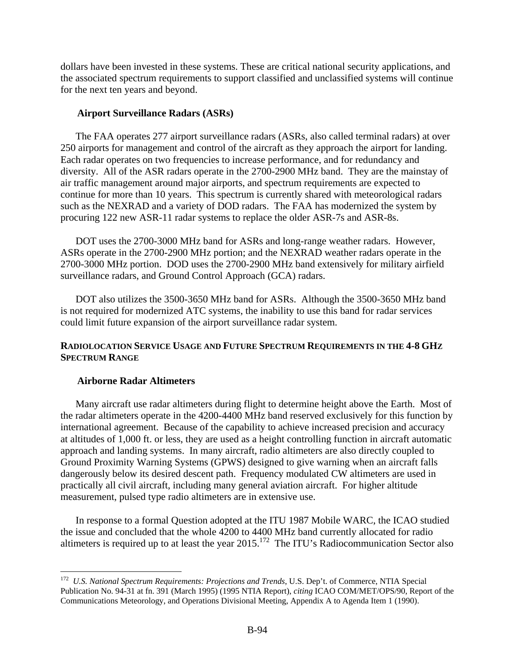dollars have been invested in these systems. These are critical national security applications, and the associated spectrum requirements to support classified and unclassified systems will continue for the next ten years and beyond.

# **Airport Surveillance Radars (ASRs)**

The FAA operates 277 airport surveillance radars (ASRs, also called terminal radars) at over 250 airports for management and control of the aircraft as they approach the airport for landing. Each radar operates on two frequencies to increase performance, and for redundancy and diversity. All of the ASR radars operate in the 2700-2900 MHz band. They are the mainstay of air traffic management around major airports, and spectrum requirements are expected to continue for more than 10 years. This spectrum is currently shared with meteorological radars such as the NEXRAD and a variety of DOD radars. The FAA has modernized the system by procuring 122 new ASR-11 radar systems to replace the older ASR-7s and ASR-8s.

DOT uses the 2700-3000 MHz band for ASRs and long-range weather radars. However, ASRs operate in the 2700-2900 MHz portion; and the NEXRAD weather radars operate in the 2700-3000 MHz portion. DOD uses the 2700-2900 MHz band extensively for military airfield surveillance radars, and Ground Control Approach (GCA) radars.

DOT also utilizes the 3500-3650 MHz band for ASRs. Although the 3500-3650 MHz band is not required for modernized ATC systems, the inability to use this band for radar services could limit future expansion of the airport surveillance radar system.

# **RADIOLOCATION SERVICE USAGE AND FUTURE SPECTRUM REQUIREMENTS IN THE 4-8 GHZ SPECTRUM RANGE**

# **Airborne Radar Altimeters**

 $\overline{a}$ 

Many aircraft use radar altimeters during flight to determine height above the Earth. Most of the radar altimeters operate in the 4200-4400 MHz band reserved exclusively for this function by international agreement. Because of the capability to achieve increased precision and accuracy at altitudes of 1,000 ft. or less, they are used as a height controlling function in aircraft automatic approach and landing systems. In many aircraft, radio altimeters are also directly coupled to Ground Proximity Warning Systems (GPWS) designed to give warning when an aircraft falls dangerously below its desired descent path. Frequency modulated CW altimeters are used in practically all civil aircraft, including many general aviation aircraft. For higher altitude measurement, pulsed type radio altimeters are in extensive use.

In response to a formal Question adopted at the ITU 1987 Mobile WARC, the ICAO studied the issue and concluded that the whole 4200 to 4400 MHz band currently allocated for radio altimeters is required up to at least the year  $2015$ .<sup>172</sup> The ITU's Radiocommunication Sector also

<sup>&</sup>lt;sup>172</sup> U.S. National Spectrum Requirements: Projections and Trends, U.S. Dep't. of Commerce, NTIA Special Publication No. 94-31 at fn. 391 (March 1995) (1995 NTIA Report), *citing* ICAO COM/MET/OPS/90, Report of the Communications Meteorology, and Operations Divisional Meeting, Appendix A to Agenda Item 1 (1990).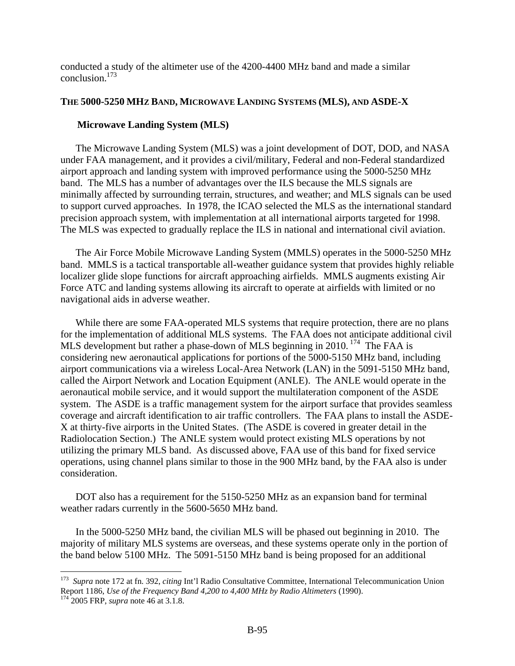conducted a study of the altimeter use of the 4200-4400 MHz band and made a similar conclusion.173

## **THE 5000-5250 MHZ BAND, MICROWAVE LANDING SYSTEMS (MLS), AND ASDE-X**

# **Microwave Landing System (MLS)**

1

The Microwave Landing System (MLS) was a joint development of DOT, DOD, and NASA under FAA management, and it provides a civil/military, Federal and non-Federal standardized airport approach and landing system with improved performance using the 5000-5250 MHz band. The MLS has a number of advantages over the ILS because the MLS signals are minimally affected by surrounding terrain, structures, and weather; and MLS signals can be used to support curved approaches. In 1978, the ICAO selected the MLS as the international standard precision approach system, with implementation at all international airports targeted for 1998. The MLS was expected to gradually replace the ILS in national and international civil aviation.

The Air Force Mobile Microwave Landing System (MMLS) operates in the 5000-5250 MHz band. MMLS is a tactical transportable all-weather guidance system that provides highly reliable localizer glide slope functions for aircraft approaching airfields. MMLS augments existing Air Force ATC and landing systems allowing its aircraft to operate at airfields with limited or no navigational aids in adverse weather.

While there are some FAA-operated MLS systems that require protection, there are no plans for the implementation of additional MLS systems. The FAA does not anticipate additional civil MLS development but rather a phase-down of MLS beginning in 2010.<sup>174</sup> The FAA is considering new aeronautical applications for portions of the 5000-5150 MHz band, including airport communications via a wireless Local-Area Network (LAN) in the 5091-5150 MHz band, called the Airport Network and Location Equipment (ANLE). The ANLE would operate in the aeronautical mobile service, and it would support the multilateration component of the ASDE system. The ASDE is a traffic management system for the airport surface that provides seamless coverage and aircraft identification to air traffic controllers. The FAA plans to install the ASDE-X at thirty-five airports in the United States. (The ASDE is covered in greater detail in the Radiolocation Section.) The ANLE system would protect existing MLS operations by not utilizing the primary MLS band. As discussed above, FAA use of this band for fixed service operations, using channel plans similar to those in the 900 MHz band, by the FAA also is under consideration.

DOT also has a requirement for the 5150-5250 MHz as an expansion band for terminal weather radars currently in the 5600-5650 MHz band.

In the 5000-5250 MHz band, the civilian MLS will be phased out beginning in 2010. The majority of military MLS systems are overseas, and these systems operate only in the portion of the band below 5100 MHz. The 5091-5150 MHz band is being proposed for an additional

<sup>173</sup> *Supra* note 172 at fn. 392, *citing* Int'l Radio Consultative Committee, International Telecommunication Union Report 1186, *Use of the Frequency Band 4,200 to 4,400 MHz by Radio Altimeters* (1990). 174 2005 FRP, *supra* note 46 at 3.1.8.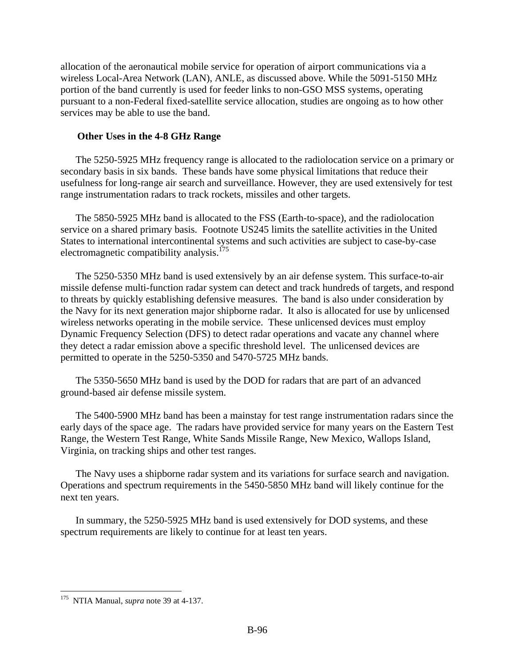allocation of the aeronautical mobile service for operation of airport communications via a wireless Local-Area Network (LAN), ANLE, as discussed above. While the 5091-5150 MHz portion of the band currently is used for feeder links to non-GSO MSS systems, operating pursuant to a non-Federal fixed-satellite service allocation, studies are ongoing as to how other services may be able to use the band.

# **Other Uses in the 4-8 GHz Range**

The 5250-5925 MHz frequency range is allocated to the radiolocation service on a primary or secondary basis in six bands. These bands have some physical limitations that reduce their usefulness for long-range air search and surveillance. However, they are used extensively for test range instrumentation radars to track rockets, missiles and other targets.

The 5850-5925 MHz band is allocated to the FSS (Earth-to-space), and the radiolocation service on a shared primary basis. Footnote US245 limits the satellite activities in the United States to international intercontinental systems and such activities are subject to case-by-case electromagnetic compatibility analysis. $175$ 

The 5250-5350 MHz band is used extensively by an air defense system. This surface-to-air missile defense multi-function radar system can detect and track hundreds of targets, and respond to threats by quickly establishing defensive measures. The band is also under consideration by the Navy for its next generation major shipborne radar. It also is allocated for use by unlicensed wireless networks operating in the mobile service. These unlicensed devices must employ Dynamic Frequency Selection (DFS) to detect radar operations and vacate any channel where they detect a radar emission above a specific threshold level. The unlicensed devices are permitted to operate in the 5250-5350 and 5470-5725 MHz bands.

The 5350-5650 MHz band is used by the DOD for radars that are part of an advanced ground-based air defense missile system.

The 5400-5900 MHz band has been a mainstay for test range instrumentation radars since the early days of the space age. The radars have provided service for many years on the Eastern Test Range, the Western Test Range, White Sands Missile Range, New Mexico, Wallops Island, Virginia, on tracking ships and other test ranges.

The Navy uses a shipborne radar system and its variations for surface search and navigation. Operations and spectrum requirements in the 5450-5850 MHz band will likely continue for the next ten years.

In summary, the 5250-5925 MHz band is used extensively for DOD systems, and these spectrum requirements are likely to continue for at least ten years.

<sup>&</sup>lt;sup>175</sup> NTIA Manual, *supra* note 39 at 4-137.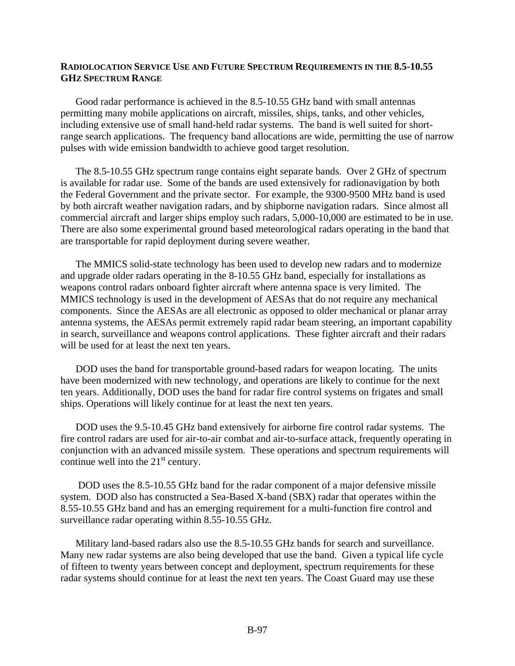# **RADIOLOCATION SERVICE USE AND FUTURE SPECTRUM REQUIREMENTS IN THE 8.5-10.55 GHZ SPECTRUM RANGE**

Good radar performance is achieved in the 8.5-10.55 GHz band with small antennas permitting many mobile applications on aircraft, missiles, ships, tanks, and other vehicles, including extensive use of small hand-held radar systems. The band is well suited for shortrange search applications. The frequency band allocations are wide, permitting the use of narrow pulses with wide emission bandwidth to achieve good target resolution.

The 8.5-10.55 GHz spectrum range contains eight separate bands. Over 2 GHz of spectrum is available for radar use. Some of the bands are used extensively for radionavigation by both the Federal Government and the private sector. For example, the 9300-9500 MHz band is used by both aircraft weather navigation radars, and by shipborne navigation radars. Since almost all commercial aircraft and larger ships employ such radars, 5,000-10,000 are estimated to be in use. There are also some experimental ground based meteorological radars operating in the band that are transportable for rapid deployment during severe weather.

The MMICS solid-state technology has been used to develop new radars and to modernize and upgrade older radars operating in the 8-10.55 GHz band, especially for installations as weapons control radars onboard fighter aircraft where antenna space is very limited. The MMICS technology is used in the development of AESAs that do not require any mechanical components. Since the AESAs are all electronic as opposed to older mechanical or planar array antenna systems, the AESAs permit extremely rapid radar beam steering, an important capability in search, surveillance and weapons control applications. These fighter aircraft and their radars will be used for at least the next ten years.

DOD uses the band for transportable ground-based radars for weapon locating. The units have been modernized with new technology, and operations are likely to continue for the next ten years. Additionally, DOD uses the band for radar fire control systems on frigates and small ships. Operations will likely continue for at least the next ten years.

DOD uses the 9.5-10.45 GHz band extensively for airborne fire control radar systems. The fire control radars are used for air-to-air combat and air-to-surface attack, frequently operating in conjunction with an advanced missile system. These operations and spectrum requirements will continue well into the  $21<sup>st</sup>$  century.

 DOD uses the 8.5-10.55 GHz band for the radar component of a major defensive missile system. DOD also has constructed a Sea-Based X-band (SBX) radar that operates within the 8.55-10.55 GHz band and has an emerging requirement for a multi-function fire control and surveillance radar operating within 8.55-10.55 GHz.

Military land-based radars also use the 8.5-10.55 GHz bands for search and surveillance. Many new radar systems are also being developed that use the band. Given a typical life cycle of fifteen to twenty years between concept and deployment, spectrum requirements for these radar systems should continue for at least the next ten years. The Coast Guard may use these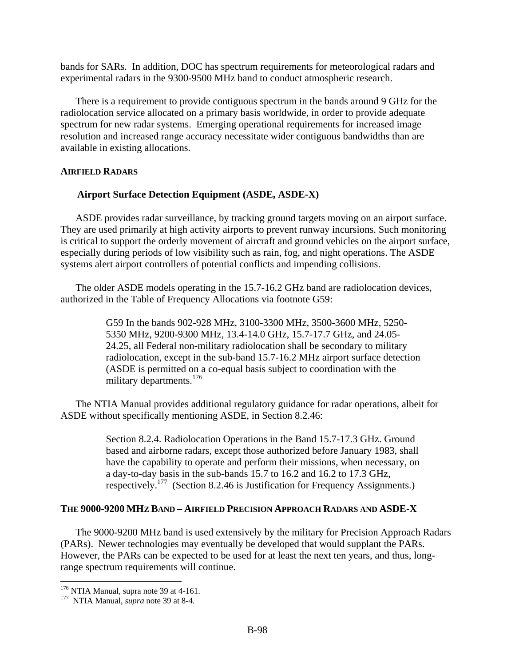bands for SARs. In addition, DOC has spectrum requirements for meteorological radars and experimental radars in the 9300-9500 MHz band to conduct atmospheric research.

 There is a requirement to provide contiguous spectrum in the bands around 9 GHz for the radiolocation service allocated on a primary basis worldwide, in order to provide adequate spectrum for new radar systems. Emerging operational requirements for increased image resolution and increased range accuracy necessitate wider contiguous bandwidths than are available in existing allocations.

# **AIRFIELD RADARS**

# **Airport Surface Detection Equipment (ASDE, ASDE-X)**

ASDE provides radar surveillance, by tracking ground targets moving on an airport surface. They are used primarily at high activity airports to prevent runway incursions. Such monitoring is critical to support the orderly movement of aircraft and ground vehicles on the airport surface, especially during periods of low visibility such as rain, fog, and night operations. The ASDE systems alert airport controllers of potential conflicts and impending collisions.

The older ASDE models operating in the 15.7-16.2 GHz band are radiolocation devices, authorized in the Table of Frequency Allocations via footnote G59:

> G59 In the bands 902-928 MHz, 3100-3300 MHz, 3500-3600 MHz, 5250- 5350 MHz, 9200-9300 MHz, 13.4-14.0 GHz, 15.7-17.7 GHz, and 24.05- 24.25, all Federal non-military radiolocation shall be secondary to military radiolocation, except in the sub-band 15.7-16.2 MHz airport surface detection (ASDE is permitted on a co-equal basis subject to coordination with the military departments.<sup>176</sup>

The NTIA Manual provides additional regulatory guidance for radar operations, albeit for ASDE without specifically mentioning ASDE, in Section 8.2.46:

> Section 8.2.4. Radiolocation Operations in the Band 15.7-17.3 GHz. Ground based and airborne radars, except those authorized before January 1983, shall have the capability to operate and perform their missions, when necessary, on a day-to-day basis in the sub-bands 15.7 to 16.2 and 16.2 to 17.3 GHz, respectively.177 (Section 8.2.46 is Justification for Frequency Assignments.)

# **THE 9000-9200 MHZ BAND – AIRFIELD PRECISION APPROACH RADARS AND ASDE-X**

The 9000-9200 MHz band is used extensively by the military for Precision Approach Radars (PARs). Newer technologies may eventually be developed that would supplant the PARs. However, the PARs can be expected to be used for at least the next ten years, and thus, longrange spectrum requirements will continue.

<sup>176</sup> NTIA Manual, supra note 39 at 4-161. 177 NTIA Manual, *supra* note 39 at 8-4.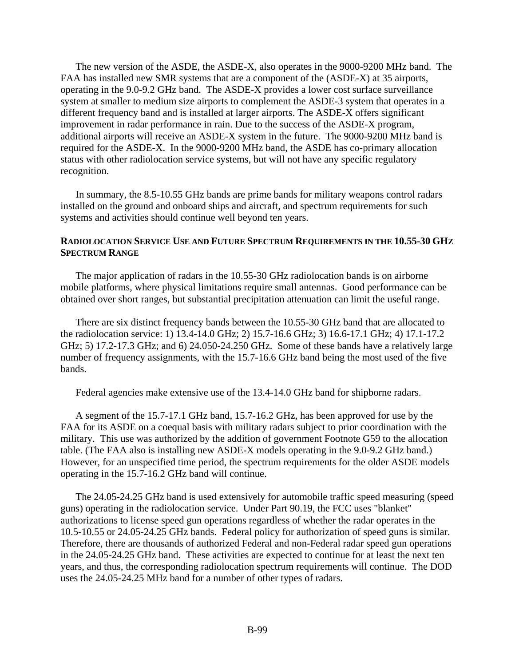The new version of the ASDE, the ASDE-X, also operates in the 9000-9200 MHz band. The FAA has installed new SMR systems that are a component of the (ASDE-X) at 35 airports, operating in the 9.0-9.2 GHz band. The ASDE-X provides a lower cost surface surveillance system at smaller to medium size airports to complement the ASDE-3 system that operates in a different frequency band and is installed at larger airports. The ASDE-X offers significant improvement in radar performance in rain. Due to the success of the ASDE-X program, additional airports will receive an ASDE-X system in the future. The 9000-9200 MHz band is required for the ASDE-X. In the 9000-9200 MHz band, the ASDE has co-primary allocation status with other radiolocation service systems, but will not have any specific regulatory recognition.

In summary, the 8.5-10.55 GHz bands are prime bands for military weapons control radars installed on the ground and onboard ships and aircraft, and spectrum requirements for such systems and activities should continue well beyond ten years.

# **RADIOLOCATION SERVICE USE AND FUTURE SPECTRUM REQUIREMENTS IN THE 10.55-30 GHZ SPECTRUM RANGE**

The major application of radars in the 10.55-30 GHz radiolocation bands is on airborne mobile platforms, where physical limitations require small antennas. Good performance can be obtained over short ranges, but substantial precipitation attenuation can limit the useful range.

There are six distinct frequency bands between the 10.55-30 GHz band that are allocated to the radiolocation service: 1) 13.4-14.0 GHz; 2) 15.7-16.6 GHz; 3) 16.6-17.1 GHz; 4) 17.1-17.2 GHz; 5) 17.2-17.3 GHz; and 6) 24.050-24.250 GHz. Some of these bands have a relatively large number of frequency assignments, with the 15.7-16.6 GHz band being the most used of the five bands.

Federal agencies make extensive use of the 13.4-14.0 GHz band for shipborne radars.

A segment of the 15.7-17.1 GHz band, 15.7-16.2 GHz, has been approved for use by the FAA for its ASDE on a coequal basis with military radars subject to prior coordination with the military. This use was authorized by the addition of government Footnote G59 to the allocation table. (The FAA also is installing new ASDE-X models operating in the 9.0-9.2 GHz band.) However, for an unspecified time period, the spectrum requirements for the older ASDE models operating in the 15.7-16.2 GHz band will continue.

The 24.05-24.25 GHz band is used extensively for automobile traffic speed measuring (speed guns) operating in the radiolocation service. Under Part 90.19, the FCC uses "blanket" authorizations to license speed gun operations regardless of whether the radar operates in the 10.5-10.55 or 24.05-24.25 GHz bands. Federal policy for authorization of speed guns is similar. Therefore, there are thousands of authorized Federal and non-Federal radar speed gun operations in the 24.05-24.25 GHz band. These activities are expected to continue for at least the next ten years, and thus, the corresponding radiolocation spectrum requirements will continue. The DOD uses the 24.05-24.25 MHz band for a number of other types of radars.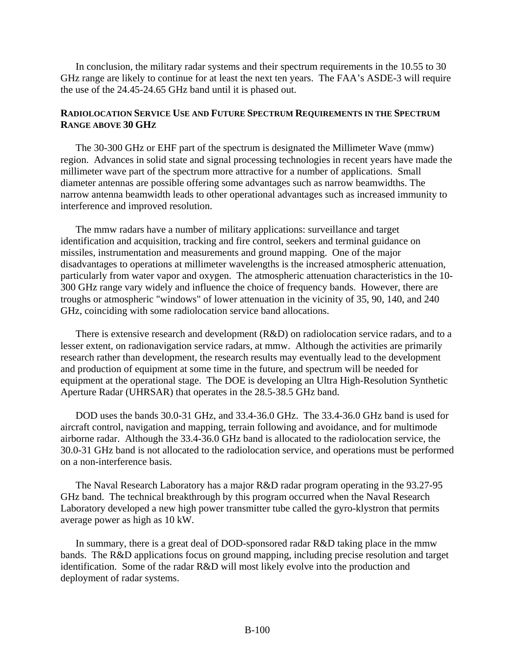In conclusion, the military radar systems and their spectrum requirements in the 10.55 to 30 GHz range are likely to continue for at least the next ten years. The FAA's ASDE-3 will require the use of the 24.45-24.65 GHz band until it is phased out.

## **RADIOLOCATION SERVICE USE AND FUTURE SPECTRUM REQUIREMENTS IN THE SPECTRUM RANGE ABOVE 30 GHZ**

The 30-300 GHz or EHF part of the spectrum is designated the Millimeter Wave (mmw) region. Advances in solid state and signal processing technologies in recent years have made the millimeter wave part of the spectrum more attractive for a number of applications. Small diameter antennas are possible offering some advantages such as narrow beamwidths. The narrow antenna beamwidth leads to other operational advantages such as increased immunity to interference and improved resolution.

The mmw radars have a number of military applications: surveillance and target identification and acquisition, tracking and fire control, seekers and terminal guidance on missiles, instrumentation and measurements and ground mapping. One of the major disadvantages to operations at millimeter wavelengths is the increased atmospheric attenuation, particularly from water vapor and oxygen. The atmospheric attenuation characteristics in the 10- 300 GHz range vary widely and influence the choice of frequency bands. However, there are troughs or atmospheric "windows" of lower attenuation in the vicinity of 35, 90, 140, and 240 GHz, coinciding with some radiolocation service band allocations.

There is extensive research and development (R&D) on radiolocation service radars, and to a lesser extent, on radionavigation service radars, at mmw. Although the activities are primarily research rather than development, the research results may eventually lead to the development and production of equipment at some time in the future, and spectrum will be needed for equipment at the operational stage. The DOE is developing an Ultra High-Resolution Synthetic Aperture Radar (UHRSAR) that operates in the 28.5-38.5 GHz band.

DOD uses the bands 30.0-31 GHz, and 33.4-36.0 GHz. The 33.4-36.0 GHz band is used for aircraft control, navigation and mapping, terrain following and avoidance, and for multimode airborne radar. Although the 33.4-36.0 GHz band is allocated to the radiolocation service, the 30.0-31 GHz band is not allocated to the radiolocation service, and operations must be performed on a non-interference basis.

The Naval Research Laboratory has a major R&D radar program operating in the 93.27-95 GHz band. The technical breakthrough by this program occurred when the Naval Research Laboratory developed a new high power transmitter tube called the gyro-klystron that permits average power as high as 10 kW.

In summary, there is a great deal of DOD-sponsored radar R&D taking place in the mmw bands. The R&D applications focus on ground mapping, including precise resolution and target identification. Some of the radar R&D will most likely evolve into the production and deployment of radar systems.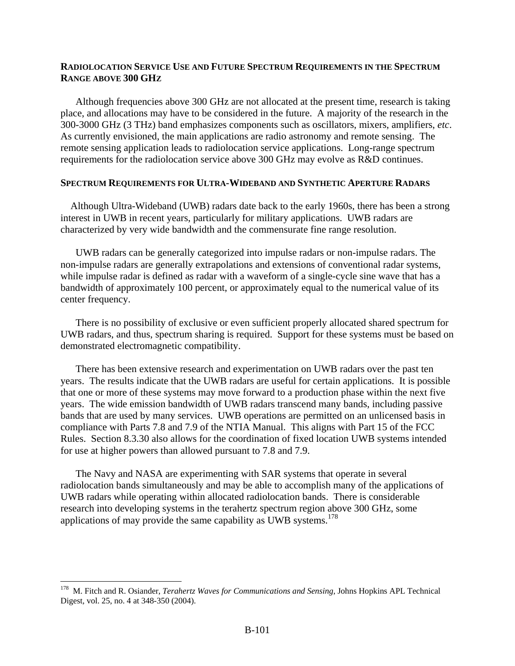# **RADIOLOCATION SERVICE USE AND FUTURE SPECTRUM REQUIREMENTS IN THE SPECTRUM RANGE ABOVE 300 GHZ**

Although frequencies above 300 GHz are not allocated at the present time, research is taking place, and allocations may have to be considered in the future. A majority of the research in the 300-3000 GHz (3 THz) band emphasizes components such as oscillators, mixers, amplifiers, *etc*. As currently envisioned, the main applications are radio astronomy and remote sensing. The remote sensing application leads to radiolocation service applications. Long-range spectrum requirements for the radiolocation service above 300 GHz may evolve as R&D continues.

#### **SPECTRUM REQUIREMENTS FOR ULTRA-WIDEBAND AND SYNTHETIC APERTURE RADARS**

Although Ultra-Wideband (UWB) radars date back to the early 1960s, there has been a strong interest in UWB in recent years, particularly for military applications. UWB radars are characterized by very wide bandwidth and the commensurate fine range resolution.

UWB radars can be generally categorized into impulse radars or non-impulse radars. The non-impulse radars are generally extrapolations and extensions of conventional radar systems, while impulse radar is defined as radar with a waveform of a single-cycle sine wave that has a bandwidth of approximately 100 percent, or approximately equal to the numerical value of its center frequency.

There is no possibility of exclusive or even sufficient properly allocated shared spectrum for UWB radars, and thus, spectrum sharing is required. Support for these systems must be based on demonstrated electromagnetic compatibility.

There has been extensive research and experimentation on UWB radars over the past ten years. The results indicate that the UWB radars are useful for certain applications. It is possible that one or more of these systems may move forward to a production phase within the next five years. The wide emission bandwidth of UWB radars transcend many bands, including passive bands that are used by many services. UWB operations are permitted on an unlicensed basis in compliance with Parts 7.8 and 7.9 of the NTIA Manual. This aligns with Part 15 of the FCC Rules. Section 8.3.30 also allows for the coordination of fixed location UWB systems intended for use at higher powers than allowed pursuant to 7.8 and 7.9.

The Navy and NASA are experimenting with SAR systems that operate in several radiolocation bands simultaneously and may be able to accomplish many of the applications of UWB radars while operating within allocated radiolocation bands. There is considerable research into developing systems in the terahertz spectrum region above 300 GHz, some applications of may provide the same capability as UWB systems.<sup>178</sup>

<sup>178</sup> M. Fitch and R. Osiander, *Terahertz Waves for Communications and Sensing*, Johns Hopkins APL Technical Digest, vol. 25, no. 4 at 348-350 (2004).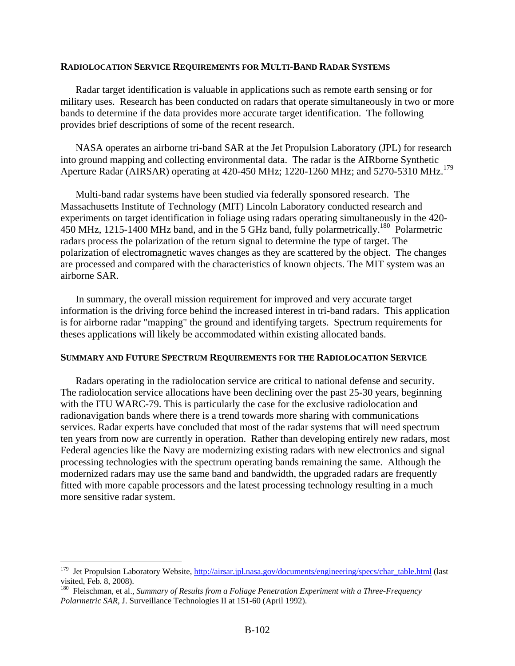#### **RADIOLOCATION SERVICE REQUIREMENTS FOR MULTI-BAND RADAR SYSTEMS**

Radar target identification is valuable in applications such as remote earth sensing or for military uses. Research has been conducted on radars that operate simultaneously in two or more bands to determine if the data provides more accurate target identification. The following provides brief descriptions of some of the recent research.

NASA operates an airborne tri-band SAR at the Jet Propulsion Laboratory (JPL) for research into ground mapping and collecting environmental data. The radar is the AIRborne Synthetic Aperture Radar (AIRSAR) operating at 420-450 MHz; 1220-1260 MHz; and 5270-5310 MHz.<sup>179</sup>

Multi-band radar systems have been studied via federally sponsored research. The Massachusetts Institute of Technology (MIT) Lincoln Laboratory conducted research and experiments on target identification in foliage using radars operating simultaneously in the 420- 450 MHz, 1215-1400 MHz band, and in the 5 GHz band, fully polarmetrically.180 Polarmetric radars process the polarization of the return signal to determine the type of target. The polarization of electromagnetic waves changes as they are scattered by the object. The changes are processed and compared with the characteristics of known objects. The MIT system was an airborne SAR.

In summary, the overall mission requirement for improved and very accurate target information is the driving force behind the increased interest in tri-band radars. This application is for airborne radar "mapping" the ground and identifying targets. Spectrum requirements for theses applications will likely be accommodated within existing allocated bands.

#### **SUMMARY AND FUTURE SPECTRUM REQUIREMENTS FOR THE RADIOLOCATION SERVICE**

Radars operating in the radiolocation service are critical to national defense and security. The radiolocation service allocations have been declining over the past 25-30 years, beginning with the ITU WARC-79. This is particularly the case for the exclusive radiolocation and radionavigation bands where there is a trend towards more sharing with communications services. Radar experts have concluded that most of the radar systems that will need spectrum ten years from now are currently in operation. Rather than developing entirely new radars, most Federal agencies like the Navy are modernizing existing radars with new electronics and signal processing technologies with the spectrum operating bands remaining the same. Although the modernized radars may use the same band and bandwidth, the upgraded radars are frequently fitted with more capable processors and the latest processing technology resulting in a much more sensitive radar system.

<sup>&</sup>lt;sup>179</sup> Jet Propulsion Laboratory Website, http://airsar.jpl.nasa.gov/documents/engineering/specs/char\_table.html (last visited, Feb. 8, 2008).

<sup>180</sup> Fleischman, et al., *Summary of Results from a Foliage Penetration Experiment with a Three-Frequency Polarmetric SAR*, J. Surveillance Technologies II at 151-60 (April 1992).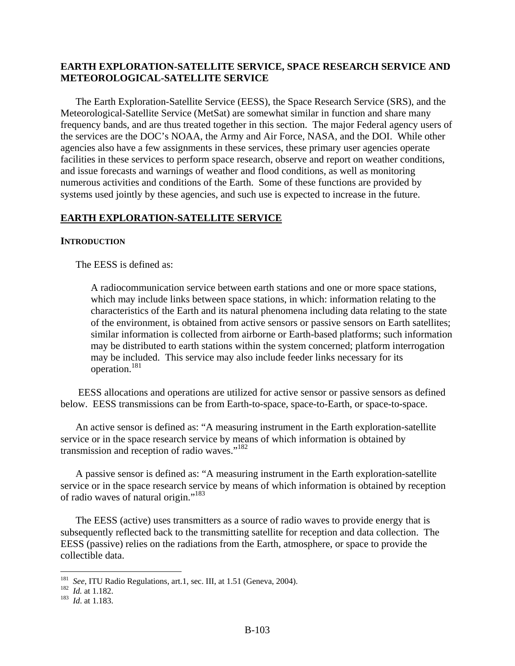# **EARTH EXPLORATION-SATELLITE SERVICE, SPACE RESEARCH SERVICE AND METEOROLOGICAL-SATELLITE SERVICE**

The Earth Exploration-Satellite Service (EESS), the Space Research Service (SRS), and the Meteorological-Satellite Service (MetSat) are somewhat similar in function and share many frequency bands, and are thus treated together in this section. The major Federal agency users of the services are the DOC's NOAA, the Army and Air Force, NASA, and the DOI. While other agencies also have a few assignments in these services, these primary user agencies operate facilities in these services to perform space research, observe and report on weather conditions, and issue forecasts and warnings of weather and flood conditions, as well as monitoring numerous activities and conditions of the Earth. Some of these functions are provided by systems used jointly by these agencies, and such use is expected to increase in the future.

# **EARTH EXPLORATION-SATELLITE SERVICE**

## **INTRODUCTION**

The EESS is defined as:

A radiocommunication service between earth stations and one or more space stations, which may include links between space stations, in which: information relating to the characteristics of the Earth and its natural phenomena including data relating to the state of the environment, is obtained from active sensors or passive sensors on Earth satellites; similar information is collected from airborne or Earth-based platforms; such information may be distributed to earth stations within the system concerned; platform interrogation may be included. This service may also include feeder links necessary for its operation.181

 EESS allocations and operations are utilized for active sensor or passive sensors as defined below. EESS transmissions can be from Earth-to-space, space-to-Earth, or space-to-space.

An active sensor is defined as: "A measuring instrument in the Earth exploration-satellite service or in the space research service by means of which information is obtained by transmission and reception of radio waves."<sup>182</sup>

A passive sensor is defined as: "A measuring instrument in the Earth exploration-satellite service or in the space research service by means of which information is obtained by reception of radio waves of natural origin."<sup>183</sup>

The EESS (active) uses transmitters as a source of radio waves to provide energy that is subsequently reflected back to the transmitting satellite for reception and data collection. The EESS (passive) relies on the radiations from the Earth, atmosphere, or space to provide the collectible data.

<sup>181</sup>*See*, ITU Radio Regulations, art.1, sec. III, at 1.51 (Geneva, 2004). 182 *Id.* at 1.182. 183 *Id*. at 1.183.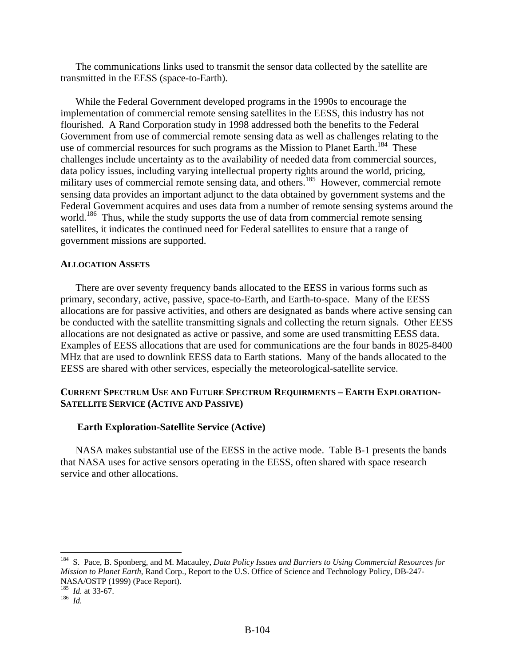The communications links used to transmit the sensor data collected by the satellite are transmitted in the EESS (space-to-Earth).

While the Federal Government developed programs in the 1990s to encourage the implementation of commercial remote sensing satellites in the EESS, this industry has not flourished. A Rand Corporation study in 1998 addressed both the benefits to the Federal Government from use of commercial remote sensing data as well as challenges relating to the use of commercial resources for such programs as the Mission to Planet Earth.<sup>184</sup> These challenges include uncertainty as to the availability of needed data from commercial sources, data policy issues, including varying intellectual property rights around the world, pricing, military uses of commercial remote sensing data, and others.<sup>185</sup> However, commercial remote sensing data provides an important adjunct to the data obtained by government systems and the Federal Government acquires and uses data from a number of remote sensing systems around the world.<sup>186</sup> Thus, while the study supports the use of data from commercial remote sensing satellites, it indicates the continued need for Federal satellites to ensure that a range of government missions are supported.

## **ALLOCATION ASSETS**

There are over seventy frequency bands allocated to the EESS in various forms such as primary, secondary, active, passive, space-to-Earth, and Earth-to-space. Many of the EESS allocations are for passive activities, and others are designated as bands where active sensing can be conducted with the satellite transmitting signals and collecting the return signals. Other EESS allocations are not designated as active or passive, and some are used transmitting EESS data. Examples of EESS allocations that are used for communications are the four bands in 8025-8400 MHz that are used to downlink EESS data to Earth stations. Many of the bands allocated to the EESS are shared with other services, especially the meteorological-satellite service.

# **CURRENT SPECTRUM USE AND FUTURE SPECTRUM REQUIRMENTS – EARTH EXPLORATION-SATELLITE SERVICE (ACTIVE AND PASSIVE)**

## **Earth Exploration-Satellite Service (Active)**

NASA makes substantial use of the EESS in the active mode. Table B-1 presents the bands that NASA uses for active sensors operating in the EESS, often shared with space research service and other allocations.

184 S. Pace, B. Sponberg, and M. Macauley, *Data Policy Issues and Barriers to Using Commercial Resources for Mission to Planet Earth*, Rand Corp., Report to the U.S. Office of Science and Technology Policy, DB-247- NASA/OSTP (1999) (Pace Report).

<sup>185</sup>*Id.* at 33-67. 186 *Id.*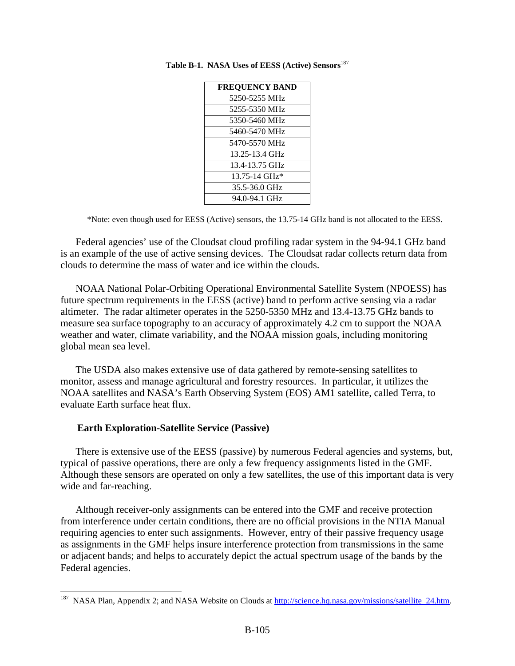| <b>FREOUENCY BAND</b>     |
|---------------------------|
| 5250-5255 MHz             |
| 5255-5350 MHz             |
| 5350-5460 MHz             |
| 5460-5470 MHz             |
| 5470-5570 MHz             |
| 13.25-13.4 GHz            |
| 13.4-13.75 GHz            |
| $13.75 - 14 \text{ GHz*}$ |
| 35.5-36.0 GHz             |
| 94.0-94.1 GHz             |

**Table B-1. NASA Uses of EESS (Active) Sensors**<sup>187</sup>

\*Note: even though used for EESS (Active) sensors, the 13.75-14 GHz band is not allocated to the EESS.

Federal agencies' use of the Cloudsat cloud profiling radar system in the 94-94.1 GHz band is an example of the use of active sensing devices. The Cloudsat radar collects return data from clouds to determine the mass of water and ice within the clouds.

NOAA National Polar-Orbiting Operational Environmental Satellite System (NPOESS) has future spectrum requirements in the EESS (active) band to perform active sensing via a radar altimeter. The radar altimeter operates in the 5250-5350 MHz and 13.4-13.75 GHz bands to measure sea surface topography to an accuracy of approximately 4.2 cm to support the NOAA weather and water, climate variability, and the NOAA mission goals, including monitoring global mean sea level.

The USDA also makes extensive use of data gathered by remote-sensing satellites to monitor, assess and manage agricultural and forestry resources. In particular, it utilizes the NOAA satellites and NASA's Earth Observing System (EOS) AM1 satellite, called Terra, to evaluate Earth surface heat flux.

## **Earth Exploration-Satellite Service (Passive)**

 $\overline{a}$ 

There is extensive use of the EESS (passive) by numerous Federal agencies and systems, but, typical of passive operations, there are only a few frequency assignments listed in the GMF. Although these sensors are operated on only a few satellites, the use of this important data is very wide and far-reaching.

Although receiver-only assignments can be entered into the GMF and receive protection from interference under certain conditions, there are no official provisions in the NTIA Manual requiring agencies to enter such assignments. However, entry of their passive frequency usage as assignments in the GMF helps insure interference protection from transmissions in the same or adjacent bands; and helps to accurately depict the actual spectrum usage of the bands by the Federal agencies.

<sup>&</sup>lt;sup>187</sup> NASA Plan, Appendix 2; and NASA Website on Clouds at http://science.hq.nasa.gov/missions/satellite\_24.htm.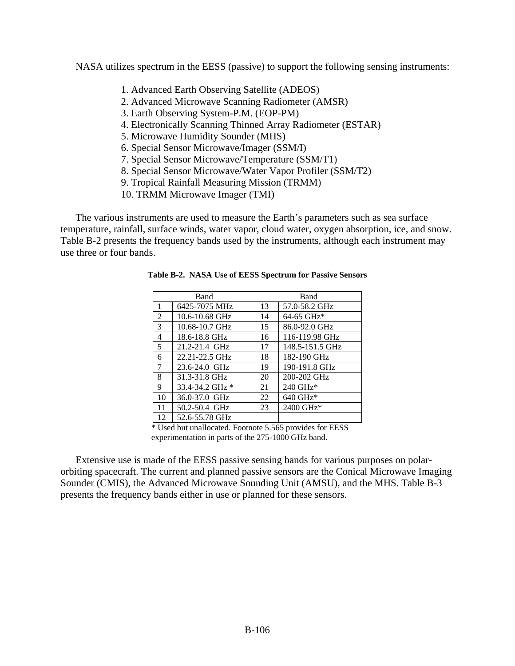NASA utilizes spectrum in the EESS (passive) to support the following sensing instruments:

- 1. Advanced Earth Observing Satellite (ADEOS)
- 2. Advanced Microwave Scanning Radiometer (AMSR)
- 3. Earth Observing System-P.M. (EOP-PM)
- 4. Electronically Scanning Thinned Array Radiometer (ESTAR)
- 5. Microwave Humidity Sounder (MHS)
- 6. Special Sensor Microwave/Imager (SSM/I)
- 7. Special Sensor Microwave/Temperature (SSM/T1)
- 8. Special Sensor Microwave/Water Vapor Profiler (SSM/T2)
- 9. Tropical Rainfall Measuring Mission (TRMM)
- 10. TRMM Microwave Imager (TMI)

The various instruments are used to measure the Earth's parameters such as sea surface temperature, rainfall, surface winds, water vapor, cloud water, oxygen absorption, ice, and snow. Table B-2 presents the frequency bands used by the instruments, although each instrument may use three or four bands.

| Band         |                       | Band |                 |
|--------------|-----------------------|------|-----------------|
| $\mathbf{1}$ | 6425-7075 MHz         | 13   | 57.0-58.2 GHz   |
| 2            | 10.6-10.68 GHz        | 14   | 64-65 GHz*      |
| 3            | 10.68-10.7 GHz        | 15   | 86.0-92.0 GHz   |
| 4            | 18.6-18.8 GHz         | 16   | 116-119.98 GHz  |
| 5            | 21.2-21.4 GHz         | 17   | 148.5-151.5 GHz |
| 6            | 22.21-22.5 GHz        | 18   | 182-190 GHz     |
| 7            | $23.6 - 24.0$ GHz     | 19   | 190-191.8 GHz   |
| 8            | 31.3-31.8 GHz         | 20   | 200-202 GHz     |
| 9            | $33.4 - 34.2$ GHz $*$ | 21   | $240$ GHz*      |
| 10           | 36.0-37.0 GHz         | 22   | $640$ GHz*      |
| 11           | 50.2-50.4 GHz         | 23   | 2400 GHz*       |
| 12           | 52.6-55.78 GHz        |      |                 |

**Table B-2. NASA Use of EESS Spectrum for Passive Sensors** 

\* Used but unallocated. Footnote 5.565 provides for EESS experimentation in parts of the 275-1000 GHz band.

Extensive use is made of the EESS passive sensing bands for various purposes on polarorbiting spacecraft. The current and planned passive sensors are the Conical Microwave Imaging Sounder (CMIS), the Advanced Microwave Sounding Unit (AMSU), and the MHS. Table B-3 presents the frequency bands either in use or planned for these sensors.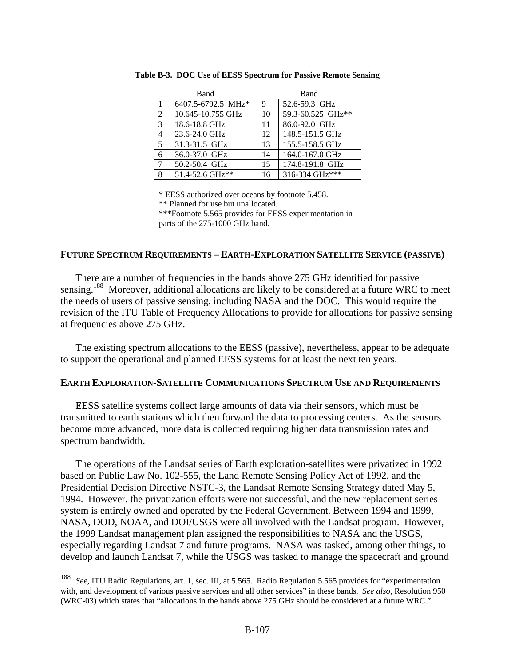| Band           |                    | Band |                   |
|----------------|--------------------|------|-------------------|
| 1              | 6407.5-6792.5 MHz* | 9    | 52.6-59.3 GHz     |
| 2              | 10.645-10.755 GHz  | 10   | 59.3-60.525 GHz** |
| 3              | 18.6-18.8 GHz      | 11   | 86.0-92.0 GHz     |
| $\overline{4}$ | 23.6-24.0 GHz      | 12   | 148.5-151.5 GHz   |
| $\overline{5}$ | 31.3-31.5 GHz      | 13   | 155.5-158.5 GHz   |
| 6              | 36.0-37.0 GHz      | 14   | 164.0-167.0 GHz   |
| 7              | 50.2-50.4 GHz      | 15   | 174.8-191.8 GHz   |
| 8              | 51.4-52.6 GHz**    | 16   | 316-334 GHz***    |

**Table B-3. DOC Use of EESS Spectrum for Passive Remote Sensing** 

\* EESS authorized over oceans by footnote 5.458.

\*\* Planned for use but unallocated.

\*\*\*Footnote 5.565 provides for EESS experimentation in parts of the 275-1000 GHz band.

#### **FUTURE SPECTRUM REQUIREMENTS – EARTH-EXPLORATION SATELLITE SERVICE (PASSIVE)**

There are a number of frequencies in the bands above 275 GHz identified for passive sensing.<sup>188</sup> Moreover, additional allocations are likely to be considered at a future WRC to meet the needs of users of passive sensing, including NASA and the DOC. This would require the revision of the ITU Table of Frequency Allocations to provide for allocations for passive sensing at frequencies above 275 GHz.

The existing spectrum allocations to the EESS (passive), nevertheless, appear to be adequate to support the operational and planned EESS systems for at least the next ten years.

#### **EARTH EXPLORATION-SATELLITE COMMUNICATIONS SPECTRUM USE AND REQUIREMENTS**

EESS satellite systems collect large amounts of data via their sensors, which must be transmitted to earth stations which then forward the data to processing centers. As the sensors become more advanced, more data is collected requiring higher data transmission rates and spectrum bandwidth.

The operations of the Landsat series of Earth exploration-satellites were privatized in 1992 based on Public Law No. 102-555, the Land Remote Sensing Policy Act of 1992, and the Presidential Decision Directive NSTC-3, the Landsat Remote Sensing Strategy dated May 5, 1994. However, the privatization efforts were not successful, and the new replacement series system is entirely owned and operated by the Federal Government. Between 1994 and 1999, NASA, DOD, NOAA, and DOI/USGS were all involved with the Landsat program. However, the 1999 Landsat management plan assigned the responsibilities to NASA and the USGS, especially regarding Landsat 7 and future programs. NASA was tasked, among other things, to develop and launch Landsat 7, while the USGS was tasked to manage the spacecraft and ground

<sup>188</sup> *See*, ITU Radio Regulations, art. 1, sec. III, at 5.565. Radio Regulation 5.565 provides for "experimentation with, and development of various passive services and all other services" in these bands. *See also*, Resolution 950 (WRC-03) which states that "allocations in the bands above 275 GHz should be considered at a future WRC."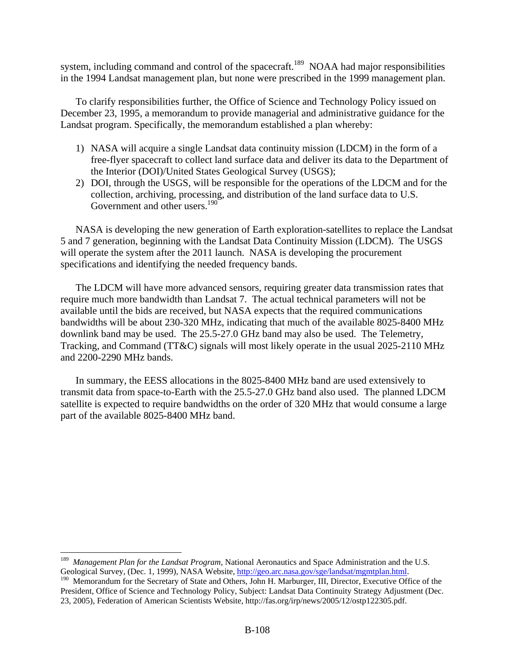system, including command and control of the spacecraft.<sup>189</sup> NOAA had major responsibilities in the 1994 Landsat management plan, but none were prescribed in the 1999 management plan.

To clarify responsibilities further, the Office of Science and Technology Policy issued on December 23, 1995, a memorandum to provide managerial and administrative guidance for the Landsat program. Specifically, the memorandum established a plan whereby:

- 1) NASA will acquire a single Landsat data continuity mission (LDCM) in the form of a free-flyer spacecraft to collect land surface data and deliver its data to the Department of the Interior (DOI)/United States Geological Survey (USGS);
- 2) DOI, through the USGS, will be responsible for the operations of the LDCM and for the collection, archiving, processing, and distribution of the land surface data to U.S. Government and other users.<sup>190</sup>

NASA is developing the new generation of Earth exploration-satellites to replace the Landsat 5 and 7 generation, beginning with the Landsat Data Continuity Mission (LDCM). The USGS will operate the system after the 2011 launch. NASA is developing the procurement specifications and identifying the needed frequency bands.

The LDCM will have more advanced sensors, requiring greater data transmission rates that require much more bandwidth than Landsat 7. The actual technical parameters will not be available until the bids are received, but NASA expects that the required communications bandwidths will be about 230-320 MHz, indicating that much of the available 8025-8400 MHz downlink band may be used. The 25.5-27.0 GHz band may also be used. The Telemetry, Tracking, and Command (TT&C) signals will most likely operate in the usual 2025-2110 MHz and 2200-2290 MHz bands.

In summary, the EESS allocations in the 8025-8400 MHz band are used extensively to transmit data from space-to-Earth with the 25.5-27.0 GHz band also used. The planned LDCM satellite is expected to require bandwidths on the order of 320 MHz that would consume a large part of the available 8025-8400 MHz band.

<sup>&</sup>lt;sup>189</sup> *Management Plan for the Landsat Program*, National Aeronautics and Space Administration and the U.S. Geological Survey, (Dec. 1, 1999), NASA Website, http://geo.arc.nasa.gov/sge/landsat/mgmtplan.html.

<sup>&</sup>lt;sup>190</sup> Memorandum for the Secretary of State and Others, John H. Marburger, III, Director, Executive Office of the President, Office of Science and Technology Policy, Subject: Landsat Data Continuity Strategy Adjustment (Dec. 23, 2005), Federation of American Scientists Website, http://fas.org/irp/news/2005/12/ostp122305.pdf.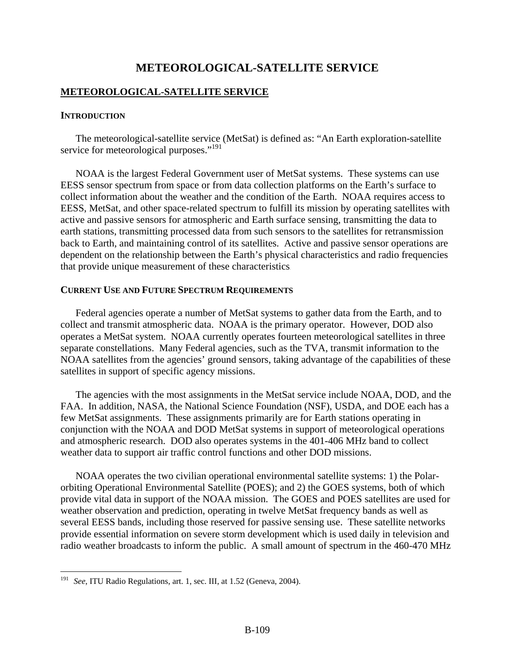# **METEOROLOGICAL-SATELLITE SERVICE**

# **METEOROLOGICAL-SATELLITE SERVICE**

## **INTRODUCTION**

The meteorological-satellite service (MetSat) is defined as: "An Earth exploration-satellite service for meteorological purposes."<sup>191</sup>

NOAA is the largest Federal Government user of MetSat systems. These systems can use EESS sensor spectrum from space or from data collection platforms on the Earth's surface to collect information about the weather and the condition of the Earth. NOAA requires access to EESS, MetSat, and other space-related spectrum to fulfill its mission by operating satellites with active and passive sensors for atmospheric and Earth surface sensing, transmitting the data to earth stations, transmitting processed data from such sensors to the satellites for retransmission back to Earth, and maintaining control of its satellites. Active and passive sensor operations are dependent on the relationship between the Earth's physical characteristics and radio frequencies that provide unique measurement of these characteristics.

## **CURRENT USE AND FUTURE SPECTRUM REQUIREMENTS**

Federal agencies operate a number of MetSat systems to gather data from the Earth, and to collect and transmit atmospheric data. NOAA is the primary operator. However, DOD also operates a MetSat system. NOAA currently operates fourteen meteorological satellites in three separate constellations. Many Federal agencies, such as the TVA, transmit information to the NOAA satellites from the agencies' ground sensors, taking advantage of the capabilities of these satellites in support of specific agency missions.

The agencies with the most assignments in the MetSat service include NOAA, DOD, and the FAA. In addition, NASA, the National Science Foundation (NSF), USDA, and DOE each has a few MetSat assignments. These assignments primarily are for Earth stations operating in conjunction with the NOAA and DOD MetSat systems in support of meteorological operations and atmospheric research. DOD also operates systems in the 401-406 MHz band to collect weather data to support air traffic control functions and other DOD missions.

NOAA operates the two civilian operational environmental satellite systems: 1) the Polarorbiting Operational Environmental Satellite (POES); and 2) the GOES systems, both of which provide vital data in support of the NOAA mission. The GOES and POES satellites are used for weather observation and prediction, operating in twelve MetSat frequency bands as well as several EESS bands, including those reserved for passive sensing use. These satellite networks provide essential information on severe storm development which is used daily in television and radio weather broadcasts to inform the public. A small amount of spectrum in the 460-470 MHz

1

<sup>191</sup> *See*, ITU Radio Regulations, art. 1, sec. III, at 1.52 (Geneva, 2004).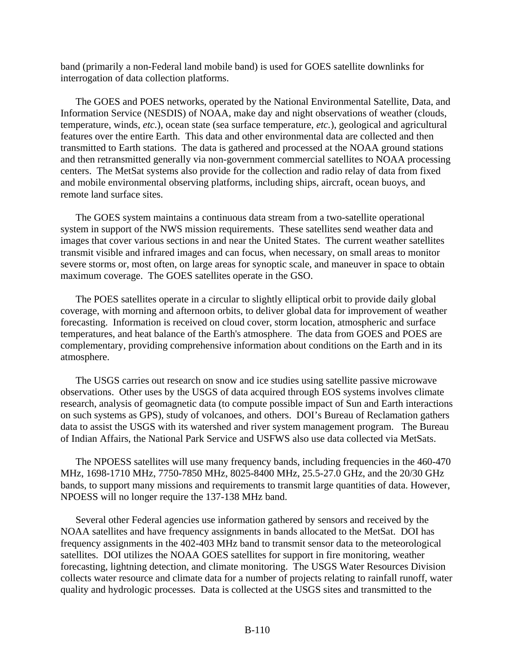band (primarily a non-Federal land mobile band) is used for GOES satellite downlinks for interrogation of data collection platforms.

The GOES and POES networks, operated by the National Environmental Satellite, Data, and Information Service (NESDIS) of NOAA, make day and night observations of weather (clouds, temperature, winds, *etc.*), ocean state (sea surface temperature, *etc.*), geological and agricultural features over the entire Earth. This data and other environmental data are collected and then transmitted to Earth stations. The data is gathered and processed at the NOAA ground stations and then retransmitted generally via non-government commercial satellites to NOAA processing centers. The MetSat systems also provide for the collection and radio relay of data from fixed and mobile environmental observing platforms, including ships, aircraft, ocean buoys, and remote land surface sites.

The GOES system maintains a continuous data stream from a two-satellite operational system in support of the NWS mission requirements. These satellites send weather data and images that cover various sections in and near the United States. The current weather satellites transmit visible and infrared images and can focus, when necessary, on small areas to monitor severe storms or, most often, on large areas for synoptic scale, and maneuver in space to obtain maximum coverage. The GOES satellites operate in the GSO.

The POES satellites operate in a circular to slightly elliptical orbit to provide daily global coverage, with morning and afternoon orbits, to deliver global data for improvement of weather forecasting. Information is received on cloud cover, storm location, atmospheric and surface temperatures, and heat balance of the Earth's atmosphere. The data from GOES and POES are complementary, providing comprehensive information about conditions on the Earth and in its atmosphere.

The USGS carries out research on snow and ice studies using satellite passive microwave observations. Other uses by the USGS of data acquired through EOS systems involves climate research, analysis of geomagnetic data (to compute possible impact of Sun and Earth interactions on such systems as GPS), study of volcanoes, and others. DOI's Bureau of Reclamation gathers data to assist the USGS with its watershed and river system management program. The Bureau of Indian Affairs, the National Park Service and USFWS also use data collected via MetSats.

The NPOESS satellites will use many frequency bands, including frequencies in the 460-470 MHz, 1698-1710 MHz, 7750-7850 MHz, 8025-8400 MHz, 25.5-27.0 GHz, and the 20/30 GHz bands, to support many missions and requirements to transmit large quantities of data. However, NPOESS will no longer require the 137-138 MHz band.

Several other Federal agencies use information gathered by sensors and received by the NOAA satellites and have frequency assignments in bands allocated to the MetSat. DOI has frequency assignments in the 402-403 MHz band to transmit sensor data to the meteorological satellites. DOI utilizes the NOAA GOES satellites for support in fire monitoring, weather forecasting, lightning detection, and climate monitoring. The USGS Water Resources Division collects water resource and climate data for a number of projects relating to rainfall runoff, water quality and hydrologic processes. Data is collected at the USGS sites and transmitted to the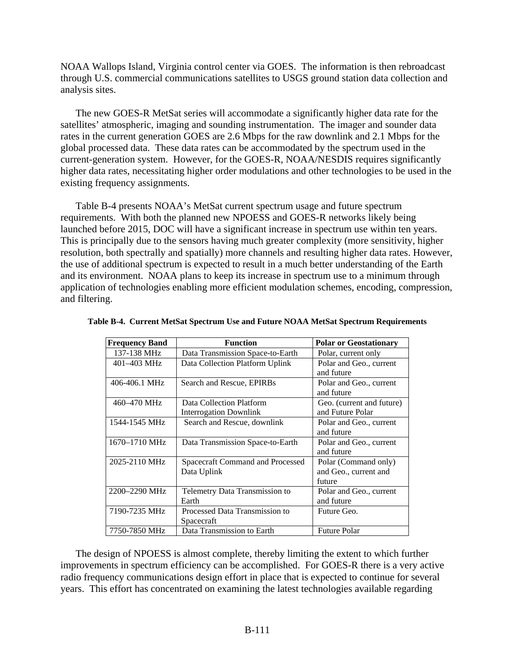NOAA Wallops Island, Virginia control center via GOES. The information is then rebroadcast through U.S. commercial communications satellites to USGS ground station data collection and analysis sites.

The new GOES-R MetSat series will accommodate a significantly higher data rate for the satellites' atmospheric, imaging and sounding instrumentation. The imager and sounder data rates in the current generation GOES are 2.6 Mbps for the raw downlink and 2.1 Mbps for the global processed data. These data rates can be accommodated by the spectrum used in the current-generation system. However, for the GOES-R, NOAA/NESDIS requires significantly higher data rates, necessitating higher order modulations and other technologies to be used in the existing frequency assignments.

Table B-4 presents NOAA's MetSat current spectrum usage and future spectrum requirements. With both the planned new NPOESS and GOES-R networks likely being launched before 2015, DOC will have a significant increase in spectrum use within ten years. This is principally due to the sensors having much greater complexity (more sensitivity, higher resolution, both spectrally and spatially) more channels and resulting higher data rates. However, the use of additional spectrum is expected to result in a much better understanding of the Earth and its environment. NOAA plans to keep its increase in spectrum use to a minimum through application of technologies enabling more efficient modulation schemes, encoding, compression, and filtering.

| <b>Frequency Band</b> | <b>Function</b>                  | <b>Polar or Geostationary</b> |
|-----------------------|----------------------------------|-------------------------------|
| 137-138 MHz           | Data Transmission Space-to-Earth | Polar, current only           |
| 401-403 MHz           | Data Collection Platform Uplink  | Polar and Geo., current       |
|                       |                                  | and future                    |
| 406-406.1 MHz         | Search and Rescue, EPIRBs        | Polar and Geo., current       |
|                       |                                  | and future                    |
| 460-470 MHz           | Data Collection Platform         | Geo. (current and future)     |
|                       | <b>Interrogation Downlink</b>    | and Future Polar              |
| 1544-1545 MHz         | Search and Rescue, downlink      | Polar and Geo., current       |
|                       |                                  | and future                    |
| 1670-1710 MHz         | Data Transmission Space-to-Earth | Polar and Geo., current       |
|                       |                                  | and future                    |
| 2025-2110 MHz         | Spacecraft Command and Processed | Polar (Command only)          |
|                       | Data Uplink                      | and Geo., current and         |
|                       |                                  | future                        |
| 2200-2290 MHz         | Telemetry Data Transmission to   | Polar and Geo., current       |
|                       | Earth                            | and future                    |
| 7190-7235 MHz         | Processed Data Transmission to   | Future Geo.                   |
|                       | Spacecraft                       |                               |
| 7750-7850 MHz         | Data Transmission to Earth       | <b>Future Polar</b>           |

|  |  | Table B-4. Current MetSat Spectrum Use and Future NOAA MetSat Spectrum Requirements |
|--|--|-------------------------------------------------------------------------------------|
|  |  |                                                                                     |

The design of NPOESS is almost complete, thereby limiting the extent to which further improvements in spectrum efficiency can be accomplished. For GOES-R there is a very active radio frequency communications design effort in place that is expected to continue for several years. This effort has concentrated on examining the latest technologies available regarding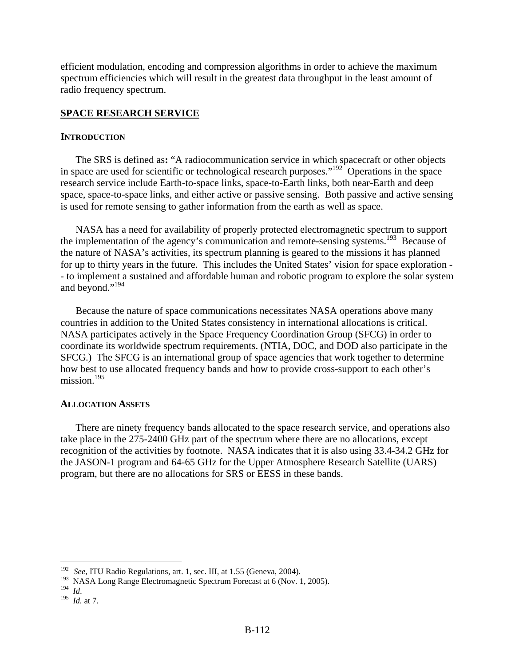efficient modulation, encoding and compression algorithms in order to achieve the maximum spectrum efficiencies which will result in the greatest data throughput in the least amount of radio frequency spectrum.

# **SPACE RESEARCH SERVICE**

# **INTRODUCTION**

The SRS is defined as**:** "A radiocommunication service in which spacecraft or other objects in space are used for scientific or technological research purposes."<sup>192</sup> Operations in the space research service include Earth-to-space links, space-to-Earth links, both near-Earth and deep space, space-to-space links, and either active or passive sensing. Both passive and active sensing is used for remote sensing to gather information from the earth as well as space.

NASA has a need for availability of properly protected electromagnetic spectrum to support the implementation of the agency's communication and remote-sensing systems.<sup>193</sup> Because of the nature of NASA's activities, its spectrum planning is geared to the missions it has planned for up to thirty years in the future. This includes the United States' vision for space exploration - - to implement a sustained and affordable human and robotic program to explore the solar system and beyond."194

Because the nature of space communications necessitates NASA operations above many countries in addition to the United States consistency in international allocations is critical. NASA participates actively in the Space Frequency Coordination Group (SFCG) in order to coordinate its worldwide spectrum requirements. (NTIA, DOC, and DOD also participate in the SFCG.) The SFCG is an international group of space agencies that work together to determine how best to use allocated frequency bands and how to provide cross-support to each other's mission. $195$ 

# **ALLOCATION ASSETS**

There are ninety frequency bands allocated to the space research service, and operations also take place in the 275-2400 GHz part of the spectrum where there are no allocations, except recognition of the activities by footnote. NASA indicates that it is also using 33.4-34.2 GHz for the JASON-1 program and 64-65 GHz for the Upper Atmosphere Research Satellite (UARS) program, but there are no allocations for SRS or EESS in these bands.

<sup>&</sup>lt;sup>192</sup> See, ITU Radio Regulations, art. 1, sec. III, at 1.55 (Geneva, 2004).<br><sup>193</sup> NASA Long Range Electromagnetic Spectrum Forecast at 6 (Nov. 1, 2005).<br><sup>194</sup> Id

<sup>194</sup>*Id*. 195 *Id.* at 7.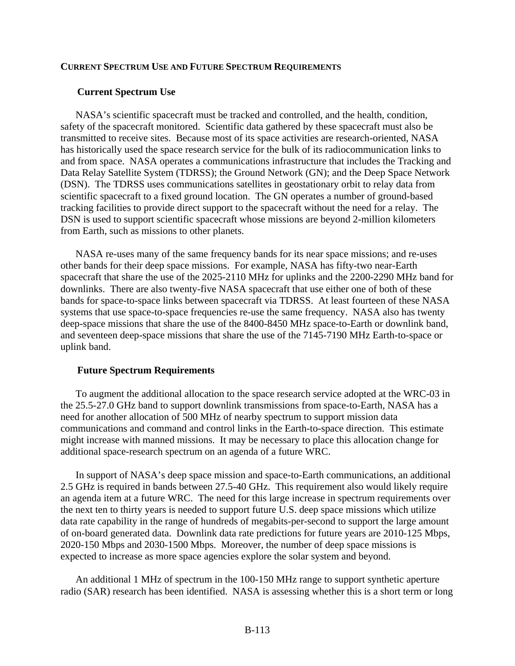#### **CURRENT SPECTRUM USE AND FUTURE SPECTRUM REQUIREMENTS**

#### **Current Spectrum Use**

NASA's scientific spacecraft must be tracked and controlled, and the health, condition, safety of the spacecraft monitored. Scientific data gathered by these spacecraft must also be transmitted to receive sites. Because most of its space activities are research-oriented, NASA has historically used the space research service for the bulk of its radiocommunication links to and from space. NASA operates a communications infrastructure that includes the Tracking and Data Relay Satellite System (TDRSS); the Ground Network (GN); and the Deep Space Network (DSN). The TDRSS uses communications satellites in geostationary orbit to relay data from scientific spacecraft to a fixed ground location. The GN operates a number of ground-based tracking facilities to provide direct support to the spacecraft without the need for a relay. The DSN is used to support scientific spacecraft whose missions are beyond 2-million kilometers from Earth, such as missions to other planets.

NASA re-uses many of the same frequency bands for its near space missions; and re-uses other bands for their deep space missions. For example, NASA has fifty-two near-Earth spacecraft that share the use of the 2025-2110 MHz for uplinks and the 2200-2290 MHz band for downlinks. There are also twenty-five NASA spacecraft that use either one of both of these bands for space-to-space links between spacecraft via TDRSS. At least fourteen of these NASA systems that use space-to-space frequencies re-use the same frequency. NASA also has twenty deep-space missions that share the use of the 8400-8450 MHz space-to-Earth or downlink band, and seventeen deep-space missions that share the use of the 7145-7190 MHz Earth-to-space or uplink band.

#### **Future Spectrum Requirements**

To augment the additional allocation to the space research service adopted at the WRC-03 in the 25.5-27.0 GHz band to support downlink transmissions from space-to-Earth, NASA has a need for another allocation of 500 MHz of nearby spectrum to support mission data communications and command and control links in the Earth-to-space direction. This estimate might increase with manned missions. It may be necessary to place this allocation change for additional space-research spectrum on an agenda of a future WRC.

In support of NASA's deep space mission and space-to-Earth communications, an additional 2.5 GHz is required in bands between 27.5-40 GHz. This requirement also would likely require an agenda item at a future WRC. The need for this large increase in spectrum requirements over the next ten to thirty years is needed to support future U.S. deep space missions which utilize data rate capability in the range of hundreds of megabits-per-second to support the large amount of on-board generated data. Downlink data rate predictions for future years are 2010-125 Mbps, 2020-150 Mbps and 2030-1500 Mbps. Moreover, the number of deep space missions is expected to increase as more space agencies explore the solar system and beyond.

An additional 1 MHz of spectrum in the 100-150 MHz range to support synthetic aperture radio (SAR) research has been identified. NASA is assessing whether this is a short term or long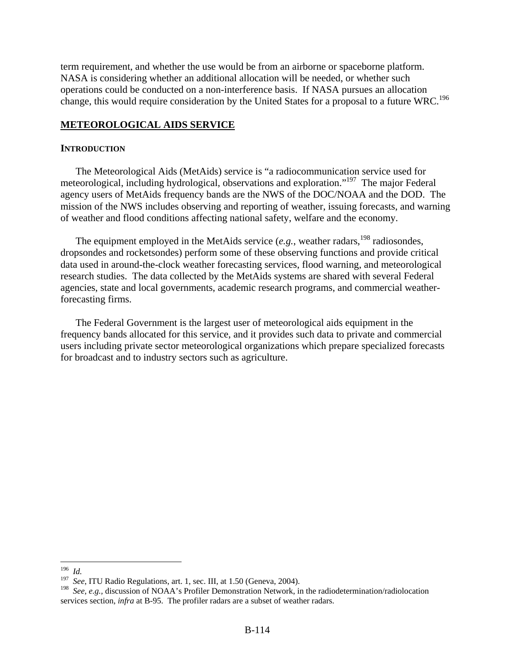term requirement, and whether the use would be from an airborne or spaceborne platform. NASA is considering whether an additional allocation will be needed, or whether such operations could be conducted on a non-interference basis. If NASA pursues an allocation change, this would require consideration by the United States for a proposal to a future WRC.<sup>196</sup>

# **METEOROLOGICAL AIDS SERVICE**

# **INTRODUCTION**

The Meteorological Aids (MetAids) service is "a radiocommunication service used for meteorological, including hydrological, observations and exploration."197 The major Federal agency users of MetAids frequency bands are the NWS of the DOC/NOAA and the DOD. The mission of the NWS includes observing and reporting of weather, issuing forecasts, and warning of weather and flood conditions affecting national safety, welfare and the economy.

The equipment employed in the MetAids service  $(e.g.,$  weather radars,<sup>198</sup> radiosondes, dropsondes and rocketsondes) perform some of these observing functions and provide critical data used in around-the-clock weather forecasting services, flood warning, and meteorological research studies. The data collected by the MetAids systems are shared with several Federal agencies, state and local governments, academic research programs, and commercial weatherforecasting firms.

The Federal Government is the largest user of meteorological aids equipment in the frequency bands allocated for this service, and it provides such data to private and commercial users including private sector meteorological organizations which prepare specialized forecasts for broadcast and to industry sectors such as agriculture.

 $\overline{a}$ 196 *Id.*

<sup>197</sup> *See*, ITU Radio Regulations, art. 1, sec. III, at 1.50 (Geneva, 2004).

<sup>198</sup> *See, e.g.,* discussion of NOAA's Profiler Demonstration Network, in the radiodetermination/radiolocation services section, *infra* at B-95. The profiler radars are a subset of weather radars.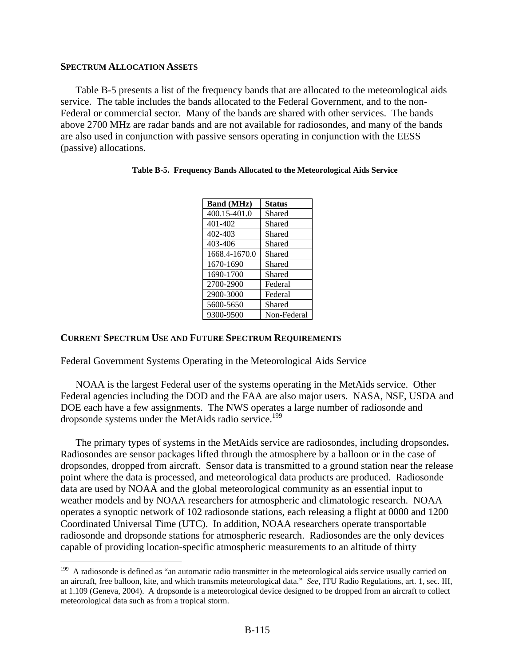#### **SPECTRUM ALLOCATION ASSETS**

 $\overline{a}$ 

Table B-5 presents a list of the frequency bands that are allocated to the meteorological aids service. The table includes the bands allocated to the Federal Government, and to the non-Federal or commercial sector. Many of the bands are shared with other services. The bands above 2700 MHz are radar bands and are not available for radiosondes, and many of the bands are also used in conjunction with passive sensors operating in conjunction with the EESS (passive) allocations.

| <b>Band (MHz)</b> | <b>Status</b> |
|-------------------|---------------|
| 400.15-401.0      | Shared        |
| 401-402           | Shared        |
| 402-403           | Shared        |
| 403-406           | Shared        |
| 1668.4-1670.0     | Shared        |
| 1670-1690         | Shared        |
| 1690-1700         | Shared        |
| 2700-2900         | Federal       |
| 2900-3000         | Federal       |
| 5600-5650         | Shared        |
| 9300-9500         | Non-Federal   |

#### **Table B-5. Frequency Bands Allocated to the Meteorological Aids Service**

#### **CURRENT SPECTRUM USE AND FUTURE SPECTRUM REQUIREMENTS**

Federal Government Systems Operating in the Meteorological Aids Service

NOAA is the largest Federal user of the systems operating in the MetAids service. Other Federal agencies including the DOD and the FAA are also major users. NASA, NSF, USDA and DOE each have a few assignments. The NWS operates a large number of radiosonde and dropsonde systems under the MetAids radio service.<sup>199</sup>

The primary types of systems in the MetAids service are radiosondes, including dropsondes**.** Radiosondes are sensor packages lifted through the atmosphere by a balloon or in the case of dropsondes, dropped from aircraft. Sensor data is transmitted to a ground station near the release point where the data is processed, and meteorological data products are produced. Radiosonde data are used by NOAA and the global meteorological community as an essential input to weather models and by NOAA researchers for atmospheric and climatologic research. NOAA operates a synoptic network of 102 radiosonde stations, each releasing a flight at 0000 and 1200 Coordinated Universal Time (UTC). In addition, NOAA researchers operate transportable radiosonde and dropsonde stations for atmospheric research. Radiosondes are the only devices capable of providing location-specific atmospheric measurements to an altitude of thirty

<sup>&</sup>lt;sup>199</sup> A radiosonde is defined as "an automatic radio transmitter in the meteorological aids service usually carried on an aircraft, free balloon, kite, and which transmits meteorological data." *See*, ITU Radio Regulations, art. 1, sec. III, at 1.109 (Geneva, 2004). A dropsonde is a meteorological device designed to be dropped from an aircraft to collect meteorological data such as from a tropical storm.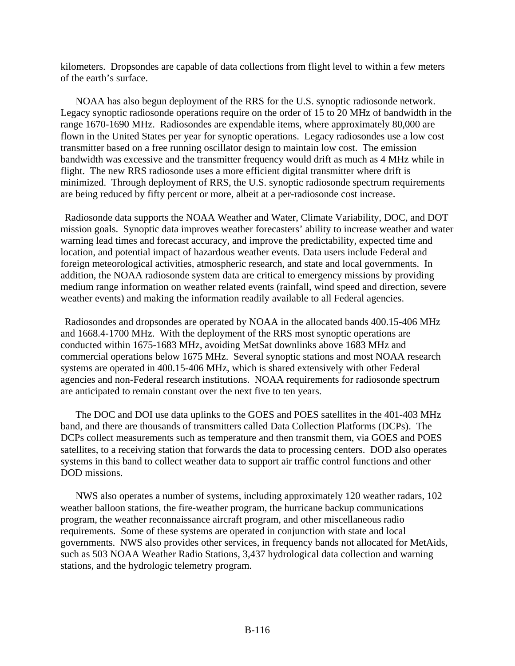kilometers. Dropsondes are capable of data collections from flight level to within a few meters of the earth's surface.

NOAA has also begun deployment of the RRS for the U.S. synoptic radiosonde network. Legacy synoptic radiosonde operations require on the order of 15 to 20 MHz of bandwidth in the range 1670-1690 MHz. Radiosondes are expendable items, where approximately 80,000 are flown in the United States per year for synoptic operations. Legacy radiosondes use a low cost transmitter based on a free running oscillator design to maintain low cost. The emission bandwidth was excessive and the transmitter frequency would drift as much as 4 MHz while in flight. The new RRS radiosonde uses a more efficient digital transmitter where drift is minimized. Through deployment of RRS, the U.S. synoptic radiosonde spectrum requirements are being reduced by fifty percent or more, albeit at a per-radiosonde cost increase.

 Radiosonde data supports the NOAA Weather and Water, Climate Variability, DOC, and DOT mission goals. Synoptic data improves weather forecasters' ability to increase weather and water warning lead times and forecast accuracy, and improve the predictability, expected time and location, and potential impact of hazardous weather events. Data users include Federal and foreign meteorological activities, atmospheric research, and state and local governments. In addition, the NOAA radiosonde system data are critical to emergency missions by providing medium range information on weather related events (rainfall, wind speed and direction, severe weather events) and making the information readily available to all Federal agencies.

 Radiosondes and dropsondes are operated by NOAA in the allocated bands 400.15-406 MHz and 1668.4-1700 MHz. With the deployment of the RRS most synoptic operations are conducted within 1675-1683 MHz, avoiding MetSat downlinks above 1683 MHz and commercial operations below 1675 MHz. Several synoptic stations and most NOAA research systems are operated in 400.15-406 MHz, which is shared extensively with other Federal agencies and non-Federal research institutions. NOAA requirements for radiosonde spectrum are anticipated to remain constant over the next five to ten years.

The DOC and DOI use data uplinks to the GOES and POES satellites in the 401-403 MHz band, and there are thousands of transmitters called Data Collection Platforms (DCPs). The DCPs collect measurements such as temperature and then transmit them, via GOES and POES satellites, to a receiving station that forwards the data to processing centers. DOD also operates systems in this band to collect weather data to support air traffic control functions and other DOD missions.

NWS also operates a number of systems, including approximately 120 weather radars, 102 weather balloon stations, the fire-weather program, the hurricane backup communications program, the weather reconnaissance aircraft program, and other miscellaneous radio requirements. Some of these systems are operated in conjunction with state and local governments. NWS also provides other services, in frequency bands not allocated for MetAids, such as 503 NOAA Weather Radio Stations, 3,437 hydrological data collection and warning stations, and the hydrologic telemetry program.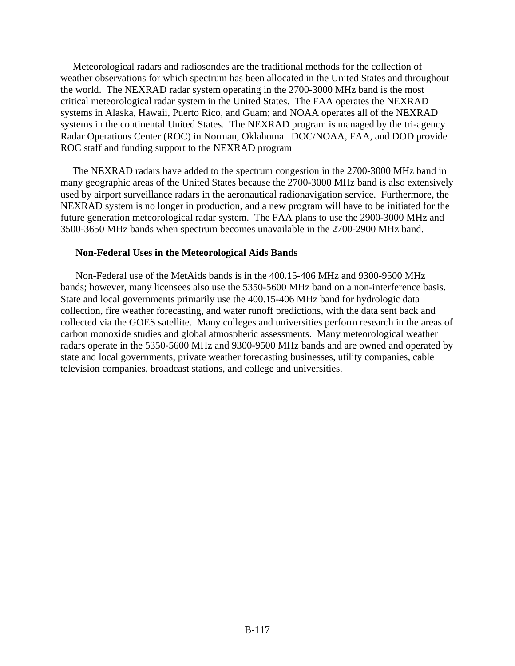Meteorological radars and radiosondes are the traditional methods for the collection of weather observations for which spectrum has been allocated in the United States and throughout the world. The NEXRAD radar system operating in the 2700-3000 MHz band is the most critical meteorological radar system in the United States. The FAA operates the NEXRAD systems in Alaska, Hawaii, Puerto Rico, and Guam; and NOAA operates all of the NEXRAD systems in the continental United States. The NEXRAD program is managed by the tri-agency Radar Operations Center (ROC) in Norman, Oklahoma. DOC/NOAA, FAA, and DOD provide ROC staff and funding support to the NEXRAD program

The NEXRAD radars have added to the spectrum congestion in the 2700-3000 MHz band in many geographic areas of the United States because the 2700-3000 MHz band is also extensively used by airport surveillance radars in the aeronautical radionavigation service. Furthermore, the NEXRAD system is no longer in production, and a new program will have to be initiated for the future generation meteorological radar system. The FAA plans to use the 2900-3000 MHz and 3500-3650 MHz bands when spectrum becomes unavailable in the 2700-2900 MHz band.

## **Non-Federal Uses in the Meteorological Aids Bands**

Non-Federal use of the MetAids bands is in the 400.15-406 MHz and 9300-9500 MHz bands; however, many licensees also use the 5350-5600 MHz band on a non-interference basis. State and local governments primarily use the 400.15-406 MHz band for hydrologic data collection, fire weather forecasting, and water runoff predictions, with the data sent back and collected via the GOES satellite. Many colleges and universities perform research in the areas of carbon monoxide studies and global atmospheric assessments. Many meteorological weather radars operate in the 5350-5600 MHz and 9300-9500 MHz bands and are owned and operated by state and local governments, private weather forecasting businesses, utility companies, cable television companies, broadcast stations, and college and universities.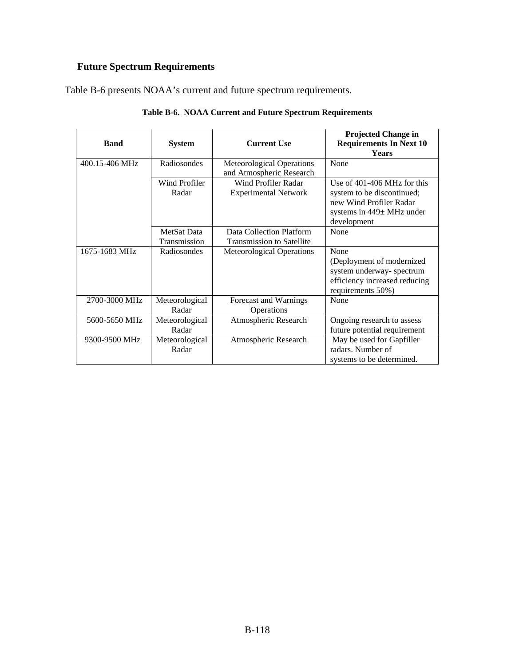# **Future Spectrum Requirements**

Table B-6 presents NOAA's current and future spectrum requirements.

| <b>Band</b>    | <b>System</b>  | <b>Current Use</b>                                           | <b>Projected Change in</b><br><b>Requirements In Next 10</b><br><b>Years</b> |
|----------------|----------------|--------------------------------------------------------------|------------------------------------------------------------------------------|
| 400.15-406 MHz | Radiosondes    | <b>Meteorological Operations</b><br>and Atmospheric Research | None                                                                         |
|                | Wind Profiler  | <b>Wind Profiler Radar</b>                                   | Use of 401-406 MHz for this                                                  |
|                | Radar          | <b>Experimental Network</b>                                  | system to be discontinued;                                                   |
|                |                |                                                              | new Wind Profiler Radar                                                      |
|                |                |                                                              | systems in $449 \pm \text{MHz}$ under                                        |
|                |                |                                                              | development                                                                  |
|                | MetSat Data    | Data Collection Platform                                     | None                                                                         |
|                | Transmission   | <b>Transmission to Satellite</b>                             |                                                                              |
| 1675-1683 MHz  | Radiosondes    | <b>Meteorological Operations</b>                             | None                                                                         |
|                |                |                                                              | (Deployment of modernized)                                                   |
|                |                |                                                              | system underway-spectrum                                                     |
|                |                |                                                              | efficiency increased reducing                                                |
|                |                |                                                              | requirements 50%)                                                            |
| 2700-3000 MHz  | Meteorological | Forecast and Warnings                                        | None                                                                         |
|                | Radar          | Operations                                                   |                                                                              |
| 5600-5650 MHz  | Meteorological | Atmospheric Research                                         | Ongoing research to assess                                                   |
|                | Radar          |                                                              | future potential requirement                                                 |
| 9300-9500 MHz  | Meteorological | Atmospheric Research                                         | May be used for Gapfiller                                                    |
|                | Radar          |                                                              | radars. Number of                                                            |
|                |                |                                                              | systems to be determined.                                                    |

**Table B-6. NOAA Current and Future Spectrum Requirements**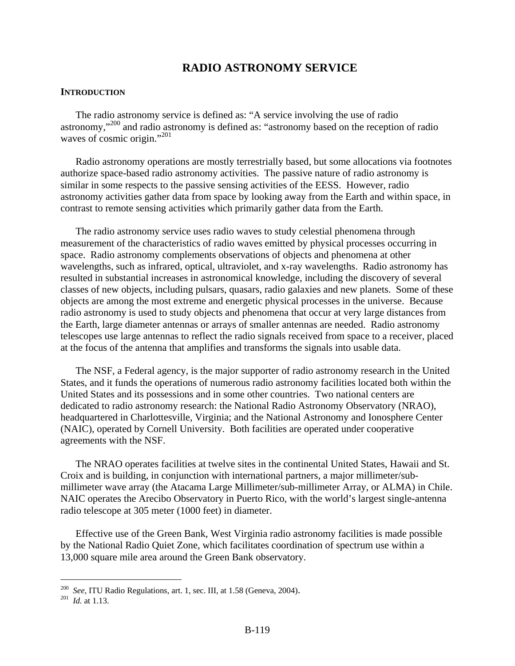# **RADIO ASTRONOMY SERVICE**

## **INTRODUCTION**

The radio astronomy service is defined as: "A service involving the use of radio astronomy,"200 and radio astronomy is defined as: "astronomy based on the reception of radio waves of cosmic origin."<sup>201</sup>

Radio astronomy operations are mostly terrestrially based, but some allocations via footnotes authorize space-based radio astronomy activities. The passive nature of radio astronomy is similar in some respects to the passive sensing activities of the EESS. However, radio astronomy activities gather data from space by looking away from the Earth and within space, in contrast to remote sensing activities which primarily gather data from the Earth.

The radio astronomy service uses radio waves to study celestial phenomena through measurement of the characteristics of radio waves emitted by physical processes occurring in space. Radio astronomy complements observations of objects and phenomena at other wavelengths, such as infrared, optical, ultraviolet, and x-ray wavelengths. Radio astronomy has resulted in substantial increases in astronomical knowledge, including the discovery of several classes of new objects, including pulsars, quasars, radio galaxies and new planets. Some of these objects are among the most extreme and energetic physical processes in the universe. Because radio astronomy is used to study objects and phenomena that occur at very large distances from the Earth, large diameter antennas or arrays of smaller antennas are needed. Radio astronomy telescopes use large antennas to reflect the radio signals received from space to a receiver, placed at the focus of the antenna that amplifies and transforms the signals into usable data.

The NSF, a Federal agency, is the major supporter of radio astronomy research in the United States, and it funds the operations of numerous radio astronomy facilities located both within the United States and its possessions and in some other countries. Two national centers are dedicated to radio astronomy research: the National Radio Astronomy Observatory (NRAO), headquartered in Charlottesville, Virginia; and the National Astronomy and Ionosphere Center (NAIC), operated by Cornell University. Both facilities are operated under cooperative agreements with the NSF.

The NRAO operates facilities at twelve sites in the continental United States, Hawaii and St. Croix and is building, in conjunction with international partners, a major millimeter/submillimeter wave array (the Atacama Large Millimeter/sub-millimeter Array, or ALMA) in Chile. NAIC operates the Arecibo Observatory in Puerto Rico, with the world's largest single-antenna radio telescope at 305 meter (1000 feet) in diameter.

Effective use of the Green Bank, West Virginia radio astronomy facilities is made possible by the National Radio Quiet Zone, which facilitates coordination of spectrum use within a 13,000 square mile area around the Green Bank observatory.

<sup>200</sup>*See*, ITU Radio Regulations, art. 1, sec. III, at 1.58 (Geneva, 2004). 201 *Id.* at 1.13.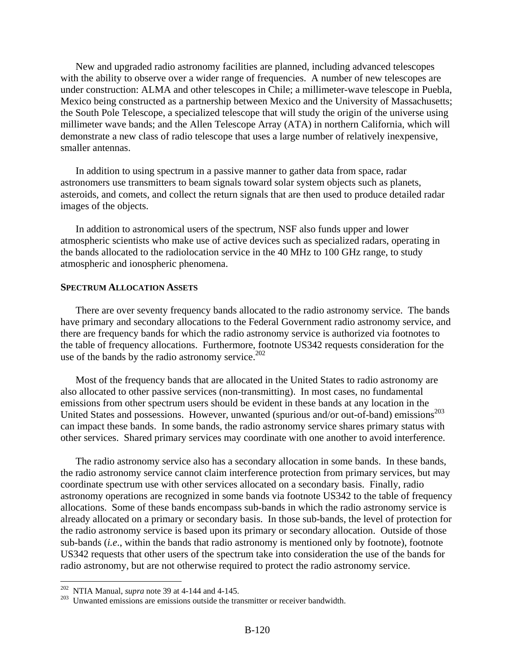New and upgraded radio astronomy facilities are planned, including advanced telescopes with the ability to observe over a wider range of frequencies. A number of new telescopes are under construction: ALMA and other telescopes in Chile; a millimeter-wave telescope in Puebla, Mexico being constructed as a partnership between Mexico and the University of Massachusetts; the South Pole Telescope, a specialized telescope that will study the origin of the universe using millimeter wave bands; and the Allen Telescope Array (ATA) in northern California, which will demonstrate a new class of radio telescope that uses a large number of relatively inexpensive, smaller antennas.

In addition to using spectrum in a passive manner to gather data from space, radar astronomers use transmitters to beam signals toward solar system objects such as planets, asteroids, and comets, and collect the return signals that are then used to produce detailed radar images of the objects.

In addition to astronomical users of the spectrum, NSF also funds upper and lower atmospheric scientists who make use of active devices such as specialized radars, operating in the bands allocated to the radiolocation service in the 40 MHz to 100 GHz range, to study atmospheric and ionospheric phenomena.

#### **SPECTRUM ALLOCATION ASSETS**

There are over seventy frequency bands allocated to the radio astronomy service. The bands have primary and secondary allocations to the Federal Government radio astronomy service, and there are frequency bands for which the radio astronomy service is authorized via footnotes to the table of frequency allocations. Furthermore, footnote US342 requests consideration for the use of the bands by the radio astronomy service. $202$ 

Most of the frequency bands that are allocated in the United States to radio astronomy are also allocated to other passive services (non-transmitting). In most cases, no fundamental emissions from other spectrum users should be evident in these bands at any location in the United States and possessions. However, unwanted (spurious and/or out-of-band) emissions $^{203}$ can impact these bands. In some bands, the radio astronomy service shares primary status with other services. Shared primary services may coordinate with one another to avoid interference.

The radio astronomy service also has a secondary allocation in some bands. In these bands, the radio astronomy service cannot claim interference protection from primary services, but may coordinate spectrum use with other services allocated on a secondary basis. Finally, radio astronomy operations are recognized in some bands via footnote US342 to the table of frequency allocations. Some of these bands encompass sub-bands in which the radio astronomy service is already allocated on a primary or secondary basis. In those sub-bands, the level of protection for the radio astronomy service is based upon its primary or secondary allocation. Outside of those sub-bands (*i.e*., within the bands that radio astronomy is mentioned only by footnote), footnote US342 requests that other users of the spectrum take into consideration the use of the bands for radio astronomy, but are not otherwise required to protect the radio astronomy service.

 $202$  NTIA Manual, *supra* note 39 at 4-144 and 4-145.

<sup>&</sup>lt;sup>203</sup> Unwanted emissions are emissions outside the transmitter or receiver bandwidth.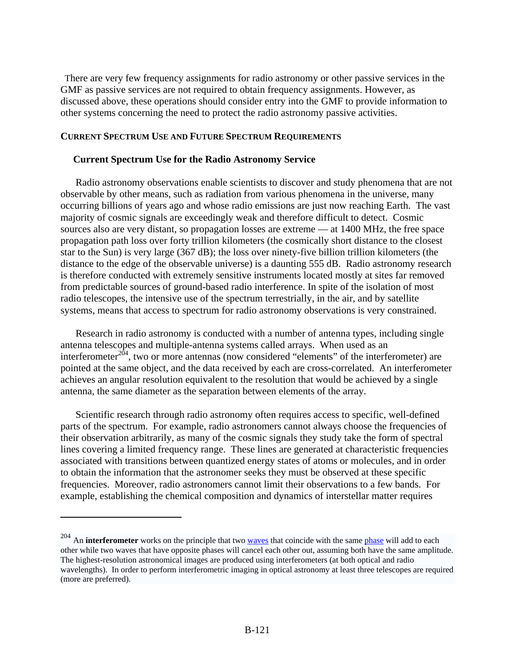There are very few frequency assignments for radio astronomy or other passive services in the GMF as passive services are not required to obtain frequency assignments. However, as discussed above, these operations should consider entry into the GMF to provide information to other systems concerning the need to protect the radio astronomy passive activities.

#### **CURRENT SPECTRUM USE AND FUTURE SPECTRUM REQUIREMENTS**

#### **Current Spectrum Use for the Radio Astronomy Service**

 $\overline{a}$ 

Radio astronomy observations enable scientists to discover and study phenomena that are not observable by other means, such as radiation from various phenomena in the universe, many occurring billions of years ago and whose radio emissions are just now reaching Earth. The vast majority of cosmic signals are exceedingly weak and therefore difficult to detect. Cosmic sources also are very distant, so propagation losses are extreme — at 1400 MHz, the free space propagation path loss over forty trillion kilometers (the cosmically short distance to the closest star to the Sun) is very large (367 dB); the loss over ninety-five billion trillion kilometers (the distance to the edge of the observable universe) is a daunting 555 dB. Radio astronomy research is therefore conducted with extremely sensitive instruments located mostly at sites far removed from predictable sources of ground-based radio interference. In spite of the isolation of most radio telescopes, the intensive use of the spectrum terrestrially, in the air, and by satellite systems, means that access to spectrum for radio astronomy observations is very constrained.

Research in radio astronomy is conducted with a number of antenna types, including single antenna telescopes and multiple-antenna systems called arrays. When used as an interferometer $204$ , two or more antennas (now considered "elements" of the interferometer) are pointed at the same object, and the data received by each are cross-correlated. An interferometer achieves an angular resolution equivalent to the resolution that would be achieved by a single antenna, the same diameter as the separation between elements of the array.

Scientific research through radio astronomy often requires access to specific, well-defined parts of the spectrum. For example, radio astronomers cannot always choose the frequencies of their observation arbitrarily, as many of the cosmic signals they study take the form of spectral lines covering a limited frequency range. These lines are generated at characteristic frequencies associated with transitions between quantized energy states of atoms or molecules, and in order to obtain the information that the astronomer seeks they must be observed at these specific frequencies. Moreover, radio astronomers cannot limit their observations to a few bands. For example, establishing the chemical composition and dynamics of interstellar matter requires

<sup>&</sup>lt;sup>204</sup> An **interferometer** works on the principle that two waves that coincide with the same phase will add to each other while two waves that have opposite phases will cancel each other out, assuming both have the same amplitude. The highest-resolution astronomical images are produced using interferometers (at both optical and radio wavelengths). In order to perform interferometric imaging in optical astronomy at least three telescopes are required (more are preferred).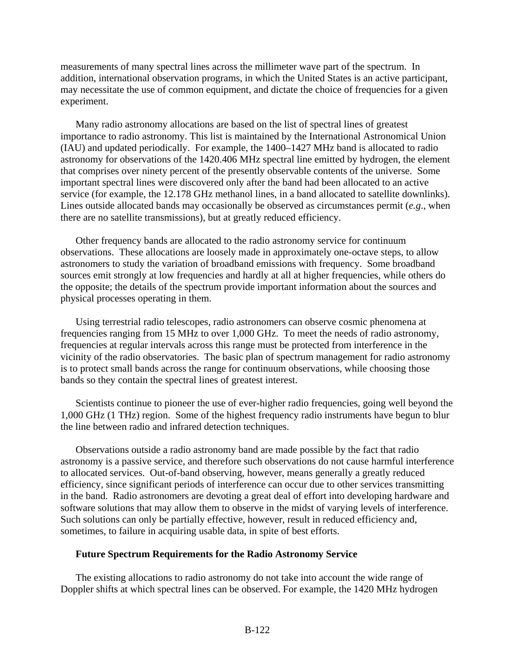measurements of many spectral lines across the millimeter wave part of the spectrum. In addition, international observation programs, in which the United States is an active participant, may necessitate the use of common equipment, and dictate the choice of frequencies for a given experiment.

Many radio astronomy allocations are based on the list of spectral lines of greatest importance to radio astronomy. This list is maintained by the International Astronomical Union (IAU) and updated periodically. For example, the 1400–1427 MHz band is allocated to radio astronomy for observations of the 1420.406 MHz spectral line emitted by hydrogen, the element that comprises over ninety percent of the presently observable contents of the universe. Some important spectral lines were discovered only after the band had been allocated to an active service (for example, the 12.178 GHz methanol lines, in a band allocated to satellite downlinks). Lines outside allocated bands may occasionally be observed as circumstances permit (*e.g*., when there are no satellite transmissions), but at greatly reduced efficiency.

Other frequency bands are allocated to the radio astronomy service for continuum observations. These allocations are loosely made in approximately one-octave steps, to allow astronomers to study the variation of broadband emissions with frequency. Some broadband sources emit strongly at low frequencies and hardly at all at higher frequencies, while others do the opposite; the details of the spectrum provide important information about the sources and physical processes operating in them.

Using terrestrial radio telescopes, radio astronomers can observe cosmic phenomena at frequencies ranging from 15 MHz to over 1,000 GHz. To meet the needs of radio astronomy, frequencies at regular intervals across this range must be protected from interference in the vicinity of the radio observatories. The basic plan of spectrum management for radio astronomy is to protect small bands across the range for continuum observations, while choosing those bands so they contain the spectral lines of greatest interest.

Scientists continue to pioneer the use of ever-higher radio frequencies, going well beyond the 1,000 GHz (1 THz) region. Some of the highest frequency radio instruments have begun to blur the line between radio and infrared detection techniques.

Observations outside a radio astronomy band are made possible by the fact that radio astronomy is a passive service, and therefore such observations do not cause harmful interference to allocated services. Out-of-band observing, however, means generally a greatly reduced efficiency, since significant periods of interference can occur due to other services transmitting in the band. Radio astronomers are devoting a great deal of effort into developing hardware and software solutions that may allow them to observe in the midst of varying levels of interference. Such solutions can only be partially effective, however, result in reduced efficiency and, sometimes, to failure in acquiring usable data, in spite of best efforts.

#### **Future Spectrum Requirements for the Radio Astronomy Service**

The existing allocations to radio astronomy do not take into account the wide range of Doppler shifts at which spectral lines can be observed. For example, the 1420 MHz hydrogen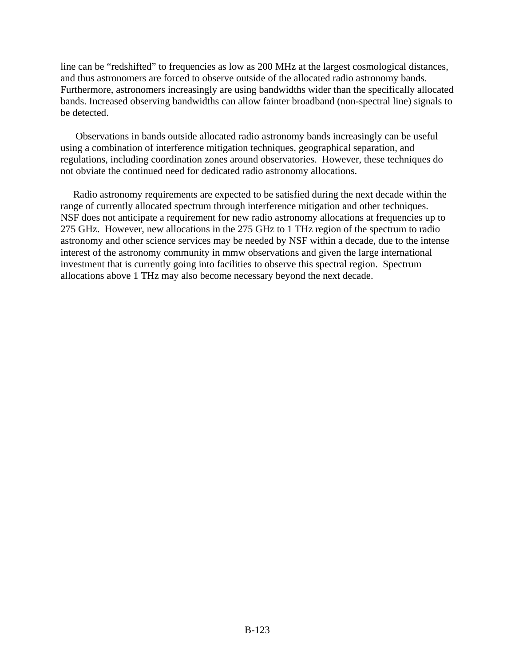line can be "redshifted" to frequencies as low as 200 MHz at the largest cosmological distances, and thus astronomers are forced to observe outside of the allocated radio astronomy bands. Furthermore, astronomers increasingly are using bandwidths wider than the specifically allocated bands. Increased observing bandwidths can allow fainter broadband (non-spectral line) signals to be detected.

Observations in bands outside allocated radio astronomy bands increasingly can be useful using a combination of interference mitigation techniques, geographical separation, and regulations, including coordination zones around observatories. However, these techniques do not obviate the continued need for dedicated radio astronomy allocations.

 Radio astronomy requirements are expected to be satisfied during the next decade within the range of currently allocated spectrum through interference mitigation and other techniques. NSF does not anticipate a requirement for new radio astronomy allocations at frequencies up to 275 GHz. However, new allocations in the 275 GHz to 1 THz region of the spectrum to radio astronomy and other science services may be needed by NSF within a decade, due to the intense interest of the astronomy community in mmw observations and given the large international investment that is currently going into facilities to observe this spectral region. Spectrum allocations above 1 THz may also become necessary beyond the next decade.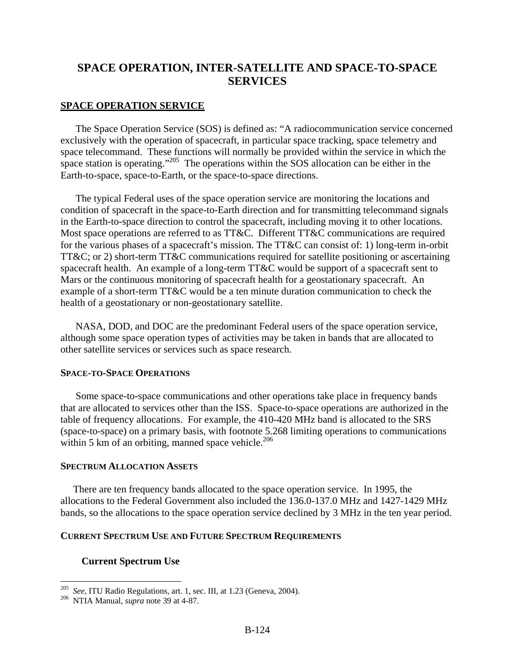# **SPACE OPERATION, INTER-SATELLITE AND SPACE-TO-SPACE SERVICES**

#### **SPACE OPERATION SERVICE**

The Space Operation Service (SOS) is defined as: "A radiocommunication service concerned exclusively with the operation of spacecraft, in particular space tracking, space telemetry and space telecommand. These functions will normally be provided within the service in which the space station is operating."<sup>205</sup> The operations within the SOS allocation can be either in the Earth-to-space, space-to-Earth, or the space-to-space directions.

The typical Federal uses of the space operation service are monitoring the locations and condition of spacecraft in the space-to-Earth direction and for transmitting telecommand signals in the Earth-to-space direction to control the spacecraft, including moving it to other locations. Most space operations are referred to as TT&C. Different TT&C communications are required for the various phases of a spacecraft's mission. The TT&C can consist of: 1) long-term in-orbit TT&C; or 2) short-term TT&C communications required for satellite positioning or ascertaining spacecraft health. An example of a long-term TT&C would be support of a spacecraft sent to Mars or the continuous monitoring of spacecraft health for a geostationary spacecraft. An example of a short-term TT&C would be a ten minute duration communication to check the health of a geostationary or non-geostationary satellite.

NASA, DOD, and DOC are the predominant Federal users of the space operation service, although some space operation types of activities may be taken in bands that are allocated to other satellite services or services such as space research.

#### **SPACE-TO-SPACE OPERATIONS**

Some space-to-space communications and other operations take place in frequency bands that are allocated to services other than the ISS. Space-to-space operations are authorized in the table of frequency allocations. For example, the 410-420 MHz band is allocated to the SRS (space-to-space) on a primary basis, with footnote 5.268 limiting operations to communications within 5 km of an orbiting, manned space vehicle.<sup>206</sup>

#### **SPECTRUM ALLOCATION ASSETS**

 There are ten frequency bands allocated to the space operation service. In 1995, the allocations to the Federal Government also included the 136.0-137.0 MHz and 1427-1429 MHz bands, so the allocations to the space operation service declined by 3 MHz in the ten year period.

#### **CURRENT SPECTRUM USE AND FUTURE SPECTRUM REQUIREMENTS**

#### **Current Spectrum Use**

<sup>205</sup>*See*, ITU Radio Regulations, art. 1, sec. III, at 1.23 (Geneva, 2004). 206 NTIA Manual, *supra* note 39 at 4-87.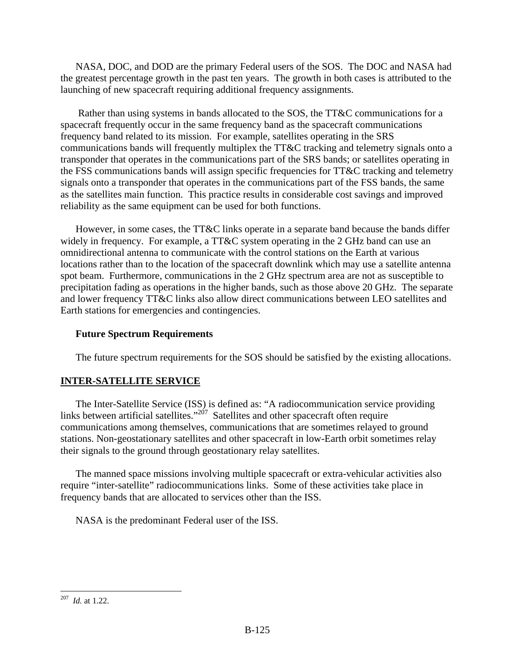NASA, DOC, and DOD are the primary Federal users of the SOS. The DOC and NASA had the greatest percentage growth in the past ten years. The growth in both cases is attributed to the launching of new spacecraft requiring additional frequency assignments.

 Rather than using systems in bands allocated to the SOS, the TT&C communications for a spacecraft frequently occur in the same frequency band as the spacecraft communications frequency band related to its mission. For example, satellites operating in the SRS communications bands will frequently multiplex the TT&C tracking and telemetry signals onto a transponder that operates in the communications part of the SRS bands; or satellites operating in the FSS communications bands will assign specific frequencies for TT&C tracking and telemetry signals onto a transponder that operates in the communications part of the FSS bands, the same as the satellites main function. This practice results in considerable cost savings and improved reliability as the same equipment can be used for both functions.

However, in some cases, the TT&C links operate in a separate band because the bands differ widely in frequency. For example, a TT&C system operating in the 2 GHz band can use an omnidirectional antenna to communicate with the control stations on the Earth at various locations rather than to the location of the spacecraft downlink which may use a satellite antenna spot beam. Furthermore, communications in the 2 GHz spectrum area are not as susceptible to precipitation fading as operations in the higher bands, such as those above 20 GHz. The separate and lower frequency TT&C links also allow direct communications between LEO satellites and Earth stations for emergencies and contingencies.

### **Future Spectrum Requirements**

The future spectrum requirements for the SOS should be satisfied by the existing allocations.

### **INTER-SATELLITE SERVICE**

The Inter-Satellite Service (ISS) is defined as: "A radiocommunication service providing links between artificial satellites." $^{207}$  Satellites and other spacecraft often require communications among themselves, communications that are sometimes relayed to ground stations. Non-geostationary satellites and other spacecraft in low-Earth orbit sometimes relay their signals to the ground through geostationary relay satellites.

The manned space missions involving multiple spacecraft or extra-vehicular activities also require "inter-satellite" radiocommunications links. Some of these activities take place in frequency bands that are allocated to services other than the ISS.

NASA is the predominant Federal user of the ISS.

<sup>&</sup>lt;u>.</u> 207 *Id.* at 1.22.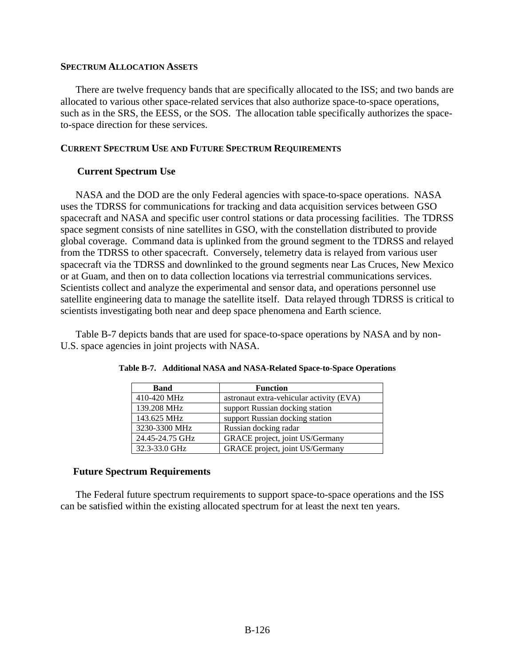#### **SPECTRUM ALLOCATION ASSETS**

There are twelve frequency bands that are specifically allocated to the ISS; and two bands are allocated to various other space-related services that also authorize space-to-space operations, such as in the SRS, the EESS, or the SOS. The allocation table specifically authorizes the spaceto-space direction for these services.

#### **CURRENT SPECTRUM USE AND FUTURE SPECTRUM REQUIREMENTS**

#### **Current Spectrum Use**

NASA and the DOD are the only Federal agencies with space-to-space operations. NASA uses the TDRSS for communications for tracking and data acquisition services between GSO spacecraft and NASA and specific user control stations or data processing facilities. The TDRSS space segment consists of nine satellites in GSO, with the constellation distributed to provide global coverage. Command data is uplinked from the ground segment to the TDRSS and relayed from the TDRSS to other spacecraft. Conversely, telemetry data is relayed from various user spacecraft via the TDRSS and downlinked to the ground segments near Las Cruces, New Mexico or at Guam, and then on to data collection locations via terrestrial communications services. Scientists collect and analyze the experimental and sensor data, and operations personnel use satellite engineering data to manage the satellite itself. Data relayed through TDRSS is critical to scientists investigating both near and deep space phenomena and Earth science.

Table B-7 depicts bands that are used for space-to-space operations by NASA and by non-U.S. space agencies in joint projects with NASA.

| <b>Band</b>     | <b>Function</b>                          |
|-----------------|------------------------------------------|
| 410-420 MHz     | astronaut extra-vehicular activity (EVA) |
| 139.208 MHz     | support Russian docking station          |
| 143.625 MHz     | support Russian docking station          |
| 3230-3300 MHz   | Russian docking radar                    |
| 24.45-24.75 GHz | GRACE project, joint US/Germany          |
| 32.3-33.0 GHz   | GRACE project, joint US/Germany          |

|  | Table B-7. Additional NASA and NASA-Related Space-to-Space Operations |  |
|--|-----------------------------------------------------------------------|--|
|  |                                                                       |  |

#### **Future Spectrum Requirements**

The Federal future spectrum requirements to support space-to-space operations and the ISS can be satisfied within the existing allocated spectrum for at least the next ten years.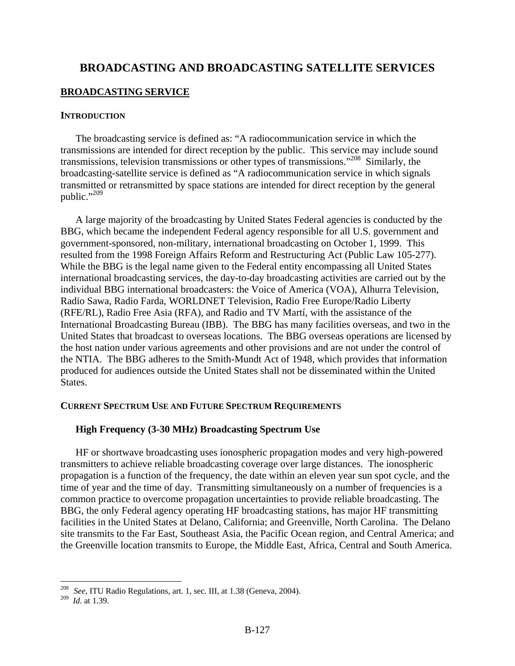# **BROADCASTING AND BROADCASTING SATELLITE SERVICES**

### **BROADCASTING SERVICE**

#### **INTRODUCTION**

The broadcasting service is defined as: "A radiocommunication service in which the transmissions are intended for direct reception by the public. This service may include sound transmissions, television transmissions or other types of transmissions."208 Similarly, the broadcasting-satellite service is defined as "A radiocommunication service in which signals transmitted or retransmitted by space stations are intended for direct reception by the general public."<sup>209</sup>

A large majority of the broadcasting by United States Federal agencies is conducted by the BBG, which became the independent Federal agency responsible for all U.S. government and government-sponsored, non-military, international broadcasting on October 1, 1999. This resulted from the 1998 Foreign Affairs Reform and Restructuring Act (Public Law 105-277). While the BBG is the legal name given to the Federal entity encompassing all United States international broadcasting services, the day-to-day broadcasting activities are carried out by the individual BBG international broadcasters: the Voice of America (VOA), Alhurra Television, Radio Sawa, Radio Farda, WORLDNET Television, Radio Free Europe/Radio Liberty (RFE/RL), Radio Free Asia (RFA), and Radio and TV Martí, with the assistance of the International Broadcasting Bureau (IBB). The BBG has many facilities overseas, and two in the United States that broadcast to overseas locations. The BBG overseas operations are licensed by the host nation under various agreements and other provisions and are not under the control of the NTIA. The BBG adheres to the Smith-Mundt Act of 1948, which provides that information produced for audiences outside the United States shall not be disseminated within the United States.

#### **CURRENT SPECTRUM USE AND FUTURE SPECTRUM REQUIREMENTS**

### **High Frequency (3-30 MHz) Broadcasting Spectrum Use**

HF or shortwave broadcasting uses ionospheric propagation modes and very high-powered transmitters to achieve reliable broadcasting coverage over large distances. The ionospheric propagation is a function of the frequency, the date within an eleven year sun spot cycle, and the time of year and the time of day. Transmitting simultaneously on a number of frequencies is a common practice to overcome propagation uncertainties to provide reliable broadcasting. The BBG, the only Federal agency operating HF broadcasting stations, has major HF transmitting facilities in the United States at Delano, California; and Greenville, North Carolina. The Delano site transmits to the Far East, Southeast Asia, the Pacific Ocean region, and Central America; and the Greenville location transmits to Europe, the Middle East, Africa, Central and South America.

<sup>208</sup> *See*, ITU Radio Regulations, art. 1, sec. III, at 1.38 (Geneva, 2004).

<sup>209</sup> *Id.* at 1.39.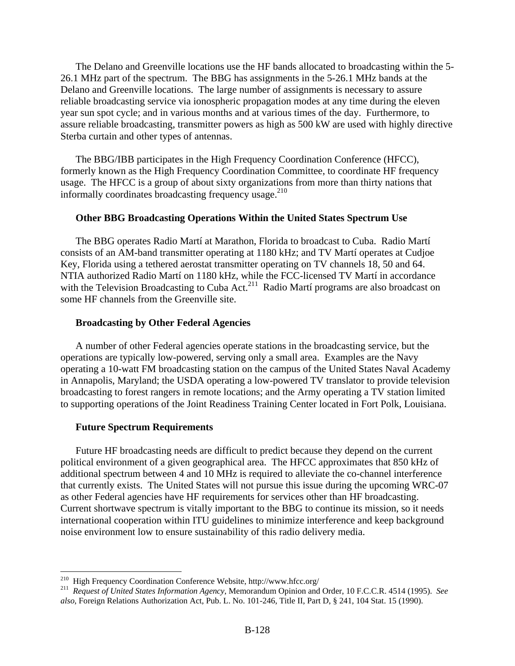The Delano and Greenville locations use the HF bands allocated to broadcasting within the 5- 26.1 MHz part of the spectrum. The BBG has assignments in the 5-26.1 MHz bands at the Delano and Greenville locations. The large number of assignments is necessary to assure reliable broadcasting service via ionospheric propagation modes at any time during the eleven year sun spot cycle; and in various months and at various times of the day. Furthermore, to assure reliable broadcasting, transmitter powers as high as 500 kW are used with highly directive Sterba curtain and other types of antennas.

The BBG/IBB participates in the High Frequency Coordination Conference (HFCC), formerly known as the High Frequency Coordination Committee, to coordinate HF frequency usage. The HFCC is a group of about sixty organizations from more than thirty nations that informally coordinates broadcasting frequency usage.<sup>210</sup>

#### **Other BBG Broadcasting Operations Within the United States Spectrum Use**

The BBG operates Radio Martí at Marathon, Florida to broadcast to Cuba. Radio Martí consists of an AM-band transmitter operating at 1180 kHz; and TV Martí operates at Cudjoe Key, Florida using a tethered aerostat transmitter operating on TV channels 18, 50 and 64. NTIA authorized Radio Martí on 1180 kHz, while the FCC-licensed TV Martí in accordance with the Television Broadcasting to Cuba Act.<sup>211</sup> Radio Martí programs are also broadcast on some HF channels from the Greenville site.

#### **Broadcasting by Other Federal Agencies**

 A number of other Federal agencies operate stations in the broadcasting service, but the operations are typically low-powered, serving only a small area. Examples are the Navy operating a 10-watt FM broadcasting station on the campus of the United States Naval Academy in Annapolis, Maryland; the USDA operating a low-powered TV translator to provide television broadcasting to forest rangers in remote locations; and the Army operating a TV station limited to supporting operations of the Joint Readiness Training Center located in Fort Polk, Louisiana.

#### **Future Spectrum Requirements**

Future HF broadcasting needs are difficult to predict because they depend on the current political environment of a given geographical area. The HFCC approximates that 850 kHz of additional spectrum between 4 and 10 MHz is required to alleviate the co-channel interference that currently exists. The United States will not pursue this issue during the upcoming WRC-07 as other Federal agencies have HF requirements for services other than HF broadcasting. Current shortwave spectrum is vitally important to the BBG to continue its mission, so it needs international cooperation within ITU guidelines to minimize interference and keep background noise environment low to ensure sustainability of this radio delivery media.

<sup>&</sup>lt;sup>210</sup> High Frequency Coordination Conference Website, http://www.hfcc.org/

<sup>&</sup>lt;sup>211</sup> Request of United States Information Agency, Memorandum Opinion and Order, 10 F.C.C.R. 4514 (1995). See *also*, Foreign Relations Authorization Act, Pub. L. No. 101-246, Title II, Part D, § 241, 104 Stat. 15 (1990).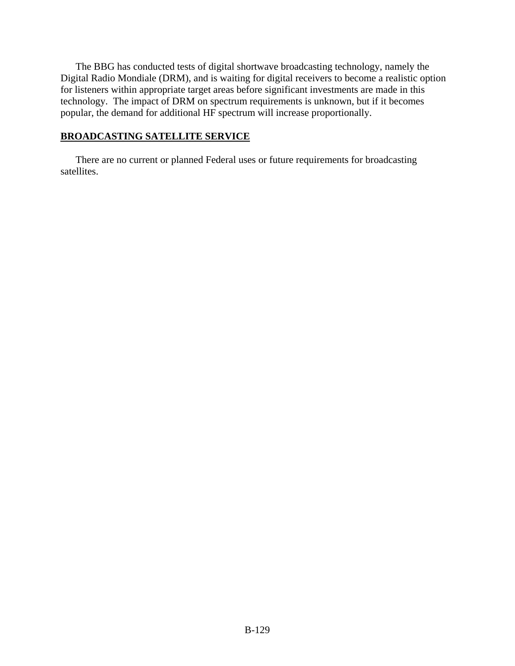The BBG has conducted tests of digital shortwave broadcasting technology, namely the Digital Radio Mondiale (DRM), and is waiting for digital receivers to become a realistic option for listeners within appropriate target areas before significant investments are made in this technology. The impact of DRM on spectrum requirements is unknown, but if it becomes popular, the demand for additional HF spectrum will increase proportionally.

### **BROADCASTING SATELLITE SERVICE**

There are no current or planned Federal uses or future requirements for broadcasting satellites.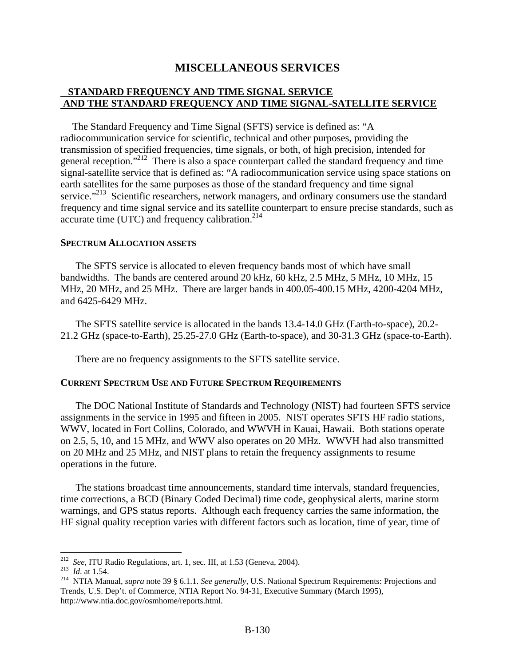### **MISCELLANEOUS SERVICES**

### **STANDARD FREQUENCY AND TIME SIGNAL SERVICE AND THE STANDARD FREQUENCY AND TIME SIGNAL-SATELLITE SERVICE**

 The Standard Frequency and Time Signal (SFTS) service is defined as: "A radiocommunication service for scientific, technical and other purposes, providing the transmission of specified frequencies, time signals, or both, of high precision, intended for general reception."<sup>212</sup> There is also a space counterpart called the standard frequency and time signal-satellite service that is defined as: "A radiocommunication service using space stations on earth satellites for the same purposes as those of the standard frequency and time signal service."<sup>213</sup> Scientific researchers, network managers, and ordinary consumers use the standard frequency and time signal service and its satellite counterpart to ensure precise standards, such as accurate time (UTC) and frequency calibration. $2^{14}$ 

#### **SPECTRUM ALLOCATION ASSETS**

 The SFTS service is allocated to eleven frequency bands most of which have small bandwidths. The bands are centered around 20 kHz, 60 kHz, 2.5 MHz, 5 MHz, 10 MHz, 15 MHz, 20 MHz, and 25 MHz. There are larger bands in 400.05-400.15 MHz, 4200-4204 MHz, and 6425-6429 MHz.

The SFTS satellite service is allocated in the bands 13.4-14.0 GHz (Earth-to-space), 20.2- 21.2 GHz (space-to-Earth), 25.25-27.0 GHz (Earth-to-space), and 30-31.3 GHz (space-to-Earth).

There are no frequency assignments to the SFTS satellite service.

#### **CURRENT SPECTRUM USE AND FUTURE SPECTRUM REQUIREMENTS**

 The DOC National Institute of Standards and Technology (NIST) had fourteen SFTS service assignments in the service in 1995 and fifteen in 2005. NIST operates SFTS HF radio stations, WWV, located in Fort Collins, Colorado, and WWVH in Kauai, Hawaii. Both stations operate on 2.5, 5, 10, and 15 MHz, and WWV also operates on 20 MHz. WWVH had also transmitted on 20 MHz and 25 MHz, and NIST plans to retain the frequency assignments to resume operations in the future.

 The stations broadcast time announcements, standard time intervals, standard frequencies, time corrections, a BCD (Binary Coded Decimal) time code, geophysical alerts, marine storm warnings, and GPS status reports. Although each frequency carries the same information, the HF signal quality reception varies with different factors such as location, time of year, time of

 $212$  See, ITU Radio Regulations, art. 1, sec. III, at 1.53 (Geneva, 2004).

<sup>213</sup> *Id.* at 1.54.<br><sup>213</sup> *Id.* at 1.54.<br><sup>214</sup> NTIA Manual, *supra* note 39 § 6.1.1. *See generally*, U.S. National Spectrum Requirements: Projections and Trends, U.S. Dep't. of Commerce, NTIA Report No. 94-31, Executive Summary (March 1995), http://www.ntia.doc.gov/osmhome/reports.html.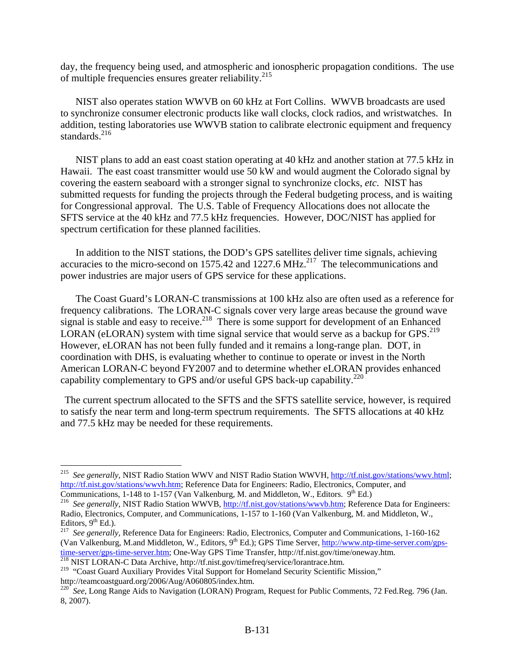day, the frequency being used, and atmospheric and ionospheric propagation conditions. The use of multiple frequencies ensures greater reliability.<sup>215</sup>

NIST also operates station WWVB on 60 kHz at Fort Collins. WWVB broadcasts are used to synchronize consumer electronic products like wall clocks, clock radios, and wristwatches. In addition, testing laboratories use WWVB station to calibrate electronic equipment and frequency standards $^{216}$ 

NIST plans to add an east coast station operating at 40 kHz and another station at 77.5 kHz in Hawaii. The east coast transmitter would use 50 kW and would augment the Colorado signal by covering the eastern seaboard with a stronger signal to synchronize clocks, *etc*. NIST has submitted requests for funding the projects through the Federal budgeting process, and is waiting for Congressional approval. The U.S. Table of Frequency Allocations does not allocate the SFTS service at the 40 kHz and 77.5 kHz frequencies. However, DOC/NIST has applied for spectrum certification for these planned facilities.

In addition to the NIST stations, the DOD's GPS satellites deliver time signals, achieving accuracies to the micro-second on 1575.42 and 1227.6 MHz. $^{217}$  The telecommunications and power industries are major users of GPS service for these applications.

The Coast Guard's LORAN-C transmissions at 100 kHz also are often used as a reference for frequency calibrations. The LORAN-C signals cover very large areas because the ground wave signal is stable and easy to receive.<sup>218</sup> There is some support for development of an Enhanced LORAN (eLORAN) system with time signal service that would serve as a backup for GPS.<sup>219</sup> However, eLORAN has not been fully funded and it remains a long-range plan. DOT, in coordination with DHS, is evaluating whether to continue to operate or invest in the North American LORAN-C beyond FY2007 and to determine whether eLORAN provides enhanced capability complementary to GPS and/or useful GPS back-up capability.<sup>220</sup>

 The current spectrum allocated to the SFTS and the SFTS satellite service, however, is required to satisfy the near term and long-term spectrum requirements. The SFTS allocations at 40 kHz and 77.5 kHz may be needed for these requirements.

 $\overline{a}$ 

<sup>219</sup> "Coast Guard Auxiliary Provides Vital Support for Homeland Security Scientific Mission," http://teamcoastguard.org/2006/Aug/A060805/index.htm.

<sup>&</sup>lt;sup>215</sup> See generally, NIST Radio Station WWV and NIST Radio Station WWVH, http://tf.nist.gov/stations/wwv.html; http://tf.nist.gov/stations/wwvh.htm; Reference Data for Engineers: Radio, Electronics, Computer, and

Communications, 1-148 to 1-157 (Van Valkenburg, M. and Middleton, W., Editors. 9<sup>th</sup> Ed.)<br><sup>216</sup> *See generally,* NIST Radio Station WWVB, http://tf.nist.gov/stations/wwvb.htm; Reference Data for Engineers: Radio, Electronics, Computer, and Communications, 1-157 to 1-160 (Van Valkenburg, M. and Middleton, W., Editors, 9<sup>th</sup> Ed.).

<sup>&</sup>lt;sup>217</sup> *See generally, Reference Data for Engineers: Radio, Electronics, Computer and Communications, 1-160-162* (Van Valkenburg, M.and Middleton, W., Editors, 9<sup>th</sup> Ed.); GPS Time Server, http://www.ntp-time-server.com/gpstime-server/gps-time-server.htm; One-Way GPS Time Transfer, http://tf.nist.gov/time/oneway.htm. <sup>218</sup> NIST LORAN-C Data Archive, http://tf.nist.gov/timefreq/service/lorantrace.htm.

<sup>220</sup> *See*, Long Range Aids to Navigation (LORAN) Program, Request for Public Comments, 72 Fed.Reg. 796 (Jan. 8, 2007).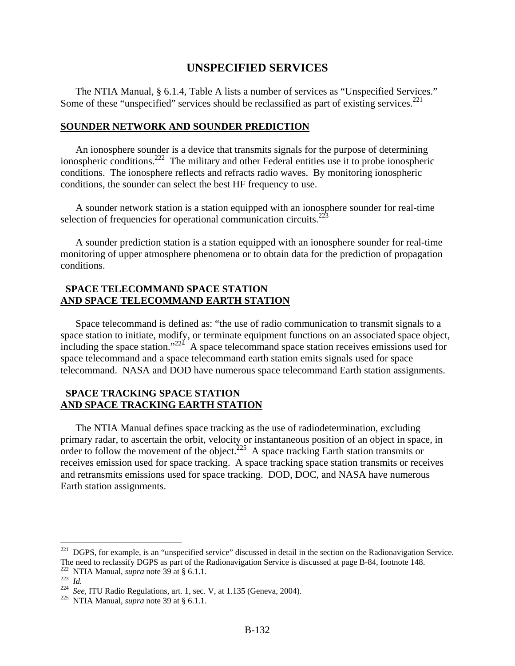### **UNSPECIFIED SERVICES**

The NTIA Manual, § 6.1.4, Table A lists a number of services as "Unspecified Services." Some of these "unspecified" services should be reclassified as part of existing services.<sup>221</sup>

#### **SOUNDER NETWORK AND SOUNDER PREDICTION**

An ionosphere sounder is a device that transmits signals for the purpose of determining ionospheric conditions.<sup>222</sup> The military and other Federal entities use it to probe ionospheric conditions. The ionosphere reflects and refracts radio waves. By monitoring ionospheric conditions, the sounder can select the best HF frequency to use.

A sounder network station is a station equipped with an ionosphere sounder for real-time selection of frequencies for operational communication circuits.<sup>223</sup>

A sounder prediction station is a station equipped with an ionosphere sounder for real-time monitoring of upper atmosphere phenomena or to obtain data for the prediction of propagation conditions.

### **SPACE TELECOMMAND SPACE STATION AND SPACE TELECOMMAND EARTH STATION**

Space telecommand is defined as: "the use of radio communication to transmit signals to a space station to initiate, modify, or terminate equipment functions on an associated space object, including the space station."<sup>224</sup> A space telecommand space station receives emissions used for space telecommand and a space telecommand earth station emits signals used for space telecommand. NASA and DOD have numerous space telecommand Earth station assignments.

### **SPACE TRACKING SPACE STATION AND SPACE TRACKING EARTH STATION**

The NTIA Manual defines space tracking as the use of radiodetermination, excluding primary radar, to ascertain the orbit, velocity or instantaneous position of an object in space, in order to follow the movement of the object.<sup>225</sup> A space tracking Earth station transmits or receives emission used for space tracking. A space tracking space station transmits or receives and retransmits emissions used for space tracking. DOD, DOC, and NASA have numerous Earth station assignments.

 $221$  DGPS, for example, is an "unspecified service" discussed in detail in the section on the Radionavigation Service. The need to reclassify DGPS as part of the Radionavigation Service is discussed at page B-84, footnote 148.<br><sup>222</sup> NTIA Manual, *supra* note 39 at § 6.1.1.

<sup>223</sup> *Id.* <sup>224</sup> *See*, ITU Radio Regulations, art. 1, sec. V, at 1.135 (Geneva, 2004). <sup>225</sup> **NTIA Manual**, *supra* note 39 at § 6.1.1.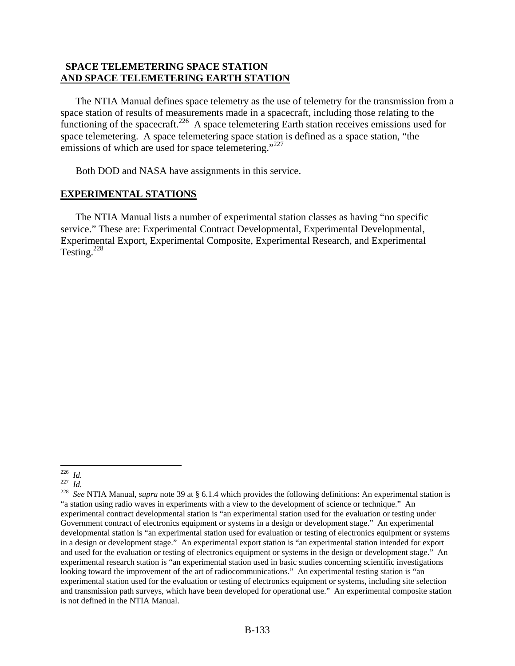### **SPACE TELEMETERING SPACE STATION AND SPACE TELEMETERING EARTH STATION**

The NTIA Manual defines space telemetry as the use of telemetry for the transmission from a space station of results of measurements made in a spacecraft, including those relating to the functioning of the spacecraft.<sup>226</sup> A space telemetering Earth station receives emissions used for space telemetering. A space telemetering space station is defined as a space station, "the emissions of which are used for space telemetering."<sup>227</sup>

Both DOD and NASA have assignments in this service.

### **EXPERIMENTAL STATIONS**

The NTIA Manual lists a number of experimental station classes as having "no specific service." These are: Experimental Contract Developmental, Experimental Developmental, Experimental Export, Experimental Composite, Experimental Research, and Experimental Testing. $228$ 

 $^{226}$  *Id.* 

<sup>226</sup>*Id.* 227 *Id.* 228 *See* NTIA Manual, *supra* note 39 at § 6.1.4 which provides the following definitions: An experimental station is "a station using radio waves in experiments with a view to the development of science or technique." An experimental contract developmental station is "an experimental station used for the evaluation or testing under Government contract of electronics equipment or systems in a design or development stage." An experimental developmental station is "an experimental station used for evaluation or testing of electronics equipment or systems in a design or development stage." An experimental export station is "an experimental station intended for export and used for the evaluation or testing of electronics equipment or systems in the design or development stage." An experimental research station is "an experimental station used in basic studies concerning scientific investigations looking toward the improvement of the art of radiocommunications." An experimental testing station is "an experimental station used for the evaluation or testing of electronics equipment or systems, including site selection and transmission path surveys, which have been developed for operational use." An experimental composite station is not defined in the NTIA Manual.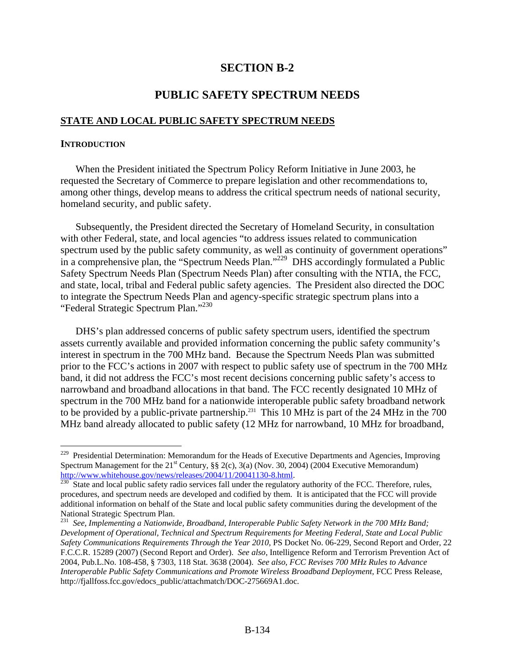### **SECTION B-2**

### **PUBLIC SAFETY SPECTRUM NEEDS**

#### **STATE AND LOCAL PUBLIC SAFETY SPECTRUM NEEDS**

#### **INTRODUCTION**

 $\overline{a}$ 

When the President initiated the Spectrum Policy Reform Initiative in June 2003, he requested the Secretary of Commerce to prepare legislation and other recommendations to, among other things, develop means to address the critical spectrum needs of national security, homeland security, and public safety.

Subsequently, the President directed the Secretary of Homeland Security, in consultation with other Federal, state, and local agencies "to address issues related to communication spectrum used by the public safety community, as well as continuity of government operations" in a comprehensive plan, the "Spectrum Needs Plan."<sup>229</sup> DHS accordingly formulated a Public Safety Spectrum Needs Plan (Spectrum Needs Plan) after consulting with the NTIA, the FCC, and state, local, tribal and Federal public safety agencies. The President also directed the DOC to integrate the Spectrum Needs Plan and agency-specific strategic spectrum plans into a "Federal Strategic Spectrum Plan."<sup>230</sup>

DHS's plan addressed concerns of public safety spectrum users, identified the spectrum assets currently available and provided information concerning the public safety community's interest in spectrum in the 700 MHz band. Because the Spectrum Needs Plan was submitted prior to the FCC's actions in 2007 with respect to public safety use of spectrum in the 700 MHz band, it did not address the FCC's most recent decisions concerning public safety's access to narrowband and broadband allocations in that band. The FCC recently designated 10 MHz of spectrum in the 700 MHz band for a nationwide interoperable public safety broadband network to be provided by a public-private partnership.<sup>231</sup> This 10 MHz is part of the 24 MHz in the 700 MHz band already allocated to public safety (12 MHz for narrowband, 10 MHz for broadband,

<sup>&</sup>lt;sup>229</sup> Presidential Determination: Memorandum for the Heads of Executive Departments and Agencies, Improving Spectrum Management for the  $21<sup>st</sup>$  Century, §§ 2(c), 3(a) (Nov. 30, 2004) (2004 Executive Memorandum) http://www.whitehouse.gov/news/releases/2004/11/20041130-8.html.<br><sup>230</sup> State and local public safety radio services fall under the regulatory authority of the FCC. Therefore, rules,

procedures, and spectrum needs are developed and codified by them. It is anticipated that the FCC will provide additional information on behalf of the State and local public safety communities during the development of the National Strategic Spectrum Plan.

<sup>231</sup> *See*, *Implementing a Nationwide, Broadband, Interoperable Public Safety Network in the 700 MHz Band; Development of Operational, Technical and Spectrum Requirements for Meeting Federal, State and Local Public Safety Communications Requirements Through the Year 2010*, PS Docket No. 06-229, Second Report and Order, 22 F.C.C.R. 15289 (2007) (Second Report and Order). *See also*, Intelligence Reform and Terrorism Prevention Act of 2004, Pub.L.No. 108-458, § 7303, 118 Stat. 3638 (2004). *See also*, *FCC Revises 700 MHz Rules to Advance Interoperable Public Safety Communications and Promote Wireless Broadband Deployment,* FCC Press Release, http://fjallfoss.fcc.gov/edocs\_public/attachmatch/DOC-275669A1.doc.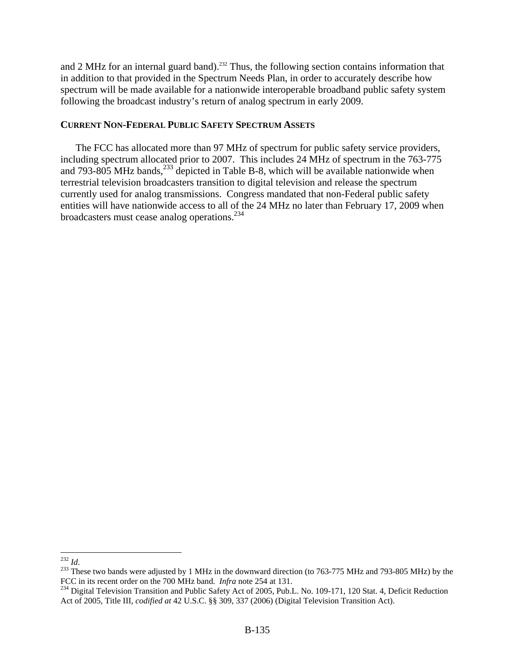and 2 MHz for an internal guard band).<sup>232</sup> Thus, the following section contains information that in addition to that provided in the Spectrum Needs Plan, in order to accurately describe how spectrum will be made available for a nationwide interoperable broadband public safety system following the broadcast industry's return of analog spectrum in early 2009.

### **CURRENT NON-FEDERAL PUBLIC SAFETY SPECTRUM ASSETS**

The FCC has allocated more than 97 MHz of spectrum for public safety service providers, including spectrum allocated prior to 2007. This includes 24 MHz of spectrum in the 763-775 and  $793-805$  MHz bands,<sup>233</sup> depicted in Table B-8, which will be available nationwide when terrestrial television broadcasters transition to digital television and release the spectrum currently used for analog transmissions. Congress mandated that non-Federal public safety entities will have nationwide access to all of the 24 MHz no later than February 17, 2009 when broadcasters must cease analog operations.<sup>234</sup>

 $^{232}$  *Id.* 

<sup>&</sup>lt;sup>233</sup> These two bands were adjusted by 1 MHz in the downward direction (to 763-775 MHz and 793-805 MHz) by the FCC in its recent order on the 700 MHz band. *Infra* note 254 at 131.<br><sup>234</sup> Digital Television Transition and Public Safety Act of 2005, Pub.L. No. 109-171, 120 Stat. 4, Deficit Reduction

Act of 2005, Title III, *codified at* 42 U.S.C. §§ 309, 337 (2006) (Digital Television Transition Act).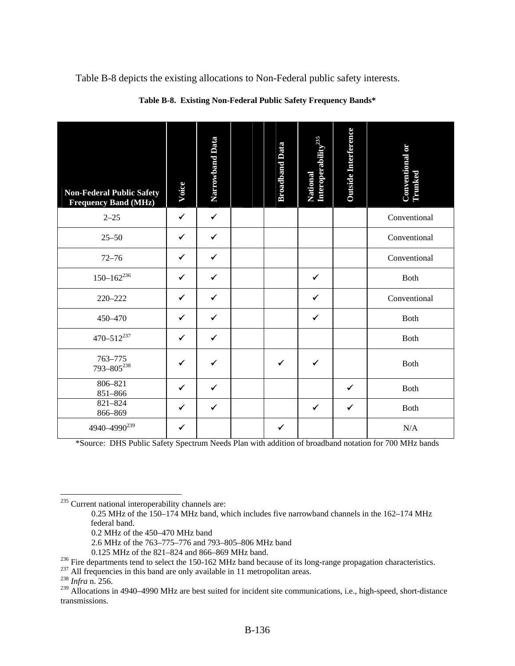Table B-8 depicts the existing allocations to Non-Federal public safety interests.

| <b>Non-Federal Public Safety</b><br><b>Frequency Band (MHz)</b> | Voice        | Narrowband Data | <b>Broadband Data</b> | Interoperability <sup>235</sup><br>National | Outside Interference | <b>Conventional or</b><br>Trunked |
|-----------------------------------------------------------------|--------------|-----------------|-----------------------|---------------------------------------------|----------------------|-----------------------------------|
| $2 - 25$                                                        | $\checkmark$ | $\checkmark$    |                       |                                             |                      | Conventional                      |
| $25 - 50$                                                       | ✓            | $\checkmark$    |                       |                                             |                      | Conventional                      |
| $72 - 76$                                                       | $\checkmark$ | $\checkmark$    |                       |                                             |                      | Conventional                      |
| $150 - 162^{236}$                                               | $\checkmark$ | $\checkmark$    |                       | $\checkmark$                                |                      | <b>Both</b>                       |
| 220-222                                                         | $\checkmark$ | ✓               |                       | ✓                                           |                      | Conventional                      |
| 450-470                                                         | $\checkmark$ | $\checkmark$    |                       | $\checkmark$                                |                      | <b>Both</b>                       |
| $470 - 512^{237}$                                               | ✓            | $\checkmark$    |                       |                                             |                      | <b>Both</b>                       |
| 763-775<br>$793 - 805^{238}$                                    | ✓            | ✓               | ✓                     | $\checkmark$                                |                      | Both                              |
| 806-821<br>851-866                                              | $\checkmark$ | $\checkmark$    |                       |                                             | $\checkmark$         | <b>Both</b>                       |
| 821-824<br>866-869                                              | $\checkmark$ | $\checkmark$    |                       | $\checkmark$                                | $\checkmark$         | <b>Both</b>                       |
| 4940-4990 <sup>239</sup>                                        | ✓            |                 | $\checkmark$          |                                             |                      | N/A                               |

**Table B-8. Existing Non-Federal Public Safety Frequency Bands\*** 

\*Source: DHS Public Safety Spectrum Needs Plan with addition of broadband notation for 700 MHz bands

<sup>&</sup>lt;sup>235</sup> Current national interoperability channels are:

<sup>0.25</sup> MHz of the 150–174 MHz band, which includes five narrowband channels in the 162–174 MHz federal band.

<sup>0.2</sup> MHz of the 450–470 MHz band

<sup>2.6</sup> MHz of the 763–775–776 and 793–805–806 MHz band

<sup>&</sup>lt;sup>236</sup> Fire departments tend to select the 150-162 MHz band because of its long-range propagation characteristics.<br><sup>237</sup> All frequencies in this band are only available in 11 metropolitan areas.<br><sup>238</sup> Infra n. 256.

<sup>&</sup>lt;sup>239</sup> Allocations in 4940–4990 MHz are best suited for incident site communications, i.e., high-speed, short-distance transmissions.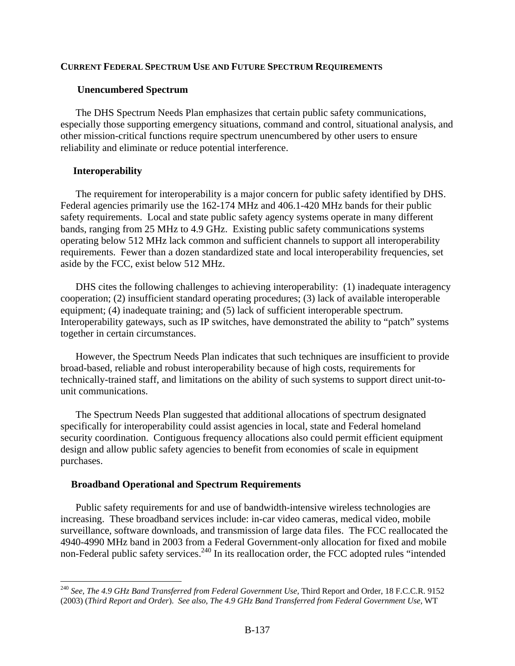#### **CURRENT FEDERAL SPECTRUM USE AND FUTURE SPECTRUM REQUIREMENTS**

#### **Unencumbered Spectrum**

The DHS Spectrum Needs Plan emphasizes that certain public safety communications, especially those supporting emergency situations, command and control, situational analysis, and other mission-critical functions require spectrum unencumbered by other users to ensure reliability and eliminate or reduce potential interference.

### **Interoperability**

 $\overline{a}$ 

The requirement for interoperability is a major concern for public safety identified by DHS. Federal agencies primarily use the 162-174 MHz and 406.1-420 MHz bands for their public safety requirements. Local and state public safety agency systems operate in many different bands, ranging from 25 MHz to 4.9 GHz. Existing public safety communications systems operating below 512 MHz lack common and sufficient channels to support all interoperability requirements. Fewer than a dozen standardized state and local interoperability frequencies, set aside by the FCC, exist below 512 MHz.

DHS cites the following challenges to achieving interoperability: (1) inadequate interagency cooperation; (2) insufficient standard operating procedures; (3) lack of available interoperable equipment; (4) inadequate training; and (5) lack of sufficient interoperable spectrum. Interoperability gateways, such as IP switches, have demonstrated the ability to "patch" systems together in certain circumstances.

However, the Spectrum Needs Plan indicates that such techniques are insufficient to provide broad-based, reliable and robust interoperability because of high costs, requirements for technically-trained staff, and limitations on the ability of such systems to support direct unit-tounit communications.

The Spectrum Needs Plan suggested that additional allocations of spectrum designated specifically for interoperability could assist agencies in local, state and Federal homeland security coordination. Contiguous frequency allocations also could permit efficient equipment design and allow public safety agencies to benefit from economies of scale in equipment purchases.

### **Broadband Operational and Spectrum Requirements**

Public safety requirements for and use of bandwidth-intensive wireless technologies are increasing. These broadband services include: in-car video cameras, medical video, mobile surveillance, software downloads, and transmission of large data files. The FCC reallocated the 4940-4990 MHz band in 2003 from a Federal Government-only allocation for fixed and mobile non-Federal public safety services.<sup>240</sup> In its reallocation order, the FCC adopted rules "intended"

<sup>240</sup> *See, The 4.9 GHz Band Transferred from Federal Government Use,* Third Report and Order, 18 F.C.C.R. 9152 (2003) (*Third Report and Order*). *See also*, *The 4.9 GHz Band Transferred from Federal Government Use*, WT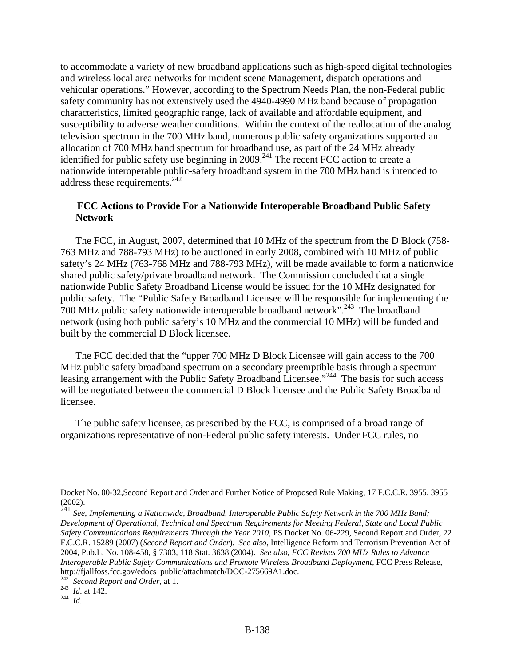to accommodate a variety of new broadband applications such as high-speed digital technologies and wireless local area networks for incident scene Management, dispatch operations and vehicular operations." However, according to the Spectrum Needs Plan, the non-Federal public safety community has not extensively used the 4940-4990 MHz band because of propagation characteristics, limited geographic range, lack of available and affordable equipment, and susceptibility to adverse weather conditions. Within the context of the reallocation of the analog television spectrum in the 700 MHz band, numerous public safety organizations supported an allocation of 700 MHz band spectrum for broadband use, as part of the 24 MHz already identified for public safety use beginning in  $2009$ .<sup>241</sup> The recent FCC action to create a nationwide interoperable public-safety broadband system in the 700 MHz band is intended to address these requirements.<sup>242</sup>

### **FCC Actions to Provide For a Nationwide Interoperable Broadband Public Safety Network**

The FCC, in August, 2007, determined that 10 MHz of the spectrum from the D Block (758- 763 MHz and 788-793 MHz) to be auctioned in early 2008, combined with 10 MHz of public safety's 24 MHz (763-768 MHz and 788-793 MHz), will be made available to form a nationwide shared public safety/private broadband network. The Commission concluded that a single nationwide Public Safety Broadband License would be issued for the 10 MHz designated for public safety. The "Public Safety Broadband Licensee will be responsible for implementing the 700 MHz public safety nationwide interoperable broadband network".<sup>243</sup> The broadband network (using both public safety's 10 MHz and the commercial 10 MHz) will be funded and built by the commercial D Block licensee.

The FCC decided that the "upper 700 MHz D Block Licensee will gain access to the 700 MHz public safety broadband spectrum on a secondary preemptible basis through a spectrum leasing arrangement with the Public Safety Broadband Licensee."<sup>244</sup> The basis for such access</sup> will be negotiated between the commercial D Block licensee and the Public Safety Broadband licensee.

The public safety licensee, as prescribed by the FCC, is comprised of a broad range of organizations representative of non-Federal public safety interests. Under FCC rules, no

<sup>241</sup> *See*, *Implementing a Nationwide, Broadband, Interoperable Public Safety Network in the 700 MHz Band; Development of Operational, Technical and Spectrum Requirements for Meeting Federal, State and Local Public Safety Communications Requirements Through the Year 2010*, PS Docket No. 06-229, Second Report and Order, 22 F.C.C.R. 15289 (2007) (*Second Report and Order*). *See also*, Intelligence Reform and Terrorism Prevention Act of 2004, Pub.L. No. 108-458, § 7303, 118 Stat. 3638 (2004). *See also*, *FCC Revises 700 MHz Rules to Advance Interoperable Public Safety Communications and Promote Wireless Broadband Deployment,* FCC Press Release,

http://fjallfoss.fcc.gov/edocs\_public/attachmatch/DOC-275669A1.doc. 242 *Second Report and Order,* at 1. 243 *Id*. at 142. 244 *Id*.

Docket No. 00-32,Second Report and Order and Further Notice of Proposed Rule Making, 17 F.C.C.R. 3955, 3955 (2002).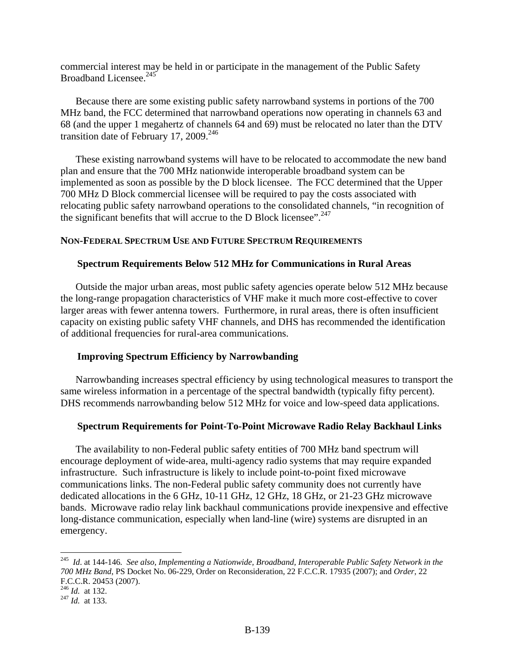commercial interest may be held in or participate in the management of the Public Safety Broadband Licensee.<sup>245</sup>

Because there are some existing public safety narrowband systems in portions of the 700 MHz band, the FCC determined that narrowband operations now operating in channels 63 and 68 (and the upper 1 megahertz of channels 64 and 69) must be relocated no later than the DTV transition date of February 17, 2009.<sup>246</sup>

These existing narrowband systems will have to be relocated to accommodate the new band plan and ensure that the 700 MHz nationwide interoperable broadband system can be implemented as soon as possible by the D block licensee. The FCC determined that the Upper 700 MHz D Block commercial licensee will be required to pay the costs associated with relocating public safety narrowband operations to the consolidated channels, "in recognition of the significant benefits that will accrue to the D Block licensee".<sup>247</sup>

#### **NON-FEDERAL SPECTRUM USE AND FUTURE SPECTRUM REQUIREMENTS**

#### **Spectrum Requirements Below 512 MHz for Communications in Rural Areas**

Outside the major urban areas, most public safety agencies operate below 512 MHz because the long-range propagation characteristics of VHF make it much more cost-effective to cover larger areas with fewer antenna towers. Furthermore, in rural areas, there is often insufficient capacity on existing public safety VHF channels, and DHS has recommended the identification of additional frequencies for rural-area communications.

#### **Improving Spectrum Efficiency by Narrowbanding**

Narrowbanding increases spectral efficiency by using technological measures to transport the same wireless information in a percentage of the spectral bandwidth (typically fifty percent). DHS recommends narrowbanding below 512 MHz for voice and low-speed data applications.

#### **Spectrum Requirements for Point-To-Point Microwave Radio Relay Backhaul Links**

 The availability to non-Federal public safety entities of 700 MHz band spectrum will encourage deployment of wide-area, multi-agency radio systems that may require expanded infrastructure. Such infrastructure is likely to include point-to-point fixed microwave communications links. The non-Federal public safety community does not currently have dedicated allocations in the 6 GHz, 10-11 GHz, 12 GHz, 18 GHz, or 21-23 GHz microwave bands. Microwave radio relay link backhaul communications provide inexpensive and effective long-distance communication, especially when land-line (wire) systems are disrupted in an emergency.

<sup>245</sup> *Id*. at 144-146*. See also, Implementing a Nationwide, Broadband, Interoperable Public Safety Network in the 700 MHz Band*, PS Docket No. 06-229, Order on Reconsideration, 22 F.C.C.R. 17935 (2007); and *Order*, 22 F.C.C.R. 20453 (2007).

<sup>246</sup> *Id.* at 132. 247 *Id.* at 133.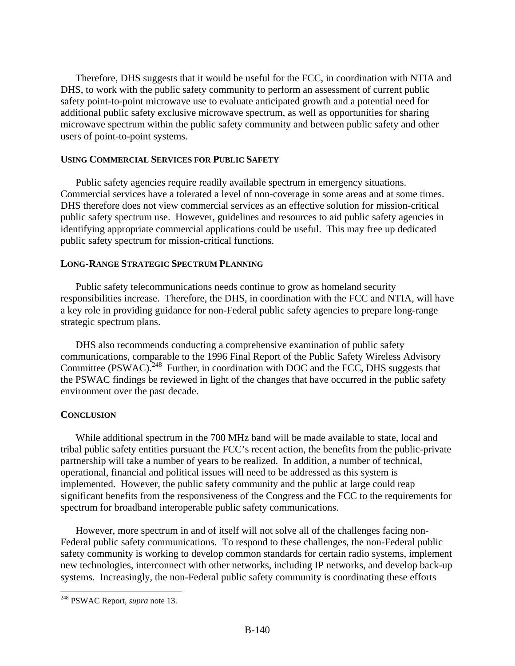Therefore, DHS suggests that it would be useful for the FCC, in coordination with NTIA and DHS, to work with the public safety community to perform an assessment of current public safety point-to-point microwave use to evaluate anticipated growth and a potential need for additional public safety exclusive microwave spectrum, as well as opportunities for sharing microwave spectrum within the public safety community and between public safety and other users of point-to-point systems.

#### **USING COMMERCIAL SERVICES FOR PUBLIC SAFETY**

Public safety agencies require readily available spectrum in emergency situations. Commercial services have a tolerated a level of non-coverage in some areas and at some times. DHS therefore does not view commercial services as an effective solution for mission-critical public safety spectrum use. However, guidelines and resources to aid public safety agencies in identifying appropriate commercial applications could be useful. This may free up dedicated public safety spectrum for mission-critical functions.

#### **LONG-RANGE STRATEGIC SPECTRUM PLANNING**

Public safety telecommunications needs continue to grow as homeland security responsibilities increase. Therefore, the DHS, in coordination with the FCC and NTIA, will have a key role in providing guidance for non-Federal public safety agencies to prepare long-range strategic spectrum plans.

DHS also recommends conducting a comprehensive examination of public safety communications, comparable to the 1996 Final Report of the Public Safety Wireless Advisory Committee (PSWAC).<sup>248</sup> Further, in coordination with DOC and the FCC, DHS suggests that the PSWAC findings be reviewed in light of the changes that have occurred in the public safety environment over the past decade.

#### **CONCLUSION**

While additional spectrum in the 700 MHz band will be made available to state, local and tribal public safety entities pursuant the FCC's recent action, the benefits from the public-private partnership will take a number of years to be realized. In addition, a number of technical, operational, financial and political issues will need to be addressed as this system is implemented. However, the public safety community and the public at large could reap significant benefits from the responsiveness of the Congress and the FCC to the requirements for spectrum for broadband interoperable public safety communications.

However, more spectrum in and of itself will not solve all of the challenges facing non-Federal public safety communications. To respond to these challenges, the non-Federal public safety community is working to develop common standards for certain radio systems, implement new technologies, interconnect with other networks, including IP networks, and develop back-up systems. Increasingly, the non-Federal public safety community is coordinating these efforts

<sup>248</sup> PSWAC Report, *supra* note 13.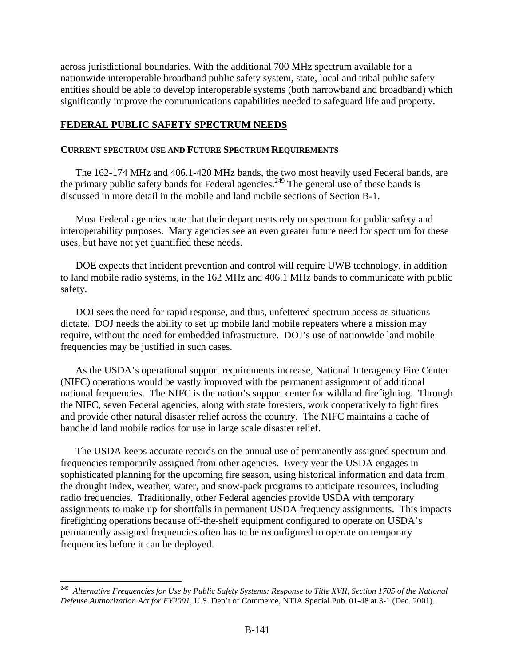across jurisdictional boundaries. With the additional 700 MHz spectrum available for a nationwide interoperable broadband public safety system, state, local and tribal public safety entities should be able to develop interoperable systems (both narrowband and broadband) which significantly improve the communications capabilities needed to safeguard life and property.

#### **FEDERAL PUBLIC SAFETY SPECTRUM NEEDS**

#### **CURRENT SPECTRUM USE AND FUTURE SPECTRUM REQUIREMENTS**

The 162-174 MHz and 406.1-420 MHz bands, the two most heavily used Federal bands, are the primary public safety bands for Federal agencies.<sup>249</sup> The general use of these bands is discussed in more detail in the mobile and land mobile sections of Section B-1.

Most Federal agencies note that their departments rely on spectrum for public safety and interoperability purposes. Many agencies see an even greater future need for spectrum for these uses, but have not yet quantified these needs.

DOE expects that incident prevention and control will require UWB technology, in addition to land mobile radio systems, in the 162 MHz and 406.1 MHz bands to communicate with public safety.

DOJ sees the need for rapid response, and thus, unfettered spectrum access as situations dictate. DOJ needs the ability to set up mobile land mobile repeaters where a mission may require, without the need for embedded infrastructure. DOJ's use of nationwide land mobile frequencies may be justified in such cases.

As the USDA's operational support requirements increase, National Interagency Fire Center (NIFC) operations would be vastly improved with the permanent assignment of additional national frequencies. The NIFC is the nation's support center for wildland firefighting. Through the NIFC, seven Federal agencies, along with state foresters, work cooperatively to fight fires and provide other natural disaster relief across the country. The NIFC maintains a cache of handheld land mobile radios for use in large scale disaster relief.

The USDA keeps accurate records on the annual use of permanently assigned spectrum and frequencies temporarily assigned from other agencies. Every year the USDA engages in sophisticated planning for the upcoming fire season, using historical information and data from the drought index, weather, water, and snow-pack programs to anticipate resources, including radio frequencies. Traditionally, other Federal agencies provide USDA with temporary assignments to make up for shortfalls in permanent USDA frequency assignments. This impacts firefighting operations because off-the-shelf equipment configured to operate on USDA's permanently assigned frequencies often has to be reconfigured to operate on temporary frequencies before it can be deployed.

<sup>&</sup>lt;sup>249</sup> Alternative Frequencies for Use by Public Safety Systems: Response to Title XVII, Section 1705 of the National *Defense Authorization Act for FY2001*, U.S. Dep't of Commerce, NTIA Special Pub. 01-48 at 3-1 (Dec. 2001).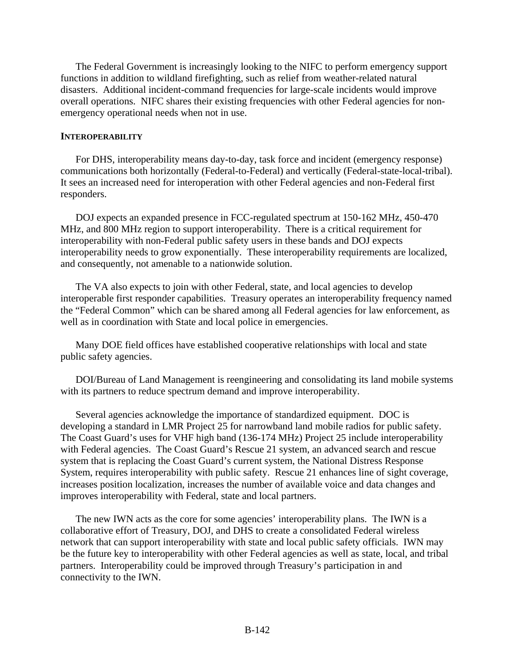The Federal Government is increasingly looking to the NIFC to perform emergency support functions in addition to wildland firefighting, such as relief from weather-related natural disasters. Additional incident-command frequencies for large-scale incidents would improve overall operations. NIFC shares their existing frequencies with other Federal agencies for nonemergency operational needs when not in use.

#### **INTEROPERABILITY**

For DHS, interoperability means day-to-day, task force and incident (emergency response) communications both horizontally (Federal-to-Federal) and vertically (Federal-state-local-tribal). It sees an increased need for interoperation with other Federal agencies and non-Federal first responders.

DOJ expects an expanded presence in FCC-regulated spectrum at 150-162 MHz, 450-470 MHz, and 800 MHz region to support interoperability. There is a critical requirement for interoperability with non-Federal public safety users in these bands and DOJ expects interoperability needs to grow exponentially. These interoperability requirements are localized, and consequently, not amenable to a nationwide solution.

The VA also expects to join with other Federal, state, and local agencies to develop interoperable first responder capabilities. Treasury operates an interoperability frequency named the "Federal Common" which can be shared among all Federal agencies for law enforcement, as well as in coordination with State and local police in emergencies.

Many DOE field offices have established cooperative relationships with local and state public safety agencies.

DOI/Bureau of Land Management is reengineering and consolidating its land mobile systems with its partners to reduce spectrum demand and improve interoperability.

Several agencies acknowledge the importance of standardized equipment. DOC is developing a standard in LMR Project 25 for narrowband land mobile radios for public safety. The Coast Guard's uses for VHF high band (136-174 MHz) Project 25 include interoperability with Federal agencies. The Coast Guard's Rescue 21 system, an advanced search and rescue system that is replacing the Coast Guard's current system, the National Distress Response System, requires interoperability with public safety. Rescue 21 enhances line of sight coverage, increases position localization, increases the number of available voice and data changes and improves interoperability with Federal, state and local partners.

The new IWN acts as the core for some agencies' interoperability plans. The IWN is a collaborative effort of Treasury, DOJ, and DHS to create a consolidated Federal wireless network that can support interoperability with state and local public safety officials. IWN may be the future key to interoperability with other Federal agencies as well as state, local, and tribal partners. Interoperability could be improved through Treasury's participation in and connectivity to the IWN.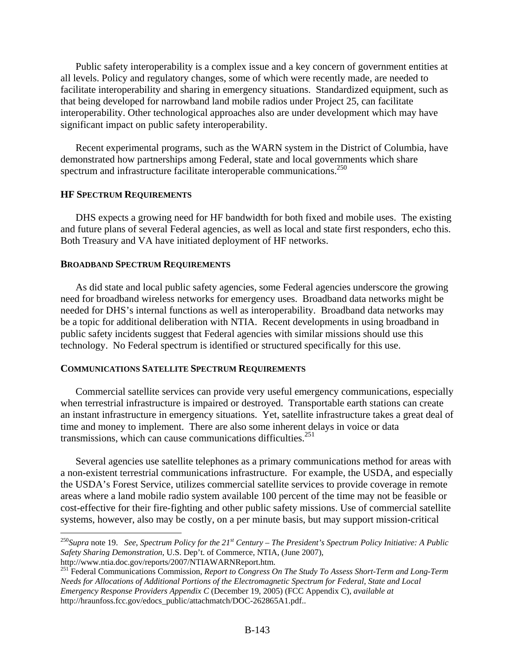Public safety interoperability is a complex issue and a key concern of government entities at all levels. Policy and regulatory changes, some of which were recently made, are needed to facilitate interoperability and sharing in emergency situations. Standardized equipment, such as that being developed for narrowband land mobile radios under Project 25, can facilitate interoperability. Other technological approaches also are under development which may have significant impact on public safety interoperability.

Recent experimental programs, such as the WARN system in the District of Columbia, have demonstrated how partnerships among Federal, state and local governments which share spectrum and infrastructure facilitate interoperable communications.<sup>250</sup>

#### **HF SPECTRUM REQUIREMENTS**

 $\overline{a}$ 

DHS expects a growing need for HF bandwidth for both fixed and mobile uses. The existing and future plans of several Federal agencies, as well as local and state first responders, echo this. Both Treasury and VA have initiated deployment of HF networks.

### **BROADBAND SPECTRUM REQUIREMENTS**

As did state and local public safety agencies, some Federal agencies underscore the growing need for broadband wireless networks for emergency uses. Broadband data networks might be needed for DHS's internal functions as well as interoperability. Broadband data networks may be a topic for additional deliberation with NTIA. Recent developments in using broadband in public safety incidents suggest that Federal agencies with similar missions should use this technology. No Federal spectrum is identified or structured specifically for this use.

#### **COMMUNICATIONS SATELLITE SPECTRUM REQUIREMENTS**

Commercial satellite services can provide very useful emergency communications, especially when terrestrial infrastructure is impaired or destroyed. Transportable earth stations can create an instant infrastructure in emergency situations. Yet, satellite infrastructure takes a great deal of time and money to implement. There are also some inherent delays in voice or data transmissions, which can cause communications difficulties. $^{251}$ 

Several agencies use satellite telephones as a primary communications method for areas with a non-existent terrestrial communications infrastructure. For example, the USDA, and especially the USDA's Forest Service, utilizes commercial satellite services to provide coverage in remote areas where a land mobile radio system available 100 percent of the time may not be feasible or cost-effective for their fire-fighting and other public safety missions. Use of commercial satellite systems, however, also may be costly, on a per minute basis, but may support mission-critical

<sup>250</sup>*Supra* note 19. *See*, *Spectrum Policy for the 21st Century – The President's Spectrum Policy Initiative: A Public Safety Sharing Demonstration*, U.S. Dep't. of Commerce, NTIA, (June 2007),

http://www.ntia.doc.gov/reports/2007/NTIAWARNReport.htm. 251 Federal Communications Commission, *Report to Congress On The Study To Assess Short-Term and Long-Term Needs for Allocations of Additional Portions of the Electromagnetic Spectrum for Federal, State and Local Emergency Response Providers Appendix C* (December 19, 2005) (FCC Appendix C), *available at*  http://hraunfoss.fcc.gov/edocs\_public/attachmatch/DOC-262865A1.pdf..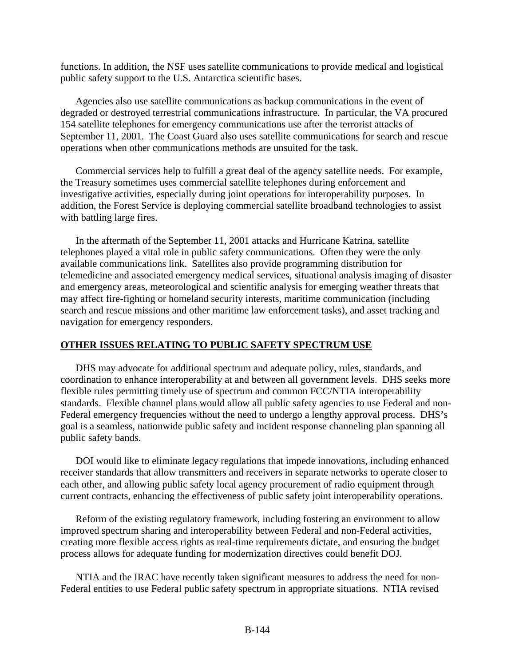functions. In addition, the NSF uses satellite communications to provide medical and logistical public safety support to the U.S. Antarctica scientific bases.

Agencies also use satellite communications as backup communications in the event of degraded or destroyed terrestrial communications infrastructure. In particular, the VA procured 154 satellite telephones for emergency communications use after the terrorist attacks of September 11, 2001. The Coast Guard also uses satellite communications for search and rescue operations when other communications methods are unsuited for the task.

Commercial services help to fulfill a great deal of the agency satellite needs. For example, the Treasury sometimes uses commercial satellite telephones during enforcement and investigative activities, especially during joint operations for interoperability purposes. In addition, the Forest Service is deploying commercial satellite broadband technologies to assist with battling large fires.

In the aftermath of the September 11, 2001 attacks and Hurricane Katrina, satellite telephones played a vital role in public safety communications. Often they were the only available communications link. Satellites also provide programming distribution for telemedicine and associated emergency medical services, situational analysis imaging of disaster and emergency areas, meteorological and scientific analysis for emerging weather threats that may affect fire-fighting or homeland security interests, maritime communication (including search and rescue missions and other maritime law enforcement tasks), and asset tracking and navigation for emergency responders.

### **OTHER ISSUES RELATING TO PUBLIC SAFETY SPECTRUM USE**

DHS may advocate for additional spectrum and adequate policy, rules, standards, and coordination to enhance interoperability at and between all government levels. DHS seeks more flexible rules permitting timely use of spectrum and common FCC/NTIA interoperability standards. Flexible channel plans would allow all public safety agencies to use Federal and non-Federal emergency frequencies without the need to undergo a lengthy approval process. DHS's goal is a seamless, nationwide public safety and incident response channeling plan spanning all public safety bands.

DOI would like to eliminate legacy regulations that impede innovations, including enhanced receiver standards that allow transmitters and receivers in separate networks to operate closer to each other, and allowing public safety local agency procurement of radio equipment through current contracts, enhancing the effectiveness of public safety joint interoperability operations.

Reform of the existing regulatory framework, including fostering an environment to allow improved spectrum sharing and interoperability between Federal and non-Federal activities, creating more flexible access rights as real-time requirements dictate, and ensuring the budget process allows for adequate funding for modernization directives could benefit DOJ.

NTIA and the IRAC have recently taken significant measures to address the need for non-Federal entities to use Federal public safety spectrum in appropriate situations. NTIA revised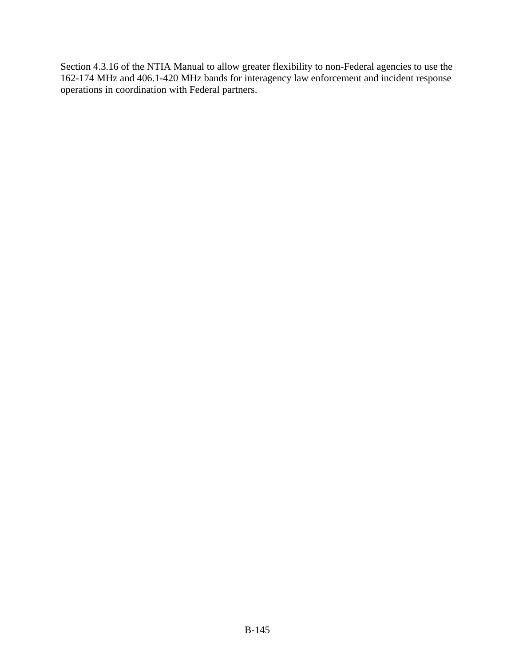Section 4.3.16 of the NTIA Manual to allow greater flexibility to non-Federal agencies to use the 162-174 MHz and 406.1-420 MHz bands for interagency law enforcement and incident response operations in coordination with Federal partners.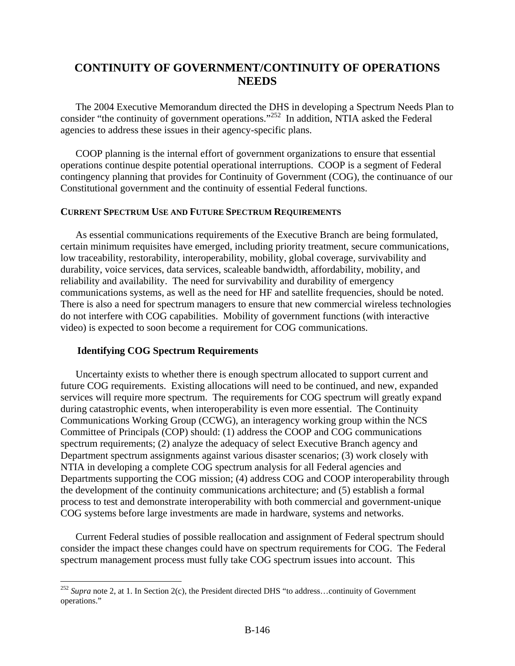# **CONTINUITY OF GOVERNMENT/CONTINUITY OF OPERATIONS NEEDS**

The 2004 Executive Memorandum directed the DHS in developing a Spectrum Needs Plan to consider "the continuity of government operations."252 In addition, NTIA asked the Federal agencies to address these issues in their agency-specific plans.

COOP planning is the internal effort of government organizations to ensure that essential operations continue despite potential operational interruptions. COOP is a segment of Federal contingency planning that provides for Continuity of Government (COG), the continuance of our Constitutional government and the continuity of essential Federal functions.

#### **CURRENT SPECTRUM USE AND FUTURE SPECTRUM REQUIREMENTS**

As essential communications requirements of the Executive Branch are being formulated, certain minimum requisites have emerged, including priority treatment, secure communications, low traceability, restorability, interoperability, mobility, global coverage, survivability and durability, voice services, data services, scaleable bandwidth, affordability, mobility, and reliability and availability. The need for survivability and durability of emergency communications systems, as well as the need for HF and satellite frequencies, should be noted. There is also a need for spectrum managers to ensure that new commercial wireless technologies do not interfere with COG capabilities. Mobility of government functions (with interactive video) is expected to soon become a requirement for COG communications.

#### **Identifying COG Spectrum Requirements**

 $\overline{a}$ 

Uncertainty exists to whether there is enough spectrum allocated to support current and future COG requirements. Existing allocations will need to be continued, and new, expanded services will require more spectrum. The requirements for COG spectrum will greatly expand during catastrophic events, when interoperability is even more essential. The Continuity Communications Working Group (CCWG), an interagency working group within the NCS Committee of Principals (COP) should: (1) address the COOP and COG communications spectrum requirements; (2) analyze the adequacy of select Executive Branch agency and Department spectrum assignments against various disaster scenarios; (3) work closely with NTIA in developing a complete COG spectrum analysis for all Federal agencies and Departments supporting the COG mission; (4) address COG and COOP interoperability through the development of the continuity communications architecture; and (5) establish a formal process to test and demonstrate interoperability with both commercial and government-unique COG systems before large investments are made in hardware, systems and networks.

Current Federal studies of possible reallocation and assignment of Federal spectrum should consider the impact these changes could have on spectrum requirements for COG. The Federal spectrum management process must fully take COG spectrum issues into account. This

<sup>&</sup>lt;sup>252</sup> Supra note 2, at 1. In Section 2(c), the President directed DHS "to address...continuity of Government operations."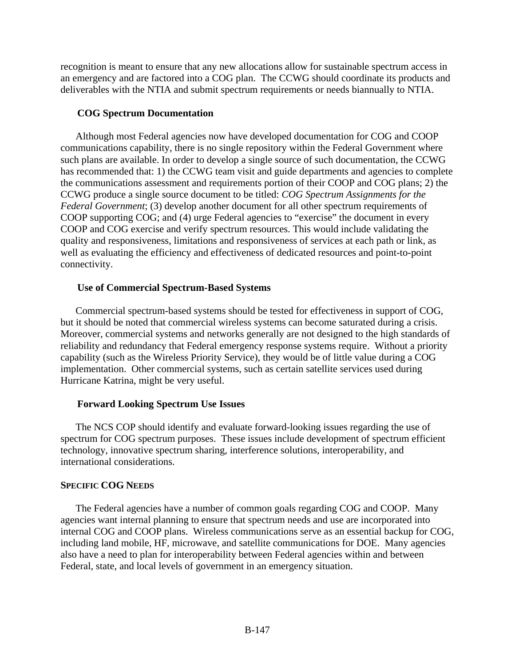recognition is meant to ensure that any new allocations allow for sustainable spectrum access in an emergency and are factored into a COG plan. The CCWG should coordinate its products and deliverables with the NTIA and submit spectrum requirements or needs biannually to NTIA.

### **COG Spectrum Documentation**

Although most Federal agencies now have developed documentation for COG and COOP communications capability, there is no single repository within the Federal Government where such plans are available. In order to develop a single source of such documentation, the CCWG has recommended that: 1) the CCWG team visit and guide departments and agencies to complete the communications assessment and requirements portion of their COOP and COG plans; 2) the CCWG produce a single source document to be titled: *COG Spectrum Assignments for the Federal Government*; (3) develop another document for all other spectrum requirements of COOP supporting COG; and (4) urge Federal agencies to "exercise" the document in every COOP and COG exercise and verify spectrum resources. This would include validating the quality and responsiveness, limitations and responsiveness of services at each path or link, as well as evaluating the efficiency and effectiveness of dedicated resources and point-to-point connectivity.

### **Use of Commercial Spectrum-Based Systems**

Commercial spectrum-based systems should be tested for effectiveness in support of COG, but it should be noted that commercial wireless systems can become saturated during a crisis. Moreover, commercial systems and networks generally are not designed to the high standards of reliability and redundancy that Federal emergency response systems require. Without a priority capability (such as the Wireless Priority Service), they would be of little value during a COG implementation. Other commercial systems, such as certain satellite services used during Hurricane Katrina, might be very useful.

### **Forward Looking Spectrum Use Issues**

 The NCS COP should identify and evaluate forward-looking issues regarding the use of spectrum for COG spectrum purposes. These issues include development of spectrum efficient technology, innovative spectrum sharing, interference solutions, interoperability, and international considerations.

### **SPECIFIC COG NEEDS**

The Federal agencies have a number of common goals regarding COG and COOP. Many agencies want internal planning to ensure that spectrum needs and use are incorporated into internal COG and COOP plans. Wireless communications serve as an essential backup for COG, including land mobile, HF, microwave, and satellite communications for DOE. Many agencies also have a need to plan for interoperability between Federal agencies within and between Federal, state, and local levels of government in an emergency situation.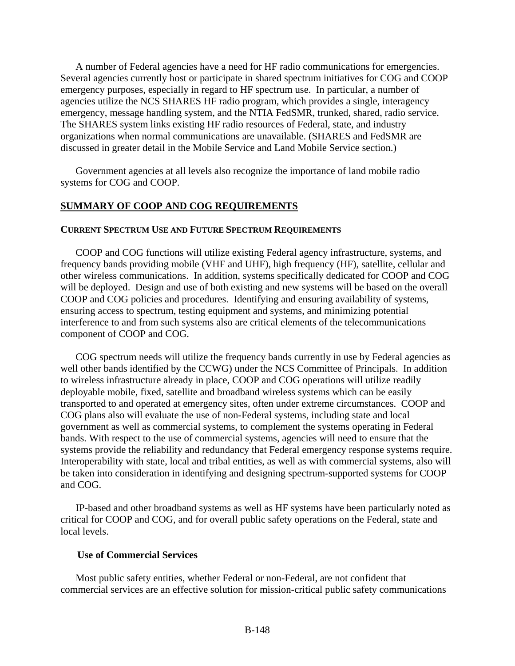A number of Federal agencies have a need for HF radio communications for emergencies. Several agencies currently host or participate in shared spectrum initiatives for COG and COOP emergency purposes, especially in regard to HF spectrum use. In particular, a number of agencies utilize the NCS SHARES HF radio program, which provides a single, interagency emergency, message handling system, and the NTIA FedSMR, trunked, shared, radio service. The SHARES system links existing HF radio resources of Federal, state, and industry organizations when normal communications are unavailable. (SHARES and FedSMR are discussed in greater detail in the Mobile Service and Land Mobile Service section.)

Government agencies at all levels also recognize the importance of land mobile radio systems for COG and COOP.

### **SUMMARY OF COOP AND COG REQUIREMENTS**

#### **CURRENT SPECTRUM USE AND FUTURE SPECTRUM REQUIREMENTS**

COOP and COG functions will utilize existing Federal agency infrastructure, systems, and frequency bands providing mobile (VHF and UHF), high frequency (HF), satellite, cellular and other wireless communications. In addition, systems specifically dedicated for COOP and COG will be deployed. Design and use of both existing and new systems will be based on the overall COOP and COG policies and procedures. Identifying and ensuring availability of systems, ensuring access to spectrum, testing equipment and systems, and minimizing potential interference to and from such systems also are critical elements of the telecommunications component of COOP and COG.

COG spectrum needs will utilize the frequency bands currently in use by Federal agencies as well other bands identified by the CCWG) under the NCS Committee of Principals. In addition to wireless infrastructure already in place, COOP and COG operations will utilize readily deployable mobile, fixed, satellite and broadband wireless systems which can be easily transported to and operated at emergency sites, often under extreme circumstances. COOP and COG plans also will evaluate the use of non-Federal systems, including state and local government as well as commercial systems, to complement the systems operating in Federal bands. With respect to the use of commercial systems, agencies will need to ensure that the systems provide the reliability and redundancy that Federal emergency response systems require. Interoperability with state, local and tribal entities, as well as with commercial systems, also will be taken into consideration in identifying and designing spectrum-supported systems for COOP and COG.

IP-based and other broadband systems as well as HF systems have been particularly noted as critical for COOP and COG, and for overall public safety operations on the Federal, state and local levels.

#### **Use of Commercial Services**

Most public safety entities, whether Federal or non-Federal, are not confident that commercial services are an effective solution for mission-critical public safety communications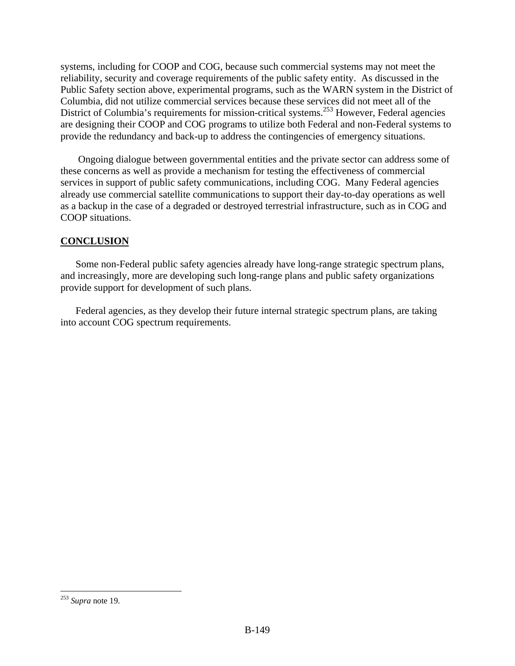systems, including for COOP and COG, because such commercial systems may not meet the reliability, security and coverage requirements of the public safety entity. As discussed in the Public Safety section above, experimental programs, such as the WARN system in the District of Columbia, did not utilize commercial services because these services did not meet all of the District of Columbia's requirements for mission-critical systems.<sup>253</sup> However, Federal agencies are designing their COOP and COG programs to utilize both Federal and non-Federal systems to provide the redundancy and back-up to address the contingencies of emergency situations.

 Ongoing dialogue between governmental entities and the private sector can address some of these concerns as well as provide a mechanism for testing the effectiveness of commercial services in support of public safety communications, including COG. Many Federal agencies already use commercial satellite communications to support their day-to-day operations as well as a backup in the case of a degraded or destroyed terrestrial infrastructure, such as in COG and COOP situations.

### **CONCLUSION**

Some non-Federal public safety agencies already have long-range strategic spectrum plans, and increasingly, more are developing such long-range plans and public safety organizations provide support for development of such plans.

Federal agencies, as they develop their future internal strategic spectrum plans, are taking into account COG spectrum requirements.

<sup>253</sup> *Supra* note 19.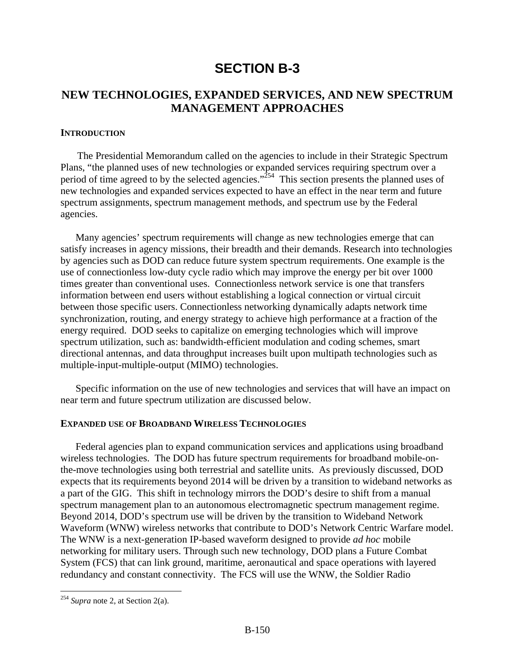# **SECTION B-3**

# **NEW TECHNOLOGIES, EXPANDED SERVICES, AND NEW SPECTRUM MANAGEMENT APPROACHES**

#### **INTRODUCTION**

The Presidential Memorandum called on the agencies to include in their Strategic Spectrum Plans, "the planned uses of new technologies or expanded services requiring spectrum over a period of time agreed to by the selected agencies."<sup>254</sup> This section presents the planned uses of new technologies and expanded services expected to have an effect in the near term and future spectrum assignments, spectrum management methods, and spectrum use by the Federal agencies.

Many agencies' spectrum requirements will change as new technologies emerge that can satisfy increases in agency missions, their breadth and their demands. Research into technologies by agencies such as DOD can reduce future system spectrum requirements. One example is the use of connectionless low-duty cycle radio which may improve the energy per bit over 1000 times greater than conventional uses. Connectionless network service is one that transfers information between end users without establishing a logical connection or virtual circuit between those specific users. Connectionless networking dynamically adapts network time synchronization, routing, and energy strategy to achieve high performance at a fraction of the energy required. DOD seeks to capitalize on emerging technologies which will improve spectrum utilization, such as: bandwidth-efficient modulation and coding schemes, smart directional antennas, and data throughput increases built upon multipath technologies such as multiple-input-multiple-output (MIMO) technologies.

Specific information on the use of new technologies and services that will have an impact on near term and future spectrum utilization are discussed below.

### **EXPANDED USE OF BROADBAND WIRELESS TECHNOLOGIES**

Federal agencies plan to expand communication services and applications using broadband wireless technologies. The DOD has future spectrum requirements for broadband mobile-onthe-move technologies using both terrestrial and satellite units. As previously discussed, DOD expects that its requirements beyond 2014 will be driven by a transition to wideband networks as a part of the GIG. This shift in technology mirrors the DOD's desire to shift from a manual spectrum management plan to an autonomous electromagnetic spectrum management regime. Beyond 2014, DOD's spectrum use will be driven by the transition to Wideband Network Waveform (WNW) wireless networks that contribute to DOD's Network Centric Warfare model. The WNW is a next-generation IP-based waveform designed to provide *ad hoc* mobile networking for military users. Through such new technology, DOD plans a Future Combat System (FCS) that can link ground, maritime, aeronautical and space operations with layered redundancy and constant connectivity. The FCS will use the WNW, the Soldier Radio

<sup>254</sup> *Supra* note 2, at Section 2(a).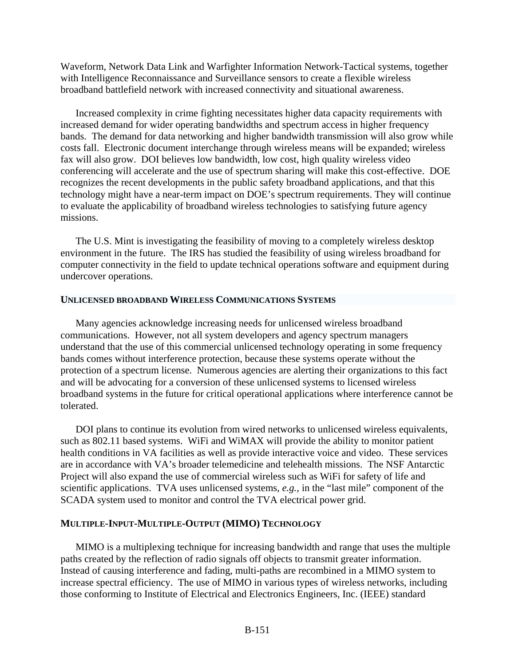Waveform, Network Data Link and Warfighter Information Network-Tactical systems, together with Intelligence Reconnaissance and Surveillance sensors to create a flexible wireless broadband battlefield network with increased connectivity and situational awareness.

Increased complexity in crime fighting necessitates higher data capacity requirements with increased demand for wider operating bandwidths and spectrum access in higher frequency bands. The demand for data networking and higher bandwidth transmission will also grow while costs fall. Electronic document interchange through wireless means will be expanded; wireless fax will also grow. DOI believes low bandwidth, low cost, high quality wireless video conferencing will accelerate and the use of spectrum sharing will make this cost-effective. DOE recognizes the recent developments in the public safety broadband applications, and that this technology might have a near-term impact on DOE's spectrum requirements. They will continue to evaluate the applicability of broadband wireless technologies to satisfying future agency missions.

The U.S. Mint is investigating the feasibility of moving to a completely wireless desktop environment in the future. The IRS has studied the feasibility of using wireless broadband for computer connectivity in the field to update technical operations software and equipment during undercover operations.

#### **UNLICENSED BROADBAND WIRELESS COMMUNICATIONS SYSTEMS**

Many agencies acknowledge increasing needs for unlicensed wireless broadband communications. However, not all system developers and agency spectrum managers understand that the use of this commercial unlicensed technology operating in some frequency bands comes without interference protection, because these systems operate without the protection of a spectrum license. Numerous agencies are alerting their organizations to this fact and will be advocating for a conversion of these unlicensed systems to licensed wireless broadband systems in the future for critical operational applications where interference cannot be tolerated.

DOI plans to continue its evolution from wired networks to unlicensed wireless equivalents, such as 802.11 based systems. WiFi and WiMAX will provide the ability to monitor patient health conditions in VA facilities as well as provide interactive voice and video. These services are in accordance with VA's broader telemedicine and telehealth missions. The NSF Antarctic Project will also expand the use of commercial wireless such as WiFi for safety of life and scientific applications. TVA uses unlicensed systems, *e.g.,* in the "last mile" component of the SCADA system used to monitor and control the TVA electrical power grid.

#### **MULTIPLE-INPUT-MULTIPLE-OUTPUT (MIMO) TECHNOLOGY**

 MIMO is a multiplexing technique for increasing bandwidth and range that uses the multiple paths created by the reflection of radio signals off objects to transmit greater information. Instead of causing interference and fading, multi-paths are recombined in a MIMO system to increase spectral efficiency. The use of MIMO in various types of wireless networks, including those conforming to Institute of Electrical and Electronics Engineers, Inc. (IEEE) standard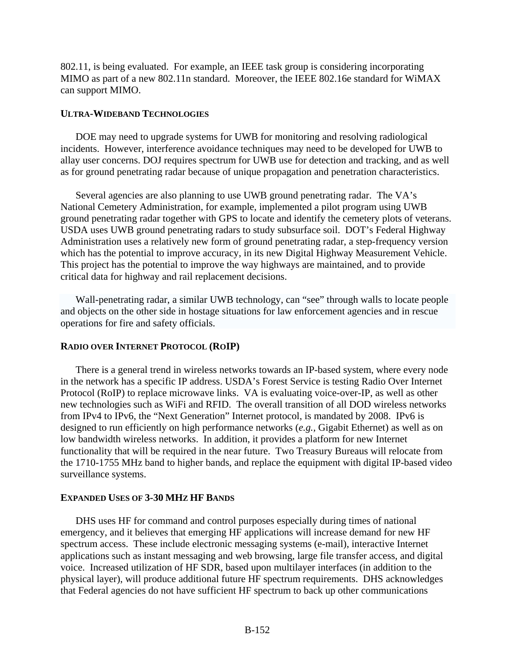802.11, is being evaluated. For example, an IEEE task group is considering incorporating MIMO as part of a new 802.11n standard. Moreover, the IEEE 802.16e standard for WiMAX can support MIMO.

### **ULTRA-WIDEBAND TECHNOLOGIES**

DOE may need to upgrade systems for UWB for monitoring and resolving radiological incidents. However, interference avoidance techniques may need to be developed for UWB to allay user concerns. DOJ requires spectrum for UWB use for detection and tracking, and as well as for ground penetrating radar because of unique propagation and penetration characteristics.

Several agencies are also planning to use UWB ground penetrating radar. The VA's National Cemetery Administration, for example, implemented a pilot program using UWB ground penetrating radar together with GPS to locate and identify the cemetery plots of veterans. USDA uses UWB ground penetrating radars to study subsurface soil. DOT's Federal Highway Administration uses a relatively new form of ground penetrating radar, a step-frequency version which has the potential to improve accuracy, in its new Digital Highway Measurement Vehicle. This project has the potential to improve the way highways are maintained, and to provide critical data for highway and rail replacement decisions.

Wall-penetrating radar, a similar UWB technology, can "see" through walls to locate people and objects on the other side in hostage situations for law enforcement agencies and in rescue operations for fire and safety officials.

### **RADIO OVER INTERNET PROTOCOL (ROIP)**

There is a general trend in wireless networks towards an IP-based system, where every node in the network has a specific IP address. USDA's Forest Service is testing Radio Over Internet Protocol (RoIP) to replace microwave links. VA is evaluating voice-over-IP, as well as other new technologies such as WiFi and RFID. The overall transition of all DOD wireless networks from IPv4 to IPv6, the "Next Generation" Internet protocol, is mandated by 2008. IPv6 is designed to run efficiently on high performance networks (*e.g.,* Gigabit Ethernet) as well as on low bandwidth wireless networks. In addition, it provides a platform for new Internet functionality that will be required in the near future. Two Treasury Bureaus will relocate from the 1710-1755 MHz band to higher bands, and replace the equipment with digital IP-based video surveillance systems.

### **EXPANDED USES OF 3-30 MHZ HF BANDS**

DHS uses HF for command and control purposes especially during times of national emergency, and it believes that emerging HF applications will increase demand for new HF spectrum access. These include electronic messaging systems (e-mail), interactive Internet applications such as instant messaging and web browsing, large file transfer access, and digital voice. Increased utilization of HF SDR, based upon multilayer interfaces (in addition to the physical layer), will produce additional future HF spectrum requirements. DHS acknowledges that Federal agencies do not have sufficient HF spectrum to back up other communications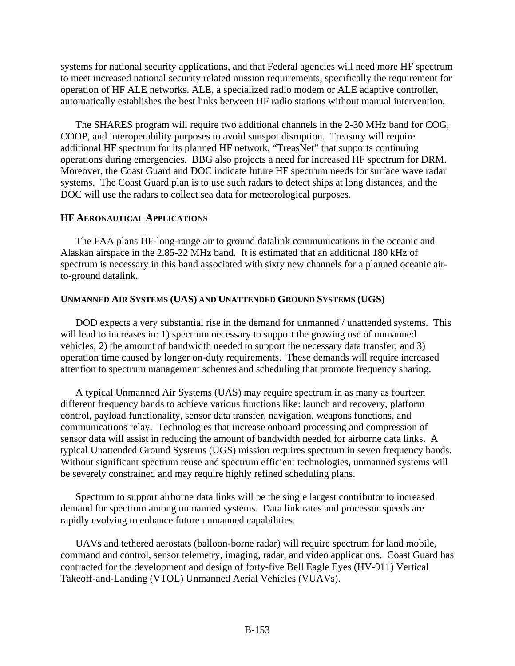systems for national security applications, and that Federal agencies will need more HF spectrum to meet increased national security related mission requirements, specifically the requirement for operation of HF ALE networks. ALE, a specialized radio modem or ALE adaptive controller, automatically establishes the best links between HF radio stations without manual intervention.

The SHARES program will require two additional channels in the 2-30 MHz band for COG, COOP, and interoperability purposes to avoid sunspot disruption. Treasury will require additional HF spectrum for its planned HF network, "TreasNet" that supports continuing operations during emergencies. BBG also projects a need for increased HF spectrum for DRM. Moreover, the Coast Guard and DOC indicate future HF spectrum needs for surface wave radar systems. The Coast Guard plan is to use such radars to detect ships at long distances, and the DOC will use the radars to collect sea data for meteorological purposes.

#### **HF AERONAUTICAL APPLICATIONS**

The FAA plans HF-long-range air to ground datalink communications in the oceanic and Alaskan airspace in the 2.85-22 MHz band. It is estimated that an additional 180 kHz of spectrum is necessary in this band associated with sixty new channels for a planned oceanic airto-ground datalink.

#### **UNMANNED AIR SYSTEMS (UAS) AND UNATTENDED GROUND SYSTEMS (UGS)**

DOD expects a very substantial rise in the demand for unmanned / unattended systems. This will lead to increases in: 1) spectrum necessary to support the growing use of unmanned vehicles; 2) the amount of bandwidth needed to support the necessary data transfer; and 3) operation time caused by longer on-duty requirements. These demands will require increased attention to spectrum management schemes and scheduling that promote frequency sharing.

A typical Unmanned Air Systems (UAS) may require spectrum in as many as fourteen different frequency bands to achieve various functions like: launch and recovery, platform control, payload functionality, sensor data transfer, navigation, weapons functions, and communications relay. Technologies that increase onboard processing and compression of sensor data will assist in reducing the amount of bandwidth needed for airborne data links. A typical Unattended Ground Systems (UGS) mission requires spectrum in seven frequency bands. Without significant spectrum reuse and spectrum efficient technologies, unmanned systems will be severely constrained and may require highly refined scheduling plans.

Spectrum to support airborne data links will be the single largest contributor to increased demand for spectrum among unmanned systems. Data link rates and processor speeds are rapidly evolving to enhance future unmanned capabilities.

UAVs and tethered aerostats (balloon-borne radar) will require spectrum for land mobile, command and control, sensor telemetry, imaging, radar, and video applications. Coast Guard has contracted for the development and design of forty-five Bell Eagle Eyes (HV-911) Vertical Takeoff-and-Landing (VTOL) Unmanned Aerial Vehicles (VUAVs).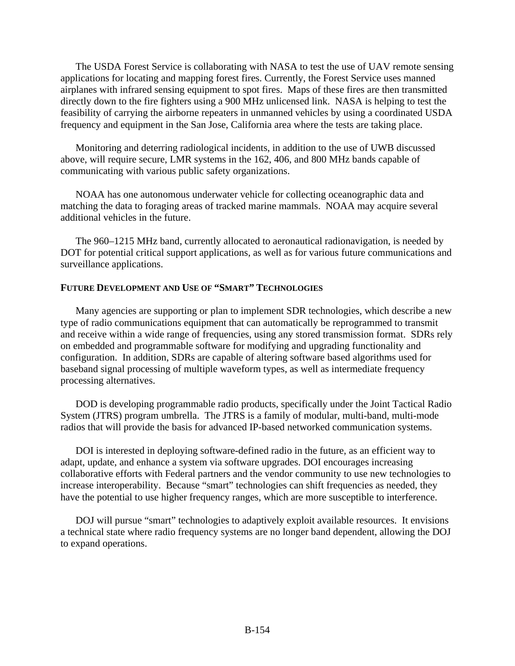The USDA Forest Service is collaborating with NASA to test the use of UAV remote sensing applications for locating and mapping forest fires. Currently, the Forest Service uses manned airplanes with infrared sensing equipment to spot fires. Maps of these fires are then transmitted directly down to the fire fighters using a 900 MHz unlicensed link. NASA is helping to test the feasibility of carrying the airborne repeaters in unmanned vehicles by using a coordinated USDA frequency and equipment in the San Jose, California area where the tests are taking place.

Monitoring and deterring radiological incidents, in addition to the use of UWB discussed above, will require secure, LMR systems in the 162, 406, and 800 MHz bands capable of communicating with various public safety organizations.

NOAA has one autonomous underwater vehicle for collecting oceanographic data and matching the data to foraging areas of tracked marine mammals. NOAA may acquire several additional vehicles in the future.

The 960–1215 MHz band, currently allocated to aeronautical radionavigation, is needed by DOT for potential critical support applications, as well as for various future communications and surveillance applications.

### **FUTURE DEVELOPMENT AND USE OF "SMART" TECHNOLOGIES**

Many agencies are supporting or plan to implement SDR technologies, which describe a new type of radio communications equipment that can automatically be reprogrammed to transmit and receive within a wide range of frequencies, using any stored transmission format. SDRs rely on embedded and programmable software for modifying and upgrading functionality and configuration. In addition, SDRs are capable of altering software based algorithms used for baseband signal processing of multiple waveform types, as well as intermediate frequency processing alternatives.

DOD is developing programmable radio products, specifically under the Joint Tactical Radio System (JTRS) program umbrella. The JTRS is a family of modular, multi-band, multi-mode radios that will provide the basis for advanced IP-based networked communication systems.

DOI is interested in deploying software-defined radio in the future, as an efficient way to adapt, update, and enhance a system via software upgrades. DOI encourages increasing collaborative efforts with Federal partners and the vendor community to use new technologies to increase interoperability. Because "smart" technologies can shift frequencies as needed, they have the potential to use higher frequency ranges, which are more susceptible to interference.

DOJ will pursue "smart" technologies to adaptively exploit available resources. It envisions a technical state where radio frequency systems are no longer band dependent, allowing the DOJ to expand operations.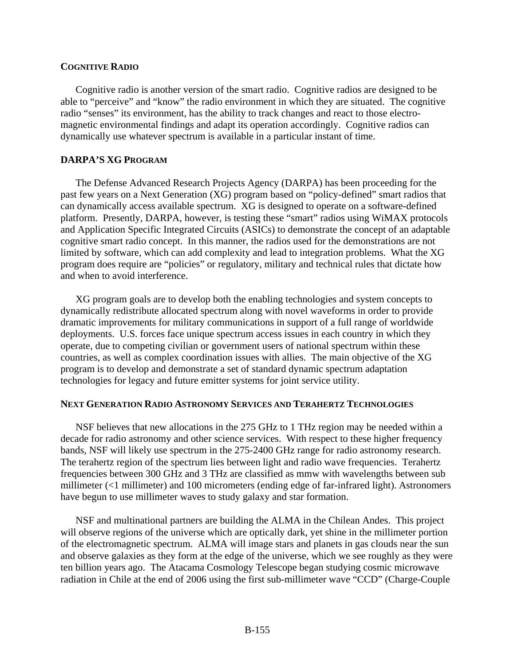#### **COGNITIVE RADIO**

Cognitive radio is another version of the smart radio. Cognitive radios are designed to be able to "perceive" and "know" the radio environment in which they are situated. The cognitive radio "senses" its environment, has the ability to track changes and react to those electromagnetic environmental findings and adapt its operation accordingly. Cognitive radios can dynamically use whatever spectrum is available in a particular instant of time.

### **DARPA'S XG PROGRAM**

The Defense Advanced Research Projects Agency (DARPA) has been proceeding for the past few years on a Next Generation (XG) program based on "policy-defined" smart radios that can dynamically access available spectrum. XG is designed to operate on a software-defined platform. Presently, DARPA, however, is testing these "smart" radios using WiMAX protocols and Application Specific Integrated Circuits (ASICs) to demonstrate the concept of an adaptable cognitive smart radio concept. In this manner, the radios used for the demonstrations are not limited by software, which can add complexity and lead to integration problems. What the XG program does require are "policies" or regulatory, military and technical rules that dictate how and when to avoid interference.

XG program goals are to develop both the enabling technologies and system concepts to dynamically redistribute allocated spectrum along with novel waveforms in order to provide dramatic improvements for military communications in support of a full range of worldwide deployments. U.S. forces face unique spectrum access issues in each country in which they operate, due to competing civilian or government users of national spectrum within these countries, as well as complex coordination issues with allies. The main objective of the XG program is to develop and demonstrate a set of standard dynamic spectrum adaptation technologies for legacy and future emitter systems for joint service utility.

#### **NEXT GENERATION RADIO ASTRONOMY SERVICES AND TERAHERTZ TECHNOLOGIES**

NSF believes that new allocations in the 275 GHz to 1 THz region may be needed within a decade for radio astronomy and other science services. With respect to these higher frequency bands, NSF will likely use spectrum in the 275-2400 GHz range for radio astronomy research. The terahertz region of the spectrum lies between light and radio wave frequencies. Terahertz frequencies between 300 GHz and 3 THz are classified as mmw with wavelengths between sub millimeter (<1 millimeter) and 100 micrometers (ending edge of far-infrared light). Astronomers have begun to use millimeter waves to study galaxy and star formation.

NSF and multinational partners are building the ALMA in the Chilean Andes. This project will observe regions of the universe which are optically dark, yet shine in the millimeter portion of the electromagnetic spectrum. ALMA will image stars and planets in gas clouds near the sun and observe galaxies as they form at the edge of the universe, which we see roughly as they were ten billion years ago. The Atacama Cosmology Telescope began studying cosmic microwave radiation in Chile at the end of 2006 using the first sub-millimeter wave "CCD" (Charge-Couple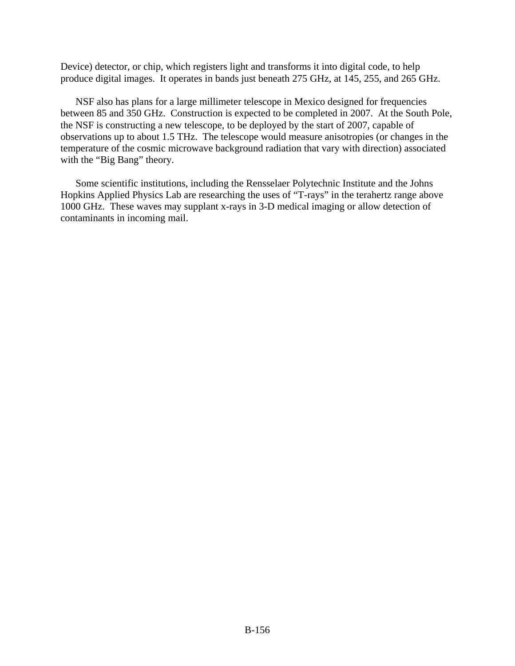Device) detector, or chip, which registers light and transforms it into digital code, to help produce digital images. It operates in bands just beneath 275 GHz, at 145, 255, and 265 GHz.

NSF also has plans for a large millimeter telescope in Mexico designed for frequencies between 85 and 350 GHz. Construction is expected to be completed in 2007. At the South Pole, the NSF is constructing a new telescope, to be deployed by the start of 2007, capable of observations up to about 1.5 THz. The telescope would measure anisotropies (or changes in the temperature of the cosmic microwave background radiation that vary with direction) associated with the "Big Bang" theory.

Some scientific institutions, including the Rensselaer Polytechnic Institute and the Johns Hopkins Applied Physics Lab are researching the uses of "T-rays" in the terahertz range above 1000 GHz. These waves may supplant x-rays in 3-D medical imaging or allow detection of contaminants in incoming mail.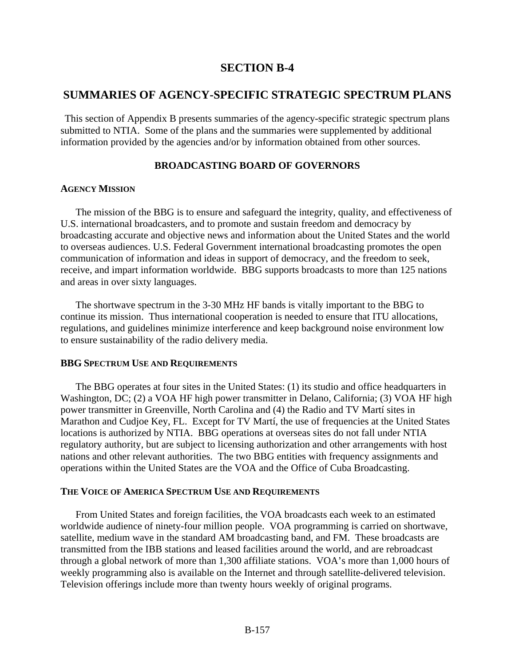# **SECTION B-4**

# **SUMMARIES OF AGENCY-SPECIFIC STRATEGIC SPECTRUM PLANS**

 This section of Appendix B presents summaries of the agency-specific strategic spectrum plans submitted to NTIA. Some of the plans and the summaries were supplemented by additional information provided by the agencies and/or by information obtained from other sources.

#### **BROADCASTING BOARD OF GOVERNORS**

#### **AGENCY MISSION**

The mission of the BBG is to ensure and safeguard the integrity, quality, and effectiveness of U.S. international broadcasters, and to promote and sustain freedom and democracy by broadcasting accurate and objective news and information about the United States and the world to overseas audiences. U.S. Federal Government international broadcasting promotes the open communication of information and ideas in support of democracy, and the freedom to seek, receive, and impart information worldwide. BBG supports broadcasts to more than 125 nations and areas in over sixty languages.

The shortwave spectrum in the 3-30 MHz HF bands is vitally important to the BBG to continue its mission. Thus international cooperation is needed to ensure that ITU allocations, regulations, and guidelines minimize interference and keep background noise environment low to ensure sustainability of the radio delivery media.

#### **BBG SPECTRUM USE AND REQUIREMENTS**

The BBG operates at four sites in the United States: (1) its studio and office headquarters in Washington, DC; (2) a VOA HF high power transmitter in Delano, California; (3) VOA HF high power transmitter in Greenville, North Carolina and (4) the Radio and TV Martí sites in Marathon and Cudjoe Key, FL. Except for TV Martí, the use of frequencies at the United States locations is authorized by NTIA. BBG operations at overseas sites do not fall under NTIA regulatory authority, but are subject to licensing authorization and other arrangements with host nations and other relevant authorities. The two BBG entities with frequency assignments and operations within the United States are the VOA and the Office of Cuba Broadcasting.

#### **THE VOICE OF AMERICA SPECTRUM USE AND REQUIREMENTS**

From United States and foreign facilities, the VOA broadcasts each week to an estimated worldwide audience of ninety-four million people. VOA programming is carried on shortwave, satellite, medium wave in the standard AM broadcasting band, and FM. These broadcasts are transmitted from the IBB stations and leased facilities around the world, and are rebroadcast through a global network of more than 1,300 affiliate stations. VOA's more than 1,000 hours of weekly programming also is available on the Internet and through satellite-delivered television. Television offerings include more than twenty hours weekly of original programs.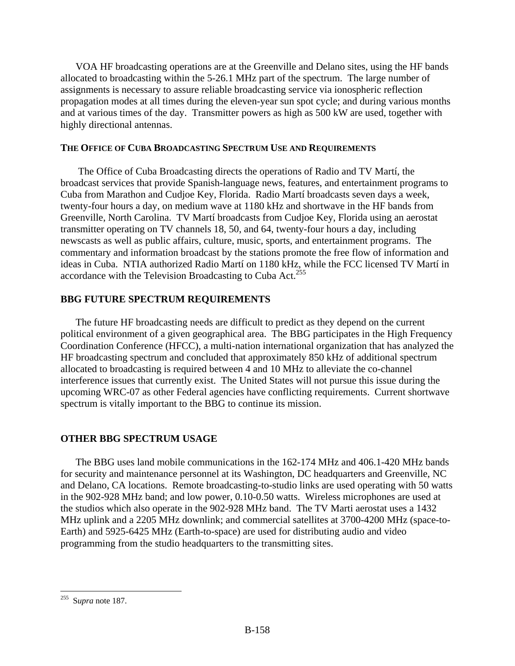VOA HF broadcasting operations are at the Greenville and Delano sites, using the HF bands allocated to broadcasting within the 5-26.1 MHz part of the spectrum. The large number of assignments is necessary to assure reliable broadcasting service via ionospheric reflection propagation modes at all times during the eleven-year sun spot cycle; and during various months and at various times of the day. Transmitter powers as high as 500 kW are used, together with highly directional antennas.

#### **THE OFFICE OF CUBA BROADCASTING SPECTRUM USE AND REQUIREMENTS**

 The Office of Cuba Broadcasting directs the operations of Radio and TV Martí, the broadcast services that provide Spanish-language news, features, and entertainment programs to Cuba from Marathon and Cudjoe Key, Florida. Radio Martí broadcasts seven days a week, twenty-four hours a day, on medium wave at 1180 kHz and shortwave in the HF bands from Greenville, North Carolina. TV Martí broadcasts from Cudjoe Key, Florida using an aerostat transmitter operating on TV channels 18, 50, and 64, twenty-four hours a day, including newscasts as well as public affairs, culture, music, sports, and entertainment programs. The commentary and information broadcast by the stations promote the free flow of information and ideas in Cuba. NTIA authorized Radio Martí on 1180 kHz, while the FCC licensed TV Martí in accordance with the Television Broadcasting to Cuba Act.<sup>255</sup>

#### **BBG FUTURE SPECTRUM REQUIREMENTS**

The future HF broadcasting needs are difficult to predict as they depend on the current political environment of a given geographical area. The BBG participates in the High Frequency Coordination Conference (HFCC), a multi-nation international organization that has analyzed the HF broadcasting spectrum and concluded that approximately 850 kHz of additional spectrum allocated to broadcasting is required between 4 and 10 MHz to alleviate the co-channel interference issues that currently exist. The United States will not pursue this issue during the upcoming WRC-07 as other Federal agencies have conflicting requirements. Current shortwave spectrum is vitally important to the BBG to continue its mission.

#### **OTHER BBG SPECTRUM USAGE**

The BBG uses land mobile communications in the 162-174 MHz and 406.1-420 MHz bands for security and maintenance personnel at its Washington, DC headquarters and Greenville, NC and Delano, CA locations. Remote broadcasting-to-studio links are used operating with 50 watts in the 902-928 MHz band; and low power, 0.10-0.50 watts. Wireless microphones are used at the studios which also operate in the 902-928 MHz band. The TV Marti aerostat uses a 1432 MHz uplink and a 2205 MHz downlink; and commercial satellites at 3700-4200 MHz (space-to-Earth) and 5925-6425 MHz (Earth-to-space) are used for distributing audio and video programming from the studio headquarters to the transmitting sites.

 $\overline{a}$ 

<sup>255</sup> S*upra* note 187.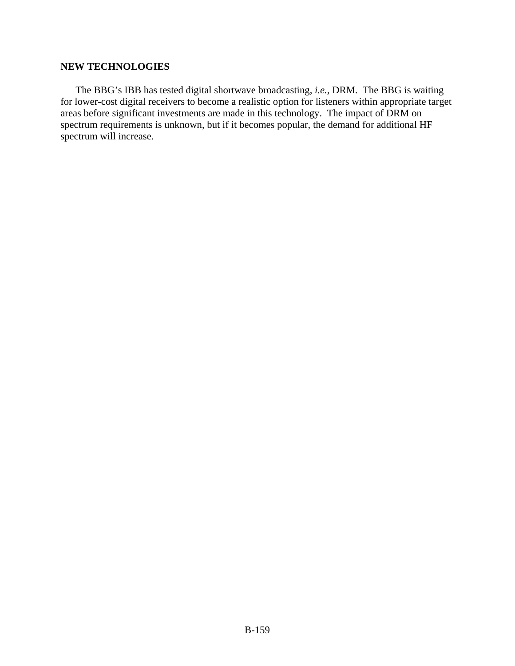## **NEW TECHNOLOGIES**

The BBG's IBB has tested digital shortwave broadcasting, *i.e.,* DRM. The BBG is waiting for lower-cost digital receivers to become a realistic option for listeners within appropriate target areas before significant investments are made in this technology. The impact of DRM on spectrum requirements is unknown, but if it becomes popular, the demand for additional HF spectrum will increase.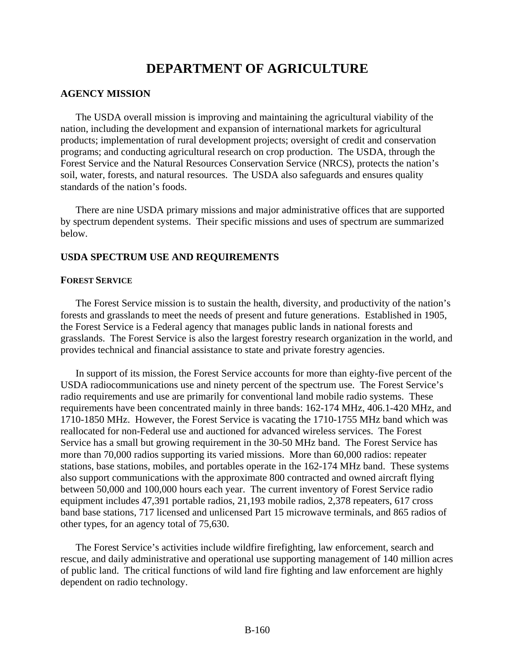# **DEPARTMENT OF AGRICULTURE**

## **AGENCY MISSION**

The USDA overall mission is improving and maintaining the agricultural viability of the nation, including the development and expansion of international markets for agricultural products; implementation of rural development projects; oversight of credit and conservation programs; and conducting agricultural research on crop production. The USDA, through the Forest Service and the Natural Resources Conservation Service (NRCS), protects the nation's soil, water, forests, and natural resources. The USDA also safeguards and ensures quality standards of the nation's foods.

There are nine USDA primary missions and major administrative offices that are supported by spectrum dependent systems. Their specific missions and uses of spectrum are summarized below.

## **USDA SPECTRUM USE AND REQUIREMENTS**

#### **FOREST SERVICE**

The Forest Service mission is to sustain the health, diversity, and productivity of the nation's forests and grasslands to meet the needs of present and future generations. Established in 1905, the Forest Service is a Federal agency that manages public lands in national forests and grasslands. The Forest Service is also the largest forestry research organization in the world, and provides technical and financial assistance to state and private forestry agencies.

In support of its mission, the Forest Service accounts for more than eighty-five percent of the USDA radiocommunications use and ninety percent of the spectrum use. The Forest Service's radio requirements and use are primarily for conventional land mobile radio systems. These requirements have been concentrated mainly in three bands: 162-174 MHz, 406.1-420 MHz, and 1710-1850 MHz. However, the Forest Service is vacating the 1710-1755 MHz band which was reallocated for non-Federal use and auctioned for advanced wireless services. The Forest Service has a small but growing requirement in the 30-50 MHz band. The Forest Service has more than 70,000 radios supporting its varied missions. More than 60,000 radios: repeater stations, base stations, mobiles, and portables operate in the 162-174 MHz band. These systems also support communications with the approximate 800 contracted and owned aircraft flying between 50,000 and 100,000 hours each year. The current inventory of Forest Service radio equipment includes 47,391 portable radios, 21,193 mobile radios, 2,378 repeaters, 617 cross band base stations, 717 licensed and unlicensed Part 15 microwave terminals, and 865 radios of other types, for an agency total of 75,630.

The Forest Service's activities include wildfire firefighting, law enforcement, search and rescue, and daily administrative and operational use supporting management of 140 million acres of public land. The critical functions of wild land fire fighting and law enforcement are highly dependent on radio technology.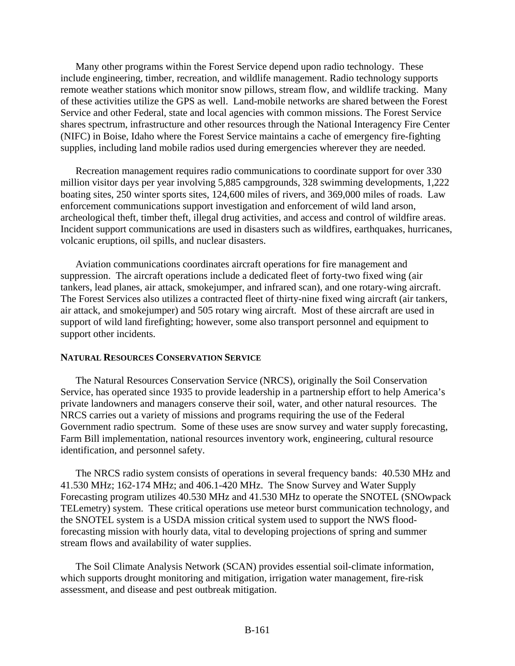Many other programs within the Forest Service depend upon radio technology. These include engineering, timber, recreation, and wildlife management. Radio technology supports remote weather stations which monitor snow pillows, stream flow, and wildlife tracking. Many of these activities utilize the GPS as well. Land-mobile networks are shared between the Forest Service and other Federal, state and local agencies with common missions. The Forest Service shares spectrum, infrastructure and other resources through the National Interagency Fire Center (NIFC) in Boise, Idaho where the Forest Service maintains a cache of emergency fire-fighting supplies, including land mobile radios used during emergencies wherever they are needed.

Recreation management requires radio communications to coordinate support for over 330 million visitor days per year involving 5,885 campgrounds, 328 swimming developments, 1,222 boating sites, 250 winter sports sites, 124,600 miles of rivers, and 369,000 miles of roads. Law enforcement communications support investigation and enforcement of wild land arson, archeological theft, timber theft, illegal drug activities, and access and control of wildfire areas. Incident support communications are used in disasters such as wildfires, earthquakes, hurricanes, volcanic eruptions, oil spills, and nuclear disasters.

Aviation communications coordinates aircraft operations for fire management and suppression. The aircraft operations include a dedicated fleet of forty-two fixed wing (air tankers, lead planes, air attack, smokejumper, and infrared scan), and one rotary-wing aircraft. The Forest Services also utilizes a contracted fleet of thirty-nine fixed wing aircraft (air tankers, air attack, and smokejumper) and 505 rotary wing aircraft. Most of these aircraft are used in support of wild land firefighting; however, some also transport personnel and equipment to support other incidents.

#### **NATURAL RESOURCES CONSERVATION SERVICE**

The Natural Resources Conservation Service (NRCS), originally the Soil Conservation Service, has operated since 1935 to provide leadership in a partnership effort to help America's private landowners and managers conserve their soil, water, and other natural resources. The NRCS carries out a variety of missions and programs requiring the use of the Federal Government radio spectrum. Some of these uses are snow survey and water supply forecasting, Farm Bill implementation, national resources inventory work, engineering, cultural resource identification, and personnel safety.

The NRCS radio system consists of operations in several frequency bands: 40.530 MHz and 41.530 MHz; 162-174 MHz; and 406.1-420 MHz. The Snow Survey and Water Supply Forecasting program utilizes 40.530 MHz and 41.530 MHz to operate the SNOTEL (SNOwpack TELemetry) system. These critical operations use meteor burst communication technology, and the SNOTEL system is a USDA mission critical system used to support the NWS floodforecasting mission with hourly data, vital to developing projections of spring and summer stream flows and availability of water supplies.

The Soil Climate Analysis Network (SCAN) provides essential soil-climate information, which supports drought monitoring and mitigation, irrigation water management, fire-risk assessment, and disease and pest outbreak mitigation.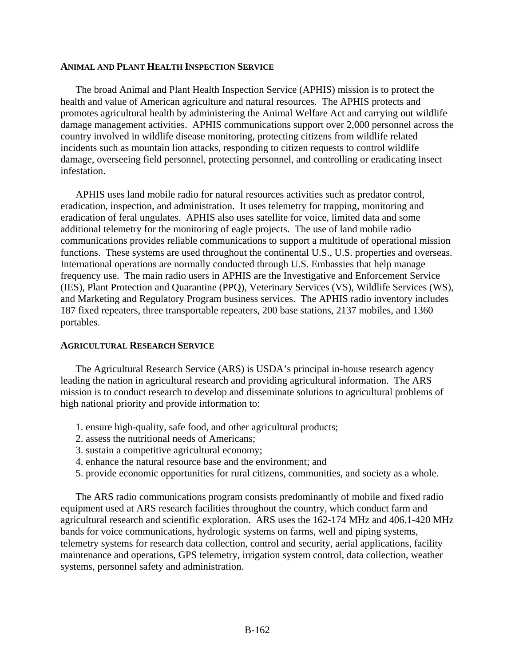#### **ANIMAL AND PLANT HEALTH INSPECTION SERVICE**

The broad Animal and Plant Health Inspection Service (APHIS) mission is to protect the health and value of American agriculture and natural resources. The APHIS protects and promotes agricultural health by administering the Animal Welfare Act and carrying out wildlife damage management activities. APHIS communications support over 2,000 personnel across the country involved in wildlife disease monitoring, protecting citizens from wildlife related incidents such as mountain lion attacks, responding to citizen requests to control wildlife damage, overseeing field personnel, protecting personnel, and controlling or eradicating insect infestation.

APHIS uses land mobile radio for natural resources activities such as predator control, eradication, inspection, and administration. It uses telemetry for trapping, monitoring and eradication of feral ungulates. APHIS also uses satellite for voice, limited data and some additional telemetry for the monitoring of eagle projects. The use of land mobile radio communications provides reliable communications to support a multitude of operational mission functions. These systems are used throughout the continental U.S., U.S. properties and overseas. International operations are normally conducted through U.S. Embassies that help manage frequency use. The main radio users in APHIS are the Investigative and Enforcement Service (IES), Plant Protection and Quarantine (PPQ), Veterinary Services (VS), Wildlife Services (WS), and Marketing and Regulatory Program business services. The APHIS radio inventory includes 187 fixed repeaters, three transportable repeaters, 200 base stations, 2137 mobiles, and 1360 portables.

#### **AGRICULTURAL RESEARCH SERVICE**

The Agricultural Research Service (ARS) is USDA's principal in-house research agency leading the nation in agricultural research and providing agricultural information. The ARS mission is to conduct research to develop and disseminate solutions to agricultural problems of high national priority and provide information to:

- 1. ensure high-quality, safe food, and other agricultural products;
- 2. assess the nutritional needs of Americans;
- 3. sustain a competitive agricultural economy;
- 4. enhance the natural resource base and the environment; and
- 5. provide economic opportunities for rural citizens, communities, and society as a whole.

The ARS radio communications program consists predominantly of mobile and fixed radio equipment used at ARS research facilities throughout the country, which conduct farm and agricultural research and scientific exploration. ARS uses the 162-174 MHz and 406.1-420 MHz bands for voice communications, hydrologic systems on farms, well and piping systems, telemetry systems for research data collection, control and security, aerial applications, facility maintenance and operations, GPS telemetry, irrigation system control, data collection, weather systems, personnel safety and administration.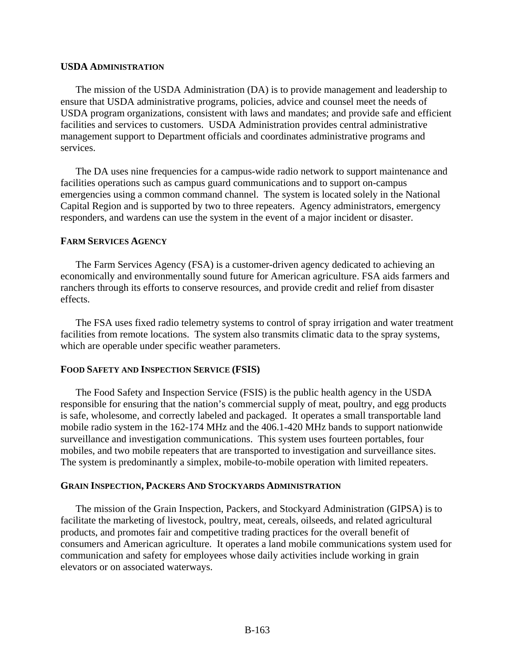#### **USDA ADMINISTRATION**

The mission of the USDA Administration (DA) is to provide management and leadership to ensure that USDA administrative programs, policies, advice and counsel meet the needs of USDA program organizations, consistent with laws and mandates; and provide safe and efficient facilities and services to customers. USDA Administration provides central administrative management support to Department officials and coordinates administrative programs and services.

The DA uses nine frequencies for a campus-wide radio network to support maintenance and facilities operations such as campus guard communications and to support on-campus emergencies using a common command channel. The system is located solely in the National Capital Region and is supported by two to three repeaters. Agency administrators, emergency responders, and wardens can use the system in the event of a major incident or disaster.

#### **FARM SERVICES AGENCY**

The Farm Services Agency (FSA) is a customer-driven agency dedicated to achieving an economically and environmentally sound future for American agriculture. FSA aids farmers and ranchers through its efforts to conserve resources, and provide credit and relief from disaster effects.

The FSA uses fixed radio telemetry systems to control of spray irrigation and water treatment facilities from remote locations. The system also transmits climatic data to the spray systems, which are operable under specific weather parameters.

#### **FOOD SAFETY AND INSPECTION SERVICE (FSIS)**

The Food Safety and Inspection Service (FSIS) is the public health agency in the USDA responsible for ensuring that the nation's commercial supply of meat, poultry, and egg products is safe, wholesome, and correctly labeled and packaged. It operates a small transportable land mobile radio system in the 162-174 MHz and the 406.1-420 MHz bands to support nationwide surveillance and investigation communications. This system uses fourteen portables, four mobiles, and two mobile repeaters that are transported to investigation and surveillance sites. The system is predominantly a simplex, mobile-to-mobile operation with limited repeaters.

#### **GRAIN INSPECTION, PACKERS AND STOCKYARDS ADMINISTRATION**

The mission of the Grain Inspection, Packers, and Stockyard Administration (GIPSA) is to facilitate the marketing of livestock, poultry, meat, cereals, oilseeds, and related agricultural products, and promotes fair and competitive trading practices for the overall benefit of consumers and American agriculture. It operates a land mobile communications system used for communication and safety for employees whose daily activities include working in grain elevators or on associated waterways.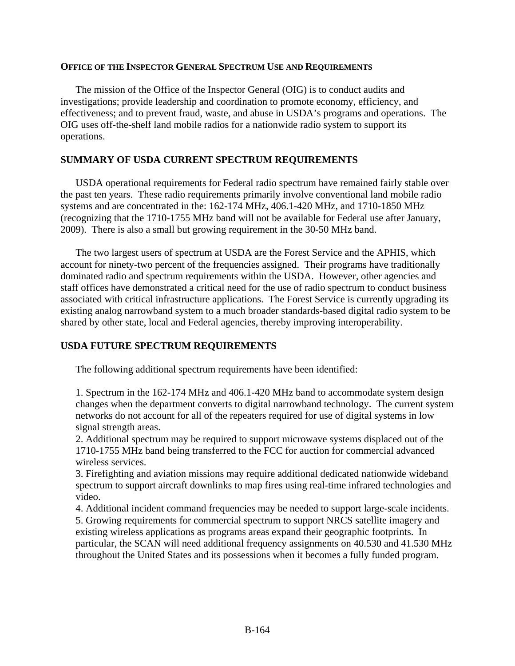#### **OFFICE OF THE INSPECTOR GENERAL SPECTRUM USE AND REQUIREMENTS**

The mission of the Office of the Inspector General (OIG) is to conduct audits and investigations; provide leadership and coordination to promote economy, efficiency, and effectiveness; and to prevent fraud, waste, and abuse in USDA's programs and operations. The OIG uses off-the-shelf land mobile radios for a nationwide radio system to support its operations.

## **SUMMARY OF USDA CURRENT SPECTRUM REQUIREMENTS**

USDA operational requirements for Federal radio spectrum have remained fairly stable over the past ten years. These radio requirements primarily involve conventional land mobile radio systems and are concentrated in the: 162-174 MHz, 406.1-420 MHz, and 1710-1850 MHz (recognizing that the 1710-1755 MHz band will not be available for Federal use after January, 2009). There is also a small but growing requirement in the 30-50 MHz band.

The two largest users of spectrum at USDA are the Forest Service and the APHIS, which account for ninety-two percent of the frequencies assigned. Their programs have traditionally dominated radio and spectrum requirements within the USDA. However, other agencies and staff offices have demonstrated a critical need for the use of radio spectrum to conduct business associated with critical infrastructure applications. The Forest Service is currently upgrading its existing analog narrowband system to a much broader standards-based digital radio system to be shared by other state, local and Federal agencies, thereby improving interoperability.

# **USDA FUTURE SPECTRUM REQUIREMENTS**

The following additional spectrum requirements have been identified:

1. Spectrum in the 162-174 MHz and 406.1-420 MHz band to accommodate system design changes when the department converts to digital narrowband technology. The current system networks do not account for all of the repeaters required for use of digital systems in low signal strength areas.

2. Additional spectrum may be required to support microwave systems displaced out of the 1710-1755 MHz band being transferred to the FCC for auction for commercial advanced wireless services.

3. Firefighting and aviation missions may require additional dedicated nationwide wideband spectrum to support aircraft downlinks to map fires using real-time infrared technologies and video.

4. Additional incident command frequencies may be needed to support large-scale incidents. 5. Growing requirements for commercial spectrum to support NRCS satellite imagery and existing wireless applications as programs areas expand their geographic footprints. In particular, the SCAN will need additional frequency assignments on 40.530 and 41.530 MHz throughout the United States and its possessions when it becomes a fully funded program.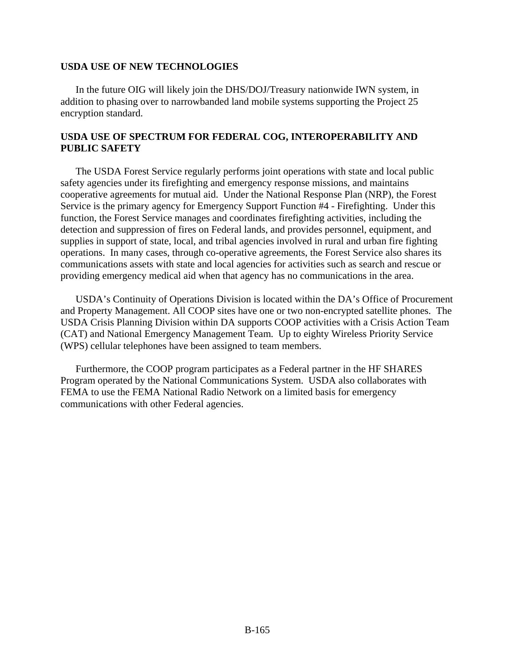#### **USDA USE OF NEW TECHNOLOGIES**

In the future OIG will likely join the DHS/DOJ/Treasury nationwide IWN system, in addition to phasing over to narrowbanded land mobile systems supporting the Project 25 encryption standard.

## **USDA USE OF SPECTRUM FOR FEDERAL COG, INTEROPERABILITY AND PUBLIC SAFETY**

The USDA Forest Service regularly performs joint operations with state and local public safety agencies under its firefighting and emergency response missions, and maintains cooperative agreements for mutual aid. Under the National Response Plan (NRP), the Forest Service is the primary agency for Emergency Support Function #4 - Firefighting. Under this function, the Forest Service manages and coordinates firefighting activities, including the detection and suppression of fires on Federal lands, and provides personnel, equipment, and supplies in support of state, local, and tribal agencies involved in rural and urban fire fighting operations. In many cases, through co-operative agreements, the Forest Service also shares its communications assets with state and local agencies for activities such as search and rescue or providing emergency medical aid when that agency has no communications in the area.

USDA's Continuity of Operations Division is located within the DA's Office of Procurement and Property Management. All COOP sites have one or two non-encrypted satellite phones. The USDA Crisis Planning Division within DA supports COOP activities with a Crisis Action Team (CAT) and National Emergency Management Team. Up to eighty Wireless Priority Service (WPS) cellular telephones have been assigned to team members.

Furthermore, the COOP program participates as a Federal partner in the HF SHARES Program operated by the National Communications System. USDA also collaborates with FEMA to use the FEMA National Radio Network on a limited basis for emergency communications with other Federal agencies.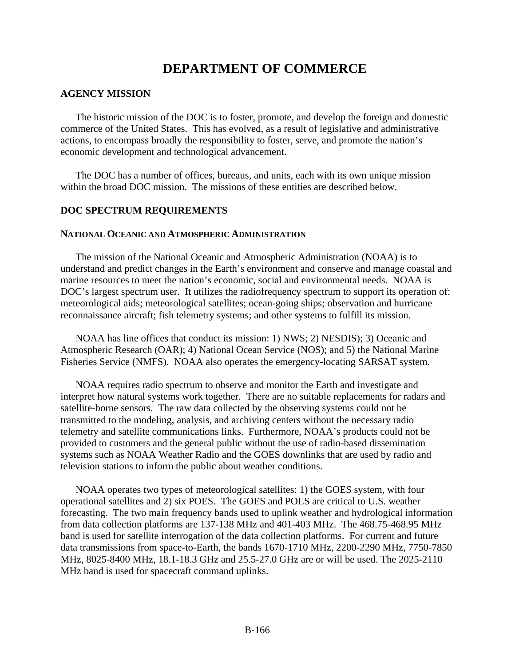# **DEPARTMENT OF COMMERCE**

## **AGENCY MISSION**

 The historic mission of the DOC is to foster, promote, and develop the foreign and domestic commerce of the United States. This has evolved, as a result of legislative and administrative actions, to encompass broadly the responsibility to foster, serve, and promote the nation's economic development and technological advancement.

 The DOC has a number of offices, bureaus, and units, each with its own unique mission within the broad DOC mission. The missions of these entities are described below.

# **DOC SPECTRUM REQUIREMENTS**

## **NATIONAL OCEANIC AND ATMOSPHERIC ADMINISTRATION**

The mission of the National Oceanic and Atmospheric Administration (NOAA) is to understand and predict changes in the Earth's environment and conserve and manage coastal and marine resources to meet the nation's economic, social and environmental needs. NOAA is DOC's largest spectrum user. It utilizes the radiofrequency spectrum to support its operation of: meteorological aids; meteorological satellites; ocean-going ships; observation and hurricane reconnaissance aircraft; fish telemetry systems; and other systems to fulfill its mission.

NOAA has line offices that conduct its mission: 1) NWS; 2) NESDIS); 3) Oceanic and Atmospheric Research (OAR); 4) National Ocean Service (NOS); and 5) the National Marine Fisheries Service (NMFS). NOAA also operates the emergency-locating SARSAT system.

NOAA requires radio spectrum to observe and monitor the Earth and investigate and interpret how natural systems work together. There are no suitable replacements for radars and satellite-borne sensors. The raw data collected by the observing systems could not be transmitted to the modeling, analysis, and archiving centers without the necessary radio telemetry and satellite communications links. Furthermore, NOAA's products could not be provided to customers and the general public without the use of radio-based dissemination systems such as NOAA Weather Radio and the GOES downlinks that are used by radio and television stations to inform the public about weather conditions.

NOAA operates two types of meteorological satellites: 1) the GOES system, with four operational satellites and 2) six POES. The GOES and POES are critical to U.S. weather forecasting. The two main frequency bands used to uplink weather and hydrological information from data collection platforms are 137-138 MHz and 401-403 MHz. The 468.75-468.95 MHz band is used for satellite interrogation of the data collection platforms. For current and future data transmissions from space-to-Earth, the bands 1670-1710 MHz, 2200-2290 MHz, 7750-7850 MHz, 8025-8400 MHz, 18.1-18.3 GHz and 25.5-27.0 GHz are or will be used. The 2025-2110 MHz band is used for spacecraft command uplinks.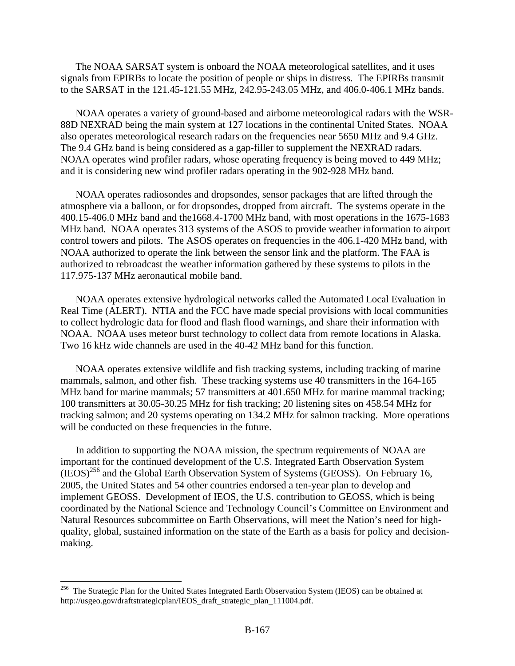The NOAA SARSAT system is onboard the NOAA meteorological satellites, and it uses signals from EPIRBs to locate the position of people or ships in distress. The EPIRBs transmit to the SARSAT in the 121.45-121.55 MHz, 242.95-243.05 MHz, and 406.0-406.1 MHz bands.

NOAA operates a variety of ground-based and airborne meteorological radars with the WSR-88D NEXRAD being the main system at 127 locations in the continental United States. NOAA also operates meteorological research radars on the frequencies near 5650 MHz and 9.4 GHz. The 9.4 GHz band is being considered as a gap-filler to supplement the NEXRAD radars. NOAA operates wind profiler radars, whose operating frequency is being moved to 449 MHz; and it is considering new wind profiler radars operating in the 902-928 MHz band.

NOAA operates radiosondes and dropsondes, sensor packages that are lifted through the atmosphere via a balloon, or for dropsondes, dropped from aircraft. The systems operate in the 400.15-406.0 MHz band and the1668.4-1700 MHz band, with most operations in the 1675-1683 MHz band. NOAA operates 313 systems of the ASOS to provide weather information to airport control towers and pilots. The ASOS operates on frequencies in the 406.1-420 MHz band, with NOAA authorized to operate the link between the sensor link and the platform. The FAA is authorized to rebroadcast the weather information gathered by these systems to pilots in the 117.975-137 MHz aeronautical mobile band.

NOAA operates extensive hydrological networks called the Automated Local Evaluation in Real Time (ALERT). NTIA and the FCC have made special provisions with local communities to collect hydrologic data for flood and flash flood warnings, and share their information with NOAA. NOAA uses meteor burst technology to collect data from remote locations in Alaska. Two 16 kHz wide channels are used in the 40-42 MHz band for this function.

NOAA operates extensive wildlife and fish tracking systems, including tracking of marine mammals, salmon, and other fish. These tracking systems use 40 transmitters in the 164-165 MHz band for marine mammals; 57 transmitters at 401.650 MHz for marine mammal tracking; 100 transmitters at 30.05-30.25 MHz for fish tracking; 20 listening sites on 458.54 MHz for tracking salmon; and 20 systems operating on 134.2 MHz for salmon tracking. More operations will be conducted on these frequencies in the future.

In addition to supporting the NOAA mission, the spectrum requirements of NOAA are important for the continued development of the U.S. Integrated Earth Observation System  $(IEOS)^{256}$  and the Global Earth Observation System of Systems (GEOSS). On February 16, 2005, the United States and 54 other countries endorsed a ten-year plan to develop and implement GEOSS. Development of IEOS, the U.S. contribution to GEOSS, which is being coordinated by the National Science and Technology Council's Committee on Environment and Natural Resources subcommittee on Earth Observations, will meet the Nation's need for highquality, global, sustained information on the state of the Earth as a basis for policy and decisionmaking.

 $\overline{a}$ 

<sup>&</sup>lt;sup>256</sup> The Strategic Plan for the United States Integrated Earth Observation System (IEOS) can be obtained at http://usgeo.gov/draftstrategicplan/IEOS\_draft\_strategic\_plan\_111004.pdf.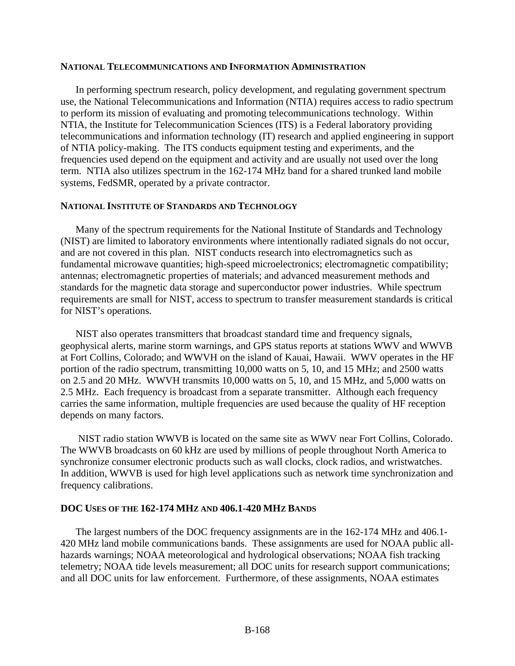#### **NATIONAL TELECOMMUNICATIONS AND INFORMATION ADMINISTRATION**

 In performing spectrum research, policy development, and regulating government spectrum use, the National Telecommunications and Information (NTIA) requires access to radio spectrum to perform its mission of evaluating and promoting telecommunications technology. Within NTIA, the Institute for Telecommunication Sciences (ITS) is a Federal laboratory providing telecommunications and information technology (IT) research and applied engineering in support of NTIA policy-making. The ITS conducts equipment testing and experiments, and the frequencies used depend on the equipment and activity and are usually not used over the long term. NTIA also utilizes spectrum in the 162-174 MHz band for a shared trunked land mobile systems, FedSMR, operated by a private contractor.

#### **NATIONAL INSTITUTE OF STANDARDS AND TECHNOLOGY**

Many of the spectrum requirements for the National Institute of Standards and Technology (NIST) are limited to laboratory environments where intentionally radiated signals do not occur, and are not covered in this plan. NIST conducts research into electromagnetics such as fundamental microwave quantities; high-speed microelectronics; electromagnetic compatibility; antennas; electromagnetic properties of materials; and advanced measurement methods and standards for the magnetic data storage and superconductor power industries. While spectrum requirements are small for NIST, access to spectrum to transfer measurement standards is critical for NIST's operations.

NIST also operates transmitters that broadcast standard time and frequency signals, geophysical alerts, marine storm warnings, and GPS status reports at stations WWV and WWVB at Fort Collins, Colorado; and WWVH on the island of Kauai, Hawaii. WWV operates in the HF portion of the radio spectrum, transmitting 10,000 watts on 5, 10, and 15 MHz; and 2500 watts on 2.5 and 20 MHz. WWVH transmits 10,000 watts on 5, 10, and 15 MHz, and 5,000 watts on 2.5 MHz. Each frequency is broadcast from a separate transmitter. Although each frequency carries the same information, multiple frequencies are used because the quality of HF reception depends on many factors.

 NIST radio station WWVB is located on the same site as WWV near Fort Collins, Colorado. The WWVB broadcasts on 60 kHz are used by millions of people throughout North America to synchronize consumer electronic products such as wall clocks, clock radios, and wristwatches. In addition, WWVB is used for high level applications such as network time synchronization and frequency calibrations.

#### **DOC USES OF THE 162-174 MHZ AND 406.1-420 MHZ BANDS**

The largest numbers of the DOC frequency assignments are in the 162-174 MHz and 406.1- 420 MHz land mobile communications bands. These assignments are used for NOAA public allhazards warnings; NOAA meteorological and hydrological observations; NOAA fish tracking telemetry; NOAA tide levels measurement; all DOC units for research support communications; and all DOC units for law enforcement. Furthermore, of these assignments, NOAA estimates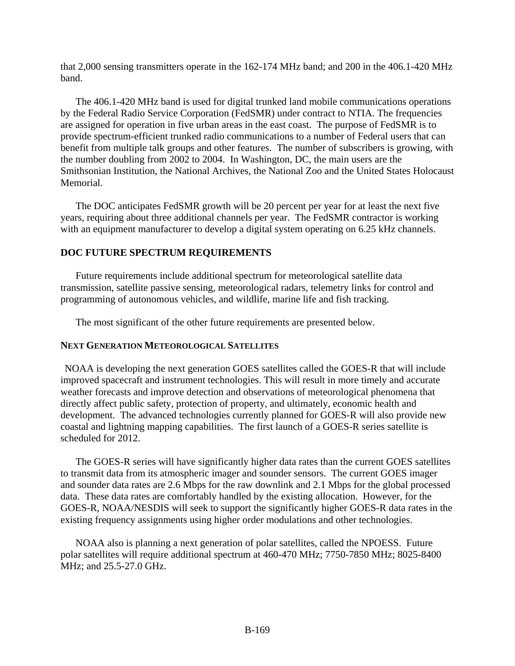that 2,000 sensing transmitters operate in the 162-174 MHz band; and 200 in the 406.1-420 MHz band.

The 406.1-420 MHz band is used for digital trunked land mobile communications operations by the Federal Radio Service Corporation (FedSMR) under contract to NTIA. The frequencies are assigned for operation in five urban areas in the east coast. The purpose of FedSMR is to provide spectrum-efficient trunked radio communications to a number of Federal users that can benefit from multiple talk groups and other features. The number of subscribers is growing, with the number doubling from 2002 to 2004. In Washington, DC, the main users are the Smithsonian Institution, the National Archives, the National Zoo and the United States Holocaust **Memorial** 

The DOC anticipates FedSMR growth will be 20 percent per year for at least the next five years, requiring about three additional channels per year. The FedSMR contractor is working with an equipment manufacturer to develop a digital system operating on 6.25 kHz channels.

# **DOC FUTURE SPECTRUM REQUIREMENTS**

Future requirements include additional spectrum for meteorological satellite data transmission, satellite passive sensing, meteorological radars, telemetry links for control and programming of autonomous vehicles, and wildlife, marine life and fish tracking.

The most significant of the other future requirements are presented below.

## **NEXT GENERATION METEOROLOGICAL SATELLITES**

 NOAA is developing the next generation GOES satellites called the GOES-R that will include improved spacecraft and instrument technologies. This will result in more timely and accurate weather forecasts and improve detection and observations of meteorological phenomena that directly affect public safety, protection of property, and ultimately, economic health and development. The advanced technologies currently planned for GOES-R will also provide new coastal and lightning mapping capabilities. The first launch of a GOES-R series satellite is scheduled for 2012.

The GOES-R series will have significantly higher data rates than the current GOES satellites to transmit data from its atmospheric imager and sounder sensors. The current GOES imager and sounder data rates are 2.6 Mbps for the raw downlink and 2.1 Mbps for the global processed data. These data rates are comfortably handled by the existing allocation. However, for the GOES-R, NOAA/NESDIS will seek to support the significantly higher GOES-R data rates in the existing frequency assignments using higher order modulations and other technologies.

NOAA also is planning a next generation of polar satellites, called the NPOESS. Future polar satellites will require additional spectrum at 460-470 MHz; 7750-7850 MHz; 8025-8400 MHz; and 25.5-27.0 GHz.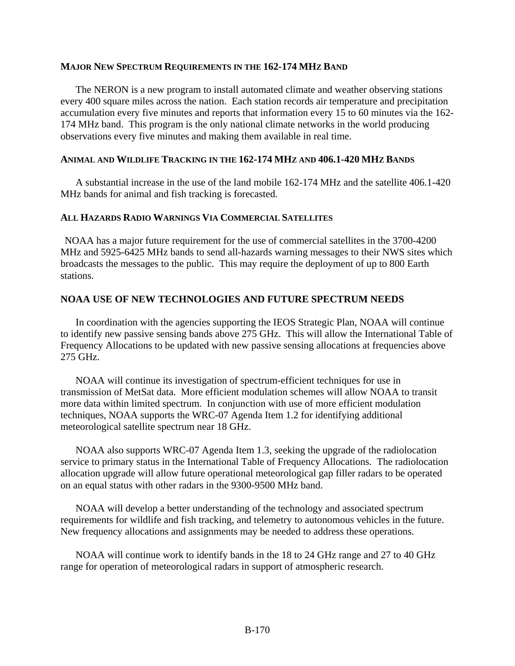#### **MAJOR NEW SPECTRUM REQUIREMENTS IN THE 162-174 MHZ BAND**

The NERON is a new program to install automated climate and weather observing stations every 400 square miles across the nation. Each station records air temperature and precipitation accumulation every five minutes and reports that information every 15 to 60 minutes via the 162- 174 MHz band. This program is the only national climate networks in the world producing observations every five minutes and making them available in real time.

## **ANIMAL AND WILDLIFE TRACKING IN THE 162-174 MHZ AND 406.1-420 MHZ BANDS**

A substantial increase in the use of the land mobile 162-174 MHz and the satellite 406.1-420 MHz bands for animal and fish tracking is forecasted.

## **ALL HAZARDS RADIO WARNINGS VIA COMMERCIAL SATELLITES**

NOAA has a major future requirement for the use of commercial satellites in the 3700-4200 MHz and 5925-6425 MHz bands to send all-hazards warning messages to their NWS sites which broadcasts the messages to the public. This may require the deployment of up to 800 Earth stations.

## **NOAA USE OF NEW TECHNOLOGIES AND FUTURE SPECTRUM NEEDS**

In coordination with the agencies supporting the IEOS Strategic Plan, NOAA will continue to identify new passive sensing bands above 275 GHz. This will allow the International Table of Frequency Allocations to be updated with new passive sensing allocations at frequencies above 275 GHz.

NOAA will continue its investigation of spectrum-efficient techniques for use in transmission of MetSat data. More efficient modulation schemes will allow NOAA to transit more data within limited spectrum. In conjunction with use of more efficient modulation techniques, NOAA supports the WRC-07 Agenda Item 1.2 for identifying additional meteorological satellite spectrum near 18 GHz.

NOAA also supports WRC-07 Agenda Item 1.3, seeking the upgrade of the radiolocation service to primary status in the International Table of Frequency Allocations. The radiolocation allocation upgrade will allow future operational meteorological gap filler radars to be operated on an equal status with other radars in the 9300-9500 MHz band.

NOAA will develop a better understanding of the technology and associated spectrum requirements for wildlife and fish tracking, and telemetry to autonomous vehicles in the future. New frequency allocations and assignments may be needed to address these operations.

NOAA will continue work to identify bands in the 18 to 24 GHz range and 27 to 40 GHz range for operation of meteorological radars in support of atmospheric research.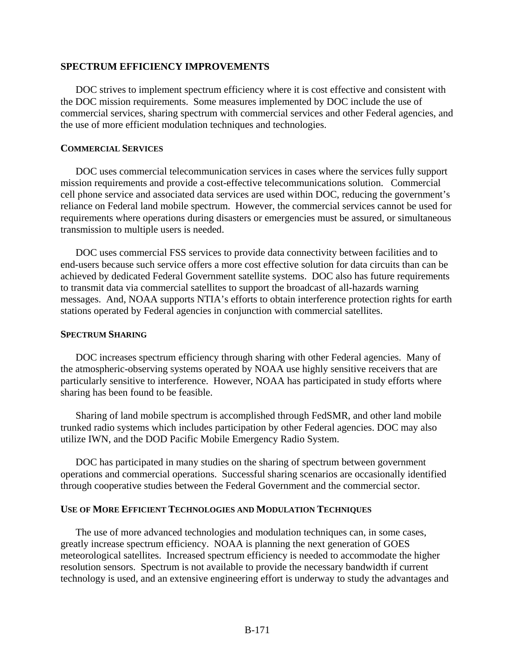#### **SPECTRUM EFFICIENCY IMPROVEMENTS**

DOC strives to implement spectrum efficiency where it is cost effective and consistent with the DOC mission requirements. Some measures implemented by DOC include the use of commercial services, sharing spectrum with commercial services and other Federal agencies, and the use of more efficient modulation techniques and technologies.

#### **COMMERCIAL SERVICES**

DOC uses commercial telecommunication services in cases where the services fully support mission requirements and provide a cost-effective telecommunications solution. Commercial cell phone service and associated data services are used within DOC, reducing the government's reliance on Federal land mobile spectrum. However, the commercial services cannot be used for requirements where operations during disasters or emergencies must be assured, or simultaneous transmission to multiple users is needed.

DOC uses commercial FSS services to provide data connectivity between facilities and to end-users because such service offers a more cost effective solution for data circuits than can be achieved by dedicated Federal Government satellite systems. DOC also has future requirements to transmit data via commercial satellites to support the broadcast of all-hazards warning messages. And, NOAA supports NTIA's efforts to obtain interference protection rights for earth stations operated by Federal agencies in conjunction with commercial satellites.

#### **SPECTRUM SHARING**

DOC increases spectrum efficiency through sharing with other Federal agencies. Many of the atmospheric-observing systems operated by NOAA use highly sensitive receivers that are particularly sensitive to interference. However, NOAA has participated in study efforts where sharing has been found to be feasible.

Sharing of land mobile spectrum is accomplished through FedSMR, and other land mobile trunked radio systems which includes participation by other Federal agencies. DOC may also utilize IWN, and the DOD Pacific Mobile Emergency Radio System.

DOC has participated in many studies on the sharing of spectrum between government operations and commercial operations. Successful sharing scenarios are occasionally identified through cooperative studies between the Federal Government and the commercial sector.

#### **USE OF MORE EFFICIENT TECHNOLOGIES AND MODULATION TECHNIQUES**

The use of more advanced technologies and modulation techniques can, in some cases, greatly increase spectrum efficiency. NOAA is planning the next generation of GOES meteorological satellites. Increased spectrum efficiency is needed to accommodate the higher resolution sensors. Spectrum is not available to provide the necessary bandwidth if current technology is used, and an extensive engineering effort is underway to study the advantages and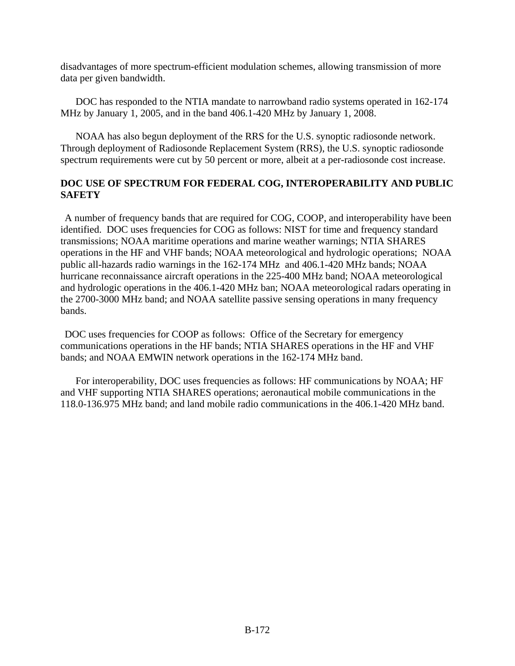disadvantages of more spectrum-efficient modulation schemes, allowing transmission of more data per given bandwidth.

DOC has responded to the NTIA mandate to narrowband radio systems operated in 162-174 MHz by January 1, 2005, and in the band 406.1-420 MHz by January 1, 2008.

NOAA has also begun deployment of the RRS for the U.S. synoptic radiosonde network. Through deployment of Radiosonde Replacement System (RRS), the U.S. synoptic radiosonde spectrum requirements were cut by 50 percent or more, albeit at a per-radiosonde cost increase.

## **DOC USE OF SPECTRUM FOR FEDERAL COG, INTEROPERABILITY AND PUBLIC SAFETY**

 A number of frequency bands that are required for COG, COOP, and interoperability have been identified. DOC uses frequencies for COG as follows: NIST for time and frequency standard transmissions; NOAA maritime operations and marine weather warnings; NTIA SHARES operations in the HF and VHF bands; NOAA meteorological and hydrologic operations; NOAA public all-hazards radio warnings in the 162-174 MHz and 406.1-420 MHz bands; NOAA hurricane reconnaissance aircraft operations in the 225-400 MHz band; NOAA meteorological and hydrologic operations in the 406.1-420 MHz ban; NOAA meteorological radars operating in the 2700-3000 MHz band; and NOAA satellite passive sensing operations in many frequency bands.

 DOC uses frequencies for COOP as follows: Office of the Secretary for emergency communications operations in the HF bands; NTIA SHARES operations in the HF and VHF bands; and NOAA EMWIN network operations in the 162-174 MHz band.

For interoperability, DOC uses frequencies as follows: HF communications by NOAA; HF and VHF supporting NTIA SHARES operations; aeronautical mobile communications in the 118.0-136.975 MHz band; and land mobile radio communications in the 406.1-420 MHz band.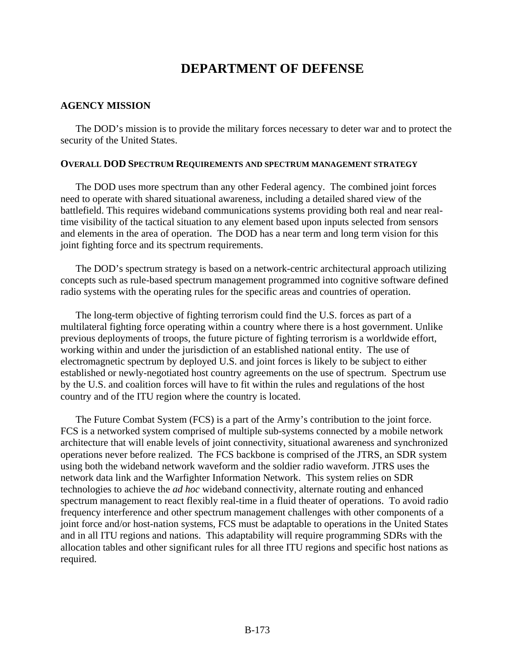# **DEPARTMENT OF DEFENSE**

#### **AGENCY MISSION**

The DOD's mission is to provide the military forces necessary to deter war and to protect the security of the United States.

#### **OVERALL DOD SPECTRUM REQUIREMENTS AND SPECTRUM MANAGEMENT STRATEGY**

The DOD uses more spectrum than any other Federal agency. The combined joint forces need to operate with shared situational awareness, including a detailed shared view of the battlefield. This requires wideband communications systems providing both real and near realtime visibility of the tactical situation to any element based upon inputs selected from sensors and elements in the area of operation. The DOD has a near term and long term vision for this joint fighting force and its spectrum requirements.

The DOD's spectrum strategy is based on a network-centric architectural approach utilizing concepts such as rule-based spectrum management programmed into cognitive software defined radio systems with the operating rules for the specific areas and countries of operation.

The long-term objective of fighting terrorism could find the U.S. forces as part of a multilateral fighting force operating within a country where there is a host government. Unlike previous deployments of troops, the future picture of fighting terrorism is a worldwide effort, working within and under the jurisdiction of an established national entity. The use of electromagnetic spectrum by deployed U.S. and joint forces is likely to be subject to either established or newly-negotiated host country agreements on the use of spectrum. Spectrum use by the U.S. and coalition forces will have to fit within the rules and regulations of the host country and of the ITU region where the country is located.

The Future Combat System (FCS) is a part of the Army's contribution to the joint force. FCS is a networked system comprised of multiple sub-systems connected by a mobile network architecture that will enable levels of joint connectivity, situational awareness and synchronized operations never before realized. The FCS backbone is comprised of the JTRS, an SDR system using both the wideband network waveform and the soldier radio waveform. JTRS uses the network data link and the Warfighter Information Network. This system relies on SDR technologies to achieve the *ad hoc* wideband connectivity, alternate routing and enhanced spectrum management to react flexibly real-time in a fluid theater of operations. To avoid radio frequency interference and other spectrum management challenges with other components of a joint force and/or host-nation systems, FCS must be adaptable to operations in the United States and in all ITU regions and nations. This adaptability will require programming SDRs with the allocation tables and other significant rules for all three ITU regions and specific host nations as required.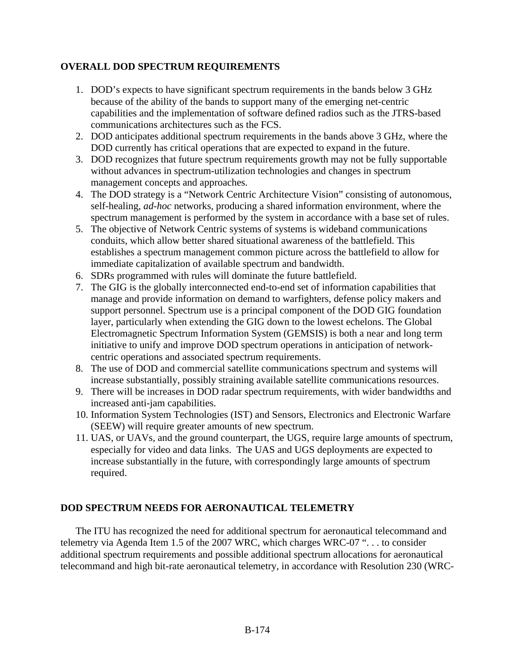# **OVERALL DOD SPECTRUM REQUIREMENTS**

- 1. DOD's expects to have significant spectrum requirements in the bands below 3 GHz because of the ability of the bands to support many of the emerging net-centric capabilities and the implementation of software defined radios such as the JTRS-based communications architectures such as the FCS.
- 2. DOD anticipates additional spectrum requirements in the bands above 3 GHz, where the DOD currently has critical operations that are expected to expand in the future.
- 3. DOD recognizes that future spectrum requirements growth may not be fully supportable without advances in spectrum-utilization technologies and changes in spectrum management concepts and approaches.
- 4. The DOD strategy is a "Network Centric Architecture Vision" consisting of autonomous, self-healing, *ad-hoc* networks, producing a shared information environment, where the spectrum management is performed by the system in accordance with a base set of rules.
- 5. The objective of Network Centric systems of systems is wideband communications conduits, which allow better shared situational awareness of the battlefield. This establishes a spectrum management common picture across the battlefield to allow for immediate capitalization of available spectrum and bandwidth.
- 6. SDRs programmed with rules will dominate the future battlefield.
- 7. The GIG is the globally interconnected end-to-end set of information capabilities that manage and provide information on demand to warfighters, defense policy makers and support personnel. Spectrum use is a principal component of the DOD GIG foundation layer, particularly when extending the GIG down to the lowest echelons. The Global Electromagnetic Spectrum Information System (GEMSIS) is both a near and long term initiative to unify and improve DOD spectrum operations in anticipation of networkcentric operations and associated spectrum requirements.
- 8. The use of DOD and commercial satellite communications spectrum and systems will increase substantially, possibly straining available satellite communications resources.
- 9. There will be increases in DOD radar spectrum requirements, with wider bandwidths and increased anti-jam capabilities.
- 10. Information System Technologies (IST) and Sensors, Electronics and Electronic Warfare (SEEW) will require greater amounts of new spectrum.
- 11. UAS, or UAVs, and the ground counterpart, the UGS, require large amounts of spectrum, especially for video and data links. The UAS and UGS deployments are expected to increase substantially in the future, with correspondingly large amounts of spectrum required.

# **DOD SPECTRUM NEEDS FOR AERONAUTICAL TELEMETRY**

The ITU has recognized the need for additional spectrum for aeronautical telecommand and telemetry via Agenda Item 1.5 of the 2007 WRC, which charges WRC-07 ". . . to consider additional spectrum requirements and possible additional spectrum allocations for aeronautical telecommand and high bit-rate aeronautical telemetry, in accordance with Resolution 230 (WRC-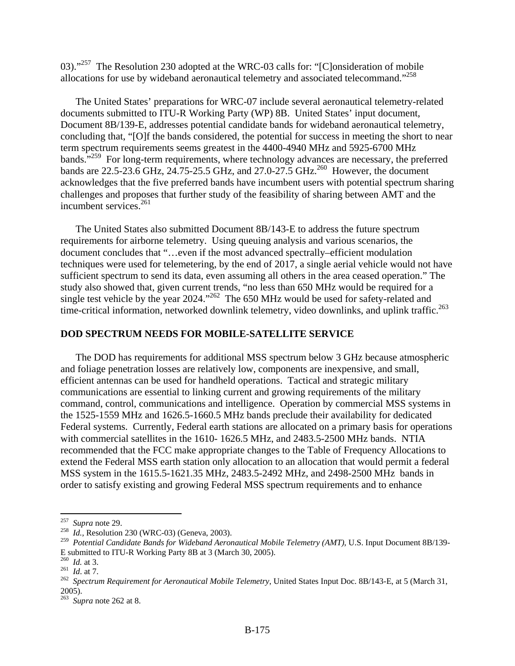03)."<sup>257</sup> The Resolution 230 adopted at the WRC-03 calls for: "[C]onsideration of mobile allocations for use by wideband aeronautical telemetry and associated telecommand."258

The United States' preparations for WRC-07 include several aeronautical telemetry-related documents submitted to ITU-R Working Party (WP) 8B. United States' input document, Document 8B/139-E, addresses potential candidate bands for wideband aeronautical telemetry, concluding that, "[O]f the bands considered, the potential for success in meeting the short to near term spectrum requirements seems greatest in the 4400-4940 MHz and 5925-6700 MHz bands."<sup>259</sup> For long-term requirements, where technology advances are necessary, the preferred bands are 22.5-23.6 GHz, 24.75-25.5 GHz, and 27.0-27.5 GHz.<sup>260</sup> However, the document acknowledges that the five preferred bands have incumbent users with potential spectrum sharing challenges and proposes that further study of the feasibility of sharing between AMT and the incumbent services.<sup>261</sup>

The United States also submitted Document 8B/143-E to address the future spectrum requirements for airborne telemetry. Using queuing analysis and various scenarios, the document concludes that "…even if the most advanced spectrally–efficient modulation techniques were used for telemetering, by the end of 2017, a single aerial vehicle would not have sufficient spectrum to send its data, even assuming all others in the area ceased operation." The study also showed that, given current trends, "no less than 650 MHz would be required for a single test vehicle by the year  $2024$ ."<sup>262</sup> The 650 MHz would be used for safety-related and time-critical information, networked downlink telemetry, video downlinks, and uplink traffic.<sup>263</sup>

## **DOD SPECTRUM NEEDS FOR MOBILE-SATELLITE SERVICE**

 The DOD has requirements for additional MSS spectrum below 3 GHz because atmospheric and foliage penetration losses are relatively low, components are inexpensive, and small, efficient antennas can be used for handheld operations. Tactical and strategic military communications are essential to linking current and growing requirements of the military command, control, communications and intelligence. Operation by commercial MSS systems in the 1525-1559 MHz and 1626.5-1660.5 MHz bands preclude their availability for dedicated Federal systems. Currently, Federal earth stations are allocated on a primary basis for operations with commercial satellites in the 1610- 1626.5 MHz, and 2483.5-2500 MHz bands. NTIA recommended that the FCC make appropriate changes to the Table of Frequency Allocations to extend the Federal MSS earth station only allocation to an allocation that would permit a federal MSS system in the 1615.5-1621.35 MHz, 2483.5-2492 MHz, and 2498-2500 MHz bands in order to satisfy existing and growing Federal MSS spectrum requirements and to enhance

 $257$  Supra note 29.

<sup>&</sup>lt;sup>258</sup> *Id.*, Resolution 230 (WRC-03) (Geneva, 2003).

<sup>259</sup> *Potential Candidate Bands for Wideband Aeronautical Mobile Telemetry (AMT)*, U.S. Input Document 8B/139- E submitted to ITU-R Working Party 8B at 3 (March 30, 2005).<br><sup>260</sup> Id. at 3.

<sup>261</sup> *Id. at 7.*<br><sup>261</sup> *Id.* at 7.<br><sup>262</sup> *Spectrum Requirement for Aeronautical Mobile Telemetry*, United States Input Doc. 8B/143-E, at 5 (March 31, 2005).

<sup>263</sup> *Supra* note 262 at 8.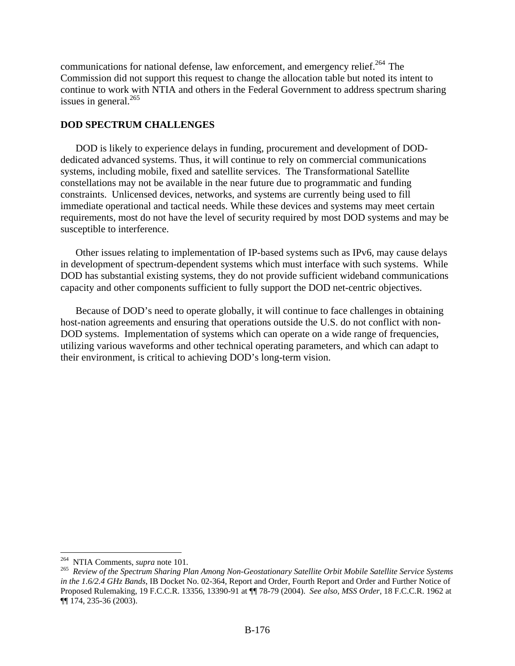communications for national defense, law enforcement, and emergency relief.<sup>264</sup> The Commission did not support this request to change the allocation table but noted its intent to continue to work with NTIA and others in the Federal Government to address spectrum sharing issues in general. $^{265}$ 

## **DOD SPECTRUM CHALLENGES**

DOD is likely to experience delays in funding, procurement and development of DODdedicated advanced systems. Thus, it will continue to rely on commercial communications systems, including mobile, fixed and satellite services. The Transformational Satellite constellations may not be available in the near future due to programmatic and funding constraints. Unlicensed devices, networks, and systems are currently being used to fill immediate operational and tactical needs. While these devices and systems may meet certain requirements, most do not have the level of security required by most DOD systems and may be susceptible to interference.

Other issues relating to implementation of IP-based systems such as IPv6, may cause delays in development of spectrum-dependent systems which must interface with such systems. While DOD has substantial existing systems, they do not provide sufficient wideband communications capacity and other components sufficient to fully support the DOD net-centric objectives.

Because of DOD's need to operate globally, it will continue to face challenges in obtaining host-nation agreements and ensuring that operations outside the U.S. do not conflict with non-DOD systems. Implementation of systems which can operate on a wide range of frequencies, utilizing various waveforms and other technical operating parameters, and which can adapt to their environment, is critical to achieving DOD's long-term vision.

 $\overline{a}$ 

<sup>&</sup>lt;sup>264</sup> NTIA Comments, *supra* note 101.<br><sup>265</sup> Review of the Spectrum Sharing Plan Among Non-Geostationary Satellite Orbit Mobile Satellite Service Systems *in the 1.6/2.4 GHz Bands*, IB Docket No. 02-364, Report and Order, Fourth Report and Order and Further Notice of Proposed Rulemaking, 19 F.C.C.R. 13356, 13390-91 at ¶¶ 78-79 (2004). *See also, MSS Order*, 18 F.C.C.R. 1962 at ¶¶ 174, 235-36 (2003).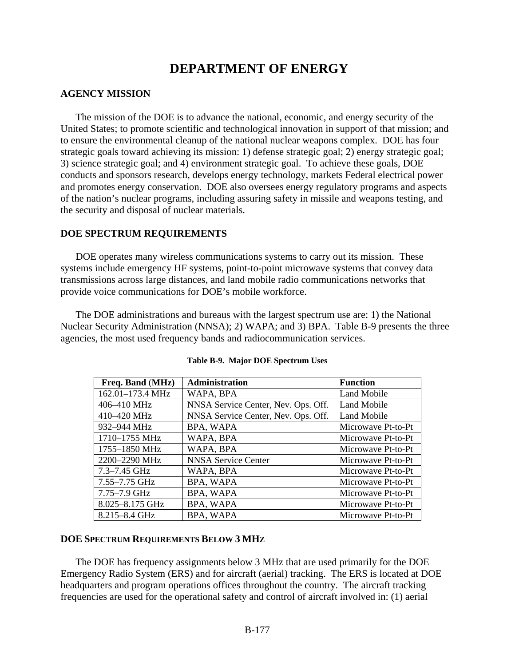# **DEPARTMENT OF ENERGY**

## **AGENCY MISSION**

The mission of the DOE is to advance the national, economic, and energy security of the United States; to promote scientific and technological innovation in support of that mission; and to ensure the environmental cleanup of the national nuclear weapons complex. DOE has four strategic goals toward achieving its mission: 1) defense strategic goal; 2) energy strategic goal; 3) science strategic goal; and 4) environment strategic goal. To achieve these goals, DOE conducts and sponsors research, develops energy technology, markets Federal electrical power and promotes energy conservation. DOE also oversees energy regulatory programs and aspects of the nation's nuclear programs, including assuring safety in missile and weapons testing, and the security and disposal of nuclear materials.

## **DOE SPECTRUM REQUIREMENTS**

DOE operates many wireless communications systems to carry out its mission. These systems include emergency HF systems, point-to-point microwave systems that convey data transmissions across large distances, and land mobile radio communications networks that provide voice communications for DOE's mobile workforce.

The DOE administrations and bureaus with the largest spectrum use are: 1) the National Nuclear Security Administration (NNSA); 2) WAPA; and 3) BPA. Table B-9 presents the three agencies, the most used frequency bands and radiocommunication services.

| Freq. Band (MHz) | <b>Administration</b>               | <b>Function</b>    |
|------------------|-------------------------------------|--------------------|
| 162.01-173.4 MHz | WAPA, BPA                           | Land Mobile        |
| 406-410 MHz      | NNSA Service Center, Nev. Ops. Off. | Land Mobile        |
| 410-420 MHz      | NNSA Service Center, Nev. Ops. Off. | Land Mobile        |
| 932-944 MHz      | BPA, WAPA                           | Microwave Pt-to-Pt |
| 1710-1755 MHz    | WAPA, BPA                           | Microwave Pt-to-Pt |
| 1755-1850 MHz    | WAPA, BPA                           | Microwave Pt-to-Pt |
| 2200-2290 MHz    | <b>NNSA Service Center</b>          | Microwave Pt-to-Pt |
| 7.3-7.45 GHz     | WAPA, BPA                           | Microwave Pt-to-Pt |
| 7.55–7.75 GHz    | BPA, WAPA                           | Microwave Pt-to-Pt |
| 7.75–7.9 GHz     | BPA, WAPA                           | Microwave Pt-to-Pt |
| 8.025-8.175 GHz  | BPA, WAPA                           | Microwave Pt-to-Pt |
| 8.215-8.4 GHz    | <b>BPA, WAPA</b>                    | Microwave Pt-to-Pt |

|  |  |  | Table B-9. Major DOE Spectrum Uses |  |
|--|--|--|------------------------------------|--|
|--|--|--|------------------------------------|--|

## **DOE SPECTRUM REQUIREMENTS BELOW 3 MHZ**

The DOE has frequency assignments below 3 MHz that are used primarily for the DOE Emergency Radio System (ERS) and for aircraft (aerial) tracking. The ERS is located at DOE headquarters and program operations offices throughout the country. The aircraft tracking frequencies are used for the operational safety and control of aircraft involved in: (1) aerial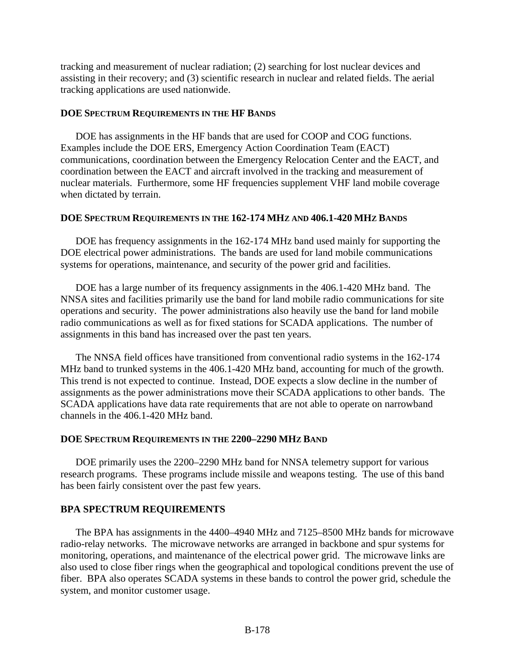tracking and measurement of nuclear radiation; (2) searching for lost nuclear devices and assisting in their recovery; and (3) scientific research in nuclear and related fields. The aerial tracking applications are used nationwide.

### **DOE SPECTRUM REQUIREMENTS IN THE HF BANDS**

DOE has assignments in the HF bands that are used for COOP and COG functions. Examples include the DOE ERS, Emergency Action Coordination Team (EACT) communications, coordination between the Emergency Relocation Center and the EACT, and coordination between the EACT and aircraft involved in the tracking and measurement of nuclear materials. Furthermore, some HF frequencies supplement VHF land mobile coverage when dictated by terrain.

## **DOE SPECTRUM REQUIREMENTS IN THE 162-174 MHZ AND 406.1-420 MHZ BANDS**

DOE has frequency assignments in the 162-174 MHz band used mainly for supporting the DOE electrical power administrations. The bands are used for land mobile communications systems for operations, maintenance, and security of the power grid and facilities.

DOE has a large number of its frequency assignments in the 406.1-420 MHz band. The NNSA sites and facilities primarily use the band for land mobile radio communications for site operations and security. The power administrations also heavily use the band for land mobile radio communications as well as for fixed stations for SCADA applications. The number of assignments in this band has increased over the past ten years.

The NNSA field offices have transitioned from conventional radio systems in the 162-174 MHz band to trunked systems in the 406.1-420 MHz band, accounting for much of the growth. This trend is not expected to continue. Instead, DOE expects a slow decline in the number of assignments as the power administrations move their SCADA applications to other bands. The SCADA applications have data rate requirements that are not able to operate on narrowband channels in the 406.1-420 MHz band.

## **DOE SPECTRUM REQUIREMENTS IN THE 2200–2290 MHZ BAND**

DOE primarily uses the 2200–2290 MHz band for NNSA telemetry support for various research programs. These programs include missile and weapons testing. The use of this band has been fairly consistent over the past few years.

## **BPA SPECTRUM REQUIREMENTS**

The BPA has assignments in the 4400–4940 MHz and 7125–8500 MHz bands for microwave radio-relay networks. The microwave networks are arranged in backbone and spur systems for monitoring, operations, and maintenance of the electrical power grid. The microwave links are also used to close fiber rings when the geographical and topological conditions prevent the use of fiber. BPA also operates SCADA systems in these bands to control the power grid, schedule the system, and monitor customer usage.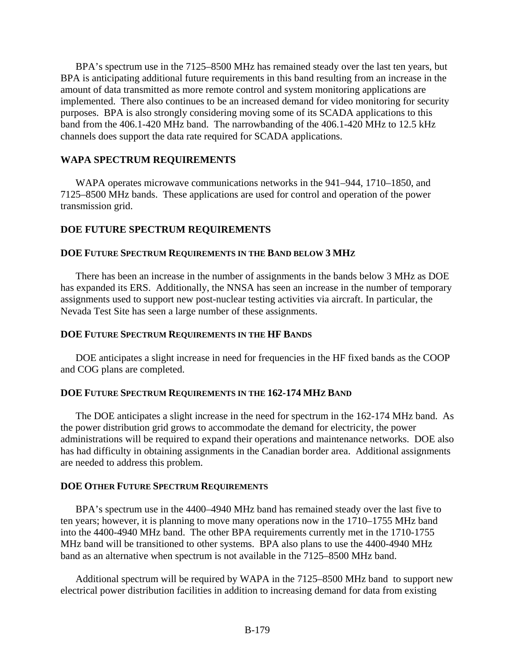BPA's spectrum use in the 7125–8500 MHz has remained steady over the last ten years, but BPA is anticipating additional future requirements in this band resulting from an increase in the amount of data transmitted as more remote control and system monitoring applications are implemented. There also continues to be an increased demand for video monitoring for security purposes. BPA is also strongly considering moving some of its SCADA applications to this band from the 406.1-420 MHz band. The narrowbanding of the 406.1-420 MHz to 12.5 kHz channels does support the data rate required for SCADA applications.

## **WAPA SPECTRUM REQUIREMENTS**

WAPA operates microwave communications networks in the 941–944, 1710–1850, and 7125–8500 MHz bands. These applications are used for control and operation of the power transmission grid.

#### **DOE FUTURE SPECTRUM REQUIREMENTS**

#### **DOE FUTURE SPECTRUM REQUIREMENTS IN THE BAND BELOW 3 MHZ**

There has been an increase in the number of assignments in the bands below 3 MHz as DOE has expanded its ERS. Additionally, the NNSA has seen an increase in the number of temporary assignments used to support new post-nuclear testing activities via aircraft. In particular, the Nevada Test Site has seen a large number of these assignments.

#### **DOE FUTURE SPECTRUM REQUIREMENTS IN THE HF BANDS**

DOE anticipates a slight increase in need for frequencies in the HF fixed bands as the COOP and COG plans are completed.

#### **DOE FUTURE SPECTRUM REQUIREMENTS IN THE 162-174 MHZ BAND**

The DOE anticipates a slight increase in the need for spectrum in the 162-174 MHz band. As the power distribution grid grows to accommodate the demand for electricity, the power administrations will be required to expand their operations and maintenance networks. DOE also has had difficulty in obtaining assignments in the Canadian border area. Additional assignments are needed to address this problem.

#### **DOE OTHER FUTURE SPECTRUM REQUIREMENTS**

BPA's spectrum use in the 4400–4940 MHz band has remained steady over the last five to ten years; however, it is planning to move many operations now in the 1710–1755 MHz band into the 4400-4940 MHz band. The other BPA requirements currently met in the 1710-1755 MHz band will be transitioned to other systems. BPA also plans to use the 4400-4940 MHz band as an alternative when spectrum is not available in the 7125–8500 MHz band.

Additional spectrum will be required by WAPA in the 7125–8500 MHz band to support new electrical power distribution facilities in addition to increasing demand for data from existing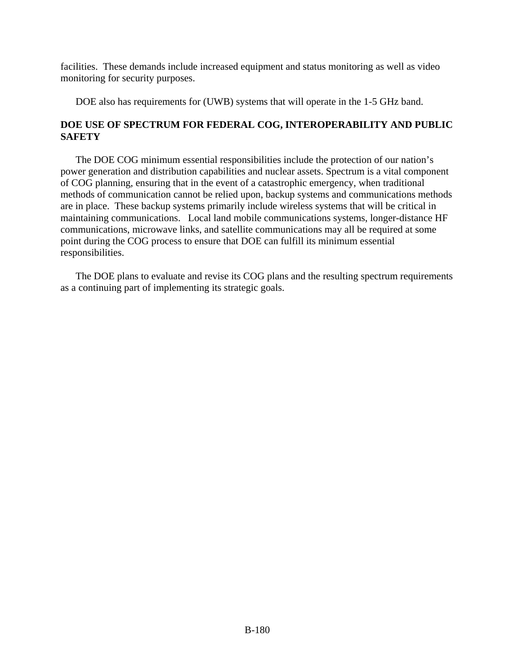facilities. These demands include increased equipment and status monitoring as well as video monitoring for security purposes.

DOE also has requirements for (UWB) systems that will operate in the 1-5 GHz band.

# **DOE USE OF SPECTRUM FOR FEDERAL COG, INTEROPERABILITY AND PUBLIC SAFETY**

The DOE COG minimum essential responsibilities include the protection of our nation's power generation and distribution capabilities and nuclear assets. Spectrum is a vital component of COG planning, ensuring that in the event of a catastrophic emergency, when traditional methods of communication cannot be relied upon, backup systems and communications methods are in place. These backup systems primarily include wireless systems that will be critical in maintaining communications. Local land mobile communications systems, longer-distance HF communications, microwave links, and satellite communications may all be required at some point during the COG process to ensure that DOE can fulfill its minimum essential responsibilities.

The DOE plans to evaluate and revise its COG plans and the resulting spectrum requirements as a continuing part of implementing its strategic goals.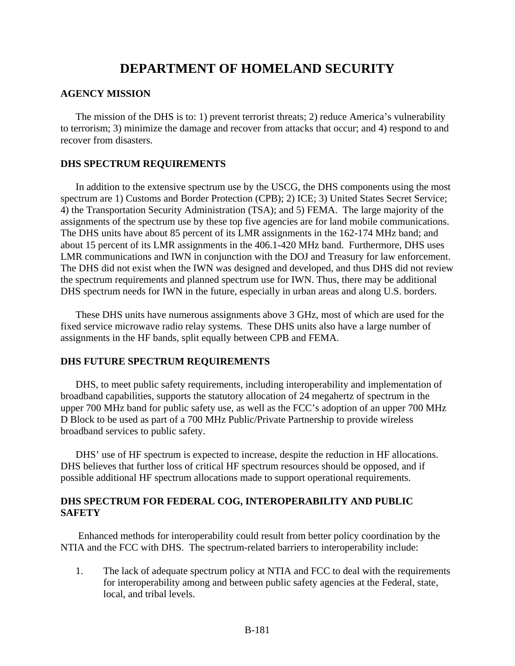# **DEPARTMENT OF HOMELAND SECURITY**

## **AGENCY MISSION**

The mission of the DHS is to: 1) prevent terrorist threats; 2) reduce America's vulnerability to terrorism; 3) minimize the damage and recover from attacks that occur; and 4) respond to and recover from disasters.

# **DHS SPECTRUM REQUIREMENTS**

In addition to the extensive spectrum use by the USCG, the DHS components using the most spectrum are 1) Customs and Border Protection (CPB); 2) ICE; 3) United States Secret Service; 4) the Transportation Security Administration (TSA); and 5) FEMA. The large majority of the assignments of the spectrum use by these top five agencies are for land mobile communications. The DHS units have about 85 percent of its LMR assignments in the 162-174 MHz band; and about 15 percent of its LMR assignments in the 406.1-420 MHz band. Furthermore, DHS uses LMR communications and IWN in conjunction with the DOJ and Treasury for law enforcement. The DHS did not exist when the IWN was designed and developed, and thus DHS did not review the spectrum requirements and planned spectrum use for IWN. Thus, there may be additional DHS spectrum needs for IWN in the future, especially in urban areas and along U.S. borders.

These DHS units have numerous assignments above 3 GHz, most of which are used for the fixed service microwave radio relay systems. These DHS units also have a large number of assignments in the HF bands, split equally between CPB and FEMA.

## **DHS FUTURE SPECTRUM REQUIREMENTS**

DHS, to meet public safety requirements, including interoperability and implementation of broadband capabilities, supports the statutory allocation of 24 megahertz of spectrum in the upper 700 MHz band for public safety use, as well as the FCC's adoption of an upper 700 MHz D Block to be used as part of a 700 MHz Public/Private Partnership to provide wireless broadband services to public safety.

DHS' use of HF spectrum is expected to increase, despite the reduction in HF allocations. DHS believes that further loss of critical HF spectrum resources should be opposed, and if possible additional HF spectrum allocations made to support operational requirements.

## **DHS SPECTRUM FOR FEDERAL COG, INTEROPERABILITY AND PUBLIC SAFETY**

 Enhanced methods for interoperability could result from better policy coordination by the NTIA and the FCC with DHS. The spectrum-related barriers to interoperability include:

1. The lack of adequate spectrum policy at NTIA and FCC to deal with the requirements for interoperability among and between public safety agencies at the Federal, state, local, and tribal levels.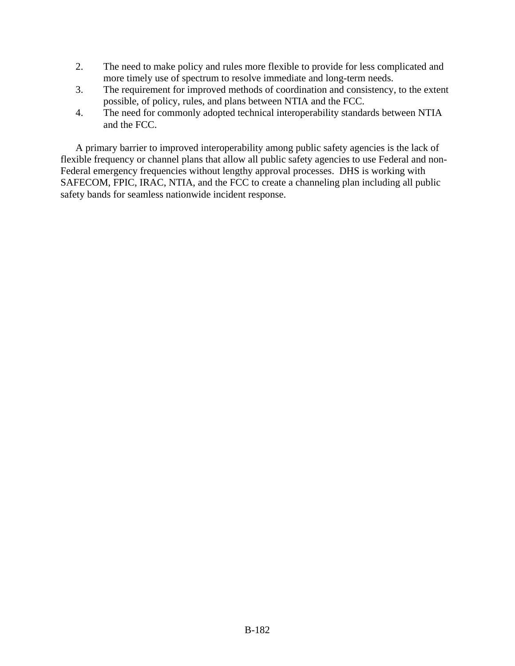- 2. The need to make policy and rules more flexible to provide for less complicated and more timely use of spectrum to resolve immediate and long-term needs.
- 3. The requirement for improved methods of coordination and consistency, to the extent possible, of policy, rules, and plans between NTIA and the FCC.
- 4. The need for commonly adopted technical interoperability standards between NTIA and the FCC.

A primary barrier to improved interoperability among public safety agencies is the lack of flexible frequency or channel plans that allow all public safety agencies to use Federal and non-Federal emergency frequencies without lengthy approval processes. DHS is working with SAFECOM, FPIC, IRAC, NTIA, and the FCC to create a channeling plan including all public safety bands for seamless nationwide incident response.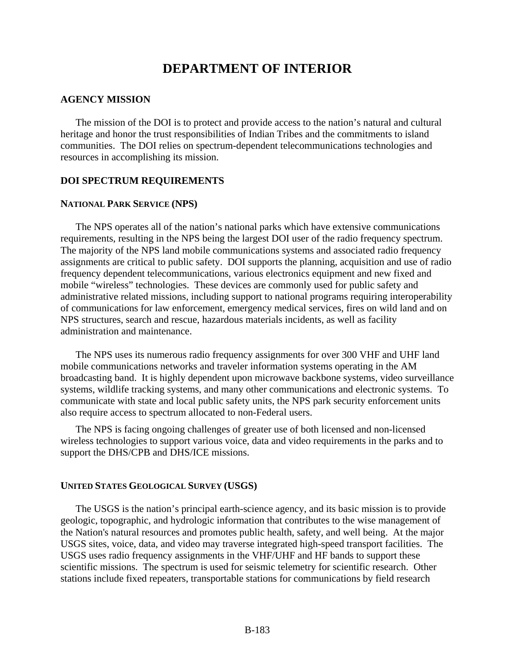# **DEPARTMENT OF INTERIOR**

#### **AGENCY MISSION**

 The mission of the DOI is to protect and provide access to the nation's natural and cultural heritage and honor the trust responsibilities of Indian Tribes and the commitments to island communities. The DOI relies on spectrum-dependent telecommunications technologies and resources in accomplishing its mission.

#### **DOI SPECTRUM REQUIREMENTS**

#### **NATIONAL PARK SERVICE (NPS)**

 The NPS operates all of the nation's national parks which have extensive communications requirements, resulting in the NPS being the largest DOI user of the radio frequency spectrum. The majority of the NPS land mobile communications systems and associated radio frequency assignments are critical to public safety. DOI supports the planning, acquisition and use of radio frequency dependent telecommunications, various electronics equipment and new fixed and mobile "wireless" technologies. These devices are commonly used for public safety and administrative related missions, including support to national programs requiring interoperability of communications for law enforcement, emergency medical services, fires on wild land and on NPS structures, search and rescue, hazardous materials incidents, as well as facility administration and maintenance.

 The NPS uses its numerous radio frequency assignments for over 300 VHF and UHF land mobile communications networks and traveler information systems operating in the AM broadcasting band. It is highly dependent upon microwave backbone systems, video surveillance systems, wildlife tracking systems, and many other communications and electronic systems. To communicate with state and local public safety units, the NPS park security enforcement units also require access to spectrum allocated to non-Federal users.

 The NPS is facing ongoing challenges of greater use of both licensed and non-licensed wireless technologies to support various voice, data and video requirements in the parks and to support the DHS/CPB and DHS/ICE missions.

#### **UNITED STATES GEOLOGICAL SURVEY (USGS)**

 The USGS is the nation's principal earth-science agency, and its basic mission is to provide geologic, topographic, and hydrologic information that contributes to the wise management of the Nation's natural resources and promotes public health, safety, and well being. At the major USGS sites, voice, data, and video may traverse integrated high-speed transport facilities. The USGS uses radio frequency assignments in the VHF/UHF and HF bands to support these scientific missions. The spectrum is used for seismic telemetry for scientific research. Other stations include fixed repeaters, transportable stations for communications by field research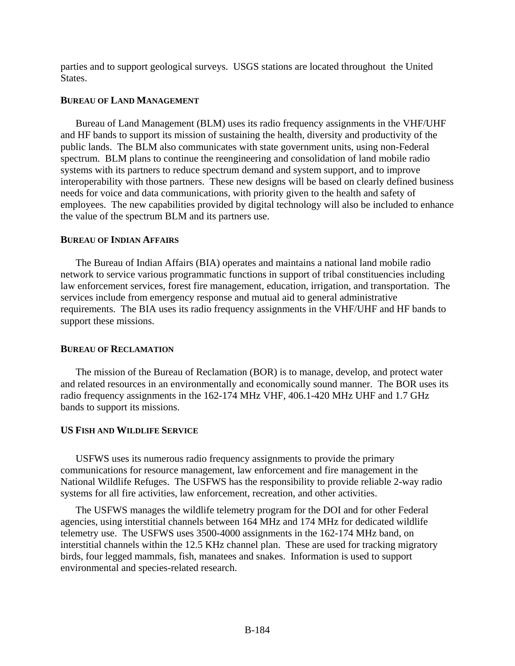parties and to support geological surveys. USGS stations are located throughout the United States.

#### **BUREAU OF LAND MANAGEMENT**

 Bureau of Land Management (BLM) uses its radio frequency assignments in the VHF/UHF and HF bands to support its mission of sustaining the health, diversity and productivity of the public lands. The BLM also communicates with state government units, using non-Federal spectrum. BLM plans to continue the reengineering and consolidation of land mobile radio systems with its partners to reduce spectrum demand and system support, and to improve interoperability with those partners. These new designs will be based on clearly defined business needs for voice and data communications, with priority given to the health and safety of employees. The new capabilities provided by digital technology will also be included to enhance the value of the spectrum BLM and its partners use.

#### **BUREAU OF INDIAN AFFAIRS**

 The Bureau of Indian Affairs (BIA) operates and maintains a national land mobile radio network to service various programmatic functions in support of tribal constituencies including law enforcement services, forest fire management, education, irrigation, and transportation. The services include from emergency response and mutual aid to general administrative requirements. The BIA uses its radio frequency assignments in the VHF/UHF and HF bands to support these missions.

## **BUREAU OF RECLAMATION**

 The mission of the Bureau of Reclamation (BOR) is to manage, develop, and protect water and related resources in an environmentally and economically sound manner. The BOR uses its radio frequency assignments in the 162-174 MHz VHF, 406.1-420 MHz UHF and 1.7 GHz bands to support its missions.

## **US FISH AND WILDLIFE SERVICE**

 USFWS uses its numerous radio frequency assignments to provide the primary communications for resource management, law enforcement and fire management in the National Wildlife Refuges. The USFWS has the responsibility to provide reliable 2-way radio systems for all fire activities, law enforcement, recreation, and other activities.

 The USFWS manages the wildlife telemetry program for the DOI and for other Federal agencies, using interstitial channels between 164 MHz and 174 MHz for dedicated wildlife telemetry use. The USFWS uses 3500-4000 assignments in the 162-174 MHz band, on interstitial channels within the 12.5 KHz channel plan. These are used for tracking migratory birds, four legged mammals, fish, manatees and snakes. Information is used to support environmental and species-related research.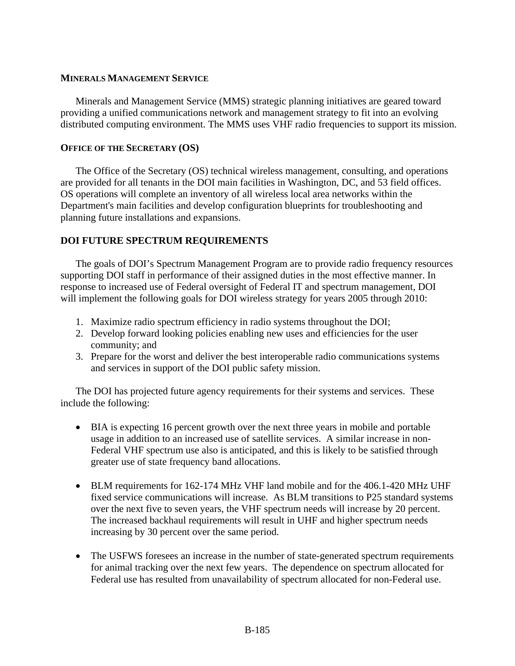### **MINERALS MANAGEMENT SERVICE**

 Minerals and Management Service (MMS) strategic planning initiatives are geared toward providing a unified communications network and management strategy to fit into an evolving distributed computing environment. The MMS uses VHF radio frequencies to support its mission.

### **OFFICE OF THE SECRETARY (OS)**

 The Office of the Secretary (OS) technical wireless management, consulting, and operations are provided for all tenants in the DOI main facilities in Washington, DC, and 53 field offices. OS operations will complete an inventory of all wireless local area networks within the Department's main facilities and develop configuration blueprints for troubleshooting and planning future installations and expansions.

## **DOI FUTURE SPECTRUM REQUIREMENTS**

 The goals of DOI's Spectrum Management Program are to provide radio frequency resources supporting DOI staff in performance of their assigned duties in the most effective manner. In response to increased use of Federal oversight of Federal IT and spectrum management, DOI will implement the following goals for DOI wireless strategy for years 2005 through 2010:

- 1. Maximize radio spectrum efficiency in radio systems throughout the DOI;
- 2. Develop forward looking policies enabling new uses and efficiencies for the user community; and
- 3. Prepare for the worst and deliver the best interoperable radio communications systems and services in support of the DOI public safety mission.

 The DOI has projected future agency requirements for their systems and services. These include the following:

- BIA is expecting 16 percent growth over the next three years in mobile and portable usage in addition to an increased use of satellite services. A similar increase in non-Federal VHF spectrum use also is anticipated, and this is likely to be satisfied through greater use of state frequency band allocations.
- BLM requirements for 162-174 MHz VHF land mobile and for the 406.1-420 MHz UHF fixed service communications will increase. As BLM transitions to P25 standard systems over the next five to seven years, the VHF spectrum needs will increase by 20 percent. The increased backhaul requirements will result in UHF and higher spectrum needs increasing by 30 percent over the same period.
- The USFWS foresees an increase in the number of state-generated spectrum requirements for animal tracking over the next few years. The dependence on spectrum allocated for Federal use has resulted from unavailability of spectrum allocated for non-Federal use.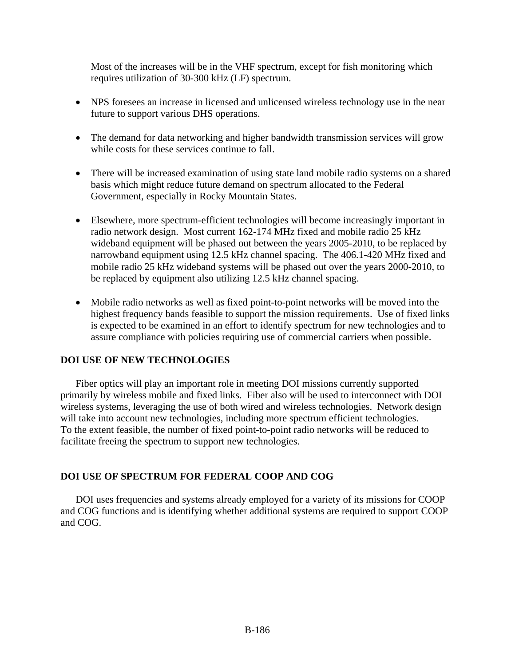Most of the increases will be in the VHF spectrum, except for fish monitoring which requires utilization of 30-300 kHz (LF) spectrum.

- NPS fore sees an increase in licensed and unlicensed wireless technology use in the near future to support various DHS operations.
- The demand for data networking and higher bandwidth transmission services will grow while costs for these services continue to fall.
- There will be increased examination of using state land mobile radio systems on a shared basis which might reduce future demand on spectrum allocated to the Federal Government, especially in Rocky Mountain States.
- Elsewhere, more spectrum-efficient technologies will become increasingly important in radio network design. Most current 162-174 MHz fixed and mobile radio 25 kHz wideband equipment will be phased out between the years 2005-2010, to be replaced by narrowband equipment using 12.5 kHz channel spacing. The 406.1-420 MHz fixed and mobile radio 25 kHz wideband systems will be phased out over the years 2000-2010, to be replaced by equipment also utilizing 12.5 kHz channel spacing.
- Mobile radio networks as well as fixed point-to-point networks will be moved into the highest frequency bands feasible to support the mission requirements. Use of fixed links is expected to be examined in an effort to identify spectrum for new technologies and to assure compliance with policies requiring use of commercial carriers when possible.

# **DOI USE OF NEW TECHNOLOGIES**

 Fiber optics will play an important role in meeting DOI missions currently supported primarily by wireless mobile and fixed links. Fiber also will be used to interconnect with DOI wireless systems, leveraging the use of both wired and wireless technologies. Network design will take into account new technologies, including more spectrum efficient technologies. To the extent feasible, the number of fixed point-to-point radio networks will be reduced to facilitate freeing the spectrum to support new technologies.

# **DOI USE OF SPECTRUM FOR FEDERAL COOP AND COG**

DOI uses frequencies and systems already employed for a variety of its missions for COOP and COG functions and is identifying whether additional systems are required to support COOP and COG.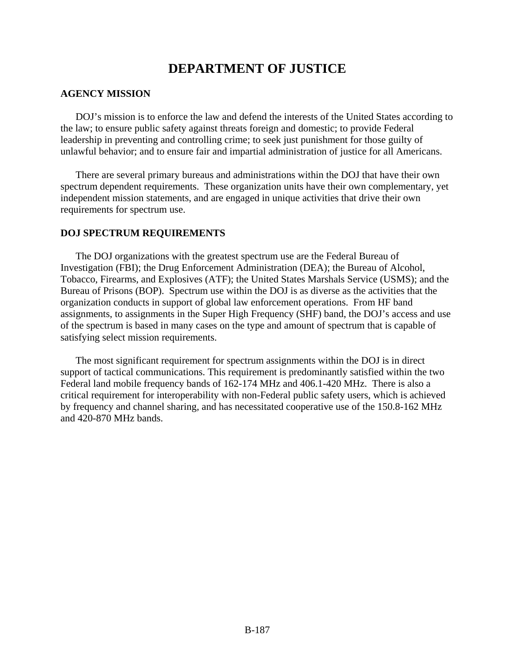# **DEPARTMENT OF JUSTICE**

### **AGENCY MISSION**

DOJ's mission is to enforce the law and defend the interests of the United States according to the law; to ensure public safety against threats foreign and domestic; to provide Federal leadership in preventing and controlling crime; to seek just punishment for those guilty of unlawful behavior; and to ensure fair and impartial administration of justice for all Americans.

 There are several primary bureaus and administrations within the DOJ that have their own spectrum dependent requirements. These organization units have their own complementary, yet independent mission statements, and are engaged in unique activities that drive their own requirements for spectrum use.

## **DOJ SPECTRUM REQUIREMENTS**

 The DOJ organizations with the greatest spectrum use are the Federal Bureau of Investigation (FBI); the Drug Enforcement Administration (DEA); the Bureau of Alcohol, Tobacco, Firearms, and Explosives (ATF); the United States Marshals Service (USMS); and the Bureau of Prisons (BOP). Spectrum use within the DOJ is as diverse as the activities that the organization conducts in support of global law enforcement operations. From HF band assignments, to assignments in the Super High Frequency (SHF) band, the DOJ's access and use of the spectrum is based in many cases on the type and amount of spectrum that is capable of satisfying select mission requirements.

The most significant requirement for spectrum assignments within the DOJ is in direct support of tactical communications. This requirement is predominantly satisfied within the two Federal land mobile frequency bands of 162-174 MHz and 406.1-420 MHz. There is also a critical requirement for interoperability with non-Federal public safety users, which is achieved by frequency and channel sharing, and has necessitated cooperative use of the 150.8-162 MHz and 420-870 MHz bands.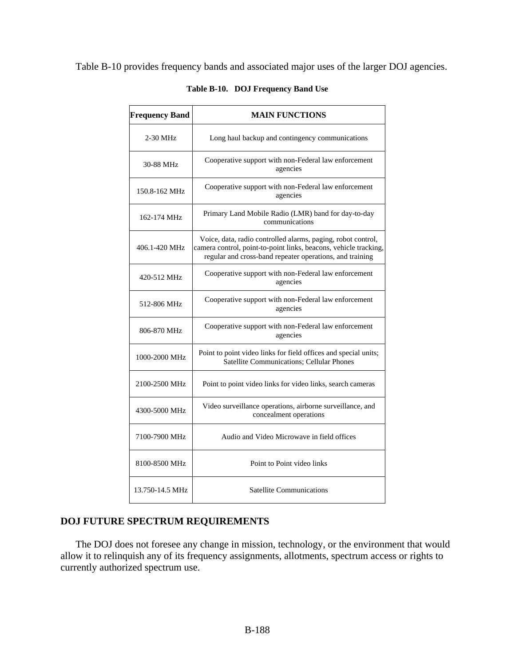Table B-10 provides frequency bands and associated major uses of the larger DOJ agencies.

| <b>Frequency Band</b> | <b>MAIN FUNCTIONS</b>                                                                                                                                                                        |  |
|-----------------------|----------------------------------------------------------------------------------------------------------------------------------------------------------------------------------------------|--|
| 2-30 MHz              | Long haul backup and contingency communications                                                                                                                                              |  |
| 30-88 MHz             | Cooperative support with non-Federal law enforcement<br>agencies                                                                                                                             |  |
| 150.8-162 MHz         | Cooperative support with non-Federal law enforcement<br>agencies                                                                                                                             |  |
| 162-174 MHz           | Primary Land Mobile Radio (LMR) band for day-to-day<br>communications                                                                                                                        |  |
| 406.1-420 MHz         | Voice, data, radio controlled alarms, paging, robot control,<br>camera control, point-to-point links, beacons, vehicle tracking,<br>regular and cross-band repeater operations, and training |  |
| 420-512 MHz           | Cooperative support with non-Federal law enforcement<br>agencies                                                                                                                             |  |
| 512-806 MHz           | Cooperative support with non-Federal law enforcement<br>agencies                                                                                                                             |  |
| 806-870 MHz           | Cooperative support with non-Federal law enforcement<br>agencies                                                                                                                             |  |
| 1000-2000 MHz         | Point to point video links for field offices and special units;<br>Satellite Communications; Cellular Phones                                                                                 |  |
| 2100-2500 MHz         | Point to point video links for video links, search cameras                                                                                                                                   |  |
| 4300-5000 MHz         | Video surveillance operations, airborne surveillance, and<br>concealment operations                                                                                                          |  |
| 7100-7900 MHz         | Audio and Video Microwave in field offices                                                                                                                                                   |  |
| 8100-8500 MHz         | Point to Point video links                                                                                                                                                                   |  |
| 13.750-14.5 MHz       | <b>Satellite Communications</b>                                                                                                                                                              |  |

#### **Table B-10. DOJ Frequency Band Use**

# **DOJ FUTURE SPECTRUM REQUIREMENTS**

The DOJ does not foresee any change in mission, technology, or the environment that would allow it to relinquish any of its frequency assignments, allotments, spectrum access or rights to currently authorized spectrum use.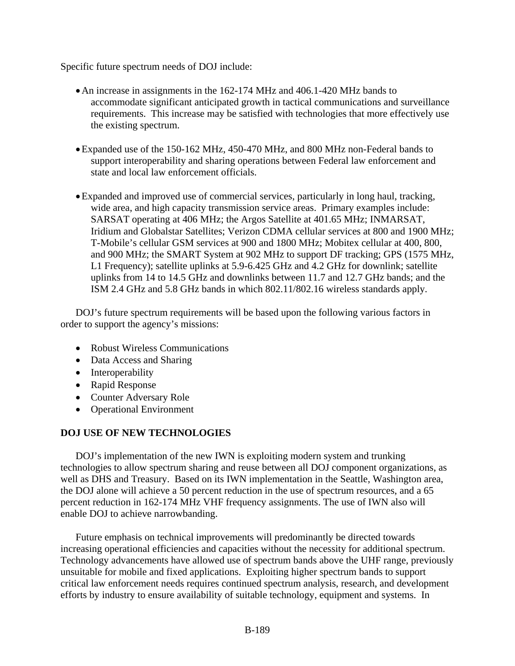Specific future spectrum needs of DOJ include:

- An increase in assignments in the 162-174 MHz and 406.1-420 MHz bands to accommodate significant anticipated growth in tactical communications and surveillance requirements. This increase may be satisfied with technologies that more effectively use the existing spectrum.
- •Expanded use of the 150-162 MHz, 450-470 MHz, and 800 MHz non-Federal bands to support interoperability and sharing operations between Federal law enforcement and state and local law enforcement officials.
- •Expanded and improved use of commercial services, particularly in long haul, tracking, wide area, and high capacity transmission service areas. Primary examples include: SARSAT operating at 406 MHz; the Argos Satellite at 401.65 MHz; INMARSAT, Iridium and Globalstar Satellites; Verizon CDMA cellular services at 800 and 1900 MHz; T-Mobile's cellular GSM services at 900 and 1800 MHz; Mobitex cellular at 400, 800, and 900 MHz; the SMART System at 902 MHz to support DF tracking; GPS (1575 MHz, L1 Frequency); satellite uplinks at 5.9-6.425 GHz and 4.2 GHz for downlink; satellite uplinks from 14 to 14.5 GHz and downlinks between 11.7 and 12.7 GHz bands; and the ISM 2.4 GHz and 5.8 GHz bands in which 802.11/802.16 wireless standards apply.

DOJ's future spectrum requirements will be based upon the following various factors in order to support the agency's missions:

- Robust Wireless Communications
- Data Access and Sharing
- Interoperability
- Rapid Response
- Counter Adversary Role
- Operational Environment

# **DOJ USE OF NEW TECHNOLOGIES**

DOJ's implementation of the new IWN is exploiting modern system and trunking technologies to allow spectrum sharing and reuse between all DOJ component organizations, as well as DHS and Treasury. Based on its IWN implementation in the Seattle, Washington area, the DOJ alone will achieve a 50 percent reduction in the use of spectrum resources, and a 65 percent reduction in 162-174 MHz VHF frequency assignments. The use of IWN also will enable DOJ to achieve narrowbanding.

Future emphasis on technical improvements will predominantly be directed towards increasing operational efficiencies and capacities without the necessity for additional spectrum. Technology advancements have allowed use of spectrum bands above the UHF range, previously unsuitable for mobile and fixed applications. Exploiting higher spectrum bands to support critical law enforcement needs requires continued spectrum analysis, research, and development efforts by industry to ensure availability of suitable technology, equipment and systems. In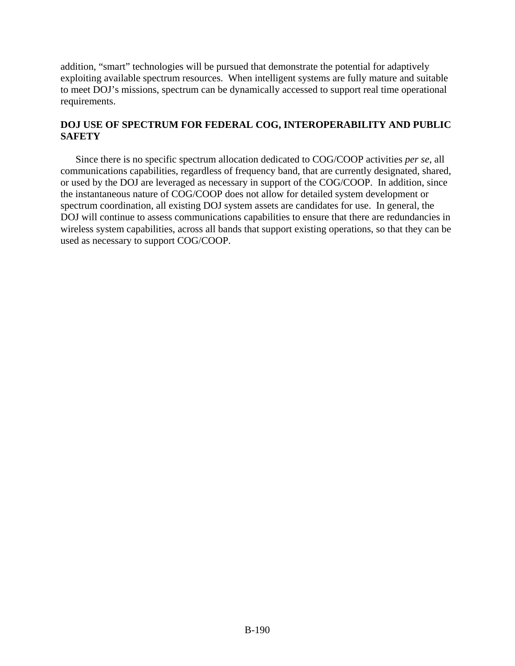addition, "smart" technologies will be pursued that demonstrate the potential for adaptively exploiting available spectrum resources. When intelligent systems are fully mature and suitable to meet DOJ's missions, spectrum can be dynamically accessed to support real time operational requirements.

# **DOJ USE OF SPECTRUM FOR FEDERAL COG, INTEROPERABILITY AND PUBLIC SAFETY**

Since there is no specific spectrum allocation dedicated to COG/COOP activities *per se*, all communications capabilities, regardless of frequency band, that are currently designated, shared, or used by the DOJ are leveraged as necessary in support of the COG/COOP. In addition, since the instantaneous nature of COG/COOP does not allow for detailed system development or spectrum coordination, all existing DOJ system assets are candidates for use. In general, the DOJ will continue to assess communications capabilities to ensure that there are redundancies in wireless system capabilities, across all bands that support existing operations, so that they can be used as necessary to support COG/COOP.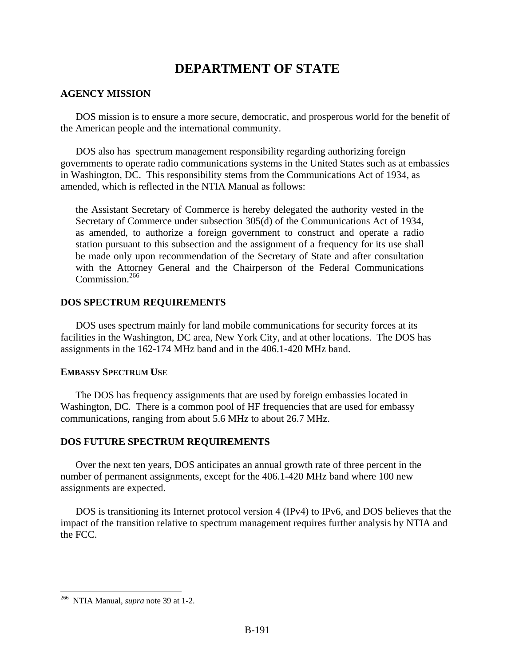# **DEPARTMENT OF STATE**

### **AGENCY MISSION**

 DOS mission is to ensure a more secure, democratic, and prosperous world for the benefit of the American people and the international community.

 DOS also has spectrum management responsibility regarding authorizing foreign governments to operate radio communications systems in the United States such as at embassies in Washington, DC. This responsibility stems from the Communications Act of 1934, as amended, which is reflected in the NTIA Manual as follows:

the Assistant Secretary of Commerce is hereby delegated the authority vested in the Secretary of Commerce under subsection 305(d) of the Communications Act of 1934, as amended, to authorize a foreign government to construct and operate a radio station pursuant to this subsection and the assignment of a frequency for its use shall be made only upon recommendation of the Secretary of State and after consultation with the Attorney General and the Chairperson of the Federal Communications Commission.<sup>266</sup>

#### **DOS SPECTRUM REQUIREMENTS**

 DOS uses spectrum mainly for land mobile communications for security forces at its facilities in the Washington, DC area, New York City, and at other locations. The DOS has assignments in the 162-174 MHz band and in the 406.1-420 MHz band.

#### **EMBASSY SPECTRUM USE**

 The DOS has frequency assignments that are used by foreign embassies located in Washington, DC. There is a common pool of HF frequencies that are used for embassy communications, ranging from about 5.6 MHz to about 26.7 MHz.

## **DOS FUTURE SPECTRUM REQUIREMENTS**

 Over the next ten years, DOS anticipates an annual growth rate of three percent in the number of permanent assignments, except for the 406.1-420 MHz band where 100 new assignments are expected.

 DOS is transitioning its Internet protocol version 4 (IPv4) to IPv6, and DOS believes that the impact of the transition relative to spectrum management requires further analysis by NTIA and the FCC.

 $\overline{a}$ 

<sup>266</sup> NTIA Manual, *supra* note 39 at 1-2.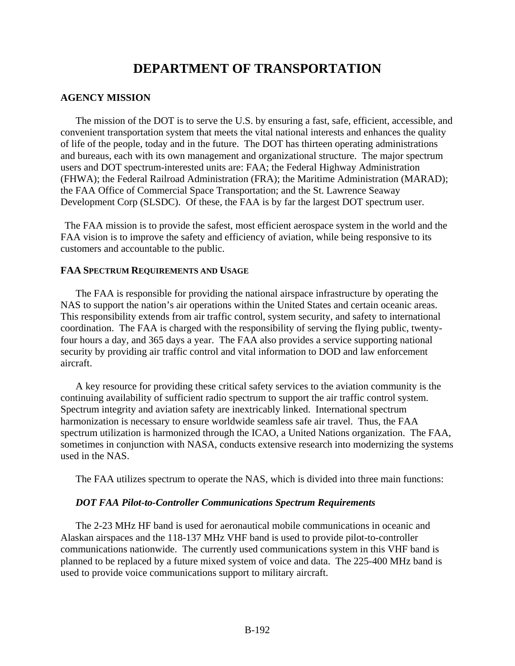# **DEPARTMENT OF TRANSPORTATION**

## **AGENCY MISSION**

 The mission of the DOT is to serve the U.S. by ensuring a fast, safe, efficient, accessible, and convenient transportation system that meets the vital national interests and enhances the quality of life of the people, today and in the future. The DOT has thirteen operating administrations and bureaus, each with its own management and organizational structure. The major spectrum users and DOT spectrum-interested units are: FAA; the Federal Highway Administration (FHWA); the Federal Railroad Administration (FRA); the Maritime Administration (MARAD); the FAA Office of Commercial Space Transportation; and the St. Lawrence Seaway Development Corp (SLSDC). Of these, the FAA is by far the largest DOT spectrum user.

 The FAA mission is to provide the safest, most efficient aerospace system in the world and the FAA vision is to improve the safety and efficiency of aviation, while being responsive to its customers and accountable to the public.

## **FAA SPECTRUM REQUIREMENTS AND USAGE**

The FAA is responsible for providing the national airspace infrastructure by operating the NAS to support the nation's air operations within the United States and certain oceanic areas. This responsibility extends from air traffic control, system security, and safety to international coordination. The FAA is charged with the responsibility of serving the flying public, twentyfour hours a day, and 365 days a year. The FAA also provides a service supporting national security by providing air traffic control and vital information to DOD and law enforcement aircraft.

A key resource for providing these critical safety services to the aviation community is the continuing availability of sufficient radio spectrum to support the air traffic control system. Spectrum integrity and aviation safety are inextricably linked. International spectrum harmonization is necessary to ensure worldwide seamless safe air travel. Thus, the FAA spectrum utilization is harmonized through the ICAO, a United Nations organization. The FAA, sometimes in conjunction with NASA, conducts extensive research into modernizing the systems used in the NAS.

The FAA utilizes spectrum to operate the NAS, which is divided into three main functions:

## *DOT FAA Pilot-to-Controller Communications Spectrum Requirements*

The 2-23 MHz HF band is used for aeronautical mobile communications in oceanic and Alaskan airspaces and the 118-137 MHz VHF band is used to provide pilot-to-controller communications nationwide. The currently used communications system in this VHF band is planned to be replaced by a future mixed system of voice and data. The 225-400 MHz band is used to provide voice communications support to military aircraft.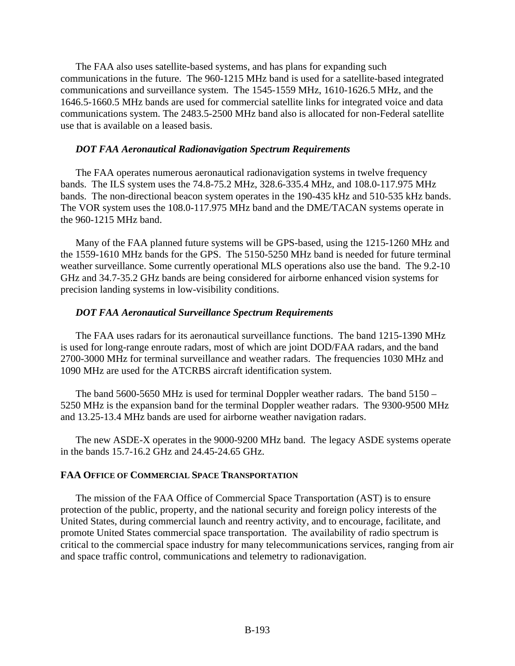The FAA also uses satellite-based systems, and has plans for expanding such communications in the future. The 960-1215 MHz band is used for a satellite-based integrated communications and surveillance system. The 1545-1559 MHz, 1610-1626.5 MHz, and the 1646.5-1660.5 MHz bands are used for commercial satellite links for integrated voice and data communications system. The 2483.5-2500 MHz band also is allocated for non-Federal satellite use that is available on a leased basis.

#### *DOT FAA Aeronautical Radionavigation Spectrum Requirements*

The FAA operates numerous aeronautical radionavigation systems in twelve frequency bands. The ILS system uses the 74.8-75.2 MHz, 328.6-335.4 MHz, and 108.0-117.975 MHz bands. The non-directional beacon system operates in the 190-435 kHz and 510-535 kHz bands. The VOR system uses the 108.0-117.975 MHz band and the DME/TACAN systems operate in the 960-1215 MHz band.

Many of the FAA planned future systems will be GPS-based, using the 1215-1260 MHz and the 1559-1610 MHz bands for the GPS. The 5150-5250 MHz band is needed for future terminal weather surveillance. Some currently operational MLS operations also use the band. The 9.2-10 GHz and 34.7-35.2 GHz bands are being considered for airborne enhanced vision systems for precision landing systems in low-visibility conditions.

#### *DOT FAA Aeronautical Surveillance Spectrum Requirements*

The FAA uses radars for its aeronautical surveillance functions. The band 1215-1390 MHz is used for long-range enroute radars, most of which are joint DOD/FAA radars, and the band 2700-3000 MHz for terminal surveillance and weather radars. The frequencies 1030 MHz and 1090 MHz are used for the ATCRBS aircraft identification system.

The band 5600-5650 MHz is used for terminal Doppler weather radars. The band 5150 – 5250 MHz is the expansion band for the terminal Doppler weather radars. The 9300-9500 MHz and 13.25-13.4 MHz bands are used for airborne weather navigation radars.

The new ASDE-X operates in the 9000-9200 MHz band. The legacy ASDE systems operate in the bands 15.7-16.2 GHz and 24.45-24.65 GHz.

#### **FAA OFFICE OF COMMERCIAL SPACE TRANSPORTATION**

The mission of the FAA Office of Commercial Space Transportation (AST) is to ensure protection of the public, property, and the national security and foreign policy interests of the United States, during commercial launch and reentry activity, and to encourage, facilitate, and promote United States commercial space transportation. The availability of radio spectrum is critical to the commercial space industry for many telecommunications services, ranging from air and space traffic control, communications and telemetry to radionavigation.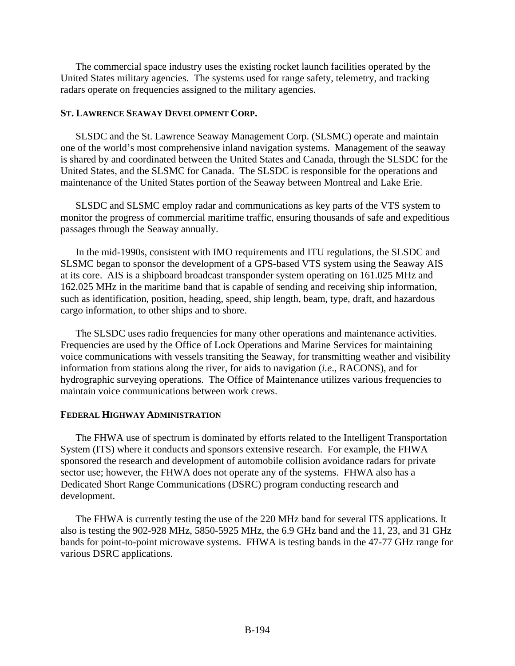The commercial space industry uses the existing rocket launch facilities operated by the United States military agencies. The systems used for range safety, telemetry, and tracking radars operate on frequencies assigned to the military agencies.

#### **ST. LAWRENCE SEAWAY DEVELOPMENT CORP.**

SLSDC and the St. Lawrence Seaway Management Corp. (SLSMC) operate and maintain one of the world's most comprehensive inland navigation systems. Management of the seaway is shared by and coordinated between the United States and Canada, through the SLSDC for the United States, and the SLSMC for Canada. The SLSDC is responsible for the operations and maintenance of the United States portion of the Seaway between Montreal and Lake Erie.

SLSDC and SLSMC employ radar and communications as key parts of the VTS system to monitor the progress of commercial maritime traffic, ensuring thousands of safe and expeditious passages through the Seaway annually.

In the mid-1990s, consistent with IMO requirements and ITU regulations, the SLSDC and SLSMC began to sponsor the development of a GPS-based VTS system using the Seaway AIS at its core.AIS is a shipboard broadcast transponder system operating on 161.025 MHz and 162.025 MHz in the maritime band that is capable of sending and receiving ship information, such as identification, position, heading, speed, ship length, beam, type, draft, and hazardous cargo information, to other ships and to shore.

The SLSDC uses radio frequencies for many other operations and maintenance activities. Frequencies are used by the Office of Lock Operations and Marine Services for maintaining voice communications with vessels transiting the Seaway, for transmitting weather and visibility information from stations along the river, for aids to navigation (*i.e*., RACONS), and for hydrographic surveying operations. The Office of Maintenance utilizes various frequencies to maintain voice communications between work crews.

# **FEDERAL HIGHWAY ADMINISTRATION**

The FHWA use of spectrum is dominated by efforts related to the Intelligent Transportation System (ITS) where it conducts and sponsors extensive research. For example, the FHWA sponsored the research and development of automobile collision avoidance radars for private sector use; however, the FHWA does not operate any of the systems. FHWA also has a Dedicated Short Range Communications (DSRC) program conducting research and development.

The FHWA is currently testing the use of the 220 MHz band for several ITS applications. It also is testing the 902-928 MHz, 5850-5925 MHz, the 6.9 GHz band and the 11, 23, and 31 GHz bands for point-to-point microwave systems. FHWA is testing bands in the 47-77 GHz range for various DSRC applications.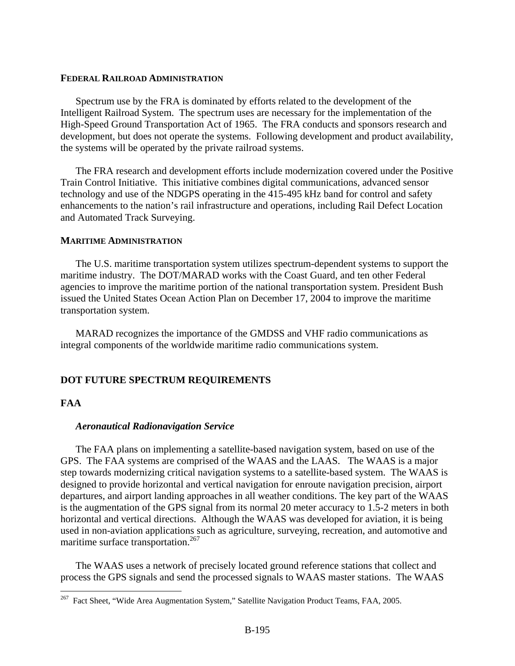#### **FEDERAL RAILROAD ADMINISTRATION**

Spectrum use by the FRA is dominated by efforts related to the development of the Intelligent Railroad System. The spectrum uses are necessary for the implementation of the High-Speed Ground Transportation Act of 1965. The FRA conducts and sponsors research and development, but does not operate the systems. Following development and product availability, the systems will be operated by the private railroad systems.

The FRA research and development efforts include modernization covered under the Positive Train Control Initiative. This initiative combines digital communications, advanced sensor technology and use of the NDGPS operating in the 415-495 kHz band for control and safety enhancements to the nation's rail infrastructure and operations, including Rail Defect Location and Automated Track Surveying.

#### **MARITIME ADMINISTRATION**

The U.S. maritime transportation system utilizes spectrum-dependent systems to support the maritime industry. The DOT/MARAD works with the Coast Guard, and ten other Federal agencies to improve the maritime portion of the national transportation system. President Bush issued the United States Ocean Action Plan on December 17, 2004 to improve the maritime transportation system.

MARAD recognizes the importance of the GMDSS and VHF radio communications as integral components of the worldwide maritime radio communications system.

# **DOT FUTURE SPECTRUM REQUIREMENTS**

#### **FAA**

 $\overline{a}$ 

#### *Aeronautical Radionavigation Service*

The FAA plans on implementing a satellite-based navigation system, based on use of the GPS. The FAA systems are comprised of the WAAS and the LAAS. The WAAS is a major step towards modernizing critical navigation systems to a satellite-based system. The WAAS is designed to provide horizontal and vertical navigation for enroute navigation precision, airport departures, and airport landing approaches in all weather conditions. The key part of the WAAS is the augmentation of the GPS signal from its normal 20 meter accuracy to 1.5-2 meters in both horizontal and vertical directions. Although the WAAS was developed for aviation, it is being used in non-aviation applications such as agriculture, surveying, recreation, and automotive and maritime surface transportation.<sup>267</sup>

The WAAS uses a network of precisely located ground reference stations that collect and process the GPS signals and send the processed signals to WAAS master stations. The WAAS

<sup>&</sup>lt;sup>267</sup> Fact Sheet, "Wide Area Augmentation System," Satellite Navigation Product Teams, FAA, 2005.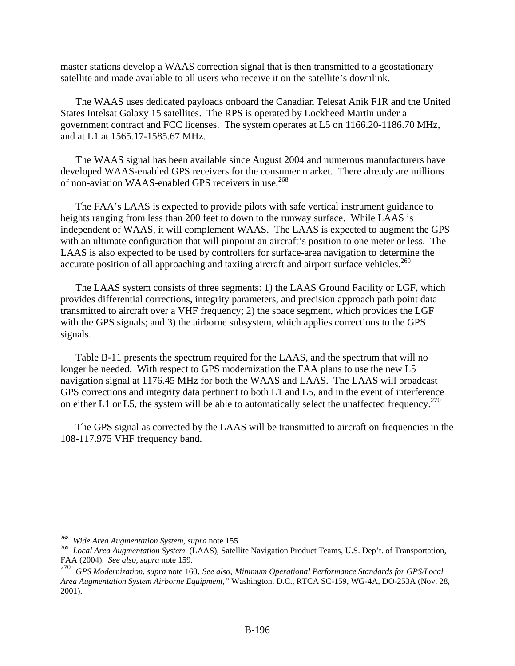master stations develop a WAAS correction signal that is then transmitted to a geostationary satellite and made available to all users who receive it on the satellite's downlink.

The WAAS uses dedicated payloads onboard the Canadian Telesat Anik F1R and the United States Intelsat Galaxy 15 satellites. The RPS is operated by Lockheed Martin under a government contract and FCC licenses. The system operates at L5 on 1166.20-1186.70 MHz, and at L1 at 1565.17-1585.67 MHz.

The WAAS signal has been available since August 2004 and numerous manufacturers have developed WAAS-enabled GPS receivers for the consumer market. There already are millions of non-aviation WAAS-enabled GPS receivers in use.<sup>268</sup>

The FAA's LAAS is expected to provide pilots with safe vertical instrument guidance to heights ranging from less than 200 feet to down to the runway surface. While LAAS is independent of WAAS, it will complement WAAS. The LAAS is expected to augment the GPS with an ultimate configuration that will pinpoint an aircraft's position to one meter or less. The LAAS is also expected to be used by controllers for surface-area navigation to determine the accurate position of all approaching and taxiing aircraft and airport surface vehicles.<sup>269</sup>

The LAAS system consists of three segments: 1) the LAAS Ground Facility or LGF, which provides differential corrections, integrity parameters, and precision approach path point data transmitted to aircraft over a VHF frequency; 2) the space segment, which provides the LGF with the GPS signals; and 3) the airborne subsystem, which applies corrections to the GPS signals.

Table B-11 presents the spectrum required for the LAAS, and the spectrum that will no longer be needed. With respect to GPS modernization the FAA plans to use the new L5 navigation signal at 1176.45 MHz for both the WAAS and LAAS. The LAAS will broadcast GPS corrections and integrity data pertinent to both L1 and L5, and in the event of interference on either L1 or L5, the system will be able to automatically select the unaffected frequency.<sup>270</sup>

The GPS signal as corrected by the LAAS will be transmitted to aircraft on frequencies in the 108-117.975 VHF frequency band.

 $\overline{a}$ 

<sup>268</sup> *Wide Area Augmentation System, supra* note 155.

<sup>269</sup> *Local Area Augmentation System* (LAAS), Satellite Navigation Product Teams, U.S. Dep't. of Transportation, FAA (2004). *See also, supra* note 159.

<sup>270</sup> *GPS Modernization, supra* note 160. *See also, Minimum Operational Performance Standards for GPS/Local Area Augmentation System Airborne Equipment,"* Washington, D.C., RTCA SC-159, WG-4A, DO-253A (Nov. 28, 2001).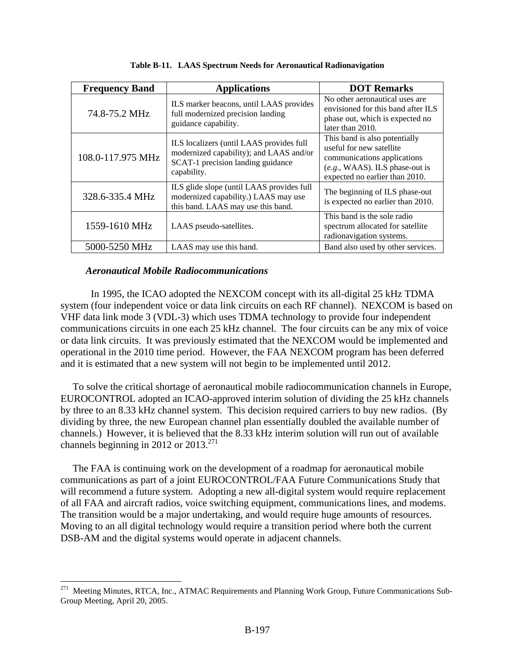| <b>Frequency Band</b> | <b>Applications</b>                                                                                                                     | <b>DOT Remarks</b>                                                                                                                                              |  |
|-----------------------|-----------------------------------------------------------------------------------------------------------------------------------------|-----------------------------------------------------------------------------------------------------------------------------------------------------------------|--|
| 74.8-75.2 MHz         | ILS marker beacons, until LAAS provides<br>full modernized precision landing<br>guidance capability.                                    | No other aeronautical uses are.<br>envisioned for this band after ILS<br>phase out, which is expected no<br>later than 2010.                                    |  |
| 108.0-117.975 MHz     | ILS localizers (until LAAS provides full<br>modernized capability); and LAAS and/or<br>SCAT-1 precision landing guidance<br>capability. | This band is also potentially<br>useful for new satellite<br>communications applications<br>$(e.g., WAAS)$ . ILS phase-out is<br>expected no earlier than 2010. |  |
| 328.6-335.4 MHz       | ILS glide slope (until LAAS provides full<br>modernized capability.) LAAS may use<br>this band. LAAS may use this band.                 | The beginning of ILS phase-out<br>is expected no earlier than 2010.                                                                                             |  |
| 1559-1610 MHz         | LAAS pseudo-satellites.                                                                                                                 | This band is the sole radio<br>spectrum allocated for satellite<br>radionavigation systems.                                                                     |  |
| 5000-5250 MHz         | LAAS may use this band.                                                                                                                 | Band also used by other services.                                                                                                                               |  |

**Table B-11. LAAS Spectrum Needs for Aeronautical Radionavigation** 

#### *Aeronautical Mobile Radiocommunications*

1

In 1995, the ICAO adopted the NEXCOM concept with its all-digital 25 kHz TDMA system (four independent voice or data link circuits on each RF channel). NEXCOM is based on VHF data link mode 3 (VDL-3) which uses TDMA technology to provide four independent communications circuits in one each 25 kHz channel. The four circuits can be any mix of voice or data link circuits. It was previously estimated that the NEXCOM would be implemented and operational in the 2010 time period. However, the FAA NEXCOM program has been deferred and it is estimated that a new system will not begin to be implemented until 2012.

To solve the critical shortage of aeronautical mobile radiocommunication channels in Europe, EUROCONTROL adopted an ICAO-approved interim solution of dividing the 25 kHz channels by three to an 8.33 kHz channel system. This decision required carriers to buy new radios. (By dividing by three, the new European channel plan essentially doubled the available number of channels.) However, it is believed that the 8.33 kHz interim solution will run out of available channels beginning in 2012 or 2013.<sup>271</sup>

The FAA is continuing work on the development of a roadmap for aeronautical mobile communications as part of a joint EUROCONTROL/FAA Future Communications Study that will recommend a future system. Adopting a new all-digital system would require replacement of all FAA and aircraft radios, voice switching equipment, communications lines, and modems. The transition would be a major undertaking, and would require huge amounts of resources. Moving to an all digital technology would require a transition period where both the current DSB-AM and the digital systems would operate in adjacent channels.

<sup>&</sup>lt;sup>271</sup> Meeting Minutes, RTCA, Inc., ATMAC Requirements and Planning Work Group, Future Communications Sub-Group Meeting, April 20, 2005.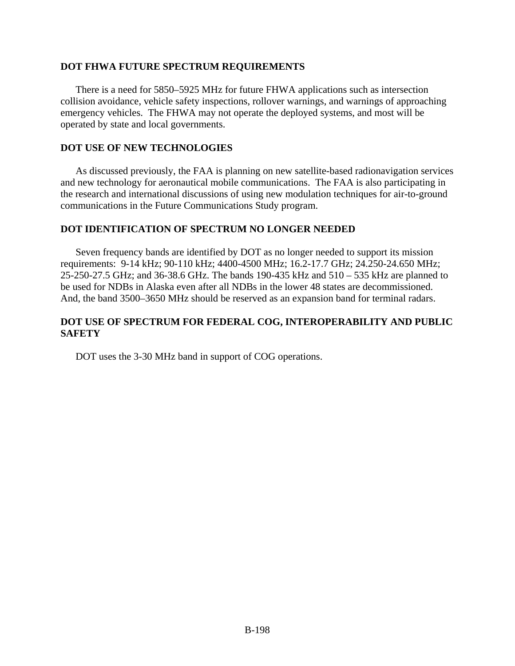#### **DOT FHWA FUTURE SPECTRUM REQUIREMENTS**

There is a need for 5850–5925 MHz for future FHWA applications such as intersection collision avoidance, vehicle safety inspections, rollover warnings, and warnings of approaching emergency vehicles. The FHWA may not operate the deployed systems, and most will be operated by state and local governments.

# **DOT USE OF NEW TECHNOLOGIES**

 As discussed previously, the FAA is planning on new satellite-based radionavigation services and new technology for aeronautical mobile communications. The FAA is also participating in the research and international discussions of using new modulation techniques for air-to-ground communications in the Future Communications Study program.

#### **DOT IDENTIFICATION OF SPECTRUM NO LONGER NEEDED**

 Seven frequency bands are identified by DOT as no longer needed to support its mission requirements: 9-14 kHz; 90-110 kHz; 4400-4500 MHz; 16.2-17.7 GHz; 24.250-24.650 MHz; 25-250-27.5 GHz; and 36-38.6 GHz. The bands 190-435 kHz and 510 – 535 kHz are planned to be used for NDBs in Alaska even after all NDBs in the lower 48 states are decommissioned. And, the band 3500–3650 MHz should be reserved as an expansion band for terminal radars.

# **DOT USE OF SPECTRUM FOR FEDERAL COG, INTEROPERABILITY AND PUBLIC SAFETY**

DOT uses the 3-30 MHz band in support of COG operations.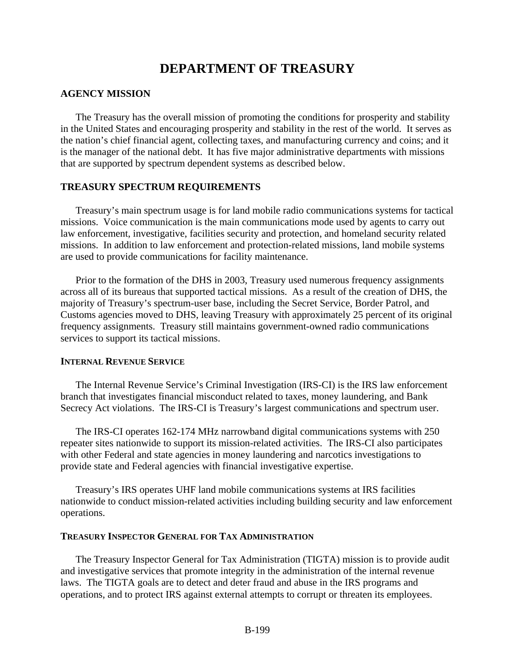# **DEPARTMENT OF TREASURY**

#### **AGENCY MISSION**

The Treasury has the overall mission of promoting the conditions for prosperity and stability in the United States and encouraging prosperity and stability in the rest of the world. It serves as the nation's chief financial agent, collecting taxes, and manufacturing currency and coins; and it is the manager of the national debt. It has five major administrative departments with missions that are supported by spectrum dependent systems as described below.

#### **TREASURY SPECTRUM REQUIREMENTS**

Treasury's main spectrum usage is for land mobile radio communications systems for tactical missions. Voice communication is the main communications mode used by agents to carry out law enforcement, investigative, facilities security and protection, and homeland security related missions. In addition to law enforcement and protection-related missions, land mobile systems are used to provide communications for facility maintenance.

Prior to the formation of the DHS in 2003, Treasury used numerous frequency assignments across all of its bureaus that supported tactical missions. As a result of the creation of DHS, the majority of Treasury's spectrum-user base, including the Secret Service, Border Patrol, and Customs agencies moved to DHS, leaving Treasury with approximately 25 percent of its original frequency assignments. Treasury still maintains government-owned radio communications services to support its tactical missions.

#### **INTERNAL REVENUE SERVICE**

The Internal Revenue Service's Criminal Investigation (IRS-CI) is the IRS law enforcement branch that investigates financial misconduct related to taxes, money laundering, and Bank Secrecy Act violations. The IRS-CI is Treasury's largest communications and spectrum user.

The IRS-CI operates 162-174 MHz narrowband digital communications systems with 250 repeater sites nationwide to support its mission-related activities. The IRS-CI also participates with other Federal and state agencies in money laundering and narcotics investigations to provide state and Federal agencies with financial investigative expertise.

Treasury's IRS operates UHF land mobile communications systems at IRS facilities nationwide to conduct mission-related activities including building security and law enforcement operations.

# **TREASURY INSPECTOR GENERAL FOR TAX ADMINISTRATION**

The Treasury Inspector General for Tax Administration (TIGTA) mission is to provide audit and investigative services that promote integrity in the administration of the internal revenue laws. The TIGTA goals are to detect and deter fraud and abuse in the IRS programs and operations, and to protect IRS against external attempts to corrupt or threaten its employees.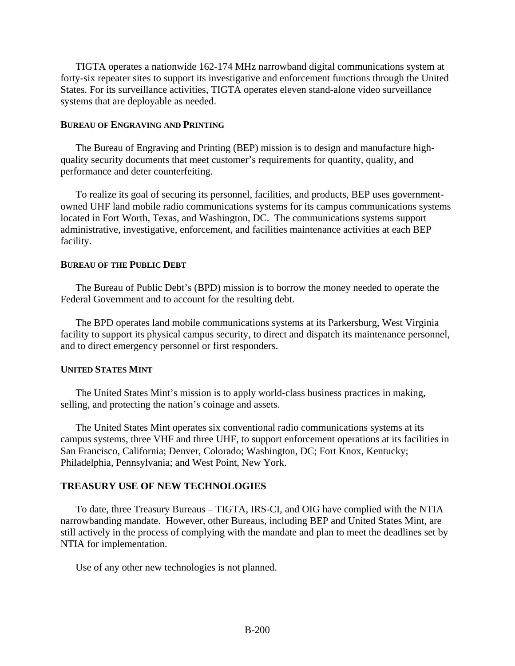TIGTA operates a nationwide 162-174 MHz narrowband digital communications system at forty-six repeater sites to support its investigative and enforcement functions through the United States. For its surveillance activities, TIGTA operates eleven stand-alone video surveillance systems that are deployable as needed.

#### **BUREAU OF ENGRAVING AND PRINTING**

The Bureau of Engraving and Printing (BEP) mission is to design and manufacture highquality security documents that meet customer's requirements for quantity, quality, and performance and deter counterfeiting.

To realize its goal of securing its personnel, facilities, and products, BEP uses governmentowned UHF land mobile radio communications systems for its campus communications systems located in Fort Worth, Texas, and Washington, DC. The communications systems support administrative, investigative, enforcement, and facilities maintenance activities at each BEP facility.

#### **BUREAU OF THE PUBLIC DEBT**

The Bureau of Public Debt's (BPD) mission is to borrow the money needed to operate the Federal Government and to account for the resulting debt.

The BPD operates land mobile communications systems at its Parkersburg, West Virginia facility to support its physical campus security, to direct and dispatch its maintenance personnel, and to direct emergency personnel or first responders.

#### **UNITED STATES MINT**

The United States Mint's mission is to apply world-class business practices in making, selling, and protecting the nation's coinage and assets.

The United States Mint operates six conventional radio communications systems at its campus systems, three VHF and three UHF, to support enforcement operations at its facilities in San Francisco, California; Denver, Colorado; Washington, DC; Fort Knox, Kentucky; Philadelphia, Pennsylvania; and West Point, New York.

# **TREASURY USE OF NEW TECHNOLOGIES**

To date, three Treasury Bureaus – TIGTA, IRS-CI, and OIG have complied with the NTIA narrowbanding mandate. However, other Bureaus, including BEP and United States Mint, are still actively in the process of complying with the mandate and plan to meet the deadlines set by NTIA for implementation.

Use of any other new technologies is not planned.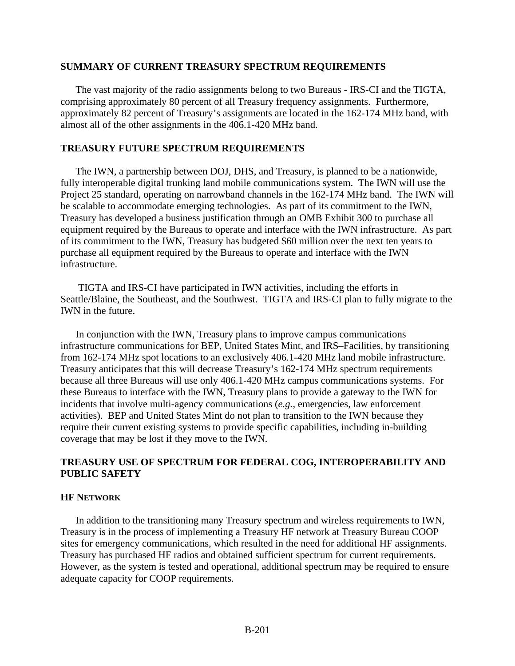#### **SUMMARY OF CURRENT TREASURY SPECTRUM REQUIREMENTS**

The vast majority of the radio assignments belong to two Bureaus - IRS-CI and the TIGTA, comprising approximately 80 percent of all Treasury frequency assignments. Furthermore, approximately 82 percent of Treasury's assignments are located in the 162-174 MHz band, with almost all of the other assignments in the 406.1-420 MHz band.

# **TREASURY FUTURE SPECTRUM REQUIREMENTS**

The IWN, a partnership between DOJ, DHS, and Treasury, is planned to be a nationwide, fully interoperable digital trunking land mobile communications system. The IWN will use the Project 25 standard, operating on narrowband channels in the 162-174 MHz band. The IWN will be scalable to accommodate emerging technologies. As part of its commitment to the IWN, Treasury has developed a business justification through an OMB Exhibit 300 to purchase all equipment required by the Bureaus to operate and interface with the IWN infrastructure. As part of its commitment to the IWN, Treasury has budgeted \$60 million over the next ten years to purchase all equipment required by the Bureaus to operate and interface with the IWN infrastructure.

 TIGTA and IRS-CI have participated in IWN activities, including the efforts in Seattle/Blaine, the Southeast, and the Southwest. TIGTA and IRS-CI plan to fully migrate to the IWN in the future.

In conjunction with the IWN, Treasury plans to improve campus communications infrastructure communications for BEP, United States Mint, and IRS–Facilities, by transitioning from 162-174 MHz spot locations to an exclusively 406.1-420 MHz land mobile infrastructure. Treasury anticipates that this will decrease Treasury's 162-174 MHz spectrum requirements because all three Bureaus will use only 406.1-420 MHz campus communications systems. For these Bureaus to interface with the IWN, Treasury plans to provide a gateway to the IWN for incidents that involve multi-agency communications (*e.g.*, emergencies, law enforcement activities). BEP and United States Mint do not plan to transition to the IWN because they require their current existing systems to provide specific capabilities, including in-building coverage that may be lost if they move to the IWN.

# **TREASURY USE OF SPECTRUM FOR FEDERAL COG, INTEROPERABILITY AND PUBLIC SAFETY**

#### **HF NETWORK**

In addition to the transitioning many Treasury spectrum and wireless requirements to IWN, Treasury is in the process of implementing a Treasury HF network at Treasury Bureau COOP sites for emergency communications, which resulted in the need for additional HF assignments. Treasury has purchased HF radios and obtained sufficient spectrum for current requirements. However, as the system is tested and operational, additional spectrum may be required to ensure adequate capacity for COOP requirements.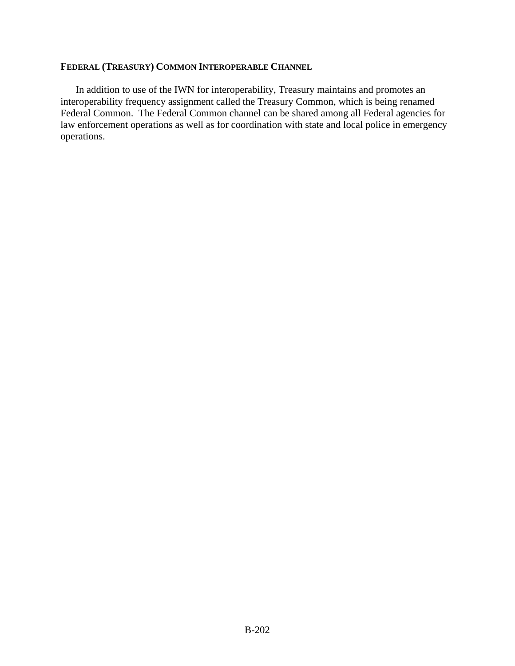# **FEDERAL (TREASURY) COMMON INTEROPERABLE CHANNEL**

In addition to use of the IWN for interoperability, Treasury maintains and promotes an interoperability frequency assignment called the Treasury Common, which is being renamed Federal Common. The Federal Common channel can be shared among all Federal agencies for law enforcement operations as well as for coordination with state and local police in emergency operations.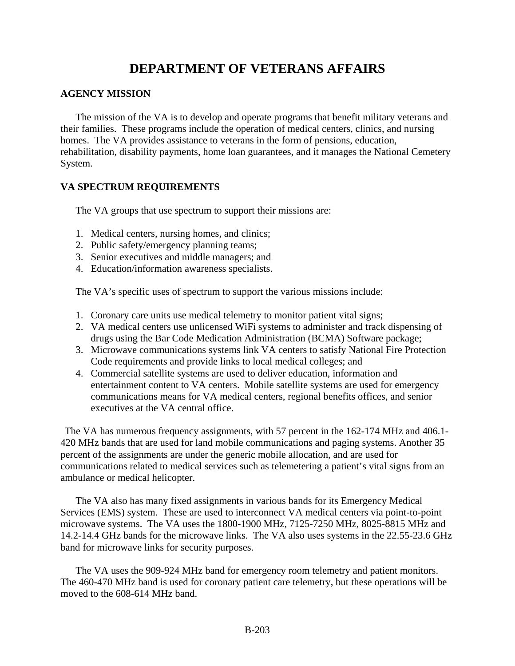# **DEPARTMENT OF VETERANS AFFAIRS**

# **AGENCY MISSION**

 The mission of the VA is to develop and operate programs that benefit military veterans and their families. These programs include the operation of medical centers, clinics, and nursing homes. The VA provides assistance to veterans in the form of pensions, education, rehabilitation, disability payments, home loan guarantees, and it manages the National Cemetery System.

# **VA SPECTRUM REQUIREMENTS**

The VA groups that use spectrum to support their missions are:

- 1. Medical centers, nursing homes, and clinics;
- 2. Public safety/emergency planning teams;
- 3. Senior executives and middle managers; and
- 4. Education/information awareness specialists.

The VA's specific uses of spectrum to support the various missions include:

- 1. Coronary care units use medical telemetry to monitor patient vital signs;
- 2. VA medical centers use unlicensed WiFi systems to administer and track dispensing of drugs using the Bar Code Medication Administration (BCMA) Software package;
- 3. Microwave communications systems link VA centers to satisfy National Fire Protection Code requirements and provide links to local medical colleges; and
- 4. Commercial satellite systems are used to deliver education, information and entertainment content to VA centers. Mobile satellite systems are used for emergency communications means for VA medical centers, regional benefits offices, and senior executives at the VA central office.

 The VA has numerous frequency assignments, with 57 percent in the 162-174 MHz and 406.1- 420 MHz bands that are used for land mobile communications and paging systems. Another 35 percent of the assignments are under the generic mobile allocation, and are used for communications related to medical services such as telemetering a patient's vital signs from an ambulance or medical helicopter.

The VA also has many fixed assignments in various bands for its Emergency Medical Services (EMS) system. These are used to interconnect VA medical centers via point-to-point microwave systems. The VA uses the 1800-1900 MHz, 7125-7250 MHz, 8025-8815 MHz and 14.2-14.4 GHz bands for the microwave links. The VA also uses systems in the 22.55-23.6 GHz band for microwave links for security purposes.

The VA uses the 909-924 MHz band for emergency room telemetry and patient monitors. The 460-470 MHz band is used for coronary patient care telemetry, but these operations will be moved to the 608-614 MHz band.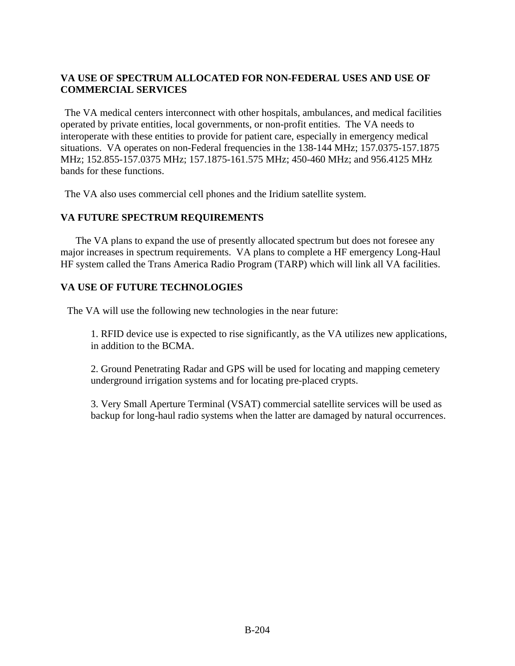# **VA USE OF SPECTRUM ALLOCATED FOR NON-FEDERAL USES AND USE OF COMMERCIAL SERVICES**

 The VA medical centers interconnect with other hospitals, ambulances, and medical facilities operated by private entities, local governments, or non-profit entities. The VA needs to interoperate with these entities to provide for patient care, especially in emergency medical situations. VA operates on non-Federal frequencies in the 138-144 MHz; 157.0375-157.1875 MHz; 152.855-157.0375 MHz; 157.1875-161.575 MHz; 450-460 MHz; and 956.4125 MHz bands for these functions.

The VA also uses commercial cell phones and the Iridium satellite system.

# **VA FUTURE SPECTRUM REQUIREMENTS**

The VA plans to expand the use of presently allocated spectrum but does not foresee any major increases in spectrum requirements. VA plans to complete a HF emergency Long-Haul HF system called the Trans America Radio Program (TARP) which will link all VA facilities.

# **VA USE OF FUTURE TECHNOLOGIES**

The VA will use the following new technologies in the near future:

1. RFID device use is expected to rise significantly, as the VA utilizes new applications, in addition to the BCMA.

2. Ground Penetrating Radar and GPS will be used for locating and mapping cemetery underground irrigation systems and for locating pre-placed crypts.

3. Very Small Aperture Terminal (VSAT) commercial satellite services will be used as backup for long-haul radio systems when the latter are damaged by natural occurrences.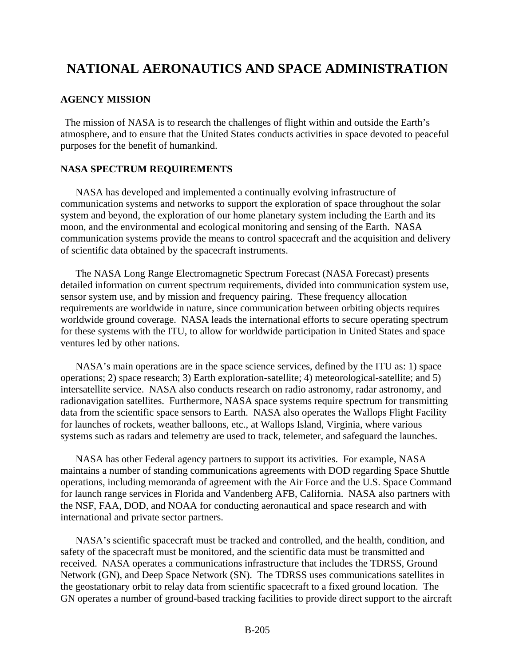# **NATIONAL AERONAUTICS AND SPACE ADMINISTRATION**

# **AGENCY MISSION**

 The mission of NASA is to research the challenges of flight within and outside the Earth's atmosphere, and to ensure that the United States conducts activities in space devoted to peaceful purposes for the benefit of humankind.

# **NASA SPECTRUM REQUIREMENTS**

 NASA has developed and implemented a continually evolving infrastructure of communication systems and networks to support the exploration of space throughout the solar system and beyond, the exploration of our home planetary system including the Earth and its moon, and the environmental and ecological monitoring and sensing of the Earth. NASA communication systems provide the means to control spacecraft and the acquisition and delivery of scientific data obtained by the spacecraft instruments.

The NASA Long Range Electromagnetic Spectrum Forecast (NASA Forecast) presents detailed information on current spectrum requirements, divided into communication system use, sensor system use, and by mission and frequency pairing. These frequency allocation requirements are worldwide in nature, since communication between orbiting objects requires worldwide ground coverage. NASA leads the international efforts to secure operating spectrum for these systems with the ITU, to allow for worldwide participation in United States and space ventures led by other nations.

NASA's main operations are in the space science services, defined by the ITU as: 1) space operations; 2) space research; 3) Earth exploration-satellite; 4) meteorological-satellite; and 5) intersatellite service. NASA also conducts research on radio astronomy, radar astronomy, and radionavigation satellites. Furthermore, NASA space systems require spectrum for transmitting data from the scientific space sensors to Earth. NASA also operates the Wallops Flight Facility for launches of rockets, weather balloons, etc., at Wallops Island, Virginia, where various systems such as radars and telemetry are used to track, telemeter, and safeguard the launches.

NASA has other Federal agency partners to support its activities. For example, NASA maintains a number of standing communications agreements with DOD regarding Space Shuttle operations, including memoranda of agreement with the Air Force and the U.S. Space Command for launch range services in Florida and Vandenberg AFB, California. NASA also partners with the NSF, FAA, DOD, and NOAA for conducting aeronautical and space research and with international and private sector partners.

NASA's scientific spacecraft must be tracked and controlled, and the health, condition, and safety of the spacecraft must be monitored, and the scientific data must be transmitted and received. NASA operates a communications infrastructure that includes the TDRSS, Ground Network (GN), and Deep Space Network (SN). The TDRSS uses communications satellites in the geostationary orbit to relay data from scientific spacecraft to a fixed ground location. The GN operates a number of ground-based tracking facilities to provide direct support to the aircraft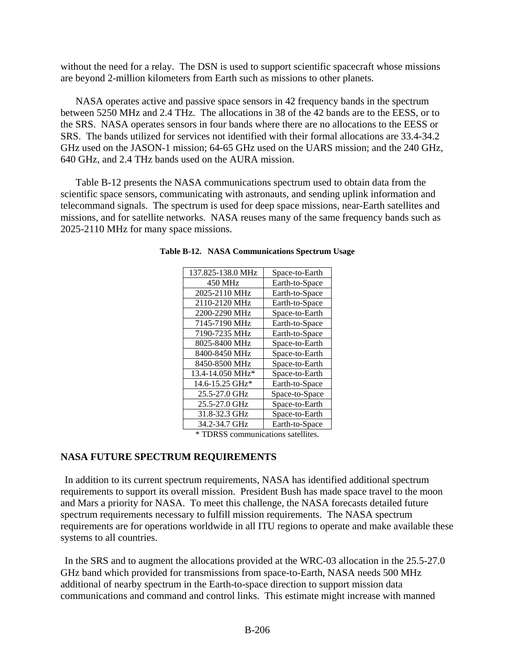without the need for a relay. The DSN is used to support scientific spacecraft whose missions are beyond 2-million kilometers from Earth such as missions to other planets.

NASA operates active and passive space sensors in 42 frequency bands in the spectrum between 5250 MHz and 2.4 THz. The allocations in 38 of the 42 bands are to the EESS, or to the SRS. NASA operates sensors in four bands where there are no allocations to the EESS or SRS. The bands utilized for services not identified with their formal allocations are 33.4-34.2 GHz used on the JASON-1 mission; 64-65 GHz used on the UARS mission; and the 240 GHz, 640 GHz, and 2.4 THz bands used on the AURA mission.

Table B-12 presents the NASA communications spectrum used to obtain data from the scientific space sensors, communicating with astronauts, and sending uplink information and telecommand signals. The spectrum is used for deep space missions, near-Earth satellites and missions, and for satellite networks. NASA reuses many of the same frequency bands such as 2025-2110 MHz for many space missions.

| 137.825-138.0 MHz | Space-to-Earth |
|-------------------|----------------|
| 450 MHz           | Earth-to-Space |
| 2025-2110 MHz     | Earth-to-Space |
| 2110-2120 MHz     | Earth-to-Space |
| 2200-2290 MHz     | Space-to-Earth |
| 7145-7190 MHz     | Earth-to-Space |
| 7190-7235 MHz     | Earth-to-Space |
| 8025-8400 MHz     | Space-to-Earth |
| 8400-8450 MHz     | Space-to-Earth |
| 8450-8500 MHz     | Space-to-Earth |
| 13.4-14.050 MHz*  | Space-to-Earth |
| 14.6-15.25 GHz*   | Earth-to-Space |
| 25.5-27.0 GHz     | Space-to-Space |
| 25.5-27.0 GHz     | Space-to-Earth |
| 31.8-32.3 GHz     | Space-to-Earth |
| 34.2-34.7 GHz     | Earth-to-Space |

**Table B-12. NASA Communications Spectrum Usage** 

\* TDRSS communications satellites.

# **NASA FUTURE SPECTRUM REQUIREMENTS**

 In addition to its current spectrum requirements, NASA has identified additional spectrum requirements to support its overall mission. President Bush has made space travel to the moon and Mars a priority for NASA. To meet this challenge, the NASA forecasts detailed future spectrum requirements necessary to fulfill mission requirements. The NASA spectrum requirements are for operations worldwide in all ITU regions to operate and make available these systems to all countries.

 In the SRS and to augment the allocations provided at the WRC-03 allocation in the 25.5-27.0 GHz band which provided for transmissions from space-to-Earth, NASA needs 500 MHz additional of nearby spectrum in the Earth-to-space direction to support mission data communications and command and control links. This estimate might increase with manned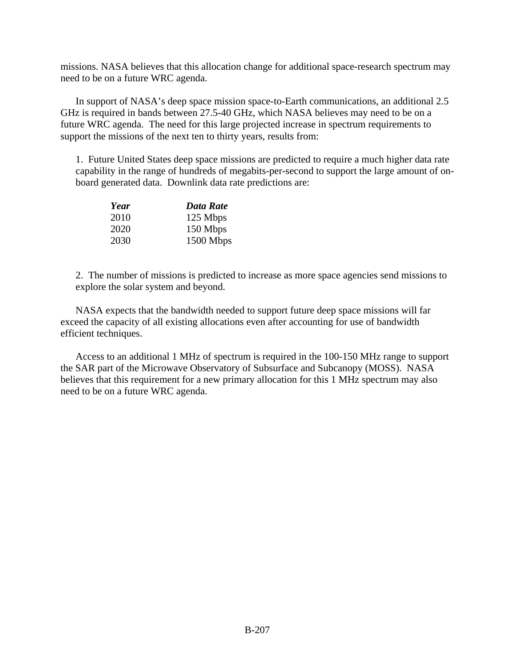missions. NASA believes that this allocation change for additional space-research spectrum may need to be on a future WRC agenda.

In support of NASA's deep space mission space-to-Earth communications, an additional 2.5 GHz is required in bands between 27.5-40 GHz, which NASA believes may need to be on a future WRC agenda. The need for this large projected increase in spectrum requirements to support the missions of the next ten to thirty years, results from:

1. Future United States deep space missions are predicted to require a much higher data rate capability in the range of hundreds of megabits-per-second to support the large amount of onboard generated data. Downlink data rate predictions are:

| Year | Data Rate |
|------|-----------|
| 2010 | 125 Mbps  |
| 2020 | 150 Mbps  |
| 2030 | 1500 Mbps |

2. The number of missions is predicted to increase as more space agencies send missions to explore the solar system and beyond.

NASA expects that the bandwidth needed to support future deep space missions will far exceed the capacity of all existing allocations even after accounting for use of bandwidth efficient techniques.

Access to an additional 1 MHz of spectrum is required in the 100-150 MHz range to support the SAR part of the Microwave Observatory of Subsurface and Subcanopy (MOSS). NASA believes that this requirement for a new primary allocation for this 1 MHz spectrum may also need to be on a future WRC agenda.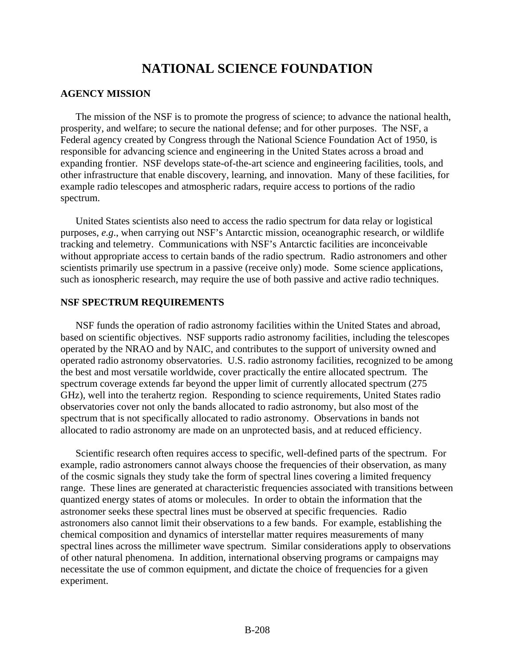# **NATIONAL SCIENCE FOUNDATION**

#### **AGENCY MISSION**

 The mission of the NSF is to promote the progress of science; to advance the national health, prosperity, and welfare; to secure the national defense; and for other purposes. The NSF, a Federal agency created by Congress through the National Science Foundation Act of 1950, is responsible for advancing science and engineering in the United States across a broad and expanding frontier. NSF develops state-of-the-art science and engineering facilities, tools, and other infrastructure that enable discovery, learning, and innovation. Many of these facilities, for example radio telescopes and atmospheric radars, require access to portions of the radio spectrum.

United States scientists also need to access the radio spectrum for data relay or logistical purposes, *e.g*., when carrying out NSF's Antarctic mission, oceanographic research, or wildlife tracking and telemetry. Communications with NSF's Antarctic facilities are inconceivable without appropriate access to certain bands of the radio spectrum. Radio astronomers and other scientists primarily use spectrum in a passive (receive only) mode. Some science applications, such as ionospheric research, may require the use of both passive and active radio techniques.

#### **NSF SPECTRUM REQUIREMENTS**

NSF funds the operation of radio astronomy facilities within the United States and abroad, based on scientific objectives. NSF supports radio astronomy facilities, including the telescopes operated by the NRAO and by NAIC, and contributes to the support of university owned and operated radio astronomy observatories. U.S. radio astronomy facilities, recognized to be among the best and most versatile worldwide, cover practically the entire allocated spectrum. The spectrum coverage extends far beyond the upper limit of currently allocated spectrum (275 GHz), well into the terahertz region. Responding to science requirements, United States radio observatories cover not only the bands allocated to radio astronomy, but also most of the spectrum that is not specifically allocated to radio astronomy. Observations in bands not allocated to radio astronomy are made on an unprotected basis, and at reduced efficiency.

Scientific research often requires access to specific, well-defined parts of the spectrum. For example, radio astronomers cannot always choose the frequencies of their observation, as many of the cosmic signals they study take the form of spectral lines covering a limited frequency range. These lines are generated at characteristic frequencies associated with transitions between quantized energy states of atoms or molecules. In order to obtain the information that the astronomer seeks these spectral lines must be observed at specific frequencies. Radio astronomers also cannot limit their observations to a few bands. For example, establishing the chemical composition and dynamics of interstellar matter requires measurements of many spectral lines across the millimeter wave spectrum. Similar considerations apply to observations of other natural phenomena. In addition, international observing programs or campaigns may necessitate the use of common equipment, and dictate the choice of frequencies for a given experiment.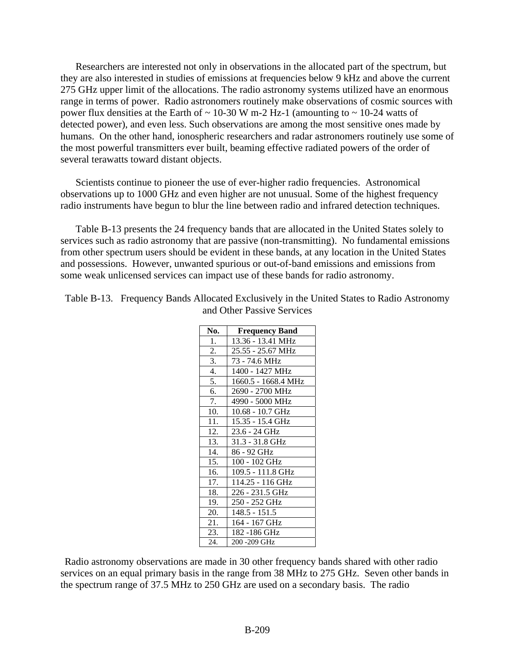Researchers are interested not only in observations in the allocated part of the spectrum, but they are also interested in studies of emissions at frequencies below 9 kHz and above the current 275 GHz upper limit of the allocations. The radio astronomy systems utilized have an enormous range in terms of power. Radio astronomers routinely make observations of cosmic sources with power flux densities at the Earth of  $\sim$  10-30 W m-2 Hz-1 (amounting to  $\sim$  10-24 watts of detected power), and even less. Such observations are among the most sensitive ones made by humans. On the other hand, ionospheric researchers and radar astronomers routinely use some of the most powerful transmitters ever built, beaming effective radiated powers of the order of several terawatts toward distant objects.

Scientists continue to pioneer the use of ever-higher radio frequencies. Astronomical observations up to 1000 GHz and even higher are not unusual. Some of the highest frequency radio instruments have begun to blur the line between radio and infrared detection techniques.

Table B-13 presents the 24 frequency bands that are allocated in the United States solely to services such as radio astronomy that are passive (non-transmitting). No fundamental emissions from other spectrum users should be evident in these bands, at any location in the United States and possessions. However, unwanted spurious or out-of-band emissions and emissions from some weak unlicensed services can impact use of these bands for radio astronomy.

| Table B-13. Frequency Bands Allocated Exclusively in the United States to Radio Astronomy |
|-------------------------------------------------------------------------------------------|
| and Other Passive Services                                                                |

| No. | <b>Frequency Band</b> |
|-----|-----------------------|
| 1.  | 13.36 - 13.41 MHz     |
| 2.  | 25.55 - 25.67 MHz     |
| 3.  | 73 - 74.6 MHz         |
| 4.  | 1400 - 1427 MHz       |
| 5.  | 1660.5 - 1668.4 MHz   |
| 6.  | 2690 - 2700 MHz       |
| 7.  | 4990 - 5000 MHz       |
| 10. | 10.68 - 10.7 GHz      |
| 11. | 15.35 - 15.4 GHz      |
| 12. | 23.6 - 24 GHz         |
| 13. | 31.3 - 31.8 GHz       |
| 14. | 86 - 92 GHz           |
| 15. | 100 - 102 GHz         |
| 16. | 109.5 - 111.8 GHz     |
| 17. | 114.25 - 116 GHz      |
| 18. | 226 - 231.5 GHz       |
| 19. | 250 - 252 GHz         |
| 20. | $148.5 - 151.5$       |
| 21. | 164 - 167 GHz         |
| 23. | 182-186 GHz           |
| 24. | 200 - 209 GHz         |

 Radio astronomy observations are made in 30 other frequency bands shared with other radio services on an equal primary basis in the range from 38 MHz to 275 GHz. Seven other bands in the spectrum range of 37.5 MHz to 250 GHz are used on a secondary basis. The radio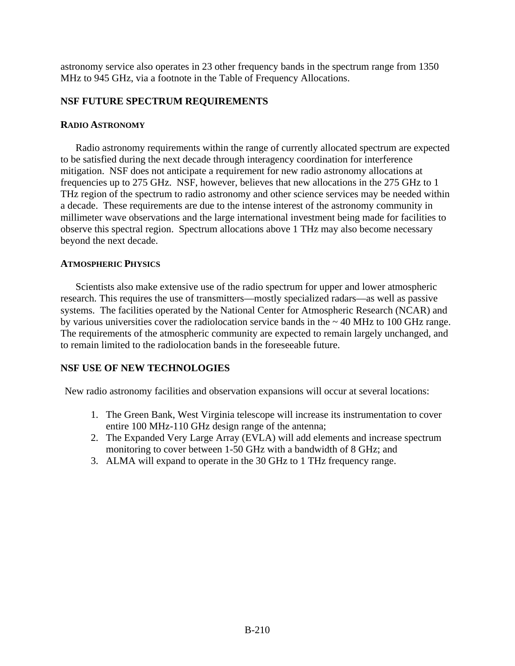astronomy service also operates in 23 other frequency bands in the spectrum range from 1350 MHz to 945 GHz, via a footnote in the Table of Frequency Allocations.

# **NSF FUTURE SPECTRUM REQUIREMENTS**

#### **RADIO ASTRONOMY**

Radio astronomy requirements within the range of currently allocated spectrum are expected to be satisfied during the next decade through interagency coordination for interference mitigation. NSF does not anticipate a requirement for new radio astronomy allocations at frequencies up to 275 GHz. NSF, however, believes that new allocations in the 275 GHz to 1 THz region of the spectrum to radio astronomy and other science services may be needed within a decade. These requirements are due to the intense interest of the astronomy community in millimeter wave observations and the large international investment being made for facilities to observe this spectral region. Spectrum allocations above 1 THz may also become necessary beyond the next decade.

#### **ATMOSPHERIC PHYSICS**

Scientists also make extensive use of the radio spectrum for upper and lower atmospheric research. This requires the use of transmitters—mostly specialized radars—as well as passive systems. The facilities operated by the National Center for Atmospheric Research (NCAR) and by various universities cover the radiolocation service bands in the  $\sim$  40 MHz to 100 GHz range. The requirements of the atmospheric community are expected to remain largely unchanged, and to remain limited to the radiolocation bands in the foreseeable future.

# **NSF USE OF NEW TECHNOLOGIES**

New radio astronomy facilities and observation expansions will occur at several locations:

- 1. The Green Bank, West Virginia telescope will increase its instrumentation to cover entire 100 MHz-110 GHz design range of the antenna;
- 2. The Expanded Very Large Array (EVLA) will add elements and increase spectrum monitoring to cover between 1-50 GHz with a bandwidth of 8 GHz; and
- 3. ALMA will expand to operate in the 30 GHz to 1 THz frequency range.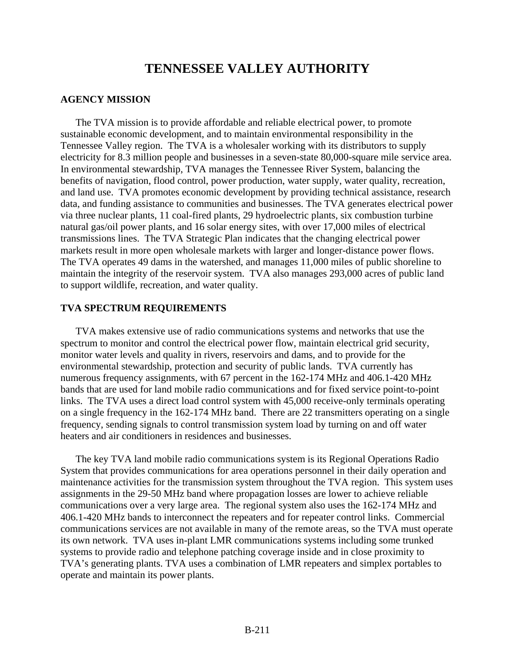# **TENNESSEE VALLEY AUTHORITY**

#### **AGENCY MISSION**

 The TVA mission is to provide affordable and reliable electrical power, to promote sustainable economic development, and to maintain environmental responsibility in the Tennessee Valley region. The TVA is a wholesaler working with its distributors to supply electricity for 8.3 million people and businesses in a seven-state 80,000-square mile service area. In environmental stewardship, TVA manages the Tennessee River System, balancing the benefits of navigation, flood control, power production, water supply, water quality, recreation, and land use. TVA promotes economic development by providing technical assistance, research data, and funding assistance to communities and businesses. The TVA generates electrical power via three nuclear plants, 11 coal-fired plants, 29 hydroelectric plants, six combustion turbine natural gas/oil power plants, and 16 solar energy sites, with over 17,000 miles of electrical transmissions lines. The TVA Strategic Plan indicates that the changing electrical power markets result in more open wholesale markets with larger and longer-distance power flows. The TVA operates 49 dams in the watershed, and manages 11,000 miles of public shoreline to maintain the integrity of the reservoir system. TVA also manages 293,000 acres of public land to support wildlife, recreation, and water quality.

#### **TVA SPECTRUM REQUIREMENTS**

 TVA makes extensive use of radio communications systems and networks that use the spectrum to monitor and control the electrical power flow, maintain electrical grid security, monitor water levels and quality in rivers, reservoirs and dams, and to provide for the environmental stewardship, protection and security of public lands. TVA currently has numerous frequency assignments, with 67 percent in the 162-174 MHz and 406.1-420 MHz bands that are used for land mobile radio communications and for fixed service point-to-point links. The TVA uses a direct load control system with 45,000 receive-only terminals operating on a single frequency in the 162-174 MHz band. There are 22 transmitters operating on a single frequency, sending signals to control transmission system load by turning on and off water heaters and air conditioners in residences and businesses.

The key TVA land mobile radio communications system is its Regional Operations Radio System that provides communications for area operations personnel in their daily operation and maintenance activities for the transmission system throughout the TVA region. This system uses assignments in the 29-50 MHz band where propagation losses are lower to achieve reliable communications over a very large area. The regional system also uses the 162-174 MHz and 406.1-420 MHz bands to interconnect the repeaters and for repeater control links. Commercial communications services are not available in many of the remote areas, so the TVA must operate its own network. TVA uses in-plant LMR communications systems including some trunked systems to provide radio and telephone patching coverage inside and in close proximity to TVA's generating plants. TVA uses a combination of LMR repeaters and simplex portables to operate and maintain its power plants.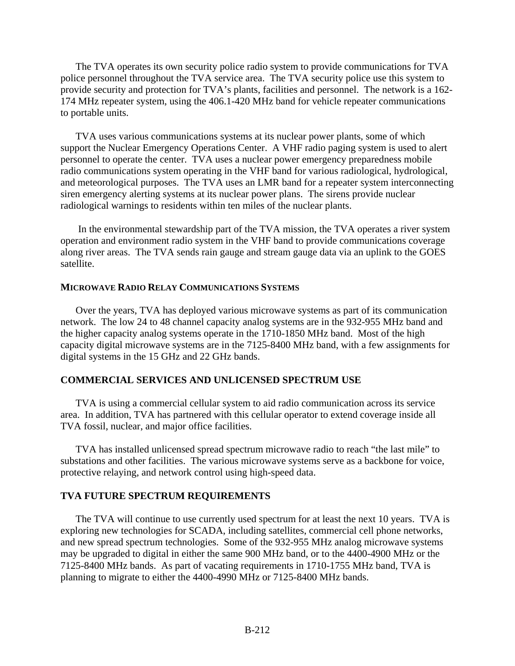The TVA operates its own security police radio system to provide communications for TVA police personnel throughout the TVA service area. The TVA security police use this system to provide security and protection for TVA's plants, facilities and personnel. The network is a 162- 174 MHz repeater system, using the 406.1-420 MHz band for vehicle repeater communications to portable units.

TVA uses various communications systems at its nuclear power plants, some of which support the Nuclear Emergency Operations Center. A VHF radio paging system is used to alert personnel to operate the center. TVA uses a nuclear power emergency preparedness mobile radio communications system operating in the VHF band for various radiological, hydrological, and meteorological purposes. The TVA uses an LMR band for a repeater system interconnecting siren emergency alerting systems at its nuclear power plans. The sirens provide nuclear radiological warnings to residents within ten miles of the nuclear plants.

 In the environmental stewardship part of the TVA mission, the TVA operates a river system operation and environment radio system in the VHF band to provide communications coverage along river areas. The TVA sends rain gauge and stream gauge data via an uplink to the GOES satellite.

#### **MICROWAVE RADIO RELAY COMMUNICATIONS SYSTEMS**

Over the years, TVA has deployed various microwave systems as part of its communication network. The low 24 to 48 channel capacity analog systems are in the 932-955 MHz band and the higher capacity analog systems operate in the 1710-1850 MHz band. Most of the high capacity digital microwave systems are in the 7125-8400 MHz band, with a few assignments for digital systems in the 15 GHz and 22 GHz bands.

#### **COMMERCIAL SERVICES AND UNLICENSED SPECTRUM USE**

TVA is using a commercial cellular system to aid radio communication across its service area. In addition, TVA has partnered with this cellular operator to extend coverage inside all TVA fossil, nuclear, and major office facilities.

TVA has installed unlicensed spread spectrum microwave radio to reach "the last mile" to substations and other facilities. The various microwave systems serve as a backbone for voice, protective relaying, and network control using high-speed data.

#### **TVA FUTURE SPECTRUM REQUIREMENTS**

The TVA will continue to use currently used spectrum for at least the next 10 years. TVA is exploring new technologies for SCADA, including satellites, commercial cell phone networks, and new spread spectrum technologies. Some of the 932-955 MHz analog microwave systems may be upgraded to digital in either the same 900 MHz band, or to the 4400-4900 MHz or the 7125-8400 MHz bands. As part of vacating requirements in 1710-1755 MHz band, TVA is planning to migrate to either the 4400-4990 MHz or 7125-8400 MHz bands.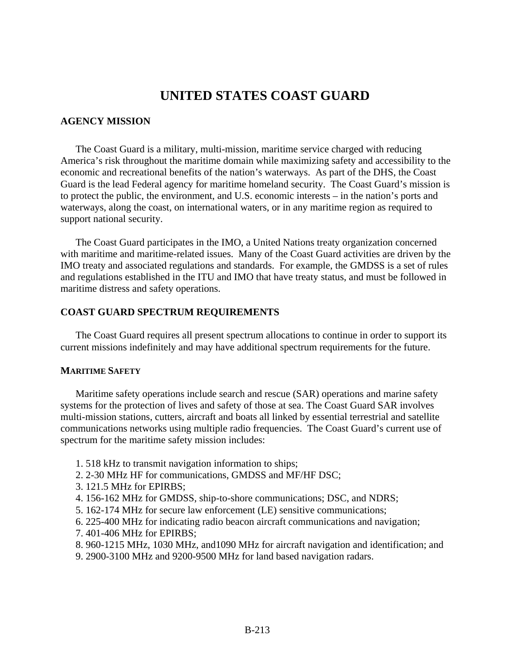# **UNITED STATES COAST GUARD**

#### **AGENCY MISSION**

 The Coast Guard is a military, multi-mission, maritime service charged with reducing America's risk throughout the maritime domain while maximizing safety and accessibility to the economic and recreational benefits of the nation's waterways. As part of the DHS, the Coast Guard is the lead Federal agency for maritime homeland security. The Coast Guard's mission is to protect the public, the environment, and U.S. economic interests – in the nation's ports and waterways, along the coast, on international waters, or in any maritime region as required to support national security.

The Coast Guard participates in the IMO, a United Nations treaty organization concerned with maritime and maritime-related issues. Many of the Coast Guard activities are driven by the IMO treaty and associated regulations and standards. For example, the GMDSS is a set of rules and regulations established in the ITU and IMO that have treaty status, and must be followed in maritime distress and safety operations.

#### **COAST GUARD SPECTRUM REQUIREMENTS**

The Coast Guard requires all present spectrum allocations to continue in order to support its current missions indefinitely and may have additional spectrum requirements for the future.

#### **MARITIME SAFETY**

Maritime safety operations include search and rescue (SAR) operations and marine safety systems for the protection of lives and safety of those at sea. The Coast Guard SAR involves multi-mission stations, cutters, aircraft and boats all linked by essential terrestrial and satellite communications networks using multiple radio frequencies. The Coast Guard's current use of spectrum for the maritime safety mission includes:

- 1. 518 kHz to transmit navigation information to ships;
- 2. 2-30 MHz HF for communications, GMDSS and MF/HF DSC;
- 3. 121.5 MHz for EPIRBS;
- 4. 156-162 MHz for GMDSS, ship-to-shore communications; DSC, and NDRS;
- 5. 162-174 MHz for secure law enforcement (LE) sensitive communications;
- 6. 225-400 MHz for indicating radio beacon aircraft communications and navigation;
- 7. 401-406 MHz for EPIRBS;
- 8. 960-1215 MHz, 1030 MHz, and1090 MHz for aircraft navigation and identification; and
- 9. 2900-3100 MHz and 9200-9500 MHz for land based navigation radars.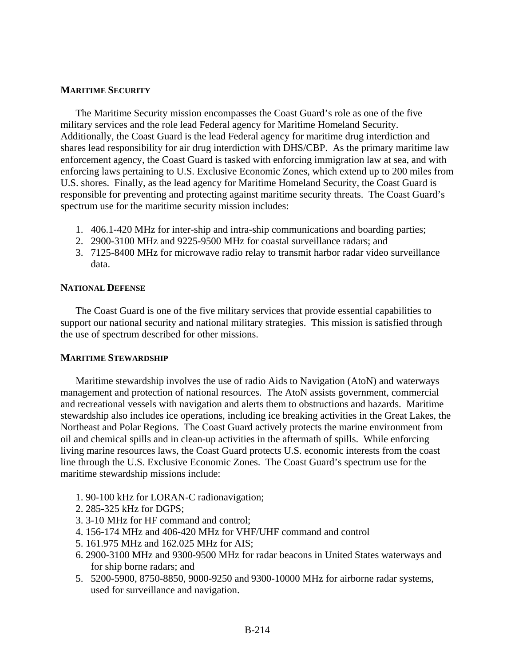# **MARITIME SECURITY**

The Maritime Security mission encompasses the Coast Guard's role as one of the five military services and the role lead Federal agency for Maritime Homeland Security. Additionally, the Coast Guard is the lead Federal agency for maritime drug interdiction and shares lead responsibility for air drug interdiction with DHS/CBP. As the primary maritime law enforcement agency, the Coast Guard is tasked with enforcing immigration law at sea, and with enforcing laws pertaining to U.S. Exclusive Economic Zones, which extend up to 200 miles from U.S. shores. Finally, as the lead agency for Maritime Homeland Security, the Coast Guard is responsible for preventing and protecting against maritime security threats. The Coast Guard's spectrum use for the maritime security mission includes:

- 1. 406.1-420 MHz for inter-ship and intra-ship communications and boarding parties;
- 2. 2900-3100 MHz and 9225-9500 MHz for coastal surveillance radars; and
- 3. 7125-8400 MHz for microwave radio relay to transmit harbor radar video surveillance data.

#### **NATIONAL DEFENSE**

The Coast Guard is one of the five military services that provide essential capabilities to support our national security and national military strategies. This mission is satisfied through the use of spectrum described for other missions.

#### **MARITIME STEWARDSHIP**

Maritime stewardship involves the use of radio Aids to Navigation (AtoN) and waterways management and protection of national resources. The AtoN assists government, commercial and recreational vessels with navigation and alerts them to obstructions and hazards. Maritime stewardship also includes ice operations, including ice breaking activities in the Great Lakes, the Northeast and Polar Regions. The Coast Guard actively protects the marine environment from oil and chemical spills and in clean-up activities in the aftermath of spills. While enforcing living marine resources laws, the Coast Guard protects U.S. economic interests from the coast line through the U.S. Exclusive Economic Zones. The Coast Guard's spectrum use for the maritime stewardship missions include:

- 1. 90-100 kHz for LORAN-C radionavigation;
- 2. 285-325 kHz for DGPS;
- 3. 3-10 MHz for HF command and control;
- 4. 156-174 MHz and 406-420 MHz for VHF/UHF command and control
- 5. 161.975 MHz and 162.025 MHz for AIS;
- 6. 2900-3100 MHz and 9300-9500 MHz for radar beacons in United States waterways and for ship borne radars; and
- 5. 5200-5900, 8750-8850, 9000-9250 and 9300-10000 MHz for airborne radar systems, used for surveillance and navigation.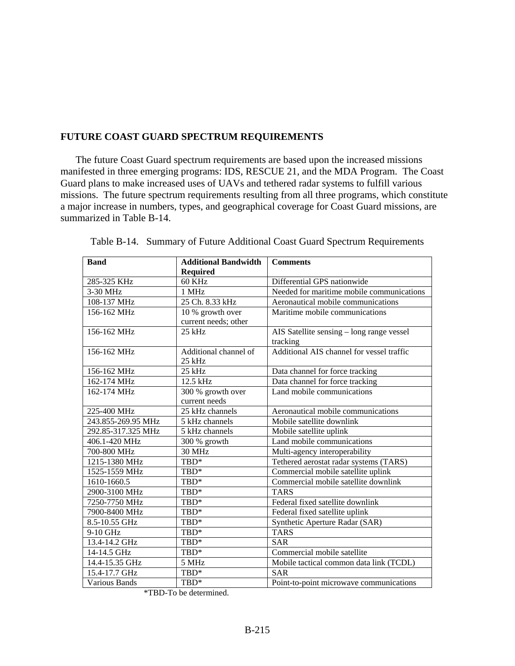# **FUTURE COAST GUARD SPECTRUM REQUIREMENTS**

The future Coast Guard spectrum requirements are based upon the increased missions manifested in three emerging programs: IDS, RESCUE 21, and the MDA Program. The Coast Guard plans to make increased uses of UAVs and tethered radar systems to fulfill various missions. The future spectrum requirements resulting from all three programs, which constitute a major increase in numbers, types, and geographical coverage for Coast Guard missions, are summarized in Table B-14.

| <b>Band</b>        | <b>Additional Bandwidth</b> | <b>Comments</b>                           |
|--------------------|-----------------------------|-------------------------------------------|
|                    | <b>Required</b>             |                                           |
| 285-325 KHz        | 60 KHz                      | Differential GPS nationwide               |
| 3-30 MHz           | 1 MHz                       | Needed for maritime mobile communications |
| 108-137 MHz        | 25 Ch. 8.33 kHz             | Aeronautical mobile communications        |
| 156-162 MHz        | 10 % growth over            | Maritime mobile communications            |
|                    | current needs; other        |                                           |
| 156-162 MHz        | 25 kHz                      | AIS Satellite sensing - long range vessel |
|                    |                             | tracking                                  |
| 156-162 MHz        | Additional channel of       | Additional AIS channel for vessel traffic |
|                    | 25 kHz                      |                                           |
| 156-162 MHz        | 25 kHz                      | Data channel for force tracking           |
| 162-174 MHz        | 12.5 kHz                    | Data channel for force tracking           |
| 162-174 MHz        | 300 % growth over           | Land mobile communications                |
|                    | current needs               |                                           |
| 225-400 MHz        | 25 kHz channels             | Aeronautical mobile communications        |
| 243.855-269.95 MHz | 5 kHz channels              | Mobile satellite downlink                 |
| 292.85-317.325 MHz | 5 kHz channels              | Mobile satellite uplink                   |
| 406.1-420 MHz      | 300 % growth                | Land mobile communications                |
| 700-800 MHz        | <b>30 MHz</b>               | Multi-agency interoperability             |
| 1215-1380 MHz      | TBD*                        | Tethered aerostat radar systems (TARS)    |
| 1525-1559 MHz      | TBD*                        | Commercial mobile satellite uplink        |
| 1610-1660.5        | TBD*                        | Commercial mobile satellite downlink      |
| 2900-3100 MHz      | TBD*                        | <b>TARS</b>                               |
| 7250-7750 MHz      | TBD*                        | Federal fixed satellite downlink          |
| 7900-8400 MHz      | TBD*                        | Federal fixed satellite uplink            |
| 8.5-10.55 GHz      | TBD*                        | Synthetic Aperture Radar (SAR)            |
| 9-10 GHz           | TBD*                        | <b>TARS</b>                               |
| 13.4-14.2 GHz      | TBD*                        | <b>SAR</b>                                |
| 14-14.5 GHz        | TBD*                        | Commercial mobile satellite               |
| 14.4-15.35 GHz     | 5 MHz                       | Mobile tactical common data link (TCDL)   |
| 15.4-17.7 GHz      | TBD*                        | <b>SAR</b>                                |
| Various Bands      | TBD*                        | Point-to-point microwave communications   |

| Table B-14. Summary of Future Additional Coast Guard Spectrum Requirements |  |  |  |  |
|----------------------------------------------------------------------------|--|--|--|--|
|                                                                            |  |  |  |  |

\*TBD-To be determined.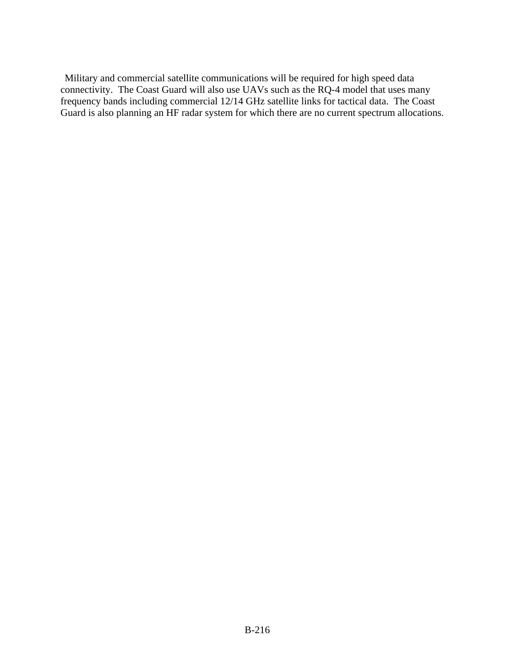Military and commercial satellite communications will be required for high speed data connectivity. The Coast Guard will also use UAVs such as the RQ-4 model that uses many frequency bands including commercial 12/14 GHz satellite links for tactical data. The Coast Guard is also planning an HF radar system for which there are no current spectrum allocations.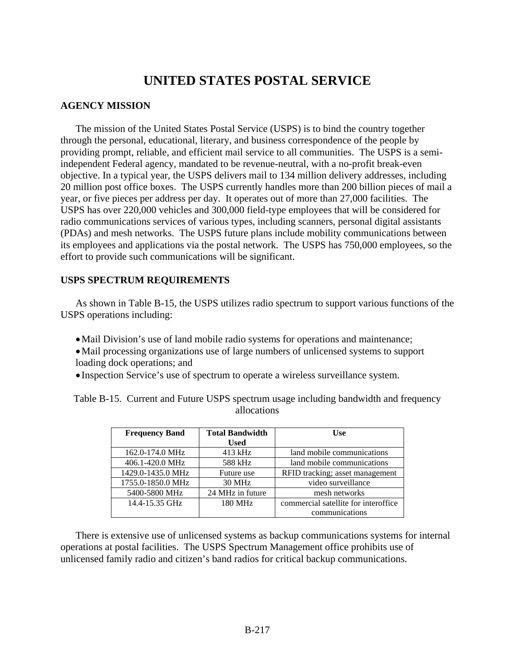# **UNITED STATES POSTAL SERVICE**

#### **AGENCY MISSION**

The mission of the United States Postal Service (USPS) is to bind the country together through the personal, educational, literary, and business correspondence of the people by providing prompt, reliable, and efficient mail service to all communities. The USPS is a semiindependent Federal agency, mandated to be revenue-neutral, with a no-profit break-even objective. In a typical year, the USPS delivers mail to 134 million delivery addresses, including 20 million post office boxes. The USPS currently handles more than 200 billion pieces of mail a year, or five pieces per address per day. It operates out of more than 27,000 facilities. The USPS has over 220,000 vehicles and 300,000 field-type employees that will be considered for radio communications services of various types, including scanners, personal digital assistants (PDAs) and mesh networks. The USPS future plans include mobility communications between its employees and applications via the postal network. The USPS has 750,000 employees, so the effort to provide such communications will be significant.

#### **USPS SPECTRUM REQUIREMENTS**

As shown in Table B-15, the USPS utilizes radio spectrum to support various functions of the USPS operations including:

- •Mail Division's use of land mobile radio systems for operations and maintenance;
- •Mail processing organizations use of large numbers of unlicensed systems to support loading dock operations; and
- Inspection Service's use of spectrum to operate a wireless surveillance system.

Table B-15. Current and Future USPS spectrum usage including bandwidth and frequency allocations

| <b>Frequency Band</b> | <b>Total Bandwidth</b><br><b>Use</b> |                                      |
|-----------------------|--------------------------------------|--------------------------------------|
|                       | <b>Used</b>                          |                                      |
| 162.0-174.0 MHz       | $413$ kHz                            | land mobile communications           |
| 406.1-420.0 MHz       | 588 kHz                              | land mobile communications           |
| 1429.0-1435.0 MHz     | Future use                           | RFID tracking; asset management      |
| 1755.0-1850.0 MHz     | 30 MHz                               | video surveillance                   |
| 5400-5800 MHz         | 24 MHz in future                     | mesh networks                        |
| 14.4-15.35 GHz        | 180 MHz                              | commercial satellite for interoffice |
|                       |                                      | communications                       |

There is extensive use of unlicensed systems as backup communications systems for internal operations at postal facilities. The USPS Spectrum Management office prohibits use of unlicensed family radio and citizen's band radios for critical backup communications.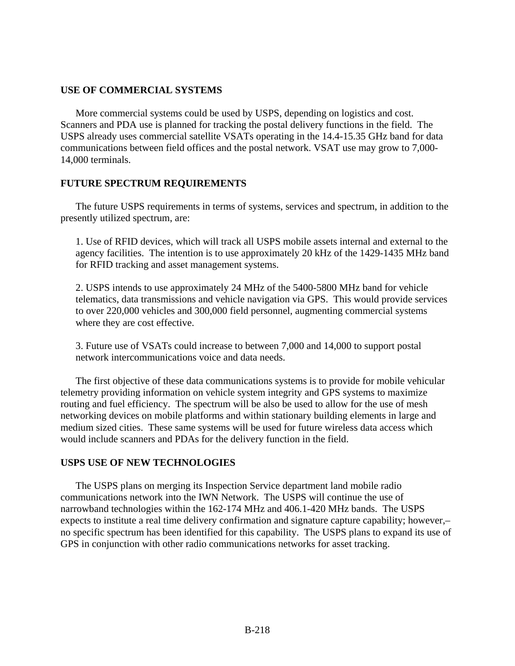#### **USE OF COMMERCIAL SYSTEMS**

 More commercial systems could be used by USPS, depending on logistics and cost. Scanners and PDA use is planned for tracking the postal delivery functions in the field. The USPS already uses commercial satellite VSATs operating in the 14.4-15.35 GHz band for data communications between field offices and the postal network. VSAT use may grow to 7,000- 14,000 terminals.

#### **FUTURE SPECTRUM REQUIREMENTS**

The future USPS requirements in terms of systems, services and spectrum, in addition to the presently utilized spectrum, are:

1. Use of RFID devices, which will track all USPS mobile assets internal and external to the agency facilities. The intention is to use approximately 20 kHz of the 1429-1435 MHz band for RFID tracking and asset management systems.

2. USPS intends to use approximately 24 MHz of the 5400-5800 MHz band for vehicle telematics, data transmissions and vehicle navigation via GPS. This would provide services to over 220,000 vehicles and 300,000 field personnel, augmenting commercial systems where they are cost effective.

3. Future use of VSATs could increase to between 7,000 and 14,000 to support postal network intercommunications voice and data needs.

The first objective of these data communications systems is to provide for mobile vehicular telemetry providing information on vehicle system integrity and GPS systems to maximize routing and fuel efficiency. The spectrum will be also be used to allow for the use of mesh networking devices on mobile platforms and within stationary building elements in large and medium sized cities. These same systems will be used for future wireless data access which would include scanners and PDAs for the delivery function in the field.

# **USPS USE OF NEW TECHNOLOGIES**

The USPS plans on merging its Inspection Service department land mobile radio communications network into the IWN Network. The USPS will continue the use of narrowband technologies within the 162-174 MHz and 406.1-420 MHz bands. The USPS expects to institute a real time delivery confirmation and signature capture capability; however, no specific spectrum has been identified for this capability. The USPS plans to expand its use of GPS in conjunction with other radio communications networks for asset tracking.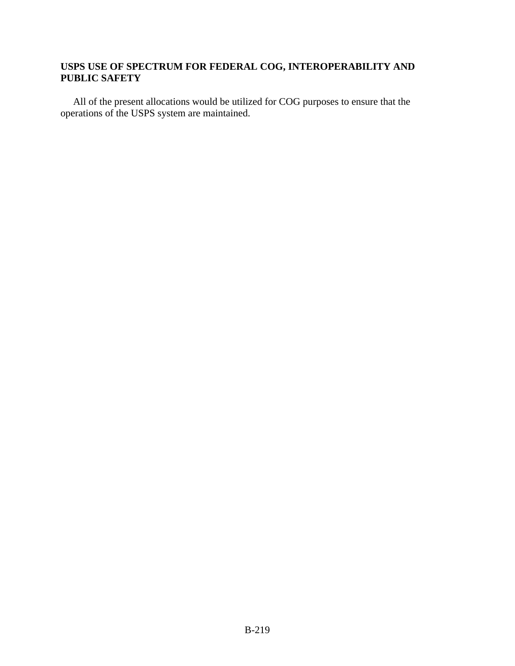# **USPS USE OF SPECTRUM FOR FEDERAL COG, INTEROPERABILITY AND PUBLIC SAFETY**

All of the present allocations would be utilized for COG purposes to ensure that the operations of the USPS system are maintained.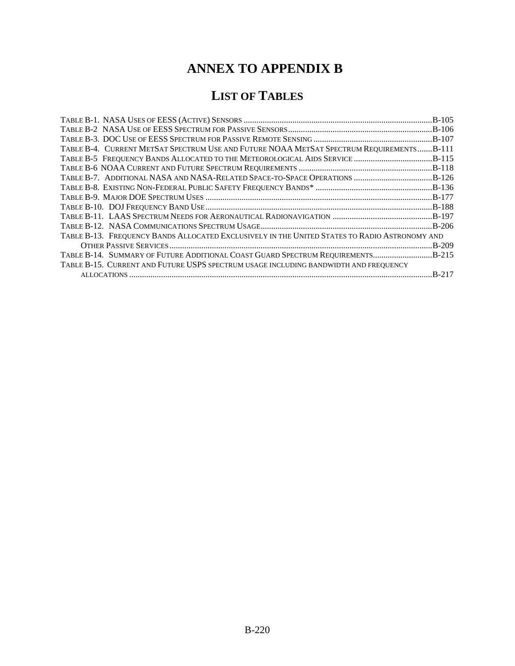# **ANNEX TO APPENDIX B**

# **LIST OF TABLES**

| TABLE B-4. CURRENT METSAT SPECTRUM USE AND FUTURE NOAA METSAT SPECTRUM REQUIREMENTS B-111     |  |
|-----------------------------------------------------------------------------------------------|--|
|                                                                                               |  |
|                                                                                               |  |
|                                                                                               |  |
|                                                                                               |  |
|                                                                                               |  |
|                                                                                               |  |
|                                                                                               |  |
|                                                                                               |  |
| TABLE B-13. FREQUENCY BANDS ALLOCATED EXCLUSIVELY IN THE UNITED STATES TO RADIO ASTRONOMY AND |  |
|                                                                                               |  |
| TABLE B-14. SUMMARY OF FUTURE ADDITIONAL COAST GUARD SPECTRUM REQUIREMENTSB-215               |  |
| TABLE B-15. CURRENT AND FUTURE USPS SPECTRUM USAGE INCLUDING BANDWIDTH AND FREQUENCY          |  |
|                                                                                               |  |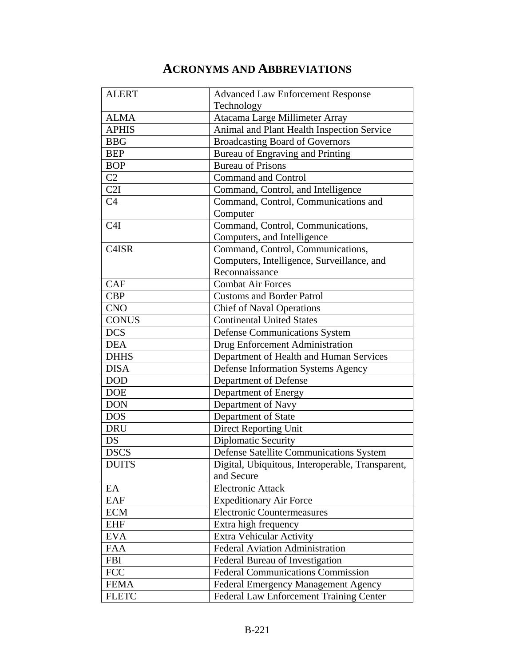# **ACRONYMS AND ABBREVIATIONS**

| <b>ALERT</b>   | <b>Advanced Law Enforcement Response</b>         |
|----------------|--------------------------------------------------|
|                | Technology                                       |
| <b>ALMA</b>    | Atacama Large Millimeter Array                   |
| <b>APHIS</b>   | Animal and Plant Health Inspection Service       |
| <b>BBG</b>     | <b>Broadcasting Board of Governors</b>           |
| <b>BEP</b>     | Bureau of Engraving and Printing                 |
| <b>BOP</b>     | <b>Bureau of Prisons</b>                         |
| C2             | <b>Command and Control</b>                       |
| C2I            | Command, Control, and Intelligence               |
| C <sub>4</sub> | Command, Control, Communications and             |
|                | Computer                                         |
| C4I            | Command, Control, Communications,                |
|                | Computers, and Intelligence                      |
| C4ISR          | Command, Control, Communications,                |
|                | Computers, Intelligence, Surveillance, and       |
|                | Reconnaissance                                   |
| <b>CAF</b>     | <b>Combat Air Forces</b>                         |
| <b>CBP</b>     | <b>Customs and Border Patrol</b>                 |
| <b>CNO</b>     | <b>Chief of Naval Operations</b>                 |
| <b>CONUS</b>   | <b>Continental United States</b>                 |
| <b>DCS</b>     | <b>Defense Communications System</b>             |
| <b>DEA</b>     | Drug Enforcement Administration                  |
| <b>DHHS</b>    | Department of Health and Human Services          |
| <b>DISA</b>    | Defense Information Systems Agency               |
| <b>DOD</b>     | Department of Defense                            |
| <b>DOE</b>     | Department of Energy                             |
| <b>DON</b>     | Department of Navy                               |
| <b>DOS</b>     | Department of State                              |
| <b>DRU</b>     | Direct Reporting Unit                            |
| DS             | <b>Diplomatic Security</b>                       |
| <b>DSCS</b>    | Defense Satellite Communications System          |
| <b>DUITS</b>   | Digital, Ubiquitous, Interoperable, Transparent, |
|                | and Secure                                       |
| EA             | <b>Electronic Attack</b>                         |
| EAF            | <b>Expeditionary Air Force</b>                   |
| <b>ECM</b>     | <b>Electronic Countermeasures</b>                |
| <b>EHF</b>     | Extra high frequency                             |
| <b>EVA</b>     | Extra Vehicular Activity                         |
| <b>FAA</b>     | <b>Federal Aviation Administration</b>           |
| <b>FBI</b>     | Federal Bureau of Investigation                  |
| <b>FCC</b>     | <b>Federal Communications Commission</b>         |
| <b>FEMA</b>    | Federal Emergency Management Agency              |
| <b>FLETC</b>   | Federal Law Enforcement Training Center          |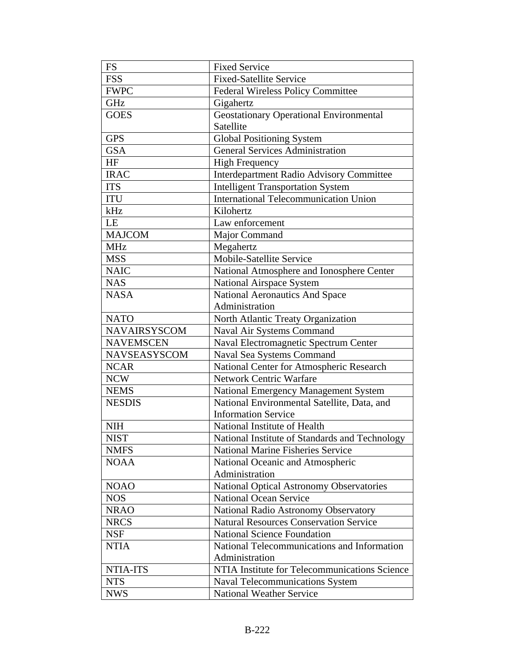| <b>FS</b>           | <b>Fixed Service</b>                            |
|---------------------|-------------------------------------------------|
| <b>FSS</b>          | <b>Fixed-Satellite Service</b>                  |
| <b>FWPC</b>         | Federal Wireless Policy Committee               |
| GHz                 | Gigahertz                                       |
| <b>GOES</b>         | <b>Geostationary Operational Environmental</b>  |
|                     | Satellite                                       |
| <b>GPS</b>          | <b>Global Positioning System</b>                |
| <b>GSA</b>          | <b>General Services Administration</b>          |
| HF                  | <b>High Frequency</b>                           |
| <b>IRAC</b>         | Interdepartment Radio Advisory Committee        |
| <b>ITS</b>          | <b>Intelligent Transportation System</b>        |
| ITU                 | <b>International Telecommunication Union</b>    |
| kHz                 | Kilohertz                                       |
| LE                  | Law enforcement                                 |
| <b>MAJCOM</b>       | Major Command                                   |
| <b>MHz</b>          | Megahertz                                       |
| <b>MSS</b>          | Mobile-Satellite Service                        |
| <b>NAIC</b>         | National Atmosphere and Ionosphere Center       |
| <b>NAS</b>          | National Airspace System                        |
| <b>NASA</b>         | National Aeronautics And Space                  |
|                     | Administration                                  |
| <b>NATO</b>         | North Atlantic Treaty Organization              |
| <b>NAVAIRSYSCOM</b> | Naval Air Systems Command                       |
| <b>NAVEMSCEN</b>    | Naval Electromagnetic Spectrum Center           |
| NAVSEASYSCOM        | Naval Sea Systems Command                       |
| <b>NCAR</b>         | National Center for Atmospheric Research        |
| <b>NCW</b>          | <b>Network Centric Warfare</b>                  |
| <b>NEMS</b>         | <b>National Emergency Management System</b>     |
| <b>NESDIS</b>       | National Environmental Satellite, Data, and     |
|                     | <b>Information Service</b>                      |
| <b>NIH</b>          | National Institute of Health                    |
| <b>NIST</b>         | National Institute of Standards and Technology  |
| <b>NMFS</b>         | <b>National Marine Fisheries Service</b>        |
| <b>NOAA</b>         | National Oceanic and Atmospheric                |
|                     | Administration                                  |
| <b>NOAO</b>         | <b>National Optical Astronomy Observatories</b> |
| <b>NOS</b>          | <b>National Ocean Service</b>                   |
| <b>NRAO</b>         | National Radio Astronomy Observatory            |
| <b>NRCS</b>         | <b>Natural Resources Conservation Service</b>   |
| <b>NSF</b>          | <b>National Science Foundation</b>              |
| <b>NTIA</b>         | National Telecommunications and Information     |
|                     | Administration                                  |
| NTIA-ITS            | NTIA Institute for Telecommunications Science   |
| <b>NTS</b>          | <b>Naval Telecommunications System</b>          |
| <b>NWS</b>          | <b>National Weather Service</b>                 |
|                     |                                                 |